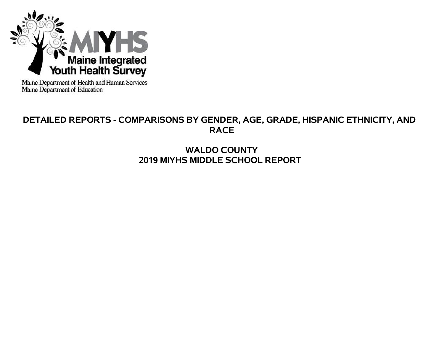

Maine Department of Health and Human Services<br>Maine Department of Education

# **DETAILED REPORTS - COMPARISONS BY GENDER, AGE, GRADE, HISPANIC ETHNICITY, AND RACE**

## **WALDO COUNTY 2019 MIYHS MIDDLE SCHOOL REPORT**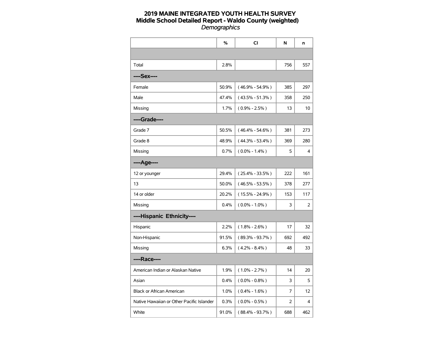|                                           | %     | <b>CI</b>           | N              | n   |
|-------------------------------------------|-------|---------------------|----------------|-----|
|                                           |       |                     |                |     |
| Total                                     | 2.8%  |                     | 756            | 557 |
| ----Sex----                               |       |                     |                |     |
| Female                                    | 50.9% | $(46.9\% - 54.9\%)$ | 385            | 297 |
| Male                                      | 47.4% | $(43.5\% - 51.3\%)$ | 358            | 250 |
| Missing                                   | 1.7%  | $(0.9\% - 2.5\%)$   | 13             | 10  |
| ----Grade----                             |       |                     |                |     |
| Grade 7                                   | 50.5% | $(46.4\% - 54.6\%)$ | 381            | 273 |
| Grade 8                                   | 48.9% | $(44.3\% - 53.4\%)$ | 369            | 280 |
| Missing                                   | 0.7%  | $(0.0\% - 1.4\%)$   | 5              | 4   |
| ----Age----                               |       |                     |                |     |
| 12 or younger                             | 29.4% | $(25.4\% - 33.5\%)$ | 222            | 161 |
| 13                                        | 50.0% | $(46.5\% - 53.5\%)$ | 378            | 277 |
| 14 or older                               | 20.2% | $(15.5\% - 24.9\%)$ | 153            | 117 |
| Missing                                   | 0.4%  | $(0.0\% - 1.0\%)$   | 3              | 2   |
| ----Hispanic Ethnicity----                |       |                     |                |     |
| Hispanic                                  | 2.2%  | $(1.8\% - 2.6\%)$   | 17             | 32  |
| Non-Hispanic                              | 91.5% | $(89.3\% - 93.7\%)$ | 692            | 492 |
| Missing                                   | 6.3%  | $(4.2\% - 8.4\%)$   | 48             | 33  |
| ----Race----                              |       |                     |                |     |
| American Indian or Alaskan Native         | 1.9%  | $(1.0\% - 2.7\%)$   | 14             | 20  |
| Asian                                     | 0.4%  | $(0.0\% - 0.8\%)$   | 3              | 5   |
| <b>Black or African American</b>          | 1.0%  | $(0.4\% - 1.6\%)$   | 7              | 12  |
| Native Hawaiian or Other Pacific Islander | 0.3%  | $(0.0\% - 0.5\%)$   | $\overline{2}$ | 4   |
| White                                     | 91.0% | $(88.4\% - 93.7\%)$ | 688            | 462 |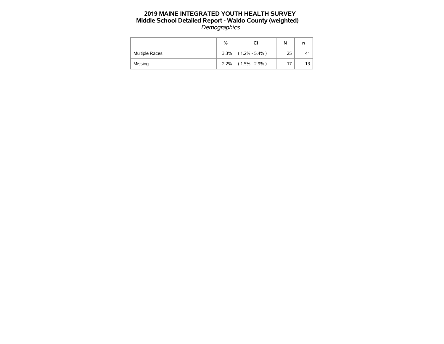|                | %    | CI                    | N  |    |
|----------------|------|-----------------------|----|----|
| Multiple Races |      | $3.3\%$ (1.2% - 5.4%) | 25 | 41 |
| Missing        | 2.2% | $(1.5\% - 2.9\%)$     |    | 13 |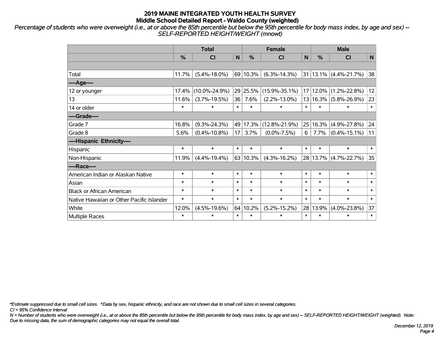*Percentage of students who were overweight (i.e., at or above the 85th percentile but below the 95th percentile for body mass index, by age and sex) -- SELF-REPORTED HEIGHT/WEIGHT (mnowt)*

|                                           |        | <b>Total</b>        |                 | <b>Female</b> | <b>Male</b>         |        |               |                           |              |
|-------------------------------------------|--------|---------------------|-----------------|---------------|---------------------|--------|---------------|---------------------------|--------------|
|                                           | %      | <b>CI</b>           | $\mathsf{N}$    | $\frac{0}{0}$ | <b>CI</b>           | N      | $\frac{0}{0}$ | <b>CI</b>                 | $\mathsf{N}$ |
|                                           |        |                     |                 |               |                     |        |               |                           |              |
| Total                                     | 11.7%  | $(5.4\% - 18.0\%)$  |                 | 69 10.3%      | $(6.3\% - 14.3\%)$  |        |               | $31 13.1\% $ (4.4%-21.7%) | 38           |
| ----Age----                               |        |                     |                 |               |                     |        |               |                           |              |
| 12 or younger                             | 17.4%  | $(10.0\% - 24.9\%)$ |                 | 29 25.5%      | $(15.9\% - 35.1\%)$ |        | 17 12.0%      | $(1.2\% - 22.8\%)$        | 12           |
| 13                                        | 11.6%  | $(3.7\% - 19.5\%)$  | 36              | 7.6%          | $(2.2\% - 13.0\%)$  |        | 13 16.3%      | $(5.8\% - 26.9\%)$        | 23           |
| 14 or older                               | $\ast$ | $\ast$              | $\ast$          | $\ast$        | $\ast$              | $\ast$ | $\ast$        | *                         | $\ast$       |
| ----Grade----                             |        |                     |                 |               |                     |        |               |                           |              |
| Grade 7                                   | 16.8%  | $(9.3\% - 24.3\%)$  | 49              | 17.3%         | $(12.8\% - 21.9\%)$ |        | 25 16.3%      | $(4.9\% - 27.8\%)$        | 24           |
| Grade 8                                   | 5.6%   | $(0.4\% - 10.8\%)$  | 17 <sup>1</sup> | 3.7%          | $(0.0\% - 7.5\%)$   | 6      | 7.7%          | $(0.4\% - 15.1\%)$        | 11           |
| ----Hispanic Ethnicity----                |        |                     |                 |               |                     |        |               |                           |              |
| Hispanic                                  | $\ast$ | $\ast$              | $\ast$          | $\ast$        | $\ast$              | $\ast$ | $\ast$        | $\ast$                    | $\ast$       |
| Non-Hispanic                              | 11.9%  | $(4.4\% - 19.4\%)$  |                 | 63 10.3%      | $(4.3\% - 16.2\%)$  |        | 28 13.7%      | $(4.7\% - 22.7\%)$        | 35           |
| ----Race----                              |        |                     |                 |               |                     |        |               |                           |              |
| American Indian or Alaskan Native         | $\ast$ | $\ast$              | $\ast$          | $\ast$        | $\ast$              | $\ast$ | $\ast$        | $\ast$                    | $\ast$       |
| Asian                                     | $\ast$ | $\ast$              | $\ast$          | $\ast$        | $\ast$              | $\ast$ | $\ast$        | $\ast$                    | $\ast$       |
| <b>Black or African American</b>          | $\ast$ | $\ast$              | $\ast$          | $\ast$        | $\ast$              | $\ast$ | $\ast$        | $\ast$                    | $\ast$       |
| Native Hawaiian or Other Pacific Islander | $\ast$ | $\ast$              | $\ast$          | $\ast$        | $\ast$              | $\ast$ | $\ast$        | $\ast$                    | $\ast$       |
| White                                     | 12.0%  | $(4.5\% - 19.6\%)$  |                 | 64 10.2%      | $(5.2\% - 15.2\%)$  |        | 28 13.9%      | $(4.0\% - 23.8\%)$        | 37           |
| Multiple Races                            | $\ast$ | $\ast$              | $\ast$          | $\ast$        | $\ast$              | $\ast$ | $\ast$        | *                         | $\ast$       |

*\*Estimate suppressed due to small cell sizes. ^Data by sex, hispanic ethnicity, and race are not shown due to small cell sizes in several categories.*

*CI = 95% Confidence Interval*

*N = Number of students who were overweight (i.e., at or above the 85th percentile but below the 95th percentile for body mass index, by age and sex) -- SELF-REPORTED HEIGHT/WEIGHT (weighted). Note: Due to missing data, the sum of demographic categories may not equal the overall total.*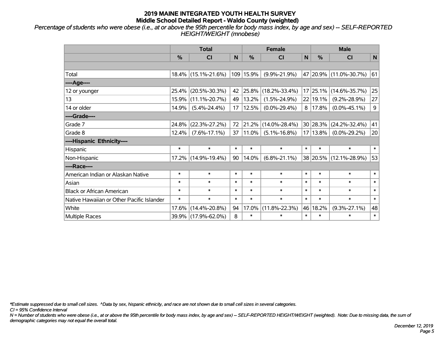*Percentage of students who were obese (i.e., at or above the 95th percentile for body mass index, by age and sex) -- SELF-REPORTED HEIGHT/WEIGHT (mnobese)*

|                                           |               | <b>Total</b>           |        |               | <b>Female</b>       | <b>Male</b>  |           |                        |             |
|-------------------------------------------|---------------|------------------------|--------|---------------|---------------------|--------------|-----------|------------------------|-------------|
|                                           | $\frac{0}{0}$ | CI                     | N      | $\frac{9}{6}$ | <b>CI</b>           | $\mathsf{N}$ | %         | <b>CI</b>              | N           |
|                                           |               |                        |        |               |                     |              |           |                        |             |
| Total                                     |               | $18.4\%$ (15.1%-21.6%) | 109    | 15.9%         | $(9.9\% - 21.9\%)$  |              |           | 47 20.9% (11.0%-30.7%) | 61          |
| ---- Age----                              |               |                        |        |               |                     |              |           |                        |             |
| 12 or younger                             | 25.4%         | $(20.5\% - 30.3\%)$    | 42     | 25.8%         | $(18.2\% - 33.4\%)$ |              | 17 25.1%  | $(14.6\% - 35.7\%)$    | 25          |
| 13                                        | 15.9%         | $(11.1\% - 20.7\%)$    | 49     | 13.2%         | $(1.5\% - 24.9\%)$  |              | 22 19.1%  | $(9.2\% - 28.9\%)$     | 27          |
| 14 or older                               | 14.9%         | $(5.4\% - 24.4\%)$     | 17     | 12.5%         | $(0.0\% - 29.4\%)$  |              | 8   17.8% | $(0.0\% - 45.1\%)$     | $\mathsf 9$ |
| ----Grade----                             |               |                        |        |               |                     |              |           |                        |             |
| Grade 7                                   | 24.8%         | $(22.3\% - 27.2\%)$    | 72     | 21.2%         | $(14.0\% - 28.4\%)$ |              | 30 28.3%  | $(24.2\% - 32.4\%)$    | 41          |
| Grade 8                                   | 12.4%         | $(7.6\% - 17.1\%)$     | 37     | $ 11.0\% $    | $(5.1\% - 16.8\%)$  |              | 17 13.8%  | $(0.0\% - 29.2\%)$     | 20          |
| ----Hispanic Ethnicity----                |               |                        |        |               |                     |              |           |                        |             |
| Hispanic                                  | $\ast$        | $\ast$                 | $\ast$ | $\ast$        | $\ast$              | $\ast$       | $\ast$    | $\ast$                 | $\ast$      |
| Non-Hispanic                              |               | 17.2% (14.9%-19.4%)    | 90     | 14.0%         | $(6.8\% - 21.1\%)$  |              |           | 38 20.5% (12.1%-28.9%) | 53          |
| ----Race----                              |               |                        |        |               |                     |              |           |                        |             |
| American Indian or Alaskan Native         | $\ast$        | $\ast$                 | $\ast$ | $\ast$        | $\ast$              | $\ast$       | $\ast$    | $\ast$                 | $\ast$      |
| Asian                                     | $\ast$        | $\ast$                 | $\ast$ | $\ast$        | $\ast$              | $\ast$       | $\ast$    | $\ast$                 | $\ast$      |
| <b>Black or African American</b>          | $\ast$        | $\ast$                 | $\ast$ | $\ast$        | $\ast$              | $\ast$       | $\ast$    | $\ast$                 | $\ast$      |
| Native Hawaiian or Other Pacific Islander | $\ast$        | $\ast$                 | $\ast$ | $\ast$        | $\ast$              | $\ast$       | $\ast$    | $\ast$                 | $\ast$      |
| White                                     | 17.6%         | $(14.4\% - 20.8\%)$    | 94     | 17.0%         | $(11.8\% - 22.3\%)$ | 46           | 18.2%     | $(9.3\% - 27.1\%)$     | 48          |
| Multiple Races                            |               | 39.9% (17.9%-62.0%)    | 8      | $\ast$        | $\ast$              | $\ast$       | $\ast$    | $\ast$                 | $\ast$      |

*\*Estimate suppressed due to small cell sizes. ^Data by sex, hispanic ethnicity, and race are not shown due to small cell sizes in several categories.*

*CI = 95% Confidence Interval*

*N = Number of students who were obese (i.e., at or above the 95th percentile for body mass index, by age and sex) -- SELF-REPORTED HEIGHT/WEIGHT (weighted). Note: Due to missing data, the sum of demographic categories may not equal the overall total.*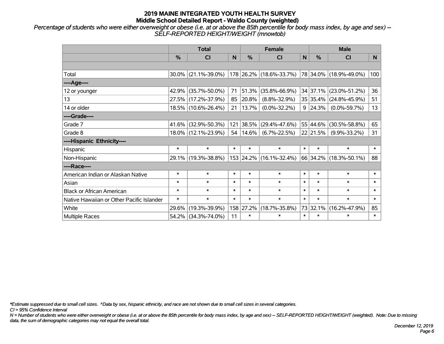*Percentage of students who were either overweight or obese (i.e. at or above the 85th percentile for body mass index, by age and sex) -- SELF-REPORTED HEIGHT/WEIGHT (mnowtob)*

|                                           |        | <b>Total</b>           |        |               | <b>Female</b>           |        | <b>Male</b>     |                        |        |  |
|-------------------------------------------|--------|------------------------|--------|---------------|-------------------------|--------|-----------------|------------------------|--------|--|
|                                           | %      | CI                     | N      | $\frac{0}{0}$ | <b>CI</b>               | N      | $\frac{0}{0}$   | <b>CI</b>              | N.     |  |
|                                           |        |                        |        |               |                         |        |                 |                        |        |  |
| Total                                     |        | $30.0\%$ (21.1%-39.0%) |        |               | 178 26.2% (18.6%-33.7%) |        |                 | 78 34.0% (18.9%-49.0%) | 100    |  |
| ----Age----                               |        |                        |        |               |                         |        |                 |                        |        |  |
| 12 or younger                             | 42.9%  | $(35.7\% - 50.0\%)$    | 71     | 51.3%         | $(35.8\% - 66.9\%)$     |        | 34 37.1%        | $(23.0\% - 51.2\%)$    | 36     |  |
| 13                                        | 27.5%  | $(17.2\% - 37.9\%)$    | 85     | 20.8%         | $(8.8\% - 32.9\%)$      |        | 35 35.4%        | $(24.8\% - 45.9\%)$    | 51     |  |
| 14 or older                               |        | 18.5% (10.6%-26.4%)    | 21     | 13.7%         | $(0.0\% - 32.2\%)$      |        | $9 \mid 24.3\%$ | $(0.0\% - 59.7\%)$     | 13     |  |
| ----Grade----                             |        |                        |        |               |                         |        |                 |                        |        |  |
| Grade 7                                   | 41.6%  | $(32.9\% - 50.3\%)$    | 121    | 38.5%         | $(29.4\% - 47.6\%)$     |        | 55 44.6%        | $(30.5\% - 58.8\%)$    | 65     |  |
| Grade 8                                   |        | 18.0% (12.1%-23.9%)    | 54     | 14.6%         | $(6.7\% - 22.5\%)$      |        | 22 21.5%        | $(9.9\% - 33.2\%)$     | 31     |  |
| ----Hispanic Ethnicity----                |        |                        |        |               |                         |        |                 |                        |        |  |
| Hispanic                                  | $\ast$ | $\ast$                 | $\ast$ | $\ast$        | $\ast$                  | $\ast$ | $\ast$          | $\ast$                 | $\ast$ |  |
| Non-Hispanic                              |        | 29.1% (19.3%-38.8%)    |        |               | 153 24.2% (16.1%-32.4%) |        | 66 34.2%        | $(18.3\% - 50.1\%)$    | 88     |  |
| ----Race----                              |        |                        |        |               |                         |        |                 |                        |        |  |
| American Indian or Alaskan Native         | $\ast$ | $\ast$                 | $\ast$ | $\ast$        | $\ast$                  | $\ast$ | $\ast$          | $\ast$                 | $\ast$ |  |
| Asian                                     | $\ast$ | $\ast$                 | $\ast$ | $\ast$        | $\ast$                  | $\ast$ | $\ast$          | $\ast$                 | $\ast$ |  |
| <b>Black or African American</b>          | $\ast$ | $\ast$                 | $\ast$ | $\ast$        | $\ast$                  | $\ast$ | *               | $\ast$                 | $\ast$ |  |
| Native Hawaiian or Other Pacific Islander | $\ast$ | $\ast$                 | $\ast$ | $\ast$        | $\ast$                  | $\ast$ | $\ast$          | $\ast$                 | $\ast$ |  |
| White                                     | 29.6%  | $(19.3\% - 39.9\%)$    | 158    | 27.2%         | $(18.7\% - 35.8\%)$     |        | 73 32.1%        | $(16.2\% - 47.9\%)$    | 85     |  |
| Multiple Races                            | 54.2%  | $(34.3\% - 74.0\%)$    | 11     | $\ast$        | $\ast$                  | $\ast$ | $\ast$          | $\ast$                 | $\ast$ |  |

*\*Estimate suppressed due to small cell sizes. ^Data by sex, hispanic ethnicity, and race are not shown due to small cell sizes in several categories.*

*CI = 95% Confidence Interval*

*N = Number of students who were either overweight or obese (i.e. at or above the 85th percentile for body mass index, by age and sex) -- SELF-REPORTED HEIGHT/WEIGHT (weighted). Note: Due to missing data, the sum of demographic categories may not equal the overall total.*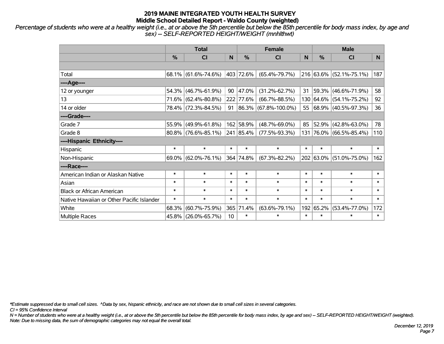*Percentage of students who were at a healthy weight (i.e., at or above the 5th percentile but below the 85th percentile for body mass index, by age and sex) -- SELF-REPORTED HEIGHT/WEIGHT (mnhlthwt)*

|                                           |               | <b>Total</b>           |        |           | <b>Female</b>             | <b>Male</b> |            |                         |        |
|-------------------------------------------|---------------|------------------------|--------|-----------|---------------------------|-------------|------------|-------------------------|--------|
|                                           | $\frac{0}{0}$ | <b>CI</b>              | N      | %         | <b>CI</b>                 | N           | %          | <b>CI</b>               | N.     |
|                                           |               |                        |        |           |                           |             |            |                         |        |
| Total                                     |               | 68.1% (61.6%-74.6%)    |        | 403 72.6% | $(65.4\% - 79.7\%)$       |             |            | 216 63.6% (52.1%-75.1%) | 187    |
| ----Age----                               |               |                        |        |           |                           |             |            |                         |        |
| 12 or younger                             | 54.3%         | $(46.7\% - 61.9\%)$    | 90     | 47.0%     | $(31.2\% - 62.7\%)$       | 31          | 59.3%      | $(46.6\% - 71.9\%)$     | 58     |
| 13                                        |               | 71.6% (62.4%-80.8%)    |        | 222 77.6% | $(66.7\% - 88.5\%)$       | 130         | $ 64.6\% $ | $(54.1\% - 75.2\%)$     | 92     |
| 14 or older                               |               | 78.4% (72.3%-84.5%)    | 91     |           | $ 86.3\% $ (67.8%-100.0%) | 55          |            | 68.9% (40.5%-97.3%)     | 36     |
| ----Grade----                             |               |                        |        |           |                           |             |            |                         |        |
| Grade 7                                   | 55.9%         | $(49.9\% - 61.8\%)$    |        | 162 58.9% | $(48.7\% - 69.0\%)$       | 85          | 52.9%      | $(42.8\% - 63.0\%)$     | 78     |
| Grade 8                                   |               | $80.8\%$ (76.6%-85.1%) |        | 241 85.4% | $(77.5\% - 93.3\%)$       |             |            | 131 76.0% (66.5%-85.4%) | 110    |
| ----Hispanic Ethnicity----                |               |                        |        |           |                           |             |            |                         |        |
| Hispanic                                  | $\ast$        | $\ast$                 | $\ast$ | $\ast$    | $\ast$                    | $\ast$      | $\ast$     | $\ast$                  | $\ast$ |
| Non-Hispanic                              |               | $69.0\%$ (62.0%-76.1%) |        | 364 74.8% | $(67.3\% - 82.2\%)$       |             | 202 63.0%  | $(51.0\% - 75.0\%)$     | 162    |
| ----Race----                              |               |                        |        |           |                           |             |            |                         |        |
| American Indian or Alaskan Native         | $\ast$        | $\ast$                 | $\ast$ | $\ast$    | $\ast$                    | $\ast$      | $\ast$     | $\ast$                  | $\ast$ |
| Asian                                     | $\ast$        | $\ast$                 | $\ast$ | $\ast$    | $\ast$                    | $\ast$      | $\ast$     | $\ast$                  | $\ast$ |
| <b>Black or African American</b>          | $\ast$        | $\ast$                 | $\ast$ | $\ast$    | $\ast$                    | $\ast$      | $\ast$     | $\ast$                  | $\ast$ |
| Native Hawaiian or Other Pacific Islander | $\ast$        | $\ast$                 | $\ast$ | $\ast$    | $\ast$                    | $\ast$      | $\ast$     | $\ast$                  | $\ast$ |
| White                                     | 68.3%         | $(60.7\% - 75.9\%)$    |        | 365 71.4% | $(63.6\% - 79.1\%)$       | 192         | 65.2%      | $(53.4\% - 77.0\%)$     | 172    |
| <b>Multiple Races</b>                     |               | 45.8% (26.0%-65.7%)    | 10     | $\ast$    | $\ast$                    | $\ast$      | $\ast$     | $\ast$                  | $\ast$ |

*\*Estimate suppressed due to small cell sizes. ^Data by sex, hispanic ethnicity, and race are not shown due to small cell sizes in several categories.*

*CI = 95% Confidence Interval*

*N = Number of students who were at a healthy weight (i.e., at or above the 5th percentile but below the 85th percentile for body mass index, by age and sex) -- SELF-REPORTED HEIGHT/WEIGHT (weighted). Note: Due to missing data, the sum of demographic categories may not equal the overall total.*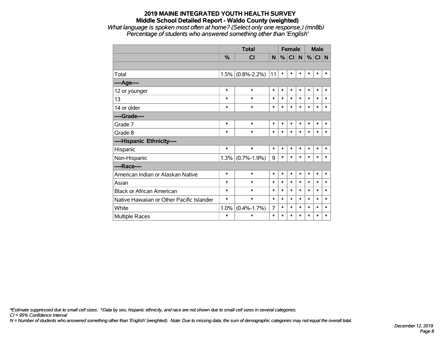*What language is spoken most often at home? (Select only one response.) (mn8b) Percentage of students who answered something other than 'English'*

|                                           |               | <b>Total</b>      |        | <b>Female</b> |           |        | <b>Male</b> |        |        |
|-------------------------------------------|---------------|-------------------|--------|---------------|-----------|--------|-------------|--------|--------|
|                                           | $\frac{0}{0}$ | <b>CI</b>         | N      | %             | <b>CI</b> | N      | $\%$        | CI N   |        |
|                                           |               |                   |        |               |           |        |             |        |        |
| Total                                     | 1.5%          | $(0.8\% - 2.2\%)$ | 11     | $\ast$        | $\ast$    | $\ast$ | $\ast$      | $\ast$ | $\ast$ |
| ---- Age----                              |               |                   |        |               |           |        |             |        |        |
| 12 or younger                             | $\ast$        | $\ast$            | $\ast$ | $\ast$        | $\ast$    | $\ast$ | $\ast$      | $\ast$ | $\ast$ |
| 13                                        | $\ast$        | $\ast$            | $\ast$ | $\ast$        | $\ast$    | $\ast$ | $\ast$      | $\ast$ | $\ast$ |
| 14 or older                               | $\ast$        | $\ast$            | $\ast$ | $\ast$        | $\ast$    | $\ast$ | $\ast$      | $\ast$ | $\ast$ |
| ----Grade----                             |               |                   |        |               |           |        |             |        |        |
| Grade 7                                   | $\ast$        | $\ast$            | $\ast$ | $\ast$        | $\ast$    | $\ast$ | $\ast$      | $\ast$ | $\ast$ |
| Grade 8                                   | $\ast$        | $\ast$            | $\ast$ | $\ast$        | $\ast$    | $\ast$ | $\ast$      | $\ast$ | $\ast$ |
| ----Hispanic Ethnicity----                |               |                   |        |               |           |        |             |        |        |
| Hispanic                                  | $\ast$        | $\ast$            | $\ast$ | $\ast$        | $\ast$    | $\ast$ | $\ast$      | $\ast$ | *      |
| Non-Hispanic                              | 1.3%          | $(0.7\% - 1.9\%)$ | 9      | $\ast$        | $\ast$    | $\ast$ | $\ast$      | $\ast$ | $\ast$ |
| ----Race----                              |               |                   |        |               |           |        |             |        |        |
| American Indian or Alaskan Native         | $\ast$        | $\ast$            | $\ast$ | $\ast$        | $\ast$    | $\ast$ | $\ast$      | $\ast$ | $\ast$ |
| Asian                                     | $\ast$        | $\ast$            | $\ast$ | $\ast$        | $\ast$    | $\ast$ | $\ast$      | $\ast$ | $\ast$ |
| <b>Black or African American</b>          | $\ast$        | $\ast$            | $\ast$ | $\ast$        | $\ast$    | $\ast$ | $\ast$      | $\ast$ | $\ast$ |
| Native Hawaiian or Other Pacific Islander | *             | $\ast$            | $\ast$ | $\ast$        | $\ast$    | $\ast$ | $\ast$      | $\ast$ | $\ast$ |
| White                                     | 1.0%          | $(0.4\% - 1.7\%)$ | 7      | $\ast$        | $\ast$    | $\ast$ | $\ast$      | $\ast$ | $\ast$ |
| <b>Multiple Races</b>                     | $\ast$        | $\ast$            | $\ast$ | $\ast$        | $\ast$    | $\ast$ | $\ast$      | $\ast$ | $\ast$ |

*\*Estimate suppressed due to small cell sizes. ^Data by sex, hispanic ethnicity, and race are not shown due to small cell sizes in several categories.*

*CI = 95% Confidence Interval*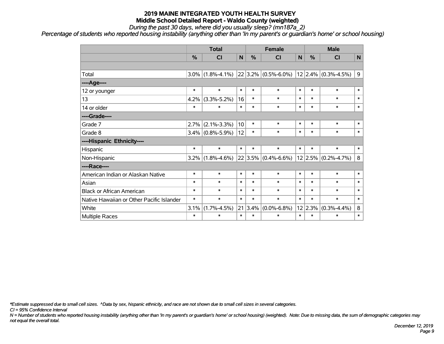*During the past 30 days, where did you usually sleep? (mn187a\_2)*

*Percentage of students who reported housing instability (anything other than 'In my parent's or guardian's home' or school housing)*

|                                           |         | <b>Total</b>        |        |        | <b>Female</b>            |        | <b>Male</b> |                          |          |  |
|-------------------------------------------|---------|---------------------|--------|--------|--------------------------|--------|-------------|--------------------------|----------|--|
|                                           | %       | <b>CI</b>           | N      | %      | <b>CI</b>                | N      | %           | <b>CI</b>                | <b>N</b> |  |
|                                           |         |                     |        |        |                          |        |             |                          |          |  |
| Total                                     | $3.0\%$ | $(1.8\% - 4.1\%)$   |        |        | $ 22 3.2\% $ (0.5%-6.0%) |        |             | $ 12 2.4\% $ (0.3%-4.5%) | 9        |  |
| ----Age----                               |         |                     |        |        |                          |        |             |                          |          |  |
| 12 or younger                             | $\ast$  | $\ast$              | $\ast$ | $\ast$ | $\ast$                   | $\ast$ | $\ast$      | $\ast$                   | $\ast$   |  |
| 13                                        | 4.2%    | $(3.3\% - 5.2\%)$   | 16     | $\ast$ | $\ast$                   | $\ast$ | $\ast$      | $\ast$                   | $\ast$   |  |
| 14 or older                               | $\ast$  | $\ast$              | $\ast$ | $\ast$ | $\ast$                   | $\ast$ | $\ast$      | $\ast$                   | $\ast$   |  |
| ----Grade----                             |         |                     |        |        |                          |        |             |                          |          |  |
| Grade 7                                   | 2.7%    | $(2.1\% - 3.3\%)$   | 10     | $\ast$ | $\ast$                   | $\ast$ | $\ast$      | $\ast$                   | $\ast$   |  |
| Grade 8                                   |         | $3.4\%$ (0.8%-5.9%) | 12     | $\ast$ | $\ast$                   | $\ast$ | $\ast$      | $\ast$                   | $\ast$   |  |
| ----Hispanic Ethnicity----                |         |                     |        |        |                          |        |             |                          |          |  |
| Hispanic                                  | $\ast$  | $\ast$              | $\ast$ | $\ast$ | $\ast$                   | $\ast$ | $\ast$      | $\ast$                   | $\ast$   |  |
| Non-Hispanic                              | 3.2%    | $(1.8\% - 4.6\%)$   |        |        | $22 3.5\% $ (0.4%-6.6%)  |        | $12$ 2.5%   | $(0.2\% - 4.7\%)$        | 8        |  |
| ----Race----                              |         |                     |        |        |                          |        |             |                          |          |  |
| American Indian or Alaskan Native         | $\ast$  | $\ast$              | $\ast$ | $\ast$ | $\ast$                   | $\ast$ | $\ast$      | $\ast$                   | $\ast$   |  |
| Asian                                     | $\ast$  | $\ast$              | $\ast$ | $\ast$ | $\ast$                   | $\ast$ | $\ast$      | $\ast$                   | $\ast$   |  |
| <b>Black or African American</b>          | $\ast$  | $\ast$              | $\ast$ | $\ast$ | $\ast$                   | $\ast$ | $\ast$      | $\ast$                   | $\ast$   |  |
| Native Hawaiian or Other Pacific Islander | $\ast$  | $\ast$              | $\ast$ | $\ast$ | $\ast$                   | $\ast$ | $\ast$      | $\ast$                   | $\ast$   |  |
| White                                     | 3.1%    | $(1.7\% - 4.5\%)$   | 21     | 3.4%   | $(0.0\% - 6.8\%)$        |        | 12 2.3%     | $(0.3\% - 4.4\%)$        | 8        |  |
| Multiple Races                            | $\ast$  | $\ast$              | $\ast$ | $\ast$ | $\ast$                   | $\ast$ | $\ast$      | $\ast$                   | $\ast$   |  |

*\*Estimate suppressed due to small cell sizes. ^Data by sex, hispanic ethnicity, and race are not shown due to small cell sizes in several categories.*

*CI = 95% Confidence Interval*

*N = Number of students who reported housing instability (anything other than 'In my parent's or guardian's home' or school housing) (weighted). Note: Due to missing data, the sum of demographic categories may not equal the overall total.*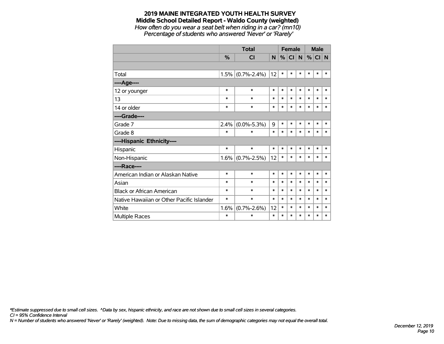## **2019 MAINE INTEGRATED YOUTH HEALTH SURVEY Middle School Detailed Report - Waldo County (weighted)** *How often do you wear a seat belt when riding in a car? (mn10)*

*Percentage of students who answered 'Never' or 'Rarely'*

|                                           |        | <b>Total</b>      | <b>Female</b> |        |           |        | <b>Male</b> |          |        |
|-------------------------------------------|--------|-------------------|---------------|--------|-----------|--------|-------------|----------|--------|
|                                           | $\%$   | <b>CI</b>         | N.            | %      | <b>CI</b> | N      |             | $%$ CI N |        |
|                                           |        |                   |               |        |           |        |             |          |        |
| Total                                     | 1.5%   | $(0.7\% - 2.4\%)$ | 12            | $\ast$ | $\ast$    | $\ast$ | *           | *        | *      |
| ----Age----                               |        |                   |               |        |           |        |             |          |        |
| 12 or younger                             | *      | $\ast$            | *             | $\ast$ | $\ast$    | $\ast$ | $\ast$      | $\ast$   | $\ast$ |
| 13                                        | *      | $\ast$            | $\ast$        | *      | $\ast$    | $\ast$ | $\ast$      | *        | $\ast$ |
| 14 or older                               | $\ast$ | $\ast$            | $\ast$        | $\ast$ | $\ast$    | $\ast$ | $\ast$      | $\ast$   | *      |
| ----Grade----                             |        |                   |               |        |           |        |             |          |        |
| Grade 7                                   | 2.4%   | $(0.0\% - 5.3\%)$ | 9             | $\ast$ | $\ast$    | $\ast$ | $\ast$      | $\ast$   | $\ast$ |
| Grade 8                                   | *      | $\ast$            | $\ast$        | $\ast$ | $\ast$    | $\ast$ | $\ast$      | $\ast$   | $\ast$ |
| ----Hispanic Ethnicity----                |        |                   |               |        |           |        |             |          |        |
| Hispanic                                  | $\ast$ | $\ast$            | *             | $\ast$ | $\ast$    | $\ast$ | *           | *        | $\ast$ |
| Non-Hispanic                              | 1.6%   | $(0.7\% - 2.5\%)$ | 12            | $\ast$ | $\ast$    | $\ast$ | $\ast$      | $\ast$   | $\ast$ |
| ----Race----                              |        |                   |               |        |           |        |             |          |        |
| American Indian or Alaskan Native         | $\ast$ | $\ast$            | *             | $\ast$ | $\ast$    | $\ast$ | $\ast$      | $\ast$   | $\ast$ |
| Asian                                     | $\ast$ | $\ast$            | $\ast$        | *      | $\ast$    | $\ast$ | $\ast$      | $\ast$   | $\ast$ |
| <b>Black or African American</b>          | *      | $\ast$            | *             | $\ast$ | $\ast$    | $\ast$ | $\ast$      | *        | $\ast$ |
| Native Hawaiian or Other Pacific Islander | *      | $\ast$            | $\ast$        | $\ast$ | $\ast$    | $\ast$ | $\ast$      | $\ast$   | $\ast$ |
| White                                     | 1.6%   | $(0.7\% - 2.6\%)$ | 12            | $\ast$ | $\ast$    | $\ast$ | $\ast$      | *        | $\ast$ |
| Multiple Races                            | $\ast$ | $\ast$            | $\ast$        | $\ast$ | $\ast$    | *      | $\ast$      | *        | *      |

*\*Estimate suppressed due to small cell sizes. ^Data by sex, hispanic ethnicity, and race are not shown due to small cell sizes in several categories.*

*CI = 95% Confidence Interval*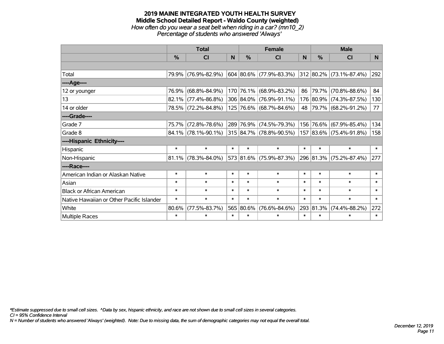#### **2019 MAINE INTEGRATED YOUTH HEALTH SURVEY Middle School Detailed Report - Waldo County (weighted)** *How often do you wear a seat belt when riding in a car? (mn10\_2) Percentage of students who answered 'Always'*

|                                           |               | <b>Total</b>           |        |           | <b>Female</b>                |              | <b>Male</b> |                              |        |
|-------------------------------------------|---------------|------------------------|--------|-----------|------------------------------|--------------|-------------|------------------------------|--------|
|                                           | $\frac{0}{0}$ | <b>CI</b>              | N      | $\%$      | <b>CI</b>                    | <sub>N</sub> | %           | <b>CI</b>                    | N      |
|                                           |               |                        |        |           |                              |              |             |                              |        |
| Total                                     |               | 79.9% (76.9%-82.9%)    |        |           | $ 604 80.6\% $ (77.9%-83.3%) |              |             | $ 312 80.2\% $ (73.1%-87.4%) | 292    |
| ----Age----                               |               |                        |        |           |                              |              |             |                              |        |
| 12 or younger                             | 76.9%         | $(68.8\% - 84.9\%)$    |        |           | 170 76.1% (68.9%-83.2%)      | 86           | 79.7%       | $(70.8\% - 88.6\%)$          | 84     |
| 13                                        |               | $82.1\%$ (77.4%-86.8%) |        |           | 306 84.0% (76.9%-91.1%)      |              |             | 176 80.9% (74.3%-87.5%)      | 130    |
| 14 or older                               |               | 78.5% (72.2%-84.8%)    |        |           | 125 76.6% (68.7%-84.6%)      |              |             | 48 79.7% (68.2%-91.2%)       | 77     |
| ----Grade----                             |               |                        |        |           |                              |              |             |                              |        |
| Grade 7                                   | 75.7%         | $(72.8\% - 78.6\%)$    |        |           | 289 76.9% (74.5%-79.3%)      | 156          | 76.6%       | $(67.9\% - 85.4\%)$          | 134    |
| Grade 8                                   |               | $84.1\%$ (78.1%-90.1%) |        |           | 315 84.7% (78.8%-90.5%)      |              |             | 157 83.6% (75.4%-91.8%)      | 158    |
| ----Hispanic Ethnicity----                |               |                        |        |           |                              |              |             |                              |        |
| Hispanic                                  | $\ast$        | $\ast$                 | $\ast$ | $\ast$    | $\ast$                       | $\ast$       | $\ast$      | $\ast$                       | $\ast$ |
| Non-Hispanic                              |               | $81.1\%$ (78.3%-84.0%) |        |           | 573 81.6% (75.9%-87.3%)      |              |             | 296 81.3% (75.2%-87.4%)      | 277    |
| ----Race----                              |               |                        |        |           |                              |              |             |                              |        |
| American Indian or Alaskan Native         | $\ast$        | $\ast$                 | $\ast$ | $\ast$    | $\ast$                       | $\ast$       | $\ast$      | $\ast$                       | $\ast$ |
| Asian                                     | $\ast$        | $\ast$                 | $\ast$ | $\ast$    | $\ast$                       | $\ast$       | $\ast$      | $\ast$                       | $\ast$ |
| <b>Black or African American</b>          | $\ast$        | $\ast$                 | $\ast$ | $\ast$    | $\ast$                       | $\ast$       | $\ast$      | $\ast$                       | $\ast$ |
| Native Hawaiian or Other Pacific Islander | $\ast$        | $\ast$                 | $\ast$ | $\ast$    | $\ast$                       | $\ast$       | $\ast$      | $\ast$                       | $\ast$ |
| White                                     | 80.6%         | $(77.5\% - 83.7\%)$    |        | 565 80.6% | $(76.6\% - 84.6\%)$          |              | 293 81.3%   | $(74.4\% - 88.2\%)$          | 272    |
| <b>Multiple Races</b>                     | $\ast$        | $\ast$                 | $\ast$ | $\ast$    | $\ast$                       | $\ast$       | $\ast$      | $\ast$                       | $\ast$ |

*\*Estimate suppressed due to small cell sizes. ^Data by sex, hispanic ethnicity, and race are not shown due to small cell sizes in several categories.*

*CI = 95% Confidence Interval*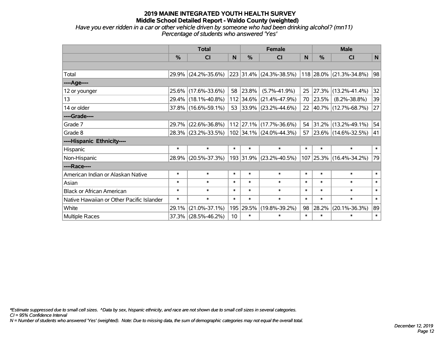*Have you ever ridden in a car or other vehicle driven by someone who had been drinking alcohol? (mn11) Percentage of students who answered 'Yes'*

|                                           |        | <b>Total</b>        |             | <b>Female</b> | <b>Male</b>             |        |                |                          |        |
|-------------------------------------------|--------|---------------------|-------------|---------------|-------------------------|--------|----------------|--------------------------|--------|
|                                           | %      | CI                  | $\mathbf N$ | $\%$          | <b>CI</b>               | N      | %              | <b>CI</b>                | N      |
|                                           |        |                     |             |               |                         |        |                |                          |        |
| Total                                     | 29.9%  | $(24.2\% - 35.6\%)$ |             |               | 223 31.4% (24.3%-38.5%) |        | $ 118 28.0\% $ | $(21.3\% - 34.8\%)$      | 98     |
| ----Age----                               |        |                     |             |               |                         |        |                |                          |        |
| 12 or younger                             | 25.6%  | $(17.6\% - 33.6\%)$ | 58          | 23.8%         | $(5.7\% - 41.9\%)$      | 25     | 27.3%          | $(13.2\% - 41.4\%)$      | 32     |
| 13                                        | 29.4%  | $(18.1\% - 40.8\%)$ |             | 112 34.6%     | $(21.4\% - 47.9\%)$     | 70     | 23.5%          | $(8.2\% - 38.8\%)$       | 39     |
| 14 or older                               |        | 37.8% (16.6%-59.1%) |             |               | 53 33.9% (23.2%-44.6%)  | 22     |                | $ 40.7\% $ (12.7%-68.7%) | 27     |
| ----Grade----                             |        |                     |             |               |                         |        |                |                          |        |
| Grade 7                                   | 29.7%  | $(22.6\% - 36.8\%)$ |             |               | 112 27.1% (17.7%-36.6%) | 54     | $ 31.2\% $     | $(13.2\% - 49.1\%)$      | 54     |
| Grade 8                                   |        | 28.3% (23.2%-33.5%) |             |               | 102 34.1% (24.0%-44.3%) | 57     |                | $ 23.6\% $ (14.6%-32.5%) | 41     |
| ----Hispanic Ethnicity----                |        |                     |             |               |                         |        |                |                          |        |
| Hispanic                                  | $\ast$ | $\ast$              | $\ast$      | $\ast$        | $\ast$                  | $\ast$ | $\ast$         | $\ast$                   | $\ast$ |
| Non-Hispanic                              | 28.9%  | $(20.5\% - 37.3\%)$ |             |               | 193 31.9% (23.2%-40.5%) |        | $107$ 25.3%    | $(16.4\% - 34.2\%)$      | 79     |
| ----Race----                              |        |                     |             |               |                         |        |                |                          |        |
| American Indian or Alaskan Native         | $\ast$ | $\ast$              | $\ast$      | $\ast$        | $\ast$                  | $\ast$ | $\ast$         | $\ast$                   | $\ast$ |
| Asian                                     | $\ast$ | $\ast$              | $\ast$      | $\ast$        | $\ast$                  | $\ast$ | $\ast$         | $\ast$                   | $\ast$ |
| <b>Black or African American</b>          | $\ast$ | $\ast$              | $\ast$      | $\ast$        | $\ast$                  | $\ast$ | $\ast$         | $\ast$                   | $\ast$ |
| Native Hawaiian or Other Pacific Islander | $\ast$ | $\ast$              | $\ast$      | $\ast$        | $\ast$                  | $\ast$ | $\ast$         | $\ast$                   | $\ast$ |
| White                                     | 29.1%  | $(21.0\% - 37.1\%)$ | 195         | 29.5%         | $(19.8\% - 39.2\%)$     | 98     | 28.2%          | $(20.1\% - 36.3\%)$      | 89     |
| <b>Multiple Races</b>                     | 37.3%  | $(28.5\% - 46.2\%)$ | 10          | $\ast$        | $\ast$                  | $\ast$ | $\ast$         | $\ast$                   | $\ast$ |

*\*Estimate suppressed due to small cell sizes. ^Data by sex, hispanic ethnicity, and race are not shown due to small cell sizes in several categories.*

*CI = 95% Confidence Interval*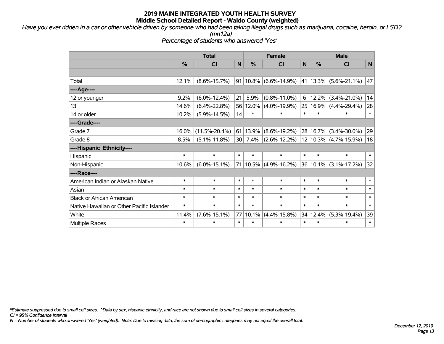*Have you ever ridden in a car or other vehicle driven by someone who had been taking illegal drugs such as marijuana, cocaine, heroin, or LSD? (mn12a)*

*Percentage of students who answered 'Yes'*

|                                           |        | <b>Total</b>        |                 | <b>Female</b> | <b>Male</b>               |              |          |                    |        |
|-------------------------------------------|--------|---------------------|-----------------|---------------|---------------------------|--------------|----------|--------------------|--------|
|                                           | %      | <b>CI</b>           | N               | $\frac{0}{0}$ | <b>CI</b>                 | $\mathsf{N}$ | %        | <b>CI</b>          | N      |
|                                           |        |                     |                 |               |                           |              |          |                    |        |
| Total                                     | 12.1%  | $(8.6\% - 15.7\%)$  |                 |               | $91 10.8\% $ (6.6%-14.9%) |              | 41 13.3% | $(5.6\% - 21.1\%)$ | 47     |
| ----Age----                               |        |                     |                 |               |                           |              |          |                    |        |
| 12 or younger                             | 9.2%   | $(6.0\% - 12.4\%)$  | 21              | 5.9%          | $(0.8\% - 11.0\%)$        | 6            | 12.2%    | $(3.4\% - 21.0\%)$ | 14     |
| 13                                        | 14.6%  | $(6.4\% - 22.8\%)$  |                 | 56 12.0%      | $(4.0\% - 19.9\%)$        |              | 25 16.9% | $(4.4\% - 29.4\%)$ | 28     |
| 14 or older                               | 10.2%  | $(5.9\% - 14.5\%)$  | 14              | $\ast$        | $\ast$                    | $\ast$       | $\ast$   | $\ast$             | $\ast$ |
| ----Grade----                             |        |                     |                 |               |                           |              |          |                    |        |
| Grade 7                                   | 16.0%  | $(11.5\% - 20.4\%)$ |                 | 61 13.9%      | $(8.6\% - 19.2\%)$        |              | 28 16.7% | $(3.4\% - 30.0\%)$ | 29     |
| Grade 8                                   | 8.5%   | $(5.1\% - 11.8\%)$  | 30 <sup>2</sup> | 7.4%          | $(2.6\% - 12.2\%)$        |              | 12 10.3% | $(4.7\% - 15.9\%)$ | 18     |
| ----Hispanic Ethnicity----                |        |                     |                 |               |                           |              |          |                    |        |
| Hispanic                                  | $\ast$ | $\ast$              | $\ast$          | $\ast$        | $\ast$                    | $\ast$       | $\ast$   | $\ast$             | $\ast$ |
| Non-Hispanic                              | 10.6%  | $(6.0\% - 15.1\%)$  |                 |               | 71 10.5% (4.9%-16.2%)     |              | 36 10.1% | $(3.1\% - 17.2\%)$ | 32     |
| ----Race----                              |        |                     |                 |               |                           |              |          |                    |        |
| American Indian or Alaskan Native         | $\ast$ | $\ast$              | $\ast$          | $\ast$        | $\ast$                    | $\ast$       | $\ast$   | $\ast$             | $\ast$ |
| Asian                                     | $\ast$ | $\ast$              | $\ast$          | $\ast$        | $\ast$                    | $\ast$       | $\ast$   | $\ast$             | $\ast$ |
| <b>Black or African American</b>          | $\ast$ | $\ast$              | $\ast$          | $\ast$        | $\ast$                    | $\ast$       | $\ast$   | $\ast$             | $\ast$ |
| Native Hawaiian or Other Pacific Islander | $\ast$ | $\ast$              | $\ast$          | $\ast$        | $\ast$                    | $\ast$       | $\ast$   | $\ast$             | $\ast$ |
| White                                     | 11.4%  | $(7.6\% - 15.1\%)$  | 77              | 10.1%         | $(4.4\% - 15.8\%)$        |              | 34 12.4% | $(5.3\% - 19.4\%)$ | 39     |
| Multiple Races                            | $\ast$ | $\ast$              | $\ast$          | $\ast$        | $\ast$                    | $\ast$       | $\ast$   | $\ast$             | $\ast$ |

*\*Estimate suppressed due to small cell sizes. ^Data by sex, hispanic ethnicity, and race are not shown due to small cell sizes in several categories.*

*CI = 95% Confidence Interval*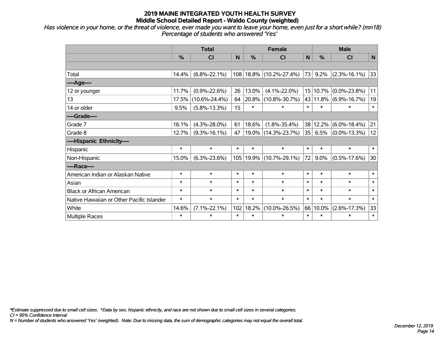*Has violence in your home, or the threat of violence, ever made you want to leave your home, even just for a short while? (mn18) Percentage of students who answered 'Yes'*

|                                           | <b>Total</b> |                     |              | <b>Female</b> |                             |                 | <b>Male</b> |                       |             |  |
|-------------------------------------------|--------------|---------------------|--------------|---------------|-----------------------------|-----------------|-------------|-----------------------|-------------|--|
|                                           | %            | <b>CI</b>           | N            | %             | <b>CI</b>                   | $\mathsf{N}$    | %           | <b>CI</b>             | $\mathbf N$ |  |
|                                           |              |                     |              |               |                             |                 |             |                       |             |  |
| Total                                     | 14.4%        | $(6.8\% - 22.1\%)$  |              |               | 108 18.8% (10.2%-27.4%)     | 73              | 9.2%        | $(2.3\% - 16.1\%)$    | 33          |  |
| ---- Age----                              |              |                     |              |               |                             |                 |             |                       |             |  |
| 12 or younger                             | 11.7%        | $(0.9\% - 22.6\%)$  | 26           | 13.0%         | $(4.1\% - 22.0\%)$          | 15 <sup>1</sup> | 10.7%       | $(0.0\% - 23.8\%)$    | 11          |  |
| 13                                        | 17.5%        | $(10.6\% - 24.4\%)$ | 64           | 20.8%         | $(10.8\% - 30.7\%)$         |                 |             | 43 11.8% (6.9%-16.7%) | 19          |  |
| 14 or older                               | 9.5%         | $(5.8\% - 13.3\%)$  | 15           | $\ast$        | $\ast$                      | $\ast$          | $\ast$      | $\ast$                | $\ast$      |  |
| ----Grade----                             |              |                     |              |               |                             |                 |             |                       |             |  |
| Grade 7                                   | 16.1%        | $(4.3\% - 28.0\%)$  | 61           | 18.6%         | $(1.8\% - 35.4\%)$          | 38 <sup>1</sup> | 12.2%       | $(6.0\% - 18.4\%)$    | 21          |  |
| Grade 8                                   | 12.7%        | $(9.3\% - 16.1\%)$  | 47           |               | 19.0% (14.3%-23.7%)         | 35              | 6.5%        | $(0.0\% - 13.3\%)$    | 12          |  |
| ----Hispanic Ethnicity----                |              |                     |              |               |                             |                 |             |                       |             |  |
| Hispanic                                  | $\ast$       | $\ast$              | $\ast$       | $\ast$        | $\ast$                      | $\ast$          | $\ast$      | $\ast$                | $\ast$      |  |
| Non-Hispanic                              | 15.0%        | $(6.3\% - 23.6\%)$  |              |               | 105   19.9%   (10.7%-29.1%) | 72              | $9.0\%$     | $(0.5\% - 17.6\%)$    | 30          |  |
| ----Race----                              |              |                     |              |               |                             |                 |             |                       |             |  |
| American Indian or Alaskan Native         | $\ast$       | $\ast$              | $\ast$       | $\ast$        | $\ast$                      | $\ast$          | $\ast$      | $\ast$                | $\ast$      |  |
| Asian                                     | $\ast$       | $\ast$              | $\ast$       | $\ast$        | $\ast$                      | $\ast$          | $\ast$      | $\ast$                | $\ast$      |  |
| <b>Black or African American</b>          | $\ast$       | $\ast$              | $\ast$       | $\ast$        | $\ast$                      | $\ast$          | $\ast$      | $\ast$                | $\ast$      |  |
| Native Hawaiian or Other Pacific Islander | $\ast$       | $\ast$              | $\ast$       | $\ast$        | $\ast$                      | $\ast$          | $\ast$      | $\ast$                | $\ast$      |  |
| White                                     | 14.6%        | $(7.1\% - 22.1\%)$  | 102<br>18.2% |               | $(10.0\% - 26.5\%)$<br>66   |                 | 10.0%       | $(2.6\% - 17.3\%)$    | 33          |  |
| Multiple Races                            | $\ast$       | $\ast$              | $\ast$       | $\ast$        | $\ast$                      | $\ast$          | $\ast$      | $\ast$                | $\ast$      |  |

*\*Estimate suppressed due to small cell sizes. ^Data by sex, hispanic ethnicity, and race are not shown due to small cell sizes in several categories.*

*CI = 95% Confidence Interval*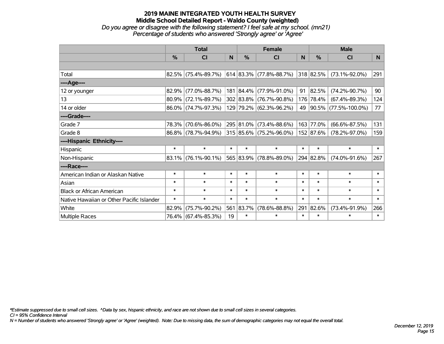#### **2019 MAINE INTEGRATED YOUTH HEALTH SURVEY Middle School Detailed Report - Waldo County (weighted)** *Do you agree or disagree with the following statement? I feel safe at my school. (mn21) Percentage of students who answered 'Strongly agree' or 'Agree'*

|                                           |                              | <b>Total</b>           |              | <b>Female</b>                    |                              |           |                     | <b>Male</b>             |           |                     |     |
|-------------------------------------------|------------------------------|------------------------|--------------|----------------------------------|------------------------------|-----------|---------------------|-------------------------|-----------|---------------------|-----|
|                                           | %                            | CI                     | <sub>N</sub> | %                                | CI                           | N         | %                   | <b>CI</b>               | N.        |                     |     |
|                                           |                              |                        |              |                                  |                              |           |                     |                         |           |                     |     |
| Total                                     |                              | $82.5\%$ (75.4%-89.7%) |              |                                  | $ 614 83.3\% $ (77.8%-88.7%) |           | 318 82.5%           | $(73.1\% - 92.0\%)$     | 291       |                     |     |
| ----Age----                               |                              |                        |              |                                  |                              |           |                     |                         |           |                     |     |
| 12 or younger                             | 82.9%                        | $(77.0\% - 88.7\%)$    |              | 181 84.4%                        | $(77.9\% - 91.0\%)$          | 91        | 82.5%               | $(74.2\% - 90.7\%)$     | 90        |                     |     |
| 13                                        | 80.9%                        | $(72.1\% - 89.7\%)$    |              | 302 83.8%                        | $(76.7\% - 90.8\%)$          |           | 176 78.4%           | $(67.4\% - 89.3\%)$     | 124       |                     |     |
| 14 or older                               |                              | 86.0% (74.7%-97.3%)    |              |                                  | 129 79.2% (62.3%-96.2%)      |           |                     | 49 90.5% (77.5%-100.0%) | 77        |                     |     |
| ----Grade----                             |                              |                        |              |                                  |                              |           |                     |                         |           |                     |     |
| Grade 7                                   | $(70.6\% - 86.0\%)$<br>78.3% |                        |              | 295 81.0%<br>$(73.4\% - 88.6\%)$ |                              |           | 163 77.0%           | $(66.6\% - 87.5\%)$     | 131       |                     |     |
| Grade 8                                   |                              | 86.8% (78.7%-94.9%)    |              |                                  | $ 315 85.6\% $ (75.2%-96.0%) |           | 152 87.6%           | $(78.2\% - 97.0\%)$     | 159       |                     |     |
| ----Hispanic Ethnicity----                |                              |                        |              |                                  |                              |           |                     |                         |           |                     |     |
| Hispanic                                  | $\ast$                       | $\ast$                 | $\ast$       | $\ast$                           | $\ast$                       | $\ast$    | $\ast$              | $\ast$                  | $\ast$    |                     |     |
| Non-Hispanic                              |                              | $83.1\%$ (76.1%-90.1%) |              |                                  | 565 83.9% (78.8%-89.0%)      |           | 294 82.8%           | $(74.0\% - 91.6\%)$     | 267       |                     |     |
| ----Race----                              |                              |                        |              |                                  |                              |           |                     |                         |           |                     |     |
| American Indian or Alaskan Native         | $\ast$                       | $\ast$                 | $\ast$       | $\ast$                           | $\ast$                       | $\ast$    | $\ast$              | $\ast$                  | $\ast$    |                     |     |
| Asian                                     | $\ast$                       | $\ast$                 | $\ast$       | $\ast$                           | $\ast$                       | $\ast$    | $\ast$              | $\ast$                  | $\ast$    |                     |     |
| <b>Black or African American</b>          | $\ast$                       | $\ast$                 | $\ast$       | $\ast$                           | $\ast$                       | $\ast$    | $\ast$              | $\ast$                  | $\ast$    |                     |     |
| Native Hawaiian or Other Pacific Islander | $\ast$                       | $\ast$                 | $\ast$       | $\ast$                           | $\ast$                       | $\ast$    | $\ast$              | $\ast$                  | $\ast$    |                     |     |
| White                                     | 82.9%                        | $(75.7\% - 90.2\%)$    |              |                                  |                              | 561 83.7% | $(78.6\% - 88.8\%)$ |                         | 291 82.6% | $(73.4\% - 91.9\%)$ | 266 |
| Multiple Races                            |                              | 76.4% (67.4%-85.3%)    | 19           | $\ast$                           | $\ast$                       | $\ast$    | $\ast$              | $\ast$                  | $\ast$    |                     |     |

*\*Estimate suppressed due to small cell sizes. ^Data by sex, hispanic ethnicity, and race are not shown due to small cell sizes in several categories.*

*CI = 95% Confidence Interval*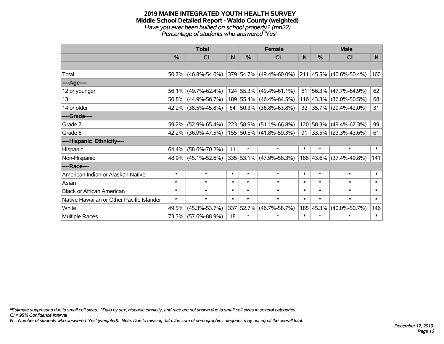#### **2019 MAINE INTEGRATED YOUTH HEALTH SURVEY Middle School Detailed Report - Waldo County (weighted)** *Have you ever been bullied on school property? (mn22) Percentage of students who answered 'Yes'*

|                                           |                              | <b>Total</b>           |        | <b>Female</b> |                             |        |        | <b>Male</b>                  |        |
|-------------------------------------------|------------------------------|------------------------|--------|---------------|-----------------------------|--------|--------|------------------------------|--------|
|                                           | $\frac{0}{2}$                | <b>CI</b>              | N      | $\%$          | <b>CI</b>                   | N      | $\%$   | <b>CI</b>                    | N      |
|                                           |                              |                        |        |               |                             |        |        |                              |        |
| Total                                     |                              | $50.7\%$ (46.8%-54.6%) |        |               | 379 54.7% (49.4%-60.0%)     |        |        | $ 211 45.5\% $ (40.6%-50.4%) | 160    |
| ----Age----                               |                              |                        |        |               |                             |        |        |                              |        |
| 12 or younger                             | 56.1%                        | $(49.7\% - 62.4\%)$    |        |               | 124 55.3% (49.4%-61.1%)     | 61     |        | 56.3% (47.7%-64.9%)          | 62     |
| 13                                        |                              | $50.8\%$ (44.9%-56.7%) |        |               | 189 55.4% (46.4%-64.5%)     |        |        | 116 43.3% (36.0%-50.5%)      | 68     |
| 14 or older                               |                              | 42.2% (38.5%-45.8%)    |        |               | 64 50.3% (36.8%-63.8%)      |        |        | 32 35.7% (29.4%-42.0%)       | 31     |
| ----Grade----                             |                              |                        |        |               |                             |        |        |                              |        |
| Grade 7                                   | 59.2%                        | $(52.9\% - 65.4\%)$    |        | 223 58.9%     | $(51.1\% - 66.8\%)$         |        |        | 120 58.3% (49.4%-67.3%)      | 99     |
| Grade 8                                   |                              | 42.2% (36.9%-47.5%)    |        |               | 155 50.5% (41.8%-59.3%)     | 91     |        | $ 33.5\% $ (23.3%-43.6%)     | 61     |
| ----Hispanic Ethnicity----                |                              |                        |        |               |                             |        |        |                              |        |
| Hispanic                                  | 64.4%                        | $(58.6\% - 70.2\%)$    | 11     | $\ast$        | $\ast$                      | $\ast$ | $\ast$ | $\ast$                       | $\ast$ |
| Non-Hispanic                              |                              | 48.9% (45.1%-52.6%)    |        |               | 335   53.1%   (47.9%-58.3%) |        |        | 188 43.6% (37.4%-49.8%)      | 141    |
| ----Race----                              |                              |                        |        |               |                             |        |        |                              |        |
| American Indian or Alaskan Native         | $\ast$                       | $\ast$                 | $\ast$ | $\ast$        | $\ast$                      | $\ast$ | $\ast$ | $\ast$                       | $\ast$ |
| Asian                                     | $\ast$                       | $\ast$                 | $\ast$ | $\ast$        | $\ast$                      | $\ast$ | $\ast$ | $\ast$                       | $\ast$ |
| <b>Black or African American</b>          | $\ast$                       | $\ast$                 | $\ast$ | $\ast$        | $\ast$                      | $\ast$ | $\ast$ | $\ast$                       | $\ast$ |
| Native Hawaiian or Other Pacific Islander | $\ast$                       | $\ast$                 | $\ast$ | $\ast$        | $\ast$                      | $\ast$ | $\ast$ | $\ast$                       | $\ast$ |
| White                                     | $(45.3\% - 53.7\%)$<br>49.5% |                        | 337    | 52.7%         | $(46.7\% - 58.7\%)$         | 185    | 45.3%  | $(40.0\% - 50.7\%)$          | 146    |
| <b>Multiple Races</b>                     | 73.3% (57.6%-88.9%)          |                        | 18     | $\ast$        | $\ast$                      | $\ast$ | $\ast$ | $\ast$                       | $\ast$ |

*\*Estimate suppressed due to small cell sizes. ^Data by sex, hispanic ethnicity, and race are not shown due to small cell sizes in several categories.*

*CI = 95% Confidence Interval*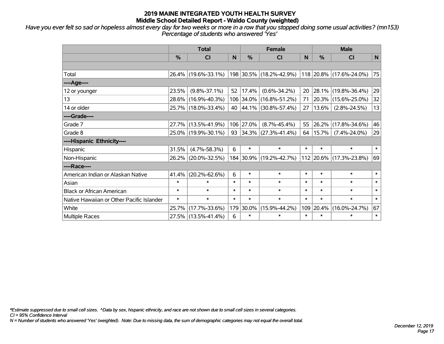*Have you ever felt so sad or hopeless almost every day for two weeks or more in a row that you stopped doing some usual activities? (mn153) Percentage of students who answered 'Yes'*

|                                           | <b>Total</b>                 |                     |        |                            | <b>Female</b>              |        | <b>Male</b> |                         |              |  |
|-------------------------------------------|------------------------------|---------------------|--------|----------------------------|----------------------------|--------|-------------|-------------------------|--------------|--|
|                                           | %                            | <b>CI</b>           | N      | %                          | <b>CI</b>                  | N      | %           | <b>CI</b>               | $\mathsf{N}$ |  |
|                                           |                              |                     |        |                            |                            |        |             |                         |              |  |
| Total                                     |                              | 26.4% (19.6%-33.1%) |        |                            | 198 30.5% (18.2%-42.9%)    |        |             | 118 20.8% (17.6%-24.0%) | 75           |  |
| ----Age----                               |                              |                     |        |                            |                            |        |             |                         |              |  |
| 12 or younger                             | 23.5%                        | $(9.8\% - 37.1\%)$  | 52     | 17.4%                      | $(0.6\% - 34.2\%)$         | 20     |             | 28.1% (19.8%-36.4%)     | 29           |  |
| 13                                        | 28.6%                        | $(16.9\% - 40.3\%)$ |        |                            | 106 34.0% (16.8%-51.2%)    | 71     |             | 20.3% (15.6%-25.0%)     | 32           |  |
| 14 or older                               |                              | 25.7% (18.0%-33.4%) | 40     |                            | $ 44.1\% $ (30.8%-57.4%)   | 27     | $13.6\%$    | $(2.8\% - 24.5\%)$      | 13           |  |
| ----Grade----                             |                              |                     |        |                            |                            |        |             |                         |              |  |
| Grade 7                                   | 27.7%                        | $(13.5\% - 41.9\%)$ |        | 106 27.0%                  | $(8.7\% - 45.4\%)$         | 55     | 26.2%       | $(17.8\% - 34.6\%)$     | 46           |  |
| Grade 8                                   |                              | 25.0% (19.9%-30.1%) | 93     |                            | $34.3\%$ (27.3%-41.4%)     |        | 64   15.7%  | $(7.4\% - 24.0\%)$      | 29           |  |
| ----Hispanic Ethnicity----                |                              |                     |        |                            |                            |        |             |                         |              |  |
| Hispanic                                  | 31.5%                        | $(4.7\% - 58.3\%)$  | 6      | $\ast$                     | $\ast$                     | $\ast$ | $\ast$      | $\ast$                  | $\ast$       |  |
| Non-Hispanic                              |                              | 26.2% (20.0%-32.5%) |        |                            | 184 30.9% (19.2%-42.7%)    |        |             | 112 20.6% (17.3%-23.8%) | 69           |  |
| ----Race----                              |                              |                     |        |                            |                            |        |             |                         |              |  |
| American Indian or Alaskan Native         | 41.4%                        | $(20.2\% - 62.6\%)$ | 6      | $\ast$                     | $\ast$                     | $\ast$ | $\ast$      | $\ast$                  | $\ast$       |  |
| Asian                                     | $\ast$                       | $\ast$              | $\ast$ | $\ast$                     | $\ast$                     | $\ast$ | $\ast$      | $\ast$                  | $\ast$       |  |
| <b>Black or African American</b>          | $\ast$                       | $\ast$              | $\ast$ | $\ast$                     | $\ast$                     | $\ast$ | $\ast$      | $\ast$                  | $\ast$       |  |
| Native Hawaiian or Other Pacific Islander | $\ast$                       | $\ast$<br>$\ast$    |        | $\ast$                     | $\ast$                     | $\ast$ | $\ast$      | $\ast$                  | $\ast$       |  |
| White                                     | $(17.7\% - 33.6\%)$<br>25.7% |                     | 179    | 30.0%                      | $(15.9\% - 44.2\%)$<br>109 |        | 20.4%       | $(16.0\% - 24.7\%)$     | 67           |  |
| <b>Multiple Races</b>                     | 6<br>27.5% (13.5%-41.4%)     |                     |        | $\ast$<br>$\ast$<br>$\ast$ |                            | $\ast$ | $\ast$      | $\ast$                  |              |  |

*\*Estimate suppressed due to small cell sizes. ^Data by sex, hispanic ethnicity, and race are not shown due to small cell sizes in several categories.*

*CI = 95% Confidence Interval*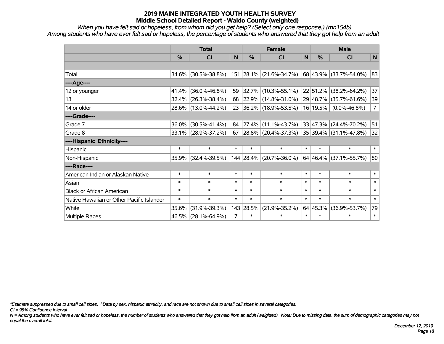*When you have felt sad or hopeless, from whom did you get help? (Select only one response.) (mn154b) Among students who have ever felt sad or hopeless, the percentage of students who answered that they got help from an adult*

|                                           | <b>Total</b>                 |                        |           |                     | <b>Female</b>           |          | <b>Male</b>         |                                 |                |  |
|-------------------------------------------|------------------------------|------------------------|-----------|---------------------|-------------------------|----------|---------------------|---------------------------------|----------------|--|
|                                           | $\frac{0}{0}$                | <b>CI</b>              | N         | $\frac{0}{0}$       | <b>CI</b>               | N        | %                   | <b>CI</b>                       | N              |  |
|                                           |                              |                        |           |                     |                         |          |                     |                                 |                |  |
| Total                                     |                              | 34.6% (30.5%-38.8%)    |           |                     | 151 28.1% (21.6%-34.7%) |          |                     | 68 43.9% (33.7%-54.0%)          | 83             |  |
| ----Age----                               |                              |                        |           |                     |                         |          |                     |                                 |                |  |
| 12 or younger                             | 41.4%                        | $(36.0\% - 46.8\%)$    | 59        |                     | $32.7\%$ (10.3%-55.1%)  |          | 22 51.2%            | $(38.2\% - 64.2\%)$             | 37             |  |
| 13                                        |                              | $32.4\%$ (26.3%-38.4%) | 68        |                     | $22.9\%$ (14.8%-31.0%)  |          | 29 48.7%            | $(35.7\% - 61.6\%)$             | 39             |  |
| 14 or older                               |                              | 28.6% (13.0%-44.2%)    | 23        |                     | 36.2% (18.9%-53.5%)     |          | 16 19.5%            | $(0.0\% - 46.8\%)$              | $\overline{7}$ |  |
| ----Grade----                             |                              |                        |           |                     |                         |          |                     |                                 |                |  |
| Grade 7                                   | 36.0%                        | $(30.5\% - 41.4\%)$    | 84        |                     | 27.4% (11.1%-43.7%)     |          | 33 47.3%            | $(24.4\% - 70.2\%)$             | 51             |  |
| Grade 8                                   |                              | $33.1\%$ (28.9%-37.2%) | 67        |                     | 28.8% (20.4%-37.3%)     |          |                     | $ 35 39.4\%  (31.1\% - 47.8\%)$ | 32             |  |
| ----Hispanic Ethnicity----                |                              |                        |           |                     |                         |          |                     |                                 |                |  |
| Hispanic                                  | $\ast$                       | $\ast$                 | $\ast$    | $\ast$              | $\ast$                  | $\ast$   | $\ast$              | $\ast$                          | $\ast$         |  |
| Non-Hispanic                              |                              | 35.9% (32.4%-39.5%)    |           |                     | 144 28.4% (20.7%-36.0%) |          | 64 46.4%            | $(37.1\% - 55.7\%)$             | 80             |  |
| ----Race----                              |                              |                        |           |                     |                         |          |                     |                                 |                |  |
| American Indian or Alaskan Native         | $\ast$                       | $\ast$                 | $\ast$    | $\ast$              | $\ast$                  | $\ast$   | $\ast$              | $\ast$                          | $\ast$         |  |
| Asian                                     | $\ast$                       | $\ast$                 | $\ast$    | $\ast$              | $\ast$                  | $\ast$   | $\ast$              | $\ast$                          | $\ast$         |  |
| <b>Black or African American</b>          | $\ast$                       | $\ast$                 | $\ast$    | $\ast$              | $\ast$                  | $\ast$   | $\ast$              | $\ast$                          | $\ast$         |  |
| Native Hawaiian or Other Pacific Islander | $\ast$<br>$\ast$<br>$\ast$   |                        |           | $\ast$              | $\ast$                  | $\ast$   | $\ast$              | $\ast$                          | $\ast$         |  |
| White                                     | $(31.9\% - 39.3\%)$<br>35.6% |                        | 143 28.5% | $(21.9\% - 35.2\%)$ |                         | 64 45.3% | $(36.9\% - 53.7\%)$ | 79                              |                |  |
| Multiple Races                            | 7<br>46.5% (28.1%-64.9%)     |                        | $\ast$    | $\ast$<br>$\ast$    |                         | $\ast$   | $\ast$              |                                 |                |  |

*\*Estimate suppressed due to small cell sizes. ^Data by sex, hispanic ethnicity, and race are not shown due to small cell sizes in several categories.*

*CI = 95% Confidence Interval*

*N = Among students who have ever felt sad or hopeless, the number of students who answered that they got help from an adult (weighted). Note: Due to missing data, the sum of demographic categories may not equal the overall total.*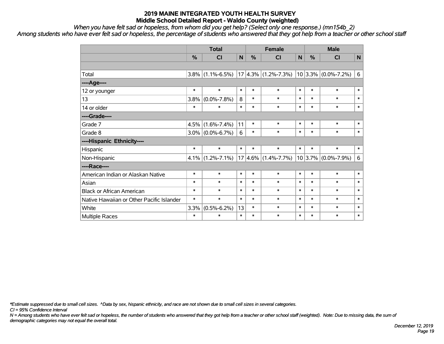*When you have felt sad or hopeless, from whom did you get help? (Select only one response.) (mn154b\_2)*

*Among students who have ever felt sad or hopeless, the percentage of students who answered that they got help from a teacher or other school staff*

|                                           | <b>Total</b> |                   |        | <b>Female</b> |                                                                       | <b>Male</b> |        |                         |              |
|-------------------------------------------|--------------|-------------------|--------|---------------|-----------------------------------------------------------------------|-------------|--------|-------------------------|--------------|
|                                           | %            | <b>CI</b>         | N      | $\frac{9}{6}$ | <b>CI</b>                                                             | N           | %      | <b>CI</b>               | $\mathsf{N}$ |
|                                           |              |                   |        |               |                                                                       |             |        |                         |              |
| Total                                     | $3.8\%$      |                   |        |               | $(1.1\% - 6.5\%)$   17   4.3%   (1.2%-7.3%)   10   3.3%   (0.0%-7.2%) |             |        |                         | 6            |
| ----Age----                               |              |                   |        |               |                                                                       |             |        |                         |              |
| 12 or younger                             | $\ast$       | $\ast$            | $\ast$ | $\ast$        | $\ast$                                                                | $\ast$      | $\ast$ | $\ast$                  | $\ast$       |
| 13                                        | 3.8%         | $(0.0\% - 7.8\%)$ | 8      | $\ast$        | $\ast$                                                                | $\ast$      | $\ast$ | $\ast$                  | $\ast$       |
| 14 or older                               | $\ast$       | $\ast$            | $\ast$ | $\ast$        | $\ast$                                                                | $\ast$      | $\ast$ | $\ast$                  | $\ast$       |
| ----Grade----                             |              |                   |        |               |                                                                       |             |        |                         |              |
| Grade 7                                   | 4.5%         | $(1.6\% - 7.4\%)$ | 11     | $\ast$        | $\ast$                                                                | $\ast$      | $\ast$ | $\ast$                  | $\ast$       |
| Grade 8                                   | $3.0\%$      | $(0.0\% - 6.7\%)$ | 6      | $\ast$        | $\ast$                                                                | $\ast$      | $\ast$ | $\ast$                  | $\ast$       |
| ----Hispanic Ethnicity----                |              |                   |        |               |                                                                       |             |        |                         |              |
| Hispanic                                  | $\ast$       | $\ast$            | $\ast$ | $\ast$        | $\ast$                                                                | $\ast$      | $\ast$ | $\ast$                  | $\ast$       |
| Non-Hispanic                              | $4.1\%$      | $(1.2\% - 7.1\%)$ |        |               | $17 4.6\% $ (1.4%-7.7%)                                               |             |        | $10 3.7\% $ (0.0%-7.9%) | 6            |
| ----Race----                              |              |                   |        |               |                                                                       |             |        |                         |              |
| American Indian or Alaskan Native         | $\ast$       | $\ast$            | $\ast$ | $\ast$        | $\ast$                                                                | $\ast$      | $\ast$ | $\ast$                  | $\ast$       |
| Asian                                     | $\ast$       | $\ast$            | $\ast$ | $\ast$        | $\ast$                                                                | $\ast$      | $\ast$ | $\ast$                  | $\ast$       |
| <b>Black or African American</b>          | $\ast$       | $\ast$            | $\ast$ | $\ast$        | $\ast$                                                                | $\ast$      | $\ast$ | $\ast$                  | $\ast$       |
| Native Hawaiian or Other Pacific Islander | $\ast$       | $\ast$            | $\ast$ | $\ast$        | $\ast$                                                                | $\ast$      | $\ast$ | $\ast$                  | $\ast$       |
| White                                     | 3.3%         | $(0.5\% - 6.2\%)$ | 13     | $\ast$        | $\ast$                                                                | $\ast$      | $\ast$ | $\ast$                  | $\ast$       |
| <b>Multiple Races</b>                     | $\ast$       | $\ast$            | $\ast$ | $\ast$        | $\ast$                                                                | $\ast$      | $\ast$ | $\ast$                  | $\ast$       |

*\*Estimate suppressed due to small cell sizes. ^Data by sex, hispanic ethnicity, and race are not shown due to small cell sizes in several categories.*

*CI = 95% Confidence Interval*

*N = Among students who have ever felt sad or hopeless, the number of students who answered that they got help from a teacher or other school staff (weighted). Note: Due to missing data, the sum of demographic categories may not equal the overall total.*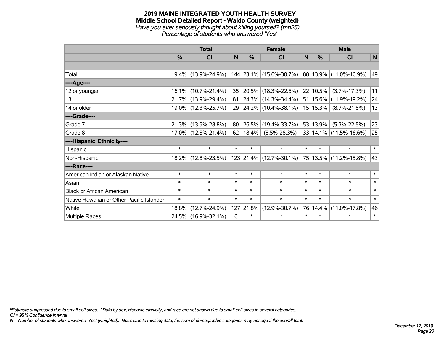#### **2019 MAINE INTEGRATED YOUTH HEALTH SURVEY Middle School Detailed Report - Waldo County (weighted)** *Have you ever seriously thought about killing yourself? (mn25) Percentage of students who answered 'Yes'*

|                                           | <b>Total</b>                 |                        |        | <b>Female</b> | <b>Male</b>              |        |               |                             |              |
|-------------------------------------------|------------------------------|------------------------|--------|---------------|--------------------------|--------|---------------|-----------------------------|--------------|
|                                           | $\frac{0}{0}$                | CI                     | N      | %             | <b>CI</b>                | N      | $\frac{0}{0}$ | <b>CI</b>                   | $\mathsf{N}$ |
|                                           |                              |                        |        |               |                          |        |               |                             |              |
| Total                                     |                              | 19.4% (13.9%-24.9%)    |        |               | 144 23.1% (15.6%-30.7%)  |        |               | $ 88 13.9\% $ (11.0%-16.9%) | 49           |
| ----Age----                               |                              |                        |        |               |                          |        |               |                             |              |
| 12 or younger                             |                              | $16.1\%$ (10.7%-21.4%) | 35     |               | 20.5% (18.3%-22.6%)      |        | 22 10.5%      | $(3.7\% - 17.3\%)$          | 11           |
| 13                                        |                              | 21.7% (13.9%-29.4%)    | 81     |               | 24.3% (14.3%-34.4%)      |        |               | 51   15.6%   (11.9%-19.2%)  | 24           |
| 14 or older                               |                              | 19.0% (12.3%-25.7%)    | 29     |               | $ 24.2\% $ (10.4%-38.1%) |        | 15 15.3%      | $(8.7\% - 21.8\%)$          | 13           |
| ----Grade----                             |                              |                        |        |               |                          |        |               |                             |              |
| Grade 7                                   |                              | 21.3% (13.9%-28.8%)    | 80     | $ 26.5\% $    | $(19.4\% - 33.7\%)$      |        | 53 13.9%      | $(5.3\% - 22.5\%)$          | 23           |
| Grade 8                                   |                              | $17.0\%$ (12.5%-21.4%) | 62     | 18.4%         | $(8.5\% - 28.3\%)$       |        |               | $33 14.1\% $ (11.5%-16.6%)  | 25           |
| ----Hispanic Ethnicity----                |                              |                        |        |               |                          |        |               |                             |              |
| Hispanic                                  | $\ast$                       | $\ast$                 | $\ast$ | $\ast$        | $\ast$                   | $\ast$ | $\ast$        | $\ast$                      | $*1$         |
| Non-Hispanic                              |                              | 18.2% (12.8%-23.5%)    |        |               | 123 21.4% (12.7%-30.1%)  |        |               | 75 13.5% (11.2%-15.8%)      | 43           |
| ----Race----                              |                              |                        |        |               |                          |        |               |                             |              |
| American Indian or Alaskan Native         | $\ast$                       | $\ast$                 | $\ast$ | $\ast$        | $\ast$                   | $\ast$ | $\ast$        | $\ast$                      | $\ast$       |
| Asian                                     | $\ast$                       | $\ast$                 | $\ast$ | $\ast$        | $\ast$                   | $\ast$ | $\ast$        | $\ast$                      | $\ast$       |
| <b>Black or African American</b>          | $\ast$                       | $\ast$                 | $\ast$ | $\ast$        | $\ast$                   | $\ast$ | $\ast$        | $\ast$                      | $\ast$       |
| Native Hawaiian or Other Pacific Islander | $\ast$                       | $\ast$                 | $\ast$ | $\ast$        | $\ast$                   | $\ast$ | $\ast$        | $\ast$                      | $\ast$       |
| White                                     | $(12.7\% - 24.9\%)$<br>18.8% |                        |        | 127 21.8%     | $(12.9\% - 30.7\%)$      | 76     | 14.4%         | $(11.0\% - 17.8\%)$         | 46           |
| Multiple Races                            | 24.5% (16.9%-32.1%)          |                        | 6      | $\ast$        | $\ast$                   | $\ast$ | $\ast$        | $\ast$                      | $\ast$       |

*\*Estimate suppressed due to small cell sizes. ^Data by sex, hispanic ethnicity, and race are not shown due to small cell sizes in several categories.*

*CI = 95% Confidence Interval*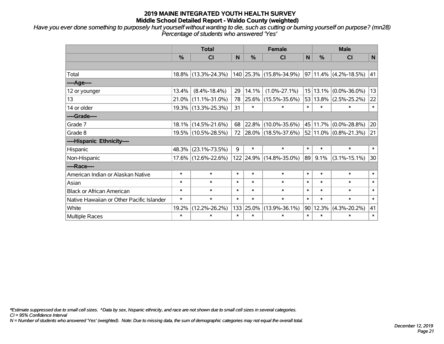*Have you ever done something to purposely hurt yourself without wanting to die, such as cutting or burning yourself on purpose? (mn28) Percentage of students who answered 'Yes'*

|                                           | <b>Total</b>                             |                        |                  | <b>Female</b> |                           |             | <b>Male</b> |                       |             |  |
|-------------------------------------------|------------------------------------------|------------------------|------------------|---------------|---------------------------|-------------|-------------|-----------------------|-------------|--|
|                                           | %                                        | <b>CI</b>              | N                | $\frac{0}{0}$ | <b>CI</b>                 | $\mathbf N$ | %           | <b>CI</b>             | $\mathbf N$ |  |
|                                           |                                          |                        |                  |               |                           |             |             |                       |             |  |
| Total                                     |                                          | 18.8% (13.3%-24.3%)    |                  |               | 140 25.3% (15.8%-34.9%)   |             |             | 97 11.4% (4.2%-18.5%) | 41          |  |
| ----Age----                               |                                          |                        |                  |               |                           |             |             |                       |             |  |
| 12 or younger                             | 13.4%                                    | $(8.4\% - 18.4\%)$     | 29               | 14.1%         | $(1.0\% - 27.1\%)$        |             |             | 15 13.1% (0.0%-36.0%) | 13          |  |
| 13                                        |                                          | $21.0\%$ (11.1%-31.0%) | 78               |               | $ 25.6\% $ (15.5%-35.6%)  |             |             | 53 13.8% (2.5%-25.2%) | 22          |  |
| 14 or older                               | 19.3% (13.3%-25.3%)<br>$\ast$<br>31<br>* |                        | $\ast$           | $\ast$        | $\ast$                    | $\ast$      |             |                       |             |  |
| ----Grade----                             |                                          |                        |                  |               |                           |             |             |                       |             |  |
| Grade 7                                   | 18.1%                                    | $(14.5\% - 21.6\%)$    | 68               |               | 22.8% (10.0%-35.6%)       |             |             | 45 11.7% (0.0%-28.8%) | 20          |  |
| Grade 8                                   |                                          | 19.5% (10.5%-28.5%)    | 72               |               | $ 28.0\% $ (18.5%-37.6%)  |             |             | 52 11.0% (0.8%-21.3%) | 21          |  |
| ----Hispanic Ethnicity----                |                                          |                        |                  |               |                           |             |             |                       |             |  |
| Hispanic                                  | 48.3%                                    | $(23.1\% - 73.5\%)$    | 9                | $\ast$        | $\ast$                    | $\ast$      | $\ast$      | $\ast$                | $\ast$      |  |
| Non-Hispanic                              |                                          | 17.6% (12.6%-22.6%)    |                  |               | 122 24.9% (14.8%-35.0%)   | 89          | 9.1%        | $(3.1\% - 15.1\%)$    | 30          |  |
| ----Race----                              |                                          |                        |                  |               |                           |             |             |                       |             |  |
| American Indian or Alaskan Native         | $\ast$                                   | $\ast$                 | $\ast$           | $\ast$        | $\ast$                    | $\ast$      | $\ast$      | $\ast$                | $\ast$      |  |
| Asian                                     | $\ast$                                   | $\ast$                 | $\ast$           | $\ast$        | $\ast$                    | $\ast$      | $\ast$      | $\ast$                | $\ast$      |  |
| <b>Black or African American</b>          | $\ast$                                   | $\ast$                 | $\ast$           | $\ast$        | $\ast$                    | $\ast$      | $\ast$      | $\ast$                | $\ast$      |  |
| Native Hawaiian or Other Pacific Islander | $\ast$                                   | $\ast$                 | $\ast$<br>$\ast$ |               | $\ast$                    | $\ast$      | $\ast$      | $\ast$                | $\ast$      |  |
| White                                     | 19.2%                                    | $(12.2\% - 26.2\%)$    | 133              | 25.0%         | $(13.9\% - 36.1\%)$<br>90 |             | 12.3%       | $(4.3\% - 20.2\%)$    | 41          |  |
| <b>Multiple Races</b>                     | $\ast$                                   | $\ast$                 | $\ast$           | $\ast$        | $\ast$                    | $\ast$      | $\ast$      | $\ast$                | $\ast$      |  |

*\*Estimate suppressed due to small cell sizes. ^Data by sex, hispanic ethnicity, and race are not shown due to small cell sizes in several categories.*

*CI = 95% Confidence Interval*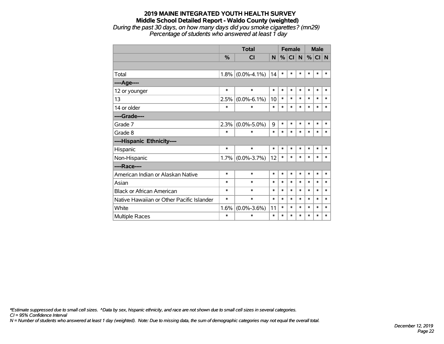#### **2019 MAINE INTEGRATED YOUTH HEALTH SURVEY Middle School Detailed Report - Waldo County (weighted)** *During the past 30 days, on how many days did you smoke cigarettes? (mn29)*

*Percentage of students who answered at least 1 day*

|                                           |               | <b>Total</b>      |        |        | <b>Female</b> |        | <b>Male</b> |        |        |
|-------------------------------------------|---------------|-------------------|--------|--------|---------------|--------|-------------|--------|--------|
|                                           | $\frac{0}{2}$ | <b>CI</b>         | N      | %      | CI N          |        | %           | CI N   |        |
|                                           |               |                   |        |        |               |        |             |        |        |
| Total                                     | 1.8%          | $(0.0\% - 4.1\%)$ | 14     | $\ast$ | $\ast$        | *      | $\ast$      | $\ast$ | $\ast$ |
| ----Age----                               |               |                   |        |        |               |        |             |        |        |
| 12 or younger                             | $\ast$        | $\ast$            | $\ast$ | $\ast$ | $\ast$        | $\ast$ | $\ast$      | $\ast$ | *      |
| 13                                        | 2.5%          | $(0.0\% - 6.1\%)$ | 10     | $\ast$ | $\ast$        | $\ast$ | $\ast$      | $\ast$ | $\ast$ |
| 14 or older                               | $\ast$        | $\ast$            | $\ast$ | $\ast$ | $\ast$        | $\ast$ | $\ast$      | $\ast$ | $\ast$ |
| ----Grade----                             |               |                   |        |        |               |        |             |        |        |
| Grade 7                                   | 2.3%          | $(0.0\% - 5.0\%)$ | 9      | $\ast$ | $\ast$        | $\ast$ | $\ast$      | $\ast$ | $\ast$ |
| Grade 8                                   | $\ast$        | $\ast$            | $\ast$ | $\ast$ | $\ast$        | $\ast$ | *           | $\ast$ | $\ast$ |
| ----Hispanic Ethnicity----                |               |                   |        |        |               |        |             |        |        |
| Hispanic                                  | $\ast$        | $\ast$            | $\ast$ | $\ast$ | $\ast$        | $\ast$ | $\ast$      | $\ast$ | $\ast$ |
| Non-Hispanic                              | 1.7%          | $(0.0\% - 3.7\%)$ | 12     | $\ast$ | $\ast$        | $\ast$ | $\ast$      | $\ast$ | $\ast$ |
| ----Race----                              |               |                   |        |        |               |        |             |        |        |
| American Indian or Alaskan Native         | $\ast$        | $\ast$            | $\ast$ | $\ast$ | *             | $\ast$ | *           | $\ast$ | $\ast$ |
| Asian                                     | $\ast$        | $\ast$            | $\ast$ | $\ast$ | $\ast$        | *      | $\ast$      | $\ast$ | $\ast$ |
| <b>Black or African American</b>          | $\ast$        | $\ast$            | $\ast$ | $\ast$ | $\ast$        | *      | $\ast$      | *      | $\ast$ |
| Native Hawaiian or Other Pacific Islander | *             | $\ast$            | $\ast$ | $\ast$ | $\ast$        | $\ast$ | $\ast$      | $\ast$ | $\ast$ |
| White                                     | 1.6%          | $(0.0\% - 3.6\%)$ | 11     | $\ast$ | $\ast$        | *      | $\ast$      | *      | *      |
| <b>Multiple Races</b>                     | $\ast$        | $\ast$            | $\ast$ | $\ast$ | $\ast$        | $\ast$ | *           | $\ast$ | *      |

*\*Estimate suppressed due to small cell sizes. ^Data by sex, hispanic ethnicity, and race are not shown due to small cell sizes in several categories.*

*CI = 95% Confidence Interval*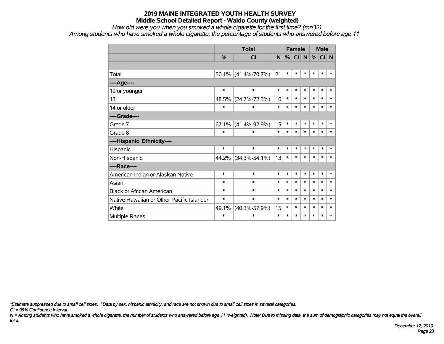#### *How old were you when you smoked a whole cigarette for the first time? (mn32)*

*Among students who have smoked a whole cigarette, the percentage of students who answered before age 11*

|                                           |        | <b>Total</b>        |        |        | <b>Female</b> |        | <b>Male</b> |        |        |
|-------------------------------------------|--------|---------------------|--------|--------|---------------|--------|-------------|--------|--------|
|                                           | %      | <b>CI</b>           | N      | %      | <b>CI</b>     | N      | $\%$        | CI N   |        |
|                                           |        |                     |        |        |               |        |             |        |        |
| Total                                     |        | 56.1% (41.4%-70.7%) | 21     | $\ast$ | $\ast$        | $\ast$ | $\ast$      | $\ast$ | $\ast$ |
| ----Age----                               |        |                     |        |        |               |        |             |        |        |
| 12 or younger                             | $\ast$ | $\ast$              | $\ast$ | *      | $\ast$        | $\ast$ | $\ast$      | $\ast$ | ∗      |
| 13                                        | 48.5%  | $(24.7\% - 72.3\%)$ | 10     | $\ast$ | $\ast$        | $\ast$ | $\ast$      | $\ast$ | $\ast$ |
| 14 or older                               | $\ast$ | $\ast$              | $\ast$ | $\ast$ | $\ast$        | $\ast$ | $\ast$      | $\ast$ | $\ast$ |
| ----Grade----                             |        |                     |        |        |               |        |             |        |        |
| Grade 7                                   | 67.1%  | $(41.4\% - 92.9\%)$ | 15     | $\ast$ | $\ast$        | $\ast$ | $\ast$      | $\ast$ | *      |
| Grade 8                                   | ∗      | $\ast$              | $\ast$ | $\ast$ | $\ast$        | $\ast$ | $\ast$      | $\ast$ | $\ast$ |
| ----Hispanic Ethnicity----                |        |                     |        |        |               |        |             |        |        |
| Hispanic                                  | $\ast$ | $\ast$              | $\ast$ | $\ast$ | $\ast$        | $\ast$ | $\ast$      | $\ast$ | $\ast$ |
| Non-Hispanic                              | 44.2%  | $(34.3\% - 54.1\%)$ | 13     | $\ast$ | $\ast$        | $\ast$ | $\ast$      | $\ast$ | $\ast$ |
| ----Race----                              |        |                     |        |        |               |        |             |        |        |
| American Indian or Alaskan Native         | $\ast$ | $\ast$              | $\ast$ | $\ast$ | $\ast$        | $\ast$ | $\ast$      | $\ast$ | $\ast$ |
| Asian                                     | $\ast$ | $\ast$              | $\ast$ | $\ast$ | $\ast$        | $\ast$ | $\ast$      | $\ast$ | $\ast$ |
| <b>Black or African American</b>          | ∗      | $\ast$              | $\ast$ | $\ast$ | $\ast$        | $\ast$ | $\ast$      | $\ast$ | $\ast$ |
| Native Hawaiian or Other Pacific Islander | $\ast$ | $\ast$              | $\ast$ | $\ast$ | $\ast$        | $\ast$ | $\ast$      | $\ast$ | $\ast$ |
| White                                     | 49.1%  | $(40.3\% - 57.9\%)$ | 15     | $\ast$ | $\ast$        | $\ast$ | $\ast$      | $\ast$ | $\ast$ |
| <b>Multiple Races</b>                     | $\ast$ | ∗                   | $\ast$ | $\ast$ | $\ast$        | $\ast$ | $\ast$      | $\ast$ | $\ast$ |

*\*Estimate suppressed due to small cell sizes. ^Data by sex, hispanic ethnicity, and race are not shown due to small cell sizes in several categories.*

*CI = 95% Confidence Interval*

*N = Among students who have smoked a whole cigarette, the number of students who answered before age 11 (weighted). Note: Due to missing data, the sum of demographic categories may not equal the overall total.*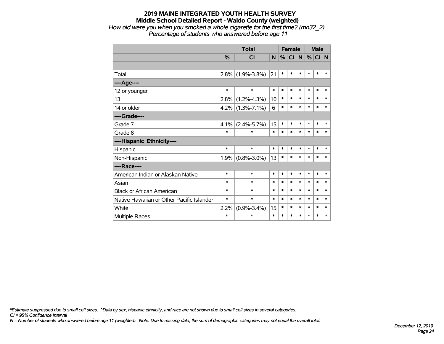#### **2019 MAINE INTEGRATED YOUTH HEALTH SURVEY Middle School Detailed Report - Waldo County (weighted)** *How old were you when you smoked a whole cigarette for the first time? (mn32\_2)*

*Percentage of students who answered before age 11*

|                                           |               | <b>Total</b>      | <b>Female</b> |        |        |        |        | <b>Male</b> |             |
|-------------------------------------------|---------------|-------------------|---------------|--------|--------|--------|--------|-------------|-------------|
|                                           | $\frac{9}{6}$ | CI                | N             | %      | CI N   |        | %      | CI          | $\mathbf N$ |
|                                           |               |                   |               |        |        |        |        |             |             |
| Total                                     | 2.8%          | $(1.9\% - 3.8\%)$ | 21            | $\ast$ | $\ast$ | $\ast$ | $\ast$ | $\ast$      | $\ast$      |
| ---- Age----                              |               |                   |               |        |        |        |        |             |             |
| 12 or younger                             | $\ast$        | $\ast$            | $\ast$        | $\ast$ | $\ast$ | $\ast$ | $\ast$ | $\ast$      | $\ast$      |
| 13                                        | 2.8%          | $(1.2\% - 4.3\%)$ | 10            | $\ast$ | $\ast$ | $\ast$ | $\ast$ | $\ast$      | $\ast$      |
| 14 or older                               | 4.2%          | $(1.3\% - 7.1\%)$ | 6             | $\ast$ | $\ast$ | $\ast$ | $\ast$ | $\ast$      | $\ast$      |
| ----Grade----                             |               |                   |               |        |        |        |        |             |             |
| Grade 7                                   | 4.1%          | $(2.4\% - 5.7\%)$ | 15            | $\ast$ | $\ast$ | *      | *      | $\ast$      | $\ast$      |
| Grade 8                                   | $\ast$        | $\ast$            | $\ast$        | $\ast$ | $\ast$ | $\ast$ | $\ast$ | $\ast$      | *           |
| ----Hispanic Ethnicity----                |               |                   |               |        |        |        |        |             |             |
| Hispanic                                  | *             | $\ast$            | $\ast$        | $\ast$ | $\ast$ | *      | $\ast$ | $\ast$      | $\ast$      |
| Non-Hispanic                              | 1.9%          | $(0.8\% - 3.0\%)$ | 13            | $\ast$ | $\ast$ | $\ast$ | *      | $\ast$      | $\ast$      |
| ----Race----                              |               |                   |               |        |        |        |        |             |             |
| American Indian or Alaskan Native         | $\ast$        | $\ast$            | $\ast$        | $\ast$ | $\ast$ | $\ast$ | $\ast$ | $\ast$      | $\ast$      |
| Asian                                     | *             | $\ast$            | $\ast$        | $\ast$ | $\ast$ | $\ast$ | $\ast$ | $\ast$      | $\ast$      |
| <b>Black or African American</b>          | $\ast$        | $\ast$            | $\ast$        | $\ast$ | $\ast$ | $\ast$ | $\ast$ | $\ast$      | $\ast$      |
| Native Hawaiian or Other Pacific Islander | *             | $\ast$            | $\ast$        | $\ast$ | $\ast$ | *      | $\ast$ | $\ast$      | $\ast$      |
| White                                     | 2.2%          | $(0.9\% - 3.4\%)$ | 15            | $\ast$ | $\ast$ | *      | $\ast$ | *           | *           |
| <b>Multiple Races</b>                     | $\ast$        | $\ast$            | $\ast$        | $\ast$ | $\ast$ | $\ast$ | *      | $\ast$      | *           |

*\*Estimate suppressed due to small cell sizes. ^Data by sex, hispanic ethnicity, and race are not shown due to small cell sizes in several categories.*

*CI = 95% Confidence Interval*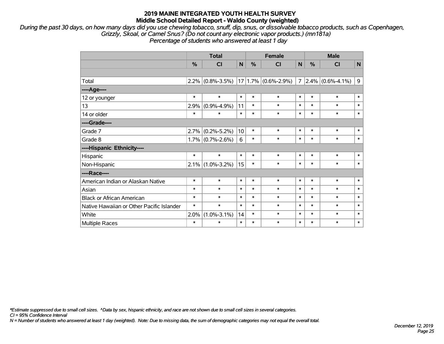*During the past 30 days, on how many days did you use chewing tobacco, snuff, dip, snus, or dissolvable tobacco products, such as Copenhagen, Grizzly, Skoal, or Camel Snus? (Do not count any electronic vapor products.) (mn181a) Percentage of students who answered at least 1 day*

|                                           | <b>Total</b>                                        |                     |              |        | <b>Female</b>           |        | <b>Male</b> |                        |              |  |
|-------------------------------------------|-----------------------------------------------------|---------------------|--------------|--------|-------------------------|--------|-------------|------------------------|--------------|--|
|                                           | %                                                   | CI                  | $\mathsf{N}$ | %      | CI                      | N      | %           | C <sub>l</sub>         | $\mathsf{N}$ |  |
|                                           |                                                     |                     |              |        |                         |        |             |                        |              |  |
| Total                                     | 2.2%                                                | $(0.8\% - 3.5\%)$   |              |        | $17 1.7\% $ (0.6%-2.9%) |        |             | $7 2.4\% $ (0.6%-4.1%) | 9            |  |
| ---- Age----                              |                                                     |                     |              |        |                         |        |             |                        |              |  |
| 12 or younger                             | $\ast$                                              | $\ast$              | $\ast$       | $\ast$ | $\ast$                  | $\ast$ | $\ast$      | $\ast$                 | $\ast$       |  |
| 13                                        | $\ast$<br>$(0.9\% - 4.9\%)$<br>11<br>$\ast$<br>2.9% |                     | $\ast$       | $\ast$ | $\ast$                  | $\ast$ |             |                        |              |  |
| 14 or older                               | $\ast$<br>$\ast$<br>$\ast$<br>$\ast$                |                     | $\ast$       | $\ast$ | $\ast$                  | $\ast$ | $\ast$      |                        |              |  |
| ----Grade----                             |                                                     |                     |              |        |                         |        |             |                        |              |  |
| Grade 7                                   | 2.7%                                                | $(0.2\% - 5.2\%)$   | 10           | $\ast$ | $\ast$                  | $\ast$ | $\ast$      | $\ast$                 | $\ast$       |  |
| Grade 8                                   |                                                     | $1.7\%$ (0.7%-2.6%) | 6            | $\ast$ | $\ast$                  | $\ast$ | $\ast$      | $\ast$                 | $\ast$       |  |
| ----Hispanic Ethnicity----                |                                                     |                     |              |        |                         |        |             |                        |              |  |
| Hispanic                                  | $\ast$                                              | $\ast$              | $\ast$       | $\ast$ | $\ast$                  | $\ast$ | $\ast$      | $\ast$                 | $\ast$       |  |
| Non-Hispanic                              | 2.1%                                                | $(1.0\% - 3.2\%)$   | 15           | $\ast$ | $\ast$                  | $\ast$ | $\ast$      | $\ast$                 | $\ast$       |  |
| ----Race----                              |                                                     |                     |              |        |                         |        |             |                        |              |  |
| American Indian or Alaskan Native         | $\ast$                                              | $\ast$              | $\ast$       | $\ast$ | $\ast$                  | $\ast$ | $\ast$      | $\ast$                 | $\ast$       |  |
| Asian                                     | $\ast$                                              | $\ast$              | $\ast$       | $\ast$ | $\ast$                  | $\ast$ | $\ast$      | $\ast$                 | $\ast$       |  |
| <b>Black or African American</b>          | $\ast$                                              | $\ast$              | $\ast$       | $\ast$ | $\ast$                  | $\ast$ | $\ast$      | $\ast$                 | $\ast$       |  |
| Native Hawaiian or Other Pacific Islander | $\ast$                                              | $\ast$<br>$\ast$    |              | $\ast$ | $\ast$                  | $\ast$ | $\ast$      | $\ast$                 | $\ast$       |  |
| White                                     | 2.0%                                                | $(1.0\% - 3.1\%)$   | 14           |        | $\ast$                  | $\ast$ | $\ast$      | $\ast$                 | $\ast$       |  |
| <b>Multiple Races</b>                     | $\ast$                                              | $\ast$              | $\ast$       |        | $\ast$                  | $\ast$ | $\ast$      | $\ast$                 | $\ast$       |  |

*\*Estimate suppressed due to small cell sizes. ^Data by sex, hispanic ethnicity, and race are not shown due to small cell sizes in several categories.*

*CI = 95% Confidence Interval*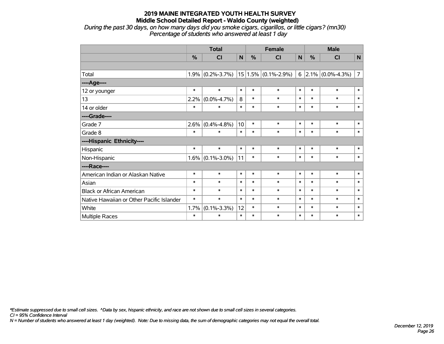*During the past 30 days, on how many days did you smoke cigars, cigarillos, or little cigars? (mn30) Percentage of students who answered at least 1 day*

|                                           | <b>Total</b>  |                                                   |        |               | <b>Female</b> |        |        | <b>Male</b>         |                |  |  |
|-------------------------------------------|---------------|---------------------------------------------------|--------|---------------|---------------|--------|--------|---------------------|----------------|--|--|
|                                           | $\frac{0}{0}$ | CI                                                | N      | $\frac{9}{6}$ | <b>CI</b>     | N      | %      | <b>CI</b>           | $\mathsf{N}$   |  |  |
|                                           |               |                                                   |        |               |               |        |        |                     |                |  |  |
| Total                                     | 1.9%          | $(0.2\% - 3.7\%)$   15   1.5%   $(0.1\% - 2.9\%)$ |        |               |               | 6      |        | $2.1\%$ (0.0%-4.3%) | $\overline{7}$ |  |  |
| ----Age----                               |               |                                                   |        |               |               |        |        |                     |                |  |  |
| 12 or younger                             | $\ast$        | $\ast$                                            | $\ast$ | $\ast$        | $\ast$        | $\ast$ | $\ast$ | $\ast$              | $\ast$         |  |  |
| 13                                        | 2.2%          | $(0.0\% - 4.7\%)$                                 | 8      | $\ast$        | $\ast$        | $\ast$ | $\ast$ | $\ast$              | $\ast$         |  |  |
| 14 or older                               | $\ast$        | $\ast$                                            | $\ast$ | $\ast$        | $\ast$        | $\ast$ | $\ast$ | $\ast$              | $\ast$         |  |  |
| ----Grade----                             |               |                                                   |        |               |               |        |        |                     |                |  |  |
| Grade 7                                   | 2.6%          | $(0.4\% - 4.8\%)$                                 | 10     | $\ast$        | $\ast$        | $\ast$ | $\ast$ | $\ast$              | $\ast$         |  |  |
| Grade 8                                   | $\ast$        | $\ast$                                            | $\ast$ | $\ast$        | $\ast$        | $\ast$ | $\ast$ | $\ast$              | $\ast$         |  |  |
| ----Hispanic Ethnicity----                |               |                                                   |        |               |               |        |        |                     |                |  |  |
| Hispanic                                  | $\ast$        | $\ast$                                            | $\ast$ | $\ast$        | $\ast$        | $\ast$ | $\ast$ | $\ast$              | $\ast$         |  |  |
| Non-Hispanic                              | 1.6%          | $(0.1\% - 3.0\%)$                                 | 11     | $\ast$        | $\ast$        | $\ast$ | $\ast$ | $\ast$              | $\ast$         |  |  |
| ----Race----                              |               |                                                   |        |               |               |        |        |                     |                |  |  |
| American Indian or Alaskan Native         | $\ast$        | $\ast$                                            | $\ast$ | $\ast$        | $\ast$        | $\ast$ | $\ast$ | $\ast$              | $\ast$         |  |  |
| Asian                                     | $\ast$        | $\ast$                                            | $\ast$ | $\ast$        | $\ast$        | $\ast$ | $\ast$ | $\ast$              | $\ast$         |  |  |
| <b>Black or African American</b>          | $\ast$        | $\ast$                                            | $\ast$ | $\ast$        | $\ast$        | $\ast$ | $\ast$ | $\ast$              | $\ast$         |  |  |
| Native Hawaiian or Other Pacific Islander | $\ast$        | $\ast$                                            | $\ast$ | $\ast$        | $\ast$        | $\ast$ | $\ast$ | $\ast$              | $\ast$         |  |  |
| White                                     | 1.7%          | $(0.1\% - 3.3\%)$                                 | 12     | $\ast$        | $\ast$        | $\ast$ | $\ast$ | $\ast$              | $\ast$         |  |  |
| <b>Multiple Races</b>                     | $\ast$        | $\ast$                                            | $\ast$ | $\ast$        | $\ast$        | $\ast$ | $\ast$ | $\ast$              | $\ast$         |  |  |

*\*Estimate suppressed due to small cell sizes. ^Data by sex, hispanic ethnicity, and race are not shown due to small cell sizes in several categories.*

*CI = 95% Confidence Interval*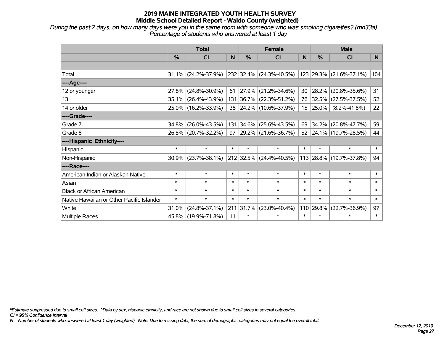*During the past 7 days, on how many days were you in the same room with someone who was smoking cigarettes? (mn33a) Percentage of students who answered at least 1 day*

|                                           | <b>Total</b> |                        |        |               | <b>Female</b>                    |                  | <b>Male</b> |                          |              |  |
|-------------------------------------------|--------------|------------------------|--------|---------------|----------------------------------|------------------|-------------|--------------------------|--------------|--|
|                                           | %            | <b>CI</b>              | N      | $\frac{0}{0}$ | <b>CI</b>                        | N                | %           | <b>CI</b>                | <sub>N</sub> |  |
|                                           |              |                        |        |               |                                  |                  |             |                          |              |  |
| Total                                     |              | $31.1\%$ (24.2%-37.9%) |        |               | $ 232 32.4\%  (24.3\% - 40.5\%)$ |                  |             | 123 29.3% (21.6%-37.1%)  | 104          |  |
| ----Age----                               |              |                        |        |               |                                  |                  |             |                          |              |  |
| 12 or younger                             | 27.8%        | $(24.8\% - 30.9\%)$    | 61     | $ 27.9\% $    | $(21.2\% - 34.6\%)$              | 30               | 28.2%       | $(20.8\% - 35.6\%)$      | 31           |  |
| 13                                        | 35.1%        | $(26.4\% - 43.9\%)$    |        |               | 131 36.7% (22.3%-51.2%)          | 76               |             | 32.5% (27.5%-37.5%)      | 52           |  |
| 14 or older                               |              | 25.0% (16.2%-33.9%)    |        |               | 38 24.2% (10.6%-37.9%)           | 15 <sub>15</sub> | 25.0%       | $(8.2\% - 41.8\%)$       | 22           |  |
| ----Grade----                             |              |                        |        |               |                                  |                  |             |                          |              |  |
| Grade 7                                   | 34.8%        | $(26.0\% - 43.5\%)$    |        |               | 131 34.6% (25.6%-43.5%)          | 69               |             | $34.2\%$ (20.8%-47.7%)   | 59           |  |
| Grade 8                                   |              | 26.5% (20.7%-32.2%)    |        |               | 97 29.2% $(21.6\% - 36.7\%)$     | 52               |             | $ 24.1\% $ (19.7%-28.5%) | 44           |  |
| ----Hispanic Ethnicity----                |              |                        |        |               |                                  |                  |             |                          |              |  |
| Hispanic                                  | $\ast$       | $\ast$                 | $\ast$ | $\ast$        | $\ast$                           | $\ast$           | $\ast$      | $\ast$                   | $\ast$       |  |
| Non-Hispanic                              |              | $30.9\%$ (23.7%-38.1%) |        |               | 212 32.5% (24.4%-40.5%)          |                  |             | 113 28.8% (19.7%-37.8%)  | 94           |  |
| ----Race----                              |              |                        |        |               |                                  |                  |             |                          |              |  |
| American Indian or Alaskan Native         | $\ast$       | $\ast$                 | $\ast$ | $\ast$        | $\ast$                           | $\ast$           | $\ast$      | $\ast$                   | $\ast$       |  |
| Asian                                     | $\ast$       | $\ast$                 | $\ast$ | $\ast$        | $\ast$                           | $\ast$           | $\ast$      | $\ast$                   | $\ast$       |  |
| <b>Black or African American</b>          | $\ast$       | $\ast$                 | $\ast$ | $\ast$        | $\ast$                           | $\ast$           | $\ast$      | $\ast$                   | $\ast$       |  |
| Native Hawaiian or Other Pacific Islander | $\ast$       | $\ast$                 | $\ast$ | $\ast$        | $\ast$                           | $\ast$           | $\ast$      | $\ast$                   | $\ast$       |  |
| White                                     | 31.0%        | $(24.8\% - 37.1\%)$    | 211    | 31.7%         | $(23.0\% - 40.4\%)$              | 110              | 29.8%       | $(22.7\% - 36.9\%)$      | 97           |  |
| <b>Multiple Races</b>                     |              | 45.8% (19.9%-71.8%)    | 11     | $\ast$        | $\ast$                           | $\ast$           | $\ast$      | $\ast$                   | $\ast$       |  |

*\*Estimate suppressed due to small cell sizes. ^Data by sex, hispanic ethnicity, and race are not shown due to small cell sizes in several categories.*

*CI = 95% Confidence Interval*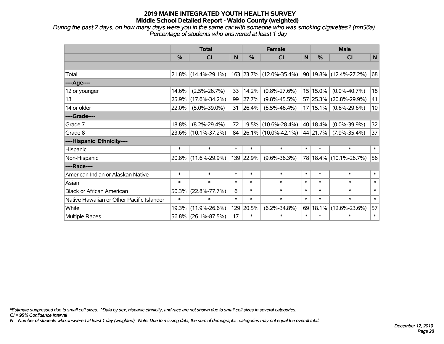*During the past 7 days, on how many days were you in the same car with someone who was smoking cigarettes? (mn56a) Percentage of students who answered at least 1 day*

|                                           | <b>Total</b> |                        |        |               | <b>Female</b>                |        | <b>Male</b>  |                            |        |  |
|-------------------------------------------|--------------|------------------------|--------|---------------|------------------------------|--------|--------------|----------------------------|--------|--|
|                                           | $\%$         | <b>CI</b>              | N      | $\frac{0}{0}$ | <b>CI</b>                    | N      | $\%$         | <b>CI</b>                  | N      |  |
|                                           |              |                        |        |               |                              |        |              |                            |        |  |
| Total                                     |              | $21.8\%$ (14.4%-29.1%) |        |               | $ 163 23.7\% $ (12.0%-35.4%) |        |              | $90 19.8\% $ (12.4%-27.2%) | 68     |  |
| ----Age----                               |              |                        |        |               |                              |        |              |                            |        |  |
| 12 or younger                             | 14.6%        | $(2.5\% - 26.7\%)$     | 33     | 14.2%         | $(0.8\% - 27.6\%)$           |        | $15 15.0\%$  | $(0.0\% - 40.7\%)$         | 18     |  |
| 13                                        | 25.9%        | $(17.6\% - 34.2\%)$    | 99     | 27.7%         | $(9.8\% - 45.5\%)$           |        |              | 57 25.3% (20.8%-29.9%)     | 41     |  |
| 14 or older                               | 22.0%        | $(5.0\% - 39.0\%)$     | 31     | 26.4%         | $(6.5\% - 46.4\%)$           |        | $17 15.1\% $ | $(0.6\% - 29.6\%)$         | 10     |  |
| ----Grade----                             |              |                        |        |               |                              |        |              |                            |        |  |
| Grade 7                                   | 18.8%        | $(8.2\% - 29.4\%)$     | 72     | 19.5%         | $(10.6\% - 28.4\%)$          |        | 40 18.4%     | $(0.0\% - 39.9\%)$         | 32     |  |
| Grade 8                                   |              | 23.6% (10.1%-37.2%)    | 84     |               | $ 26.1\% $ (10.0%-42.1%)     |        | 44 21.7%     | $(7.9\% - 35.4\%)$         | 37     |  |
| ----Hispanic Ethnicity----                |              |                        |        |               |                              |        |              |                            |        |  |
| Hispanic                                  | $\ast$       | $\ast$                 | $\ast$ | $\ast$        | $\ast$                       | $\ast$ | $\ast$       | $\ast$                     | $\ast$ |  |
| Non-Hispanic                              |              | 20.8% (11.6%-29.9%)    |        | 139 22.9%     | $(9.6\% - 36.3\%)$           |        |              | 78 18.4% (10.1%-26.7%)     | 56     |  |
| ----Race----                              |              |                        |        |               |                              |        |              |                            |        |  |
| American Indian or Alaskan Native         | $\ast$       | $\ast$                 | $\ast$ | $\ast$        | $\ast$                       | $\ast$ | $\ast$       | $\ast$                     | $\ast$ |  |
| Asian                                     | $\ast$       | $\ast$                 | $\ast$ | $\ast$        | $\ast$                       | $\ast$ | $\ast$       | $\ast$                     | $\ast$ |  |
| <b>Black or African American</b>          | 50.3%        | $(22.8\% - 77.7\%)$    | 6      | $\ast$        | $\ast$                       | $\ast$ | $\ast$       | $\ast$                     | $\ast$ |  |
| Native Hawaiian or Other Pacific Islander | $\ast$       | $\ast$                 | $\ast$ | $\ast$        | $\ast$                       | $\ast$ | $\ast$       | $\ast$                     | $\ast$ |  |
| White                                     | 19.3%        | $(11.9\% - 26.6\%)$    |        | 129 20.5%     | $(6.2\% - 34.8\%)$           | 69     | 18.1%        | $(12.6\% - 23.6\%)$        | 57     |  |
| Multiple Races                            |              | 56.8% (26.1%-87.5%)    | 17     | $\ast$        | $\ast$                       | $\ast$ | $\ast$       | $\ast$                     | $\ast$ |  |

*\*Estimate suppressed due to small cell sizes. ^Data by sex, hispanic ethnicity, and race are not shown due to small cell sizes in several categories.*

*CI = 95% Confidence Interval*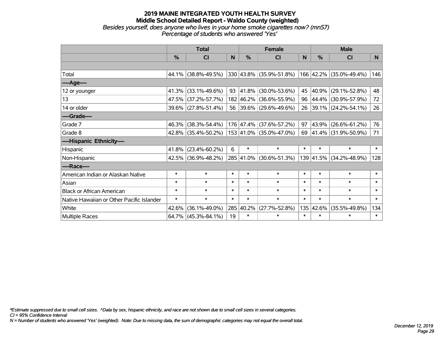#### **2019 MAINE INTEGRATED YOUTH HEALTH SURVEY Middle School Detailed Report - Waldo County (weighted)** *Besides yourself, does anyone who lives in your home smoke cigarettes now? (mn57) Percentage of students who answered 'Yes'*

|                                           | <b>Total</b>  |                        |        |               | <b>Female</b>           |          | <b>Male</b> |                         |                |  |
|-------------------------------------------|---------------|------------------------|--------|---------------|-------------------------|----------|-------------|-------------------------|----------------|--|
|                                           | $\frac{0}{0}$ | CI                     | N.     | $\frac{0}{0}$ | CI                      | <b>N</b> | %           | CI                      | N <sub>1</sub> |  |
|                                           |               |                        |        |               |                         |          |             |                         |                |  |
| Total                                     |               | 44.1% (38.8%-49.5%)    |        |               | 330 43.8% (35.9%-51.8%) |          |             | 166 42.2% (35.0%-49.4%) | 146            |  |
| ----Age----                               |               |                        |        |               |                         |          |             |                         |                |  |
| 12 or younger                             |               | $41.3\%$ (33.1%-49.6%) | 93     | $ 41.8\% $    | $(30.0\% - 53.6\%)$     | 45       | 40.9%       | $(29.1\% - 52.8\%)$     | 48             |  |
| 13                                        |               | 47.5% (37.2%-57.7%)    |        |               | 182 46.2% (36.6%-55.9%) | 96       |             | 44.4% (30.9%-57.9%)     | 72             |  |
| 14 or older                               |               | 39.6% (27.8%-51.4%)    |        |               | 56 39.6% (29.6%-49.6%)  |          |             | 26 39.1% (24.2%-54.1%)  | 26             |  |
| ----Grade----                             |               |                        |        |               |                         |          |             |                         |                |  |
| Grade 7                                   | $46.3\%$      | $(38.3\% - 54.4\%)$    |        |               | 176 47.4% (37.6%-57.2%) | 97       | 43.9%       | $(26.6\% - 61.2\%)$     | 76             |  |
| Grade 8                                   |               | $42.8\%$ (35.4%-50.2%) |        |               | 153 41.0% (35.0%-47.0%) |          |             | 69 41.4% (31.9%-50.9%)  | 71             |  |
| ----Hispanic Ethnicity----                |               |                        |        |               |                         |          |             |                         |                |  |
| Hispanic                                  | 41.8%         | $(23.4\% - 60.2\%)$    | 6      | $\ast$        | $\ast$                  | $\ast$   | $\ast$      | $\ast$                  | $\ast$         |  |
| Non-Hispanic                              |               | 42.5% (36.9%-48.2%)    |        |               | 285 41.0% (30.6%-51.3%) |          |             | 139 41.5% (34.2%-48.9%) | 128            |  |
| ----Race----                              |               |                        |        |               |                         |          |             |                         |                |  |
| American Indian or Alaskan Native         | $\ast$        | $\ast$                 | $\ast$ | $\ast$        | $\ast$                  | $\ast$   | $\ast$      | $\ast$                  | $\ast$         |  |
| Asian                                     | $\ast$        | $\ast$                 | $\ast$ | $\ast$        | $\ast$                  | $\ast$   | $\ast$      | $\ast$                  | $\ast$         |  |
| <b>Black or African American</b>          | $\ast$        | $\ast$                 | $\ast$ | $\ast$        | $\ast$                  | $\ast$   | $\ast$      | $\ast$                  | $\ast$         |  |
| Native Hawaiian or Other Pacific Islander | $\ast$        | $\ast$                 | $\ast$ | $\ast$        | $\ast$                  | $\ast$   | $\ast$      | $\ast$                  | $\ast$         |  |
| White                                     | 42.6%         | $(36.1\% - 49.0\%)$    | 285    | 40.2%         | $(27.7\% - 52.8\%)$     | 135      | 42.6%       | $(35.5\% - 49.8\%)$     | 134            |  |
| <b>Multiple Races</b>                     |               | $64.7\%$ (45.3%-84.1%) | 19     | $\ast$        | $\ast$                  | $\ast$   | $\ast$      | $\ast$                  | $\ast$         |  |

*\*Estimate suppressed due to small cell sizes. ^Data by sex, hispanic ethnicity, and race are not shown due to small cell sizes in several categories.*

*CI = 95% Confidence Interval*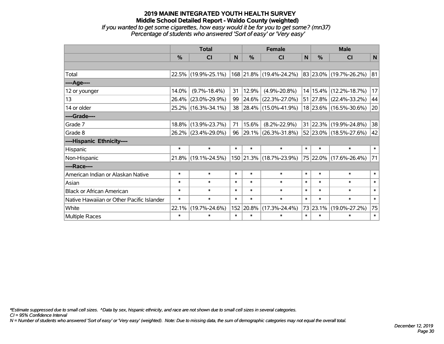#### **2019 MAINE INTEGRATED YOUTH HEALTH SURVEY Middle School Detailed Report - Waldo County (weighted)** *If you wanted to get some cigarettes, how easy would it be for you to get some? (mn37) Percentage of students who answered 'Sort of easy' or 'Very easy'*

|                                           | <b>Total</b>  |                     |        |               | <b>Female</b>           |        | <b>Male</b>   |                            |        |  |
|-------------------------------------------|---------------|---------------------|--------|---------------|-------------------------|--------|---------------|----------------------------|--------|--|
|                                           | $\frac{0}{0}$ | CI                  | N      | $\frac{0}{0}$ | CI                      | N      | $\frac{0}{0}$ | CI                         | N      |  |
|                                           |               |                     |        |               |                         |        |               |                            |        |  |
| Total                                     |               | 22.5% (19.9%-25.1%) |        |               | 168 21.8% (19.4%-24.2%) |        |               | 83 23.0% (19.7%-26.2%)     | 81     |  |
| ----Age----                               |               |                     |        |               |                         |        |               |                            |        |  |
| 12 or younger                             | 14.0%         | $(9.7\% - 18.4\%)$  | 31     | 12.9%         | $(4.9\% - 20.8\%)$      |        |               | 14   15.4%   (12.2%-18.7%) | 17     |  |
| 13                                        | 26.4%         | $(23.0\% - 29.9\%)$ | 99     |               | 24.6% (22.3%-27.0%)     |        |               | 51 27.8% (22.4%-33.2%)     | 44     |  |
| 14 or older                               |               | 25.2% (16.3%-34.1%) | 38     |               | 28.4% (15.0%-41.9%)     |        |               | 18 23.6% (16.5%-30.6%)     | 20     |  |
| ----Grade----                             |               |                     |        |               |                         |        |               |                            |        |  |
| Grade 7                                   | 18.8%         | $(13.9\% - 23.7\%)$ | 71     | 15.6%         | $(8.2\% - 22.9\%)$      |        |               | 31 22.3% (19.9%-24.8%)     | 38     |  |
| Grade 8                                   |               | 26.2% (23.4%-29.0%) | 96     |               | 29.1% (26.3%-31.8%)     |        |               | 52 23.0% (18.5%-27.6%)     | 42     |  |
| ----Hispanic Ethnicity----                |               |                     |        |               |                         |        |               |                            |        |  |
| <b>Hispanic</b>                           | $\ast$        | $\ast$              | $\ast$ | $\ast$        | $\ast$                  | $\ast$ | $\ast$        | $\ast$                     | $\ast$ |  |
| Non-Hispanic                              |               | 21.8% (19.1%-24.5%) |        |               | 150 21.3% (18.7%-23.9%) |        |               | 75 22.0% (17.6%-26.4%)     | 71     |  |
| ----Race----                              |               |                     |        |               |                         |        |               |                            |        |  |
| American Indian or Alaskan Native         | $\ast$        | $\ast$              | $\ast$ | $\ast$        | $\ast$                  | $\ast$ | $\ast$        | $\ast$                     | $\ast$ |  |
| Asian                                     | $\ast$        | $\ast$              | $\ast$ | $\ast$        | $\ast$                  | $\ast$ | $\ast$        | $\ast$                     | $\ast$ |  |
| <b>Black or African American</b>          | $\ast$        | $\ast$              | $\ast$ | $\ast$        | $\ast$                  | $\ast$ | $\ast$        | $\ast$                     | $\ast$ |  |
| Native Hawaiian or Other Pacific Islander | $\ast$        | $\ast$              | $\ast$ | $\ast$        | $\ast$                  | $\ast$ | $\ast$        | $\ast$                     | $\ast$ |  |
| White                                     | 22.1%         | $(19.7\% - 24.6\%)$ |        | 152 20.8%     | $(17.3\% - 24.4\%)$     |        | 73 23.1%      | $(19.0\% - 27.2\%)$        | 75     |  |
| Multiple Races                            | $\ast$        | $\ast$              | $\ast$ | $\ast$        | $\ast$                  | $\ast$ | $\ast$        | $\ast$                     | $\ast$ |  |

*\*Estimate suppressed due to small cell sizes. ^Data by sex, hispanic ethnicity, and race are not shown due to small cell sizes in several categories.*

*CI = 95% Confidence Interval*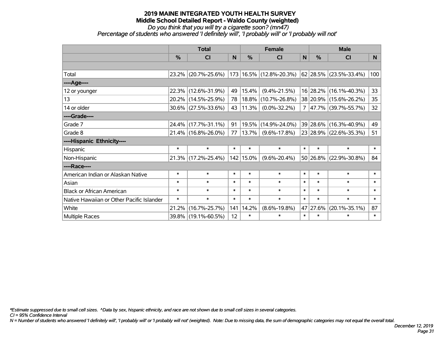## *Do you think that you will try a cigarette soon? (mn47)*

*Percentage of students who answered 'I definitely will', 'I probably will' or 'I probably will not'*

|                                           | <b>Total</b>  |                        |        |           | <b>Female</b>           |        | <b>Male</b>   |                                                              |        |  |
|-------------------------------------------|---------------|------------------------|--------|-----------|-------------------------|--------|---------------|--------------------------------------------------------------|--------|--|
|                                           | $\frac{0}{0}$ | <b>CI</b>              | N      | %         | <b>CI</b>               | N      | $\frac{0}{0}$ | <b>CI</b>                                                    | N.     |  |
|                                           |               |                        |        |           |                         |        |               |                                                              |        |  |
| Total                                     |               | 23.2% (20.7%-25.6%)    |        |           | 173 16.5% (12.8%-20.3%) |        |               | $\left  62 \right  28.5\% \left  (23.5\% - 33.4\% ) \right $ | 100    |  |
| ----Age----                               |               |                        |        |           |                         |        |               |                                                              |        |  |
| 12 or younger                             | 22.3%         | $(12.6\% - 31.9\%)$    | 49     | 15.4%     | $(9.4\% - 21.5\%)$      |        | 16 28.2%      | $(16.1\% - 40.3\%)$                                          | 33     |  |
| 13                                        | 20.2%         | $(14.5\% - 25.9\%)$    | 78     | 18.8%     | $(10.7\% - 26.8\%)$     |        |               | 38 20.9% (15.6%-26.2%)                                       | 35     |  |
| 14 or older                               |               | $30.6\%$ (27.5%-33.6%) | 43     | 11.3%     | $(0.0\% - 32.2\%)$      |        |               | $7 47.7\% $ (39.7%-55.7%)                                    | 32     |  |
| ----Grade----                             |               |                        |        |           |                         |        |               |                                                              |        |  |
| Grade 7                                   | 24.4%         | $(17.7\% - 31.1\%)$    | 91     | 19.5%     | $(14.9\% - 24.0\%)$     |        | 39 28.6%      | $(16.3\% - 40.9\%)$                                          | 49     |  |
| Grade 8                                   |               | 21.4% (16.8%-26.0%)    | 77     | 13.7%     | $(9.6\% - 17.8\%)$      |        |               | 23 28.9% (22.6%-35.3%)                                       | 51     |  |
| ----Hispanic Ethnicity----                |               |                        |        |           |                         |        |               |                                                              |        |  |
| Hispanic                                  | $\ast$        | $\ast$                 | $\ast$ | $\ast$    | $\ast$                  | $\ast$ | $\ast$        | $\ast$                                                       | $\ast$ |  |
| Non-Hispanic                              |               | 21.3% (17.2%-25.4%)    |        | 142 15.0% | $(9.6\% - 20.4\%)$      |        | 50 26.8%      | $(22.9\% - 30.8\%)$                                          | 84     |  |
| ----Race----                              |               |                        |        |           |                         |        |               |                                                              |        |  |
| American Indian or Alaskan Native         | $\ast$        | $\ast$                 | $\ast$ | $\ast$    | $\ast$                  | $\ast$ | $\ast$        | $\ast$                                                       | $\ast$ |  |
| Asian                                     | $\ast$        | $\ast$                 | $\ast$ | $\ast$    | $\ast$                  | $\ast$ | $\ast$        | $\ast$                                                       | $\ast$ |  |
| <b>Black or African American</b>          | $\ast$        | $\ast$                 | $\ast$ | $\ast$    | $\ast$                  | $\ast$ | $\ast$        | $\ast$                                                       | $\ast$ |  |
| Native Hawaiian or Other Pacific Islander | $\ast$        | $\ast$                 | $\ast$ | $\ast$    | $\ast$                  | $\ast$ | $\ast$        | $\ast$                                                       | $\ast$ |  |
| White                                     | 21.2%         | $(16.7\% - 25.7\%)$    | 141    | 14.2%     | $(8.6\% - 19.8\%)$      |        | 47 27.6%      | $(20.1\% - 35.1\%)$                                          | 87     |  |
| <b>Multiple Races</b>                     | 39.8%         | $(19.1\% - 60.5\%)$    | 12     | $\ast$    | $\ast$                  | $\ast$ | $\ast$        | $\ast$                                                       | $\ast$ |  |

*\*Estimate suppressed due to small cell sizes. ^Data by sex, hispanic ethnicity, and race are not shown due to small cell sizes in several categories.*

*CI = 95% Confidence Interval*

*N = Number of students who answered 'I definitely will', 'I probably will' or 'I probably will not' (weighted). Note: Due to missing data, the sum of demographic categories may not equal the overall total.*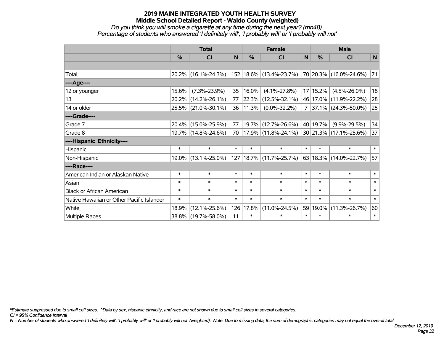#### *Do you think you will smoke a cigarette at any time during the next year? (mn48) Percentage of students who answered 'I definitely will', 'I probably will' or 'I probably will not'*

|                                           | <b>Total</b>  |                        |        |               | <b>Female</b>            |              | <b>Male</b> |                             |        |  |
|-------------------------------------------|---------------|------------------------|--------|---------------|--------------------------|--------------|-------------|-----------------------------|--------|--|
|                                           | $\frac{0}{0}$ | <b>CI</b>              | N      | $\frac{0}{0}$ | <b>CI</b>                | $\mathsf{N}$ | $\%$        | <b>CI</b>                   | N      |  |
|                                           |               |                        |        |               |                          |              |             |                             |        |  |
| Total                                     |               | $20.2\%$ (16.1%-24.3%) |        |               | 152 18.6% (13.4%-23.7%)  |              |             | 70 20.3% (16.0%-24.6%)      | 71     |  |
| ----Age----                               |               |                        |        |               |                          |              |             |                             |        |  |
| 12 or younger                             | 15.6%         | $(7.3\% - 23.9\%)$     | 35     | 16.0%         | $(4.1\% - 27.8\%)$       |              | 17 15.2%    | $(4.5\% - 26.0\%)$          | 18     |  |
| 13                                        |               | 20.2% (14.2%-26.1%)    | 77     |               | 22.3% (12.5%-32.1%)      |              |             | 46 17.0% (11.9%-22.2%)      | 28     |  |
| 14 or older                               |               | 25.5% (21.0%-30.1%)    | 36     | 11.3%         | $(0.0\% - 32.2\%)$       |              |             | 7 37.1% $(24.3\% - 50.0\%)$ | 25     |  |
| ----Grade----                             |               |                        |        |               |                          |              |             |                             |        |  |
| Grade 7                                   | 20.4%         | $(15.0\% - 25.9\%)$    | 77     |               | 19.7% (12.7%-26.6%)      |              | 40 19.7%    | $(9.9\% - 29.5\%)$          | 34     |  |
| Grade 8                                   |               | 19.7% (14.8%-24.6%)    | 70     |               | 17.9%  (11.8%-24.1%)     |              |             | 30 21.3% (17.1%-25.6%)      | 37     |  |
| ----Hispanic Ethnicity----                |               |                        |        |               |                          |              |             |                             |        |  |
| Hispanic                                  | $\ast$        | $\ast$                 | $\ast$ | $\ast$        | $\ast$                   | $\ast$       | $\ast$      | $\ast$                      | $\ast$ |  |
| Non-Hispanic                              |               | 19.0% (13.1%-25.0%)    | 127    |               | $ 18.7\% $ (11.7%-25.7%) |              |             | 63 18.3% (14.0%-22.7%)      | 57     |  |
| ----Race----                              |               |                        |        |               |                          |              |             |                             |        |  |
| American Indian or Alaskan Native         | $\ast$        | $\ast$                 | $\ast$ | $\ast$        | $\ast$                   | $\ast$       | $\ast$      | $\ast$                      | $\ast$ |  |
| Asian                                     | $\ast$        | $\ast$                 | $\ast$ | $\ast$        | $\ast$                   | $\ast$       | $\ast$      | $\ast$                      | $\ast$ |  |
| <b>Black or African American</b>          | $\ast$        | $\ast$                 | $\ast$ | $\ast$        | $\ast$                   | $\ast$       | $\ast$      | $\ast$                      | $\ast$ |  |
| Native Hawaiian or Other Pacific Islander | $\ast$        | $\ast$                 | $\ast$ | $\ast$        | $\ast$                   | $\ast$       | $\ast$      | $\ast$                      | $\ast$ |  |
| White                                     | 18.9%         | $(12.1\% - 25.6\%)$    | 126    | 17.8%         | $(11.0\% - 24.5\%)$      |              | 59 19.0%    | $(11.3\% - 26.7\%)$         | 60     |  |
| Multiple Races                            |               | 38.8% (19.7%-58.0%)    | 11     | $\ast$        | $\ast$                   | $\ast$       | $\ast$      | $\ast$                      | $\ast$ |  |

*\*Estimate suppressed due to small cell sizes. ^Data by sex, hispanic ethnicity, and race are not shown due to small cell sizes in several categories.*

*CI = 95% Confidence Interval*

*N = Number of students who answered 'I definitely will', 'I probably will' or 'I probably will not' (weighted). Note: Due to missing data, the sum of demographic categories may not equal the overall total.*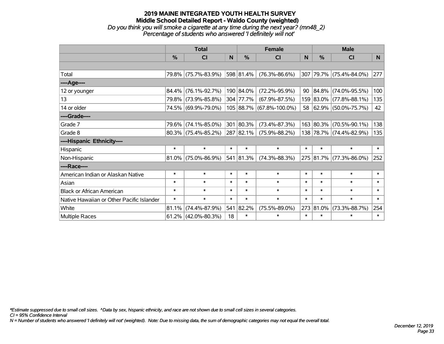#### **2019 MAINE INTEGRATED YOUTH HEALTH SURVEY Middle School Detailed Report - Waldo County (weighted)** *Do you think you will smoke a cigarette at any time during the next year? (mn48\_2) Percentage of students who answered 'I definitely will not'*

|                                           | <b>Total</b>  |                        |        |               | <b>Female</b>            |        | <b>Male</b>   |                         |        |  |
|-------------------------------------------|---------------|------------------------|--------|---------------|--------------------------|--------|---------------|-------------------------|--------|--|
|                                           | $\frac{0}{0}$ | <b>CI</b>              | N      | $\frac{0}{0}$ | <b>CI</b>                | N      | $\frac{0}{0}$ | <b>CI</b>               | N.     |  |
|                                           |               |                        |        |               |                          |        |               |                         |        |  |
| Total                                     |               | 79.8% (75.7%-83.9%)    |        | 598 81.4%     | $(76.3\% - 86.6\%)$      |        |               | 307 79.7% (75.4%-84.0%) | 277    |  |
| ----Age----                               |               |                        |        |               |                          |        |               |                         |        |  |
| 12 or younger                             | 84.4%         | $(76.1\% - 92.7\%)$    |        | 190 84.0%     | $(72.2\% - 95.9\%)$      | 90     |               | 84.8% (74.0%-95.5%)     | 100    |  |
| 13                                        |               | 79.8% (73.9%-85.8%)    |        | 304 77.7%     | $(67.9\% - 87.5\%)$      |        |               | 159 83.0% (77.8%-88.1%) | 135    |  |
| 14 or older                               |               | 74.5% (69.9%-79.0%)    |        |               | 105 88.7% (67.8%-100.0%) |        |               | 58 62.9% (50.0%-75.7%)  | 42     |  |
| ----Grade----                             |               |                        |        |               |                          |        |               |                         |        |  |
| Grade 7                                   |               | 79.6% (74.1%-85.0%)    |        | 301 80.3%     | $(73.4\% - 87.3\%)$      |        |               | 163 80.3% (70.5%-90.1%) | 138    |  |
| Grade 8                                   |               | $80.3\%$ (75.4%-85.2%) |        |               | 287 82.1% (75.9%-88.2%)  |        |               | 138 78.7% (74.4%-82.9%) | 135    |  |
| ----Hispanic Ethnicity----                |               |                        |        |               |                          |        |               |                         |        |  |
| Hispanic                                  | $\ast$        | $\ast$                 | $\ast$ | $\ast$        | $\ast$                   | $\ast$ | $\ast$        | $\ast$                  | $\ast$ |  |
| Non-Hispanic                              |               | $81.0\%$ (75.0%-86.9%) |        | 541 81.3%     | $(74.3\% - 88.3\%)$      |        |               | 275 81.7% (77.3%-86.0%) | 252    |  |
| ----Race----                              |               |                        |        |               |                          |        |               |                         |        |  |
| American Indian or Alaskan Native         | $\ast$        | $\ast$                 | $\ast$ | $\ast$        | $\ast$                   | $\ast$ | $\ast$        | $\ast$                  | $\ast$ |  |
| Asian                                     | $\ast$        | $\ast$                 | $\ast$ | $\ast$        | $\ast$                   | $\ast$ | $\ast$        | $\ast$                  | $\ast$ |  |
| <b>Black or African American</b>          | $\ast$        | $\ast$                 | $\ast$ | $\ast$        | $\ast$                   | $\ast$ | $\ast$        | $\ast$                  | $\ast$ |  |
| Native Hawaiian or Other Pacific Islander | $\ast$        | $\ast$                 | $\ast$ | $\ast$        | $\ast$                   | $\ast$ | $\ast$        | $\ast$                  | $\ast$ |  |
| White                                     | 81.1%         | $(74.4\% - 87.9\%)$    |        | 541 82.2%     | $(75.5\% - 89.0\%)$      |        | 273 81.0%     | $(73.3\% - 88.7\%)$     | 254    |  |
| Multiple Races                            |               | $61.2\%$ (42.0%-80.3%) | 18     | $\ast$        | $\ast$                   | $\ast$ | $\ast$        | $\ast$                  | $\ast$ |  |

*\*Estimate suppressed due to small cell sizes. ^Data by sex, hispanic ethnicity, and race are not shown due to small cell sizes in several categories.*

*CI = 95% Confidence Interval*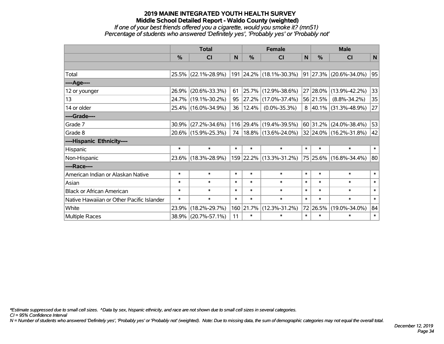#### **2019 MAINE INTEGRATED YOUTH HEALTH SURVEY Middle School Detailed Report - Waldo County (weighted)** *If one of your best friends offered you a cigarette, would you smoke it? (mn51) Percentage of students who answered 'Definitely yes', 'Probably yes' or 'Probably not'*

|                                           | <b>Total</b>  |                     |        |               | <b>Female</b>            |        | <b>Male</b>   |                           |                 |
|-------------------------------------------|---------------|---------------------|--------|---------------|--------------------------|--------|---------------|---------------------------|-----------------|
|                                           | $\frac{0}{0}$ | CI                  | N      | $\frac{0}{0}$ | CI                       | N      | $\frac{0}{0}$ | <b>CI</b>                 | N               |
|                                           |               |                     |        |               |                          |        |               |                           |                 |
| Total                                     |               | 25.5% (22.1%-28.9%) | 191    |               | $ 24.2\% $ (18.1%-30.3%) |        |               | $91$  27.3% (20.6%-34.0%) | 95              |
| ----Age----                               |               |                     |        |               |                          |        |               |                           |                 |
| 12 or younger                             | 26.9%         | $(20.6\% - 33.3\%)$ | 61     |               | 25.7% (12.9%-38.6%)      |        |               | 27 28.0% (13.9%-42.2%)    | 33              |
| 13                                        |               | 24.7% (19.1%-30.2%) | 95     |               | 27.2% (17.0%-37.4%)      |        | 56 21.5%      | $(8.8\% - 34.2\%)$        | 35              |
| 14 or older                               |               | 25.4% (16.0%-34.9%) | 36     | $12.4\%$      | $(0.0\% - 35.3\%)$       |        |               | $8 40.1\% $ (31.3%-48.9%) | 27              |
| ----Grade----                             |               |                     |        |               |                          |        |               |                           |                 |
| Grade 7                                   | 30.9%         | $(27.2\% - 34.6\%)$ |        |               | 116 29.4% (19.4%-39.5%)  |        |               | 60 31.2% (24.0%-38.4%)    | 53              |
| Grade 8                                   |               | 20.6% (15.9%-25.3%) | 74     |               | $ 18.8\% $ (13.6%-24.0%) |        |               | 32 24.0% (16.2%-31.8%)    | 42              |
| ----Hispanic Ethnicity----                |               |                     |        |               |                          |        |               |                           |                 |
| Hispanic                                  | $\ast$        | $\ast$              | $\ast$ | $\ast$        | $\ast$                   | $\ast$ | $\ast$        | $\ast$                    | $\ast$          |
| Non-Hispanic                              |               | 23.6% (18.3%-28.9%) |        |               | 159 22.2% (13.3%-31.2%)  |        |               | 75 25.6% (16.8%-34.4%)    | 80 <sup>°</sup> |
| ----Race----                              |               |                     |        |               |                          |        |               |                           |                 |
| American Indian or Alaskan Native         | $\ast$        | $\ast$              | $\ast$ | $\ast$        | $\ast$                   | $\ast$ | $\ast$        | $\ast$                    | $\ast$          |
| Asian                                     | $\ast$        | $\ast$              | $\ast$ | $\ast$        | $\ast$                   | $\ast$ | $\ast$        | $\ast$                    | $\ast$          |
| <b>Black or African American</b>          | $\ast$        | $\ast$              | $\ast$ | $\ast$        | $\ast$                   | $\ast$ | $\ast$        | $\ast$                    | $\ast$          |
| Native Hawaiian or Other Pacific Islander | $\ast$        | $\ast$              | $\ast$ | $\ast$        | $\ast$                   | $\ast$ | $\ast$        | $\ast$                    | $\ast$          |
| White                                     | 23.9%         | $(18.2\% - 29.7\%)$ |        | 160 21.7%     | $(12.3\% - 31.2\%)$      |        | 72 26.5%      | $(19.0\% - 34.0\%)$       | 84              |
| Multiple Races                            | 38.9%         | $(20.7\% - 57.1\%)$ | 11     | $\ast$        | $\ast$                   | $\ast$ | $\ast$        | $\ast$                    | $\ast$          |

*\*Estimate suppressed due to small cell sizes. ^Data by sex, hispanic ethnicity, and race are not shown due to small cell sizes in several categories.*

*CI = 95% Confidence Interval*

*N = Number of students who answered 'Definitely yes', 'Probably yes' or 'Probably not' (weighted). Note: Due to missing data, the sum of demographic categories may not equal the overall total.*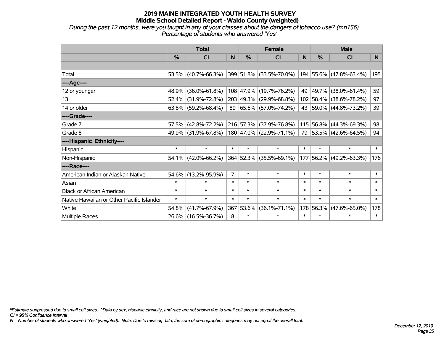*During the past 12 months, were you taught in any of your classes about the dangers of tobacco use? (mn156) Percentage of students who answered 'Yes'*

|                                           | <b>Total</b>  |                        |                |               | <b>Female</b>                |              | <b>Male</b> |                         |        |  |
|-------------------------------------------|---------------|------------------------|----------------|---------------|------------------------------|--------------|-------------|-------------------------|--------|--|
|                                           | $\frac{0}{0}$ | <b>CI</b>              | N              | $\frac{9}{6}$ | <b>CI</b>                    | <sub>N</sub> | %           | CI                      | N      |  |
|                                           |               |                        |                |               |                              |              |             |                         |        |  |
| Total                                     |               | 53.5% (40.7%-66.3%)    |                |               | $ 399 51.8\% $ (33.5%-70.0%) |              |             | 194 55.6% (47.8%-63.4%) | 195    |  |
| ----Age----                               |               |                        |                |               |                              |              |             |                         |        |  |
| 12 or younger                             | 48.9%         | $(36.0\% - 61.8\%)$    |                |               | 108 47.9% (19.7%-76.2%)      | 49           | 49.7%       | $(38.0\% - 61.4\%)$     | 59     |  |
| 13                                        | 52.4%         | $(31.9\% - 72.8\%)$    |                |               | 203 49.3% (29.9%-68.8%)      |              |             | 102 58.4% (38.6%-78.2%) | 97     |  |
| 14 or older                               |               | $63.8\%$ (59.2%-68.4%) |                |               | 89 65.6% (57.0%-74.2%)       |              |             | 43 59.0% (44.8%-73.2%)  | 39     |  |
| ----Grade----                             |               |                        |                |               |                              |              |             |                         |        |  |
| Grade 7                                   | 57.5%         | $(42.8\% - 72.2\%)$    |                |               | 216 57.3% (37.9%-76.8%)      |              | 115 56.8%   | $(44.3\% - 69.3\%)$     | 98     |  |
| Grade 8                                   |               | 49.9% (31.9%-67.8%)    |                |               | $180 47.0\% $ (22.9%-71.1%)  |              |             | 79 53.5% (42.6%-64.5%)  | 94     |  |
| ----Hispanic Ethnicity----                |               |                        |                |               |                              |              |             |                         |        |  |
| Hispanic                                  | $\ast$        | $\ast$                 | $\ast$         | $\ast$        | $\ast$                       | $\ast$       | $\ast$      | $\ast$                  | $\ast$ |  |
| Non-Hispanic                              | 54.1%         | $(42.0\% - 66.2\%)$    |                |               | 364 52.3% (35.5%-69.1%)      |              | 177 56.2%   | $(49.2\% - 63.3\%)$     | 176    |  |
| ----Race----                              |               |                        |                |               |                              |              |             |                         |        |  |
| American Indian or Alaskan Native         | 54.6%         | $(13.2\% - 95.9\%)$    | $\overline{7}$ | $\ast$        | $\ast$                       | $\ast$       | $\ast$      | $\ast$                  | $\ast$ |  |
| Asian                                     | $\ast$        | $\ast$                 | $\ast$         | $\ast$        | $\ast$                       | $\ast$       | $\ast$      | $\ast$                  | $\ast$ |  |
| <b>Black or African American</b>          | $\ast$        | $\ast$                 | $\ast$         | $\ast$        | $\ast$                       | $\ast$       | $\ast$      | $\ast$                  | $\ast$ |  |
| Native Hawaiian or Other Pacific Islander | $\ast$        | $\ast$                 | $\ast$         | $\ast$        | $\ast$                       | $\ast$       | $\ast$      | $\ast$                  | $\ast$ |  |
| White                                     | 54.8%         | $(41.7\% - 67.9\%)$    |                | 367 53.6%     | $(36.1\% - 71.1\%)$          |              | 178 56.3%   | $(47.6\% - 65.0\%)$     | 178    |  |
| Multiple Races                            |               | 26.6% (16.5%-36.7%)    | 8              | $\ast$        | $\ast$                       | $\ast$       | $\ast$      | $\ast$                  | $\ast$ |  |

*\*Estimate suppressed due to small cell sizes. ^Data by sex, hispanic ethnicity, and race are not shown due to small cell sizes in several categories.*

*CI = 95% Confidence Interval*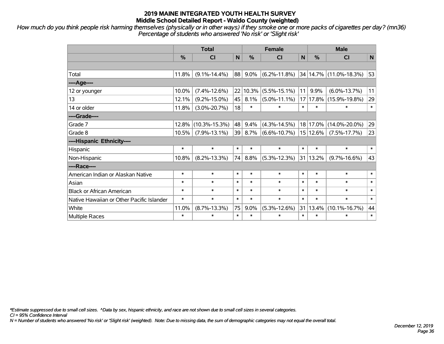*How much do you think people risk harming themselves (physically or in other ways) if they smoke one or more packs of cigarettes per day? (mn36) Percentage of students who answered 'No risk' or 'Slight risk'*

|                                           | <b>Total</b>  |                     |              |        | <b>Female</b>                  |              | <b>Male</b> |                             |        |  |
|-------------------------------------------|---------------|---------------------|--------------|--------|--------------------------------|--------------|-------------|-----------------------------|--------|--|
|                                           | $\frac{0}{0}$ | <b>CI</b>           | $\mathsf{N}$ | %      | <b>CI</b>                      | $\mathsf{N}$ | %           | <b>CI</b>                   | N      |  |
|                                           |               |                     |              |        |                                |              |             |                             |        |  |
| Total                                     | 11.8%         | $(9.1\% - 14.4\%)$  | 88           | 9.0%   | $(6.2\% - 11.8\%)$             |              |             | $ 34 14.7\% $ (11.0%-18.3%) | 53     |  |
| ----Age----                               |               |                     |              |        |                                |              |             |                             |        |  |
| 12 or younger                             | 10.0%         | $(7.4\% - 12.6\%)$  | 22           | 10.3%  | $(5.5\% - 15.1\%)$             | 11           | 9.9%        | $(6.0\% - 13.7\%)$          | 11     |  |
| 13                                        | 12.1%         | $(9.2\% - 15.0\%)$  | 45           | 8.1%   | $(5.0\% - 11.1\%)$             |              | 17 17.8%    | $(15.9\% - 19.8\%)$         | 29     |  |
| 14 or older                               | 11.8%         | $(3.0\% - 20.7\%)$  | 18           | $\ast$ | $\ast$                         | $\ast$       | $\ast$      | $\ast$                      | $\ast$ |  |
| ----Grade----                             |               |                     |              |        |                                |              |             |                             |        |  |
| Grade 7                                   | 12.8%         | $(10.3\% - 15.3\%)$ | 48           | 9.4%   | $(4.3\% - 14.5\%)$             |              | 18 17.0%    | $(14.0\% - 20.0\%)$         | 29     |  |
| Grade 8                                   | 10.5%         | $(7.9\% - 13.1\%)$  | 39           | 8.7%   | $ (6.6\% - 10.7\%) 15 12.6\% $ |              |             | $(7.5\% - 17.7\%)$          | 23     |  |
| ----Hispanic Ethnicity----                |               |                     |              |        |                                |              |             |                             |        |  |
| Hispanic                                  | $\ast$        | $\ast$              | $\ast$       | $\ast$ | $\ast$                         | $\ast$       | $\ast$      | $\ast$                      | $\ast$ |  |
| Non-Hispanic                              | 10.8%         | $(8.2\% - 13.3\%)$  | 74           | 8.8%   | $(5.3\% - 12.3\%)$             |              | 31 13.2%    | $(9.7\% - 16.6\%)$          | 43     |  |
| ----Race----                              |               |                     |              |        |                                |              |             |                             |        |  |
| American Indian or Alaskan Native         | $\ast$        | $\ast$              | $\ast$       | $\ast$ | $\ast$                         | $\ast$       | $\ast$      | $\ast$                      | $\ast$ |  |
| Asian                                     | $\ast$        | $\ast$              | $\ast$       | $\ast$ | $\ast$                         | $\ast$       | $\ast$      | $\ast$                      | $\ast$ |  |
| <b>Black or African American</b>          | $\ast$        | $\ast$              | $\ast$       | $\ast$ | $\ast$                         | $\ast$       | $\ast$      | $\ast$                      | $\ast$ |  |
| Native Hawaiian or Other Pacific Islander | $\ast$        | $\ast$              | $\ast$       | $\ast$ | $\ast$                         | $\ast$       | $\ast$      | $\ast$                      | $\ast$ |  |
| White                                     | 11.0%         | $(8.7\% - 13.3\%)$  | 75           | 9.0%   | $(5.3\% - 12.6\%)$             | 31           | 13.4%       | $(10.1\% - 16.7\%)$         | 44     |  |
| Multiple Races                            | $\ast$        | $\ast$              | $\ast$       | $\ast$ | $\ast$                         | $\ast$       | $\ast$      | $\ast$                      | $\ast$ |  |

*\*Estimate suppressed due to small cell sizes. ^Data by sex, hispanic ethnicity, and race are not shown due to small cell sizes in several categories.*

*CI = 95% Confidence Interval*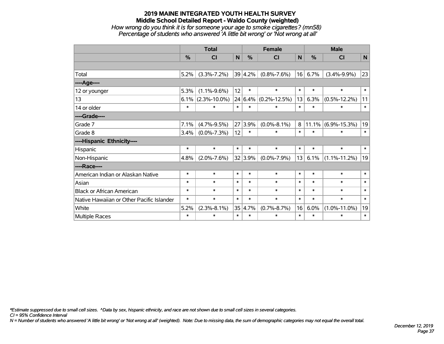# **2019 MAINE INTEGRATED YOUTH HEALTH SURVEY Middle School Detailed Report - Waldo County (weighted)** *How wrong do you think it is for someone your age to smoke cigarettes? (mn58) Percentage of students who answered 'A little bit wrong' or 'Not wrong at all'*

|                                           |               | <b>Total</b>       |        |               | <b>Female</b>      |        | <b>Male</b> |                    |              |  |
|-------------------------------------------|---------------|--------------------|--------|---------------|--------------------|--------|-------------|--------------------|--------------|--|
|                                           | $\frac{0}{0}$ | CI                 | N      | $\frac{0}{0}$ | <b>CI</b>          | N      | %           | <b>CI</b>          | N            |  |
|                                           |               |                    |        |               |                    |        |             |                    |              |  |
| Total                                     | 5.2%          | $(3.3\% - 7.2\%)$  |        | 39 4.2%       | $(0.8\% - 7.6\%)$  | 16     | 6.7%        | $(3.4\% - 9.9\%)$  | 23           |  |
| ----Age----                               |               |                    |        |               |                    |        |             |                    |              |  |
| 12 or younger                             | 5.3%          | $(1.1\% - 9.6\%)$  | 12     | $\ast$        | $\ast$             | $\ast$ | $\ast$      | $\ast$             | $\ast$       |  |
| 13                                        | 6.1%          | $(2.3\% - 10.0\%)$ |        | 24 6.4%       | $(0.2\% - 12.5\%)$ | 13     | 6.3%        | $(0.5\% - 12.2\%)$ | 11           |  |
| 14 or older                               | $\ast$        | $\ast$             | $\ast$ | $\ast$        | $\ast$             | $\ast$ | $\ast$      | $\ast$             | $\pmb{\ast}$ |  |
| ----Grade----                             |               |                    |        |               |                    |        |             |                    |              |  |
| Grade 7                                   | 7.1%          | $(4.7\% - 9.5\%)$  |        | 27 3.9%       | $(0.0\% - 8.1\%)$  | 8      | 11.1%       | $(6.9\% - 15.3\%)$ | 19           |  |
| Grade 8                                   | 3.4%          | $(0.0\% - 7.3\%)$  | 12     | $\ast$        | $\ast$             | $\ast$ | $\ast$      | $\ast$             | $\ast$       |  |
| ----Hispanic Ethnicity----                |               |                    |        |               |                    |        |             |                    |              |  |
| Hispanic                                  | $\ast$        | $\ast$             | $\ast$ | $\ast$        | $\ast$             | $\ast$ | $\ast$      | $\ast$             | $\ast$       |  |
| Non-Hispanic                              | 4.8%          | $(2.0\% - 7.6\%)$  |        | 32 3.9%       | $(0.0\% - 7.9\%)$  | 13     | 6.1%        | $(1.1\% - 11.2\%)$ | 19           |  |
| ----Race----                              |               |                    |        |               |                    |        |             |                    |              |  |
| American Indian or Alaskan Native         | $\ast$        | $\ast$             | $\ast$ | $\ast$        | $\ast$             | $\ast$ | $\ast$      | $\ast$             | $\ast$       |  |
| Asian                                     | $\ast$        | $\ast$             | $\ast$ | $\ast$        | $\ast$             | $\ast$ | $\ast$      | $\ast$             | $\ast$       |  |
| <b>Black or African American</b>          | $\ast$        | $\ast$             | $\ast$ | $\ast$        | $\ast$             | $\ast$ | $\ast$      | $\ast$             | $\ast$       |  |
| Native Hawaiian or Other Pacific Islander | $\ast$        | $\ast$             | $\ast$ | $\ast$        | $\ast$             | $\ast$ | $\ast$      | $\ast$             | $\ast$       |  |
| White                                     | 5.2%          | $(2.3\% - 8.1\%)$  | 35     | 4.7%          | $(0.7\% - 8.7\%)$  | 16     | 6.0%        | $(1.0\% - 11.0\%)$ | 19           |  |
| Multiple Races                            | $\ast$        | $\ast$             | $\ast$ | $\ast$        | $\ast$             | $\ast$ | $\ast$      | $\ast$             | $\ast$       |  |

*\*Estimate suppressed due to small cell sizes. ^Data by sex, hispanic ethnicity, and race are not shown due to small cell sizes in several categories.*

*CI = 95% Confidence Interval*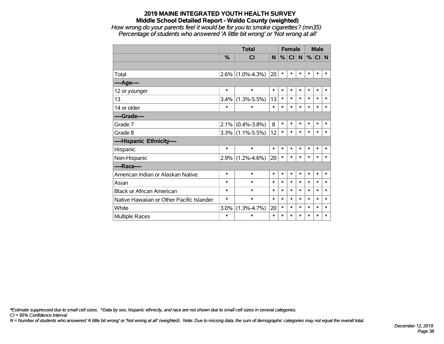*How wrong do your parents feel it would be for you to smoke cigarettes? (mn35) Percentage of students who answered 'A little bit wrong' or 'Not wrong at all'*

|                                           |               | <b>Total</b>        | <b>Female</b> |        |           |        |        | <b>Male</b> |        |
|-------------------------------------------|---------------|---------------------|---------------|--------|-----------|--------|--------|-------------|--------|
|                                           | $\frac{0}{0}$ | <b>CI</b>           | <b>N</b>      | %      | <b>CI</b> | N      |        | $%$ CI N    |        |
|                                           |               |                     |               |        |           |        |        |             |        |
| Total                                     | $2.6\%$       | $(1.0\% - 4.3\%)$   | 20            | $\ast$ | $\ast$    | $\ast$ | $\ast$ | $\ast$      | $\ast$ |
| ----Age----                               |               |                     |               |        |           |        |        |             |        |
| 12 or younger                             | $\ast$        | $\ast$              | $\ast$        | $\ast$ | $\ast$    | $\ast$ | $\ast$ | $\ast$      | $\ast$ |
| 13                                        | 3.4%          | $(1.3\% - 5.5\%)$   | 13            | $\ast$ | $\ast$    | $\ast$ | $\ast$ | $\ast$      | $\ast$ |
| 14 or older                               | $\ast$        | $\ast$              | $\ast$        | $\ast$ | *         | $\ast$ | $\ast$ | $\ast$      | $\ast$ |
| ----Grade----                             |               |                     |               |        |           |        |        |             |        |
| Grade 7                                   | 2.1%          | $(0.4\% - 3.8\%)$   | 8             | $\ast$ | $\ast$    | $\ast$ | $\ast$ | $\ast$      | $\ast$ |
| Grade 8                                   |               | $3.3\%$ (1.1%-5.5%) | 12            | $\ast$ | $\ast$    | $\ast$ | $\ast$ | $\ast$      | $\ast$ |
| ----Hispanic Ethnicity----                |               |                     |               |        |           |        |        |             |        |
| Hispanic                                  | $\ast$        | $\ast$              | $\ast$        | $\ast$ | *         | $\ast$ | $\ast$ | $\ast$      | *      |
| Non-Hispanic                              | 2.9%          | $(1.2\% - 4.6\%)$   | 20            | $\ast$ | *         | $\ast$ | $\ast$ | $\ast$      | *      |
| ----Race----                              |               |                     |               |        |           |        |        |             |        |
| American Indian or Alaskan Native         | $\ast$        | $\ast$              | $\ast$        | $\ast$ | *         | $\ast$ | $\ast$ | $\ast$      | $\ast$ |
| Asian                                     | $\ast$        | $\ast$              | $\ast$        | $\ast$ | $\ast$    | $\ast$ | $\ast$ | $\ast$      | $\ast$ |
| <b>Black or African American</b>          | $\ast$        | $\ast$              | $\ast$        | $\ast$ | $\ast$    | $\ast$ | $\ast$ | $\ast$      | $\ast$ |
| Native Hawaiian or Other Pacific Islander | $\ast$        | $\ast$              | $\ast$        | $\ast$ | $\ast$    | $\ast$ | $\ast$ | $\ast$      | $\ast$ |
| White                                     | 3.0%          | $(1.3\% - 4.7\%)$   | 20            | $\ast$ | $\ast$    | $\ast$ | $\ast$ | $\ast$      | $\ast$ |
| <b>Multiple Races</b>                     | $\ast$        | $\ast$              | $\ast$        | $\ast$ | $\ast$    | $\ast$ | $\ast$ | $\ast$      | $\ast$ |

*\*Estimate suppressed due to small cell sizes. ^Data by sex, hispanic ethnicity, and race are not shown due to small cell sizes in several categories.*

*CI = 95% Confidence Interval*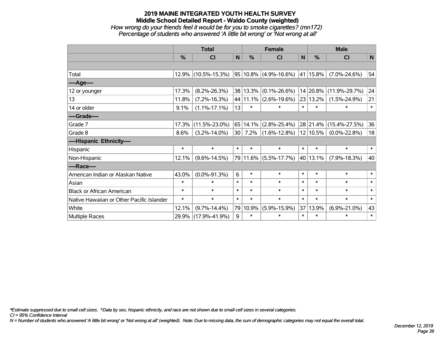## **2019 MAINE INTEGRATED YOUTH HEALTH SURVEY Middle School Detailed Report - Waldo County (weighted)** *How wrong do your friends feel it would be for you to smoke cigarettes? (mn172) Percentage of students who answered 'A little bit wrong' or 'Not wrong at all'*

|                                           |        | <b>Total</b>        |              |            | <b>Female</b>              |        |          | <b>Male</b>            |        |
|-------------------------------------------|--------|---------------------|--------------|------------|----------------------------|--------|----------|------------------------|--------|
|                                           | $\%$   | <b>CI</b>           | $\mathsf{N}$ | %          | <b>CI</b>                  | N      | %        | <b>CI</b>              | N      |
|                                           |        |                     |              |            |                            |        |          |                        |        |
| Total                                     | 12.9%  | $(10.5\% - 15.3\%)$ |              |            | $ 95 10.8\% $ (4.9%-16.6%) |        | 41 15.8% | $(7.0\% - 24.6\%)$     | 54     |
| ----Age----                               |        |                     |              |            |                            |        |          |                        |        |
| 12 or younger                             | 17.3%  | $(8.2\% - 26.3\%)$  |              |            | 38 13.3% (0.1%-26.6%)      |        | 14 20.8% | $(11.9\% - 29.7\%)$    | 24     |
| 13                                        | 11.8%  | $(7.2\% - 16.3\%)$  |              |            | 44 11.1% (2.6%-19.6%)      |        | 23 13.2% | $(1.5\% - 24.9\%)$     | 21     |
| 14 or older                               | 9.1%   | $(1.1\% - 17.1\%)$  | 13           | $\ast$     | $\ast$                     | $\ast$ | $\ast$   | $\ast$                 | $\ast$ |
| ----Grade----                             |        |                     |              |            |                            |        |          |                        |        |
| Grade 7                                   | 17.3%  | $(11.5\% - 23.0\%)$ |              | 65   14.1% | $(2.8\% - 25.4\%)$         |        |          | 28 21.4% (15.4%-27.5%) | 36     |
| Grade 8                                   | 8.6%   | $(3.2\% - 14.0\%)$  |              | 30 7.2%    | $(1.6\% - 12.8\%)$         |        | 12 10.5% | $(0.0\% - 22.8\%)$     | 18     |
| ----Hispanic Ethnicity----                |        |                     |              |            |                            |        |          |                        |        |
| Hispanic                                  | $\ast$ | $\ast$              | $\ast$       | $\ast$     | $\ast$                     | $\ast$ | $\ast$   | $\ast$                 | $\ast$ |
| Non-Hispanic                              | 12.1%  | $(9.6\% - 14.5\%)$  |              |            | 79 11.6% (5.5%-17.7%)      |        | 40 13.1% | $(7.9\% - 18.3\%)$     | 40     |
| ----Race----                              |        |                     |              |            |                            |        |          |                        |        |
| American Indian or Alaskan Native         | 43.0%  | $(0.0\% - 91.3\%)$  | 6            | $\ast$     | $\ast$                     | $\ast$ | $\ast$   | $\ast$                 | $\ast$ |
| Asian                                     | $\ast$ | $\ast$              | $\ast$       | $\ast$     | $\ast$                     | $\ast$ | $\ast$   | $\ast$                 | $\ast$ |
| <b>Black or African American</b>          | $\ast$ | $\ast$              | $\ast$       | $\ast$     | $\ast$                     | $\ast$ | $\ast$   | $\ast$                 | $\ast$ |
| Native Hawaiian or Other Pacific Islander | $\ast$ | $\ast$              | $\ast$       | $\ast$     | $\ast$                     | $\ast$ | $\ast$   | $\ast$                 | $\ast$ |
| White                                     | 12.1%  | $(9.7\% - 14.4\%)$  | 79           | 10.9%      | $(5.9\% - 15.9\%)$         |        | 37 13.9% | $(6.9\% - 21.0\%)$     | 43     |
| <b>Multiple Races</b>                     | 29.9%  | $(17.9\% - 41.9\%)$ | 9            | $\ast$     | $\ast$                     | $\ast$ | $\ast$   | $\ast$                 | $\ast$ |

*\*Estimate suppressed due to small cell sizes. ^Data by sex, hispanic ethnicity, and race are not shown due to small cell sizes in several categories.*

*CI = 95% Confidence Interval*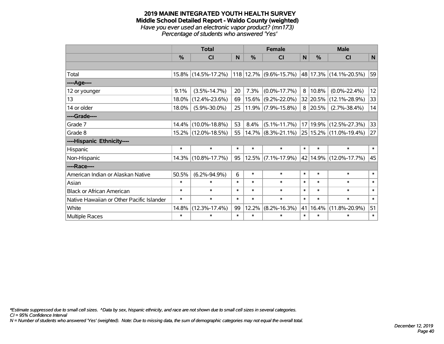#### **2019 MAINE INTEGRATED YOUTH HEALTH SURVEY Middle School Detailed Report - Waldo County (weighted)** *Have you ever used an electronic vapor product? (mn173) Percentage of students who answered 'Yes'*

|                                           |          | <b>Total</b>        |        |               | <b>Female</b>                |                 |               | <b>Male</b>            |        |
|-------------------------------------------|----------|---------------------|--------|---------------|------------------------------|-----------------|---------------|------------------------|--------|
|                                           | %        | <b>CI</b>           | N      | $\frac{0}{0}$ | <b>CI</b>                    | N               | $\frac{0}{0}$ | <b>CI</b>              | N      |
|                                           |          |                     |        |               |                              |                 |               |                        |        |
| Total                                     |          | 15.8% (14.5%-17.2%) |        |               | $118$   12.7%   (9.6%-15.7%) |                 |               | 48 17.3% (14.1%-20.5%) | 59     |
| ----Age----                               |          |                     |        |               |                              |                 |               |                        |        |
| 12 or younger                             | 9.1%     | $(3.5\% - 14.7\%)$  | 20     | 7.3%          | $(0.0\% - 17.7\%)$           | 8               | 10.8%         | $(0.0\% - 22.4\%)$     | 12     |
| 13                                        | 18.0%    | $(12.4\% - 23.6\%)$ | 69     | 15.6%         | $(9.2\% - 22.0\%)$           |                 | 32 20.5%      | $(12.1\% - 28.9\%)$    | 33     |
| 14 or older                               | 18.0%    | $(5.9\% - 30.0\%)$  | 25     |               | $11.9\%$ (7.9%-15.8%)        | 8               | $ 20.5\% $    | $(2.7\% - 38.4\%)$     | 14     |
| ----Grade----                             |          |                     |        |               |                              |                 |               |                        |        |
| Grade 7                                   | $14.4\%$ | $(10.0\% - 18.8\%)$ | 53     | 8.4%          | $(5.1\% - 11.7\%)$           | 17 <sup>1</sup> | $ 19.9\% $    | $(12.5\% - 27.3\%)$    | 33     |
| Grade 8                                   |          | 15.2% (12.0%-18.5%) | 55     |               | $14.7\%$ (8.3%-21.1%)        |                 |               | 25 15.2% (11.0%-19.4%) | 27     |
| ----Hispanic Ethnicity----                |          |                     |        |               |                              |                 |               |                        |        |
| Hispanic                                  | $\ast$   | $\ast$              | $\ast$ | $\ast$        | $\ast$                       | $\ast$          | $\ast$        | $\ast$                 | $\ast$ |
| Non-Hispanic                              |          | 14.3% (10.8%-17.7%) | 95     | 12.5%         | $(7.1\% - 17.9\%)$           |                 |               | 42 14.9% (12.0%-17.7%) | 45     |
| ----Race----                              |          |                     |        |               |                              |                 |               |                        |        |
| American Indian or Alaskan Native         | 50.5%    | $(6.2\% - 94.9\%)$  | 6      | $\ast$        | $\ast$                       | $\ast$          | $\ast$        | $\ast$                 | $\ast$ |
| Asian                                     | $\ast$   | $\ast$              | $\ast$ | $\ast$        | $\ast$                       | $\ast$          | $\ast$        | $\ast$                 | $\ast$ |
| <b>Black or African American</b>          | $\ast$   | $\ast$              | $\ast$ | $\ast$        | $\ast$                       | $\ast$          | $\ast$        | $\ast$                 | $\ast$ |
| Native Hawaiian or Other Pacific Islander | $\ast$   | $\ast$              | $\ast$ | $\ast$        | $\ast$                       | $\ast$          | $\ast$        | $\ast$                 | $\ast$ |
| White                                     | 14.8%    | $(12.3\% - 17.4\%)$ | 99     | 12.2%         | $(8.2\% - 16.3\%)$           | 41              | $ 16.4\% $    | $(11.8\% - 20.9\%)$    | 51     |
| Multiple Races                            | $\ast$   | $\ast$              | $\ast$ | $\ast$        | $\ast$                       | $\ast$          | $\ast$        | $\ast$                 | $\ast$ |

*\*Estimate suppressed due to small cell sizes. ^Data by sex, hispanic ethnicity, and race are not shown due to small cell sizes in several categories.*

*CI = 95% Confidence Interval*

*N = Number of students who answered 'Yes' (weighted). Note: Due to missing data, the sum of demographic categories may not equal the overall total.*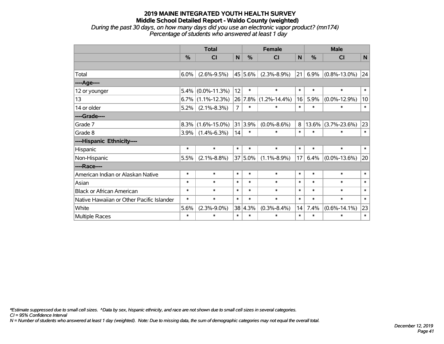*During the past 30 days, on how many days did you use an electronic vapor product? (mn174) Percentage of students who answered at least 1 day*

|                                           | <b>Total</b>  |                      |                |            | <b>Female</b>      |        | <b>Male</b> |                    |        |  |
|-------------------------------------------|---------------|----------------------|----------------|------------|--------------------|--------|-------------|--------------------|--------|--|
|                                           | $\frac{0}{0}$ | CI                   | N              | %          | <b>CI</b>          | N      | %           | <b>CI</b>          | N      |  |
|                                           |               |                      |                |            |                    |        |             |                    |        |  |
| Total                                     | $6.0\%$       | $(2.6\% - 9.5\%)$    |                | 45 5.6%    | $(2.3\% - 8.9\%)$  | 21     | 6.9%        | $(0.8\% - 13.0\%)$ | 24     |  |
| ---- Age----                              |               |                      |                |            |                    |        |             |                    |        |  |
| 12 or younger                             | 5.4%          | $(0.0\% - 11.3\%)$   | 12             | $\ast$     | $\ast$             | $\ast$ | $\ast$      | $\ast$             | $\ast$ |  |
| 13                                        |               | $6.7\%$ (1.1%-12.3%) | 26             | 7.8%       | $(1.2\% - 14.4\%)$ | 16     | 5.9%        | $(0.0\% - 12.9\%)$ | 10     |  |
| 14 or older                               | 5.2%          | $(2.1\% - 8.3\%)$    | $\overline{7}$ | $\ast$     | $\ast$             | $\ast$ | $\ast$      | $\ast$             | $\ast$ |  |
| ----Grade----                             |               |                      |                |            |                    |        |             |                    |        |  |
| Grade 7                                   | 8.3%          | $(1.6\% - 15.0\%)$   |                | 31 3.9%    | $(0.0\% - 8.6\%)$  | 8      | 13.6%       | $(3.7\% - 23.6\%)$ | 23     |  |
| Grade 8                                   | $3.9\%$       | $(1.4\% - 6.3\%)$    | 14             | $\ast$     | $\ast$             | $\ast$ | $\ast$      | ∗                  | $\ast$ |  |
| ----Hispanic Ethnicity----                |               |                      |                |            |                    |        |             |                    |        |  |
| Hispanic                                  | $\ast$        | $\ast$               | $\ast$         | $\ast$     | $\ast$             | $\ast$ | $\ast$      | $\ast$             | $\ast$ |  |
| Non-Hispanic                              | 5.5%          | $(2.1\% - 8.8\%)$    |                | $37 5.0\%$ | $(1.1\% - 8.9\%)$  | 17     | 6.4%        | $(0.0\% - 13.6\%)$ | 20     |  |
| ----Race----                              |               |                      |                |            |                    |        |             |                    |        |  |
| American Indian or Alaskan Native         | $\ast$        | $\ast$               | $\ast$         | $\ast$     | $\ast$             | $\ast$ | $\ast$      | $\ast$             | $\ast$ |  |
| Asian                                     | $\ast$        | $\ast$               | $\ast$         | $\ast$     | $\ast$             | $\ast$ | $\ast$      | $\ast$             | $\ast$ |  |
| <b>Black or African American</b>          | $\ast$        | $\ast$               | $\ast$         | $\ast$     | $\ast$             | $\ast$ | $\ast$      | $\ast$             | $\ast$ |  |
| Native Hawaiian or Other Pacific Islander | $\ast$        | $\ast$               | $\ast$         | $\ast$     | $\ast$             | $\ast$ | $\ast$      | $\ast$             | $\ast$ |  |
| White                                     | 5.6%          | $(2.3\% - 9.0\%)$    | $38$           | 4.3%       | $(0.3\% - 8.4\%)$  | 14     | 7.4%        | $(0.6\% - 14.1\%)$ | 23     |  |
| Multiple Races                            | $\ast$        | $\ast$               | $\ast$         | $\ast$     | $\ast$             | $\ast$ | $\ast$      | $\ast$             | $\ast$ |  |

*\*Estimate suppressed due to small cell sizes. ^Data by sex, hispanic ethnicity, and race are not shown due to small cell sizes in several categories.*

*CI = 95% Confidence Interval*

*N = Number of students who answered at least 1 day (weighted). Note: Due to missing data, the sum of demographic categories may not equal the overall total.*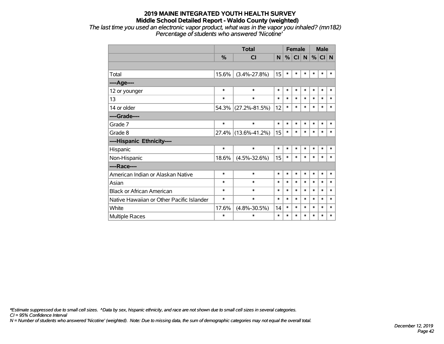*The last time you used an electronic vapor product, what was in the vapor you inhaled? (mn182) Percentage of students who answered 'Nicotine'*

|                                           |        | <b>Total</b>        |        | <b>Female</b> |        |        |        | <b>Male</b> |        |  |
|-------------------------------------------|--------|---------------------|--------|---------------|--------|--------|--------|-------------|--------|--|
|                                           | $\%$   | <b>CI</b>           | N      | %             | CI N   |        | %      | CI N        |        |  |
|                                           |        |                     |        |               |        |        |        |             |        |  |
| Total                                     | 15.6%  | $(3.4\% - 27.8\%)$  | 15     | $\ast$        | $\ast$ | $\ast$ | $\ast$ | $\ast$      | $\ast$ |  |
| ----Age----                               |        |                     |        |               |        |        |        |             |        |  |
| 12 or younger                             | $\ast$ | $\ast$              | $\ast$ | $\ast$        | $\ast$ | $\ast$ | $\ast$ | $\ast$      | $\ast$ |  |
| 13                                        | $\ast$ | $\ast$              | $\ast$ | $\ast$        | $\ast$ | $\ast$ | $\ast$ | $\ast$      | $\ast$ |  |
| 14 or older                               |        | 54.3% (27.2%-81.5%) | 12     | $\ast$        | $\ast$ | $\ast$ | $\ast$ | $\ast$      | $\ast$ |  |
| ----Grade----                             |        |                     |        |               |        |        |        |             |        |  |
| Grade 7                                   | $\ast$ | $\ast$              | $\ast$ | $\ast$        | $\ast$ | $\ast$ | $\ast$ | $\ast$      | $\ast$ |  |
| Grade 8                                   |        | 27.4% (13.6%-41.2%) | 15     | $\ast$        | $\ast$ | $\ast$ | $\ast$ | $\ast$      | $\ast$ |  |
| ----Hispanic Ethnicity----                |        |                     |        |               |        |        |        |             |        |  |
| Hispanic                                  | $\ast$ | $\ast$              | $\ast$ | $\ast$        | $\ast$ | $\ast$ | $\ast$ | $\ast$      | *      |  |
| Non-Hispanic                              | 18.6%  | $(4.5\% - 32.6\%)$  | 15     | $\ast$        | $\ast$ | $\ast$ | $\ast$ | $\ast$      | $\ast$ |  |
| ----Race----                              |        |                     |        |               |        |        |        |             |        |  |
| American Indian or Alaskan Native         | $\ast$ | $\ast$              | $\ast$ | $\ast$        | $\ast$ | $\ast$ | $\ast$ | $\ast$      | $\ast$ |  |
| Asian                                     | $\ast$ | $\ast$              | $\ast$ | $\ast$        | $\ast$ | $\ast$ | $\ast$ | $\ast$      | $\ast$ |  |
| <b>Black or African American</b>          | $\ast$ | $\ast$              | $\ast$ | $\ast$        | $\ast$ | $\ast$ | $\ast$ | $\ast$      | $\ast$ |  |
| Native Hawaiian or Other Pacific Islander | $\ast$ | $\ast$              | $\ast$ | $\ast$        | $\ast$ | $\ast$ | $\ast$ | $\ast$      | $\ast$ |  |
| White                                     | 17.6%  | $(4.8\% - 30.5\%)$  | 14     | $\ast$        | $\ast$ | $\ast$ | $\ast$ | $\ast$      | $\ast$ |  |
| <b>Multiple Races</b>                     | $\ast$ | $\ast$              | $\ast$ | $\ast$        | $\ast$ | $\ast$ | $\ast$ | $\ast$      | $\ast$ |  |

*\*Estimate suppressed due to small cell sizes. ^Data by sex, hispanic ethnicity, and race are not shown due to small cell sizes in several categories.*

*CI = 95% Confidence Interval*

*N = Number of students who answered 'Nicotine' (weighted). Note: Due to missing data, the sum of demographic categories may not equal the overall total.*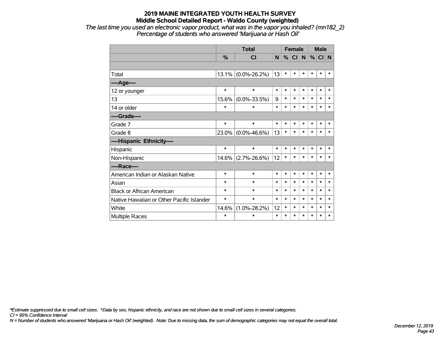*The last time you used an electronic vapor product, what was in the vapor you inhaled? (mn182\_2) Percentage of students who answered 'Marijuana or Hash Oil'*

|                                           |        | <b>Total</b>       | <b>Female</b> |        |        |        |        | <b>Male</b> |        |
|-------------------------------------------|--------|--------------------|---------------|--------|--------|--------|--------|-------------|--------|
|                                           | %      | <b>CI</b>          | N             | %      | CI N   |        | %      | CI N        |        |
|                                           |        |                    |               |        |        |        |        |             |        |
| Total                                     | 13.1%  | $(0.0\% - 26.2\%)$ | 13            | $\ast$ | $\ast$ | $\ast$ | $\ast$ | $\ast$      | $\ast$ |
| ----Age----                               |        |                    |               |        |        |        |        |             |        |
| 12 or younger                             | $\ast$ | $\ast$             | $\ast$        | $\ast$ | $\ast$ | $\ast$ | $\ast$ | $\ast$      | $\ast$ |
| 13                                        | 15.6%  | $(0.0\% - 33.5\%)$ | 9             | $\ast$ | $\ast$ | $\ast$ | $\ast$ | $\ast$      | $\ast$ |
| 14 or older                               | *      | $\ast$             | $\ast$        | $\ast$ | $\ast$ | $\ast$ | $\ast$ | $\ast$      | $\ast$ |
| ----Grade----                             |        |                    |               |        |        |        |        |             |        |
| Grade 7                                   | $\ast$ | $\ast$             | $\ast$        | $\ast$ | $\ast$ | $\ast$ | $\ast$ | $\ast$      | $\ast$ |
| Grade 8                                   | 23.0%  | $(0.0\% - 46.6\%)$ | 13            | $\ast$ | $\ast$ | $\ast$ | $\ast$ | $\ast$      | $\ast$ |
| ----Hispanic Ethnicity----                |        |                    |               |        |        |        |        |             |        |
| Hispanic                                  | *      | $\ast$             | $\ast$        | $\ast$ | $\ast$ | $\ast$ | $\ast$ | $\ast$      | ∗      |
| Non-Hispanic                              | 14.6%  | $(2.7\% - 26.6\%)$ | 12            | $\ast$ | $\ast$ | $\ast$ | $\ast$ | $\ast$      | $\ast$ |
| ----Race----                              |        |                    |               |        |        |        |        |             |        |
| American Indian or Alaskan Native         | $\ast$ | $\ast$             | $\ast$        | $\ast$ | $\ast$ | $\ast$ | $\ast$ | $\ast$      | $\ast$ |
| Asian                                     | $\ast$ | $\ast$             | $\ast$        | $\ast$ | $\ast$ | $\ast$ | $\ast$ | $\ast$      | $\ast$ |
| <b>Black or African American</b>          | $\ast$ | $\ast$             | $\ast$        | $\ast$ | $\ast$ | $\ast$ | $\ast$ | $\ast$      | $\ast$ |
| Native Hawaiian or Other Pacific Islander | $\ast$ | $\ast$             | $\ast$        | $\ast$ | $\ast$ | $\ast$ | $\ast$ | $\ast$      | $\ast$ |
| White                                     | 14.6%  | $(1.0\% - 28.2\%)$ | 12            | $\ast$ | $\ast$ | $\ast$ | $\ast$ | $\ast$      | $\ast$ |
| <b>Multiple Races</b>                     | $\ast$ | $\ast$             | $\ast$        | $\ast$ | $\ast$ | $\ast$ | $\ast$ | $\ast$      | $\ast$ |

*\*Estimate suppressed due to small cell sizes. ^Data by sex, hispanic ethnicity, and race are not shown due to small cell sizes in several categories.*

*CI = 95% Confidence Interval*

*N = Number of students who answered 'Marijuana or Hash Oil' (weighted). Note: Due to missing data, the sum of demographic categories may not equal the overall total.*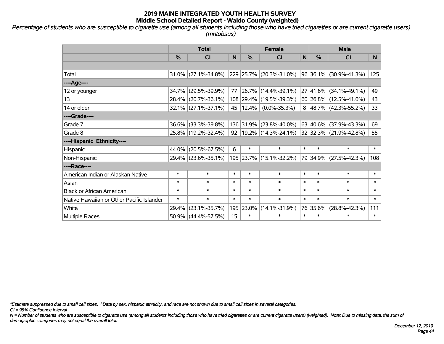*Percentage of students who are susceptible to cigarette use (among all students including those who have tried cigarettes or are current cigarette users) (mntobsus)*

|                                           | <b>Total</b><br>$\frac{0}{0}$<br>CI<br>31.0% (27.1%-34.8%)<br>$(29.5\% - 39.9\%)$<br>34.7%<br>$(20.7\% - 36.1\%)$<br>28.4%<br>32.1% (27.1%-37.1%)<br>$(33.3\% - 39.8\%)$<br>36.6%<br>25.8% (19.2%-32.4%)<br>$(20.5\% - 67.5\%)$<br>44.0%<br>29.4% (23.6%-35.1%)<br>$\ast$<br>$\ast$ |                     |        | <b>Female</b> |                          |              |          | <b>Male</b>               |        |  |  |  |
|-------------------------------------------|-------------------------------------------------------------------------------------------------------------------------------------------------------------------------------------------------------------------------------------------------------------------------------------|---------------------|--------|---------------|--------------------------|--------------|----------|---------------------------|--------|--|--|--|
|                                           |                                                                                                                                                                                                                                                                                     |                     | N      | $\frac{0}{0}$ | C <sub>l</sub>           | $\mathsf{N}$ | %        | CI                        | N.     |  |  |  |
|                                           |                                                                                                                                                                                                                                                                                     |                     |        |               |                          |              |          |                           |        |  |  |  |
| Total                                     |                                                                                                                                                                                                                                                                                     |                     |        |               | 229 25.7% (20.3%-31.0%)  |              |          | 96 36.1% (30.9%-41.3%)    | 125    |  |  |  |
| ----Age----                               |                                                                                                                                                                                                                                                                                     |                     |        |               |                          |              |          |                           |        |  |  |  |
| 12 or younger                             |                                                                                                                                                                                                                                                                                     |                     | 77     |               | 26.7% (14.4%-39.1%)      |              |          | 27 41.6% (34.1%-49.1%)    | 49     |  |  |  |
| 13                                        |                                                                                                                                                                                                                                                                                     |                     |        |               | 108 29.4% (19.5%-39.3%)  |              |          | 60 26.8% (12.5%-41.0%)    | 43     |  |  |  |
| 14 or older                               |                                                                                                                                                                                                                                                                                     |                     | 45     | 12.4%         | $(0.0\% - 35.3\%)$       |              |          | 8   48.7%   (42.3%-55.2%) | 33     |  |  |  |
| ----Grade----                             |                                                                                                                                                                                                                                                                                     |                     |        |               |                          |              |          |                           |        |  |  |  |
| Grade 7                                   |                                                                                                                                                                                                                                                                                     |                     |        | 136 31.9%     | $(23.8\% - 40.0\%)$      |              |          | 63 40.6% (37.9%-43.3%)    | 69     |  |  |  |
| Grade 8                                   |                                                                                                                                                                                                                                                                                     |                     | 92     |               | $ 19.2\% $ (14.3%-24.1%) |              |          | 32 32.3% (21.9%-42.8%)    | 55     |  |  |  |
| ----Hispanic Ethnicity----                |                                                                                                                                                                                                                                                                                     |                     |        |               |                          |              |          |                           |        |  |  |  |
| Hispanic                                  |                                                                                                                                                                                                                                                                                     |                     | 6      | $\ast$        | $\ast$                   | $\ast$       | $\ast$   | $\ast$                    | $\ast$ |  |  |  |
| Non-Hispanic                              |                                                                                                                                                                                                                                                                                     |                     |        |               | 195 23.7% (15.1%-32.2%)  |              | 79 34.9% | $(27.5\% - 42.3\%)$       | 108    |  |  |  |
| ----Race----                              |                                                                                                                                                                                                                                                                                     |                     |        |               |                          |              |          |                           |        |  |  |  |
| American Indian or Alaskan Native         |                                                                                                                                                                                                                                                                                     |                     | $\ast$ | $\ast$        | $\ast$                   | $\ast$       | $\ast$   | $\ast$                    | $\ast$ |  |  |  |
| Asian                                     | $\ast$                                                                                                                                                                                                                                                                              | $\ast$              | $\ast$ | $\ast$        | $\ast$                   | $\ast$       | $\ast$   | $\ast$                    | $\ast$ |  |  |  |
| <b>Black or African American</b>          | $\ast$                                                                                                                                                                                                                                                                              | $\ast$              | $\ast$ | $\ast$        | $\ast$                   | $\ast$       | $\ast$   | $\ast$                    | $\ast$ |  |  |  |
| Native Hawaiian or Other Pacific Islander | $\ast$                                                                                                                                                                                                                                                                              | $\ast$              | $\ast$ | $\ast$        | $\ast$                   | $\ast$       | $\ast$   | $\ast$                    | $\ast$ |  |  |  |
| White                                     | 29.4%                                                                                                                                                                                                                                                                               | $(23.1\% - 35.7\%)$ | 195    | 23.0%         | $(14.1\% - 31.9\%)$      |              | 76 35.6% | $(28.8\% - 42.3\%)$       | 111    |  |  |  |
| <b>Multiple Races</b>                     |                                                                                                                                                                                                                                                                                     | 50.9% (44.4%-57.5%) | 15     | $\ast$        | $\ast$                   | $\ast$       | $\ast$   | $\ast$                    | $\ast$ |  |  |  |

*\*Estimate suppressed due to small cell sizes. ^Data by sex, hispanic ethnicity, and race are not shown due to small cell sizes in several categories.*

*CI = 95% Confidence Interval*

*N = Number of students who are susceptible to cigarette use (among all students including those who have tried cigarettes or are current cigarette users) (weighted). Note: Due to missing data, the sum of demographic categories may not equal the overall total.*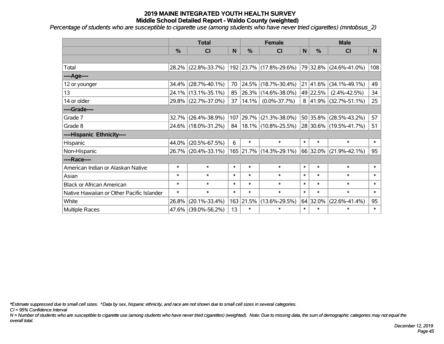*Percentage of students who are susceptible to cigarette use (among students who have never tried cigarettes) (mntobsus\_2)*

|                                           | <b>Total</b><br>$\frac{0}{0}$<br>CI<br>28.2% (22.8%-33.7%)<br>$(28.7\% - 40.1\%)$<br>34.4%<br>24.1% (13.1%-35.1%)<br>29.8% (22.7%-37.0%)<br>$(26.4\% - 38.9\%)$<br>32.7%<br>24.6% (18.0%-31.2%)<br>$(20.5\% - 67.5\%)$<br>44.0%<br>26.7% (20.4%-33.1%)<br>$\ast$<br>$\ast$<br>$\ast$<br>$\ast$<br>$\ast$<br>$\ast$<br>$\ast$<br>$\ast$<br>26.8%<br>$(20.1\% - 33.4\%)$<br>47.6% (39.0%-56.2%) |  | <b>Female</b> |               |                          |        |               | <b>Male</b>                 |                |  |  |  |  |
|-------------------------------------------|-----------------------------------------------------------------------------------------------------------------------------------------------------------------------------------------------------------------------------------------------------------------------------------------------------------------------------------------------------------------------------------------------|--|---------------|---------------|--------------------------|--------|---------------|-----------------------------|----------------|--|--|--|--|
|                                           |                                                                                                                                                                                                                                                                                                                                                                                               |  | N             | $\frac{9}{6}$ | <b>CI</b>                | N      | $\frac{0}{0}$ | <b>CI</b>                   | N <sub>1</sub> |  |  |  |  |
|                                           |                                                                                                                                                                                                                                                                                                                                                                                               |  |               |               |                          |        |               |                             |                |  |  |  |  |
| Total                                     |                                                                                                                                                                                                                                                                                                                                                                                               |  |               |               | 192 23.7% (17.8%-29.6%)  |        |               | $ 79 32.8\% $ (24.6%-41.0%) | 108            |  |  |  |  |
| ----Age----                               |                                                                                                                                                                                                                                                                                                                                                                                               |  |               |               |                          |        |               |                             |                |  |  |  |  |
| 12 or younger                             |                                                                                                                                                                                                                                                                                                                                                                                               |  | 70            | 24.5%         | $(18.7\% - 30.4\%)$      |        | 21 41.6%      | $(34.1\% - 49.1\%)$         | 49             |  |  |  |  |
| 13                                        |                                                                                                                                                                                                                                                                                                                                                                                               |  | 85            | 26.3%         | $(14.6\% - 38.0\%)$      |        | 49 22.5%      | $(2.4\% - 42.5\%)$          | 34             |  |  |  |  |
| 14 or older                               |                                                                                                                                                                                                                                                                                                                                                                                               |  | 37            | 14.1%         | $(0.0\% - 37.7\%)$       |        |               | 8 41.9% $(32.7\% - 51.1\%)$ | 25             |  |  |  |  |
| ----Grade----                             |                                                                                                                                                                                                                                                                                                                                                                                               |  |               |               |                          |        |               |                             |                |  |  |  |  |
| Grade 7                                   |                                                                                                                                                                                                                                                                                                                                                                                               |  |               | 107 29.7%     | $(21.3\% - 38.0\%)$      |        | 50 35.8%      | $(28.5\% - 43.2\%)$         | 57             |  |  |  |  |
| Grade 8                                   |                                                                                                                                                                                                                                                                                                                                                                                               |  | 84            |               | $ 18.1\% $ (10.8%-25.5%) |        |               | 28 30.6% (19.5%-41.7%)      | 51             |  |  |  |  |
| ----Hispanic Ethnicity----                |                                                                                                                                                                                                                                                                                                                                                                                               |  |               |               |                          |        |               |                             |                |  |  |  |  |
| Hispanic                                  |                                                                                                                                                                                                                                                                                                                                                                                               |  | 6             | $\ast$        | $\ast$                   | $\ast$ | $\ast$        | $\ast$                      | $\ast$         |  |  |  |  |
| Non-Hispanic                              |                                                                                                                                                                                                                                                                                                                                                                                               |  |               |               | 165 21.7% (14.3%-29.1%)  |        | $ 66 32.0\% $ | $(21.9\% - 42.1\%)$         | 95             |  |  |  |  |
| ----Race----                              |                                                                                                                                                                                                                                                                                                                                                                                               |  |               |               |                          |        |               |                             |                |  |  |  |  |
| American Indian or Alaskan Native         |                                                                                                                                                                                                                                                                                                                                                                                               |  | $\ast$        | $\ast$        | $\ast$                   | $\ast$ | $\ast$        | $\ast$                      | $\ast$         |  |  |  |  |
| Asian                                     |                                                                                                                                                                                                                                                                                                                                                                                               |  | $\ast$        | $\ast$        | $\ast$                   | $\ast$ | $\ast$        | $\ast$                      | $\ast$         |  |  |  |  |
| <b>Black or African American</b>          |                                                                                                                                                                                                                                                                                                                                                                                               |  | $\ast$        | $\ast$        | $\ast$                   | $\ast$ | $\ast$        | $\ast$                      | $\ast$         |  |  |  |  |
| Native Hawaiian or Other Pacific Islander |                                                                                                                                                                                                                                                                                                                                                                                               |  | $\ast$        | $\ast$        | $\ast$                   | $\ast$ | $\ast$        | $\ast$                      | $\ast$         |  |  |  |  |
| White                                     |                                                                                                                                                                                                                                                                                                                                                                                               |  |               | 163 21.5%     | $(13.6\% - 29.5\%)$      |        | 64 32.0%      | $(22.6\% - 41.4\%)$         | 95             |  |  |  |  |
| Multiple Races                            |                                                                                                                                                                                                                                                                                                                                                                                               |  | 13            | $\ast$        | $\ast$                   | $\ast$ | $\ast$        | $\ast$                      | $\ast$         |  |  |  |  |

*\*Estimate suppressed due to small cell sizes. ^Data by sex, hispanic ethnicity, and race are not shown due to small cell sizes in several categories.*

*CI = 95% Confidence Interval*

*N = Number of students who are susceptible to cigarette use (among students who have never tried cigarettes) (weighted). Note: Due to missing data, the sum of demographic categories may not equal the overall total.*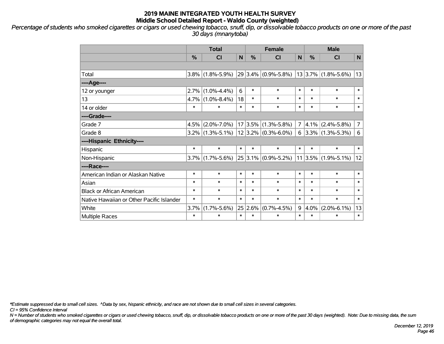*Percentage of students who smoked cigarettes or cigars or used chewing tobacco, snuff, dip, or dissolvable tobacco products on one or more of the past 30 days (mnanytoba)*

|                                           | <b>Total</b> |                                           |        |        | <b>Female</b>                                                                           | <b>Male</b>    |         |                     |                |
|-------------------------------------------|--------------|-------------------------------------------|--------|--------|-----------------------------------------------------------------------------------------|----------------|---------|---------------------|----------------|
|                                           | %            | <b>CI</b>                                 | N      | %      | <b>CI</b>                                                                               | $\mathsf{N}$   | $\%$    | <b>CI</b>           | N              |
|                                           |              |                                           |        |        |                                                                                         |                |         |                     |                |
| Total                                     | $3.8\%$      | $(1.8\% - 5.9\%)$                         |        |        | $\vert$ 29 $\vert$ 3.4% $\vert$ (0.9%-5.8%) $\vert$ 13 $\vert$ 3.7% $\vert$ (1.8%-5.6%) |                |         |                     | 13             |
| ----Age----                               |              |                                           |        |        |                                                                                         |                |         |                     |                |
| 12 or younger                             | 2.7%         | $(1.0\% - 4.4\%)$                         | 6      | $\ast$ | $\ast$                                                                                  | $\ast$         | $\ast$  | $\ast$              | $\ast$         |
| 13                                        | 4.7%         | $(1.0\% - 8.4\%)$                         | 18     | $\ast$ | $\ast$                                                                                  | $\ast$         | $\ast$  | $\ast$              | $\ast$         |
| 14 or older                               | $\ast$       | $\ast$                                    | $\ast$ | $\ast$ | $\ast$                                                                                  | $\ast$         | $\ast$  | $\ast$              | $\ast$         |
| ----Grade----                             |              |                                           |        |        |                                                                                         |                |         |                     |                |
| Grade 7                                   | 4.5%         | $(2.0\% - 7.0\%)$                         |        |        | $17 3.5\% $ (1.3%-5.8%)                                                                 | $\overline{7}$ | 4.1%    | $(2.4\% - 5.8\%)$   | $\overline{7}$ |
| Grade 8                                   |              | $3.2\%$ (1.3%-5.1%)   12 3.2% (0.3%-6.0%) |        |        |                                                                                         | 6              |         | $3.3\%$ (1.3%-5.3%) | 6              |
| ----Hispanic Ethnicity----                |              |                                           |        |        |                                                                                         |                |         |                     |                |
| Hispanic                                  | $\ast$       | $\ast$                                    | $\ast$ | $\ast$ | $\ast$                                                                                  | $\ast$         | $\ast$  | $\ast$              | $\ast$         |
| Non-Hispanic                              | 3.7%         | $(1.7\% - 5.6\%)$                         |        |        | $25 3.1\% $ (0.9%-5.2%)                                                                 |                | 11 3.5% | $(1.9\% - 5.1\%)$   | 12             |
| ----Race----                              |              |                                           |        |        |                                                                                         |                |         |                     |                |
| American Indian or Alaskan Native         | $\ast$       | $\ast$                                    | $\ast$ | $\ast$ | $\ast$                                                                                  | $\ast$         | $\ast$  | $\ast$              | $\ast$         |
| Asian                                     | $\ast$       | $\ast$                                    | $\ast$ | $\ast$ | $\ast$                                                                                  | $\ast$         | $\ast$  | $\ast$              | $\ast$         |
| <b>Black or African American</b>          | $\ast$       | $\ast$                                    | $\ast$ | $\ast$ | $\ast$                                                                                  | $\ast$         | $\ast$  | $\ast$              | $\ast$         |
| Native Hawaiian or Other Pacific Islander | $\ast$       | $\ast$                                    | $\ast$ | $\ast$ | $\ast$                                                                                  | $\ast$         | $\ast$  | $\ast$              | $\ast$         |
| White                                     | 3.7%         | $(1.7\% - 5.6\%)$                         | 25     | 2.6%   | $(0.7\% - 4.5\%)$                                                                       | 9              | 4.0%    | $(2.0\% - 6.1\%)$   | 13             |
| Multiple Races                            | $\ast$       | $\ast$                                    | $\ast$ | $\ast$ | $\ast$                                                                                  | $\ast$         | $\ast$  | $\ast$              | $\ast$         |

*\*Estimate suppressed due to small cell sizes. ^Data by sex, hispanic ethnicity, and race are not shown due to small cell sizes in several categories.*

*CI = 95% Confidence Interval*

*N = Number of students who smoked cigarettes or cigars or used chewing tobacco, snuff, dip, or dissolvable tobacco products on one or more of the past 30 days (weighted). Note: Due to missing data, the sum of demographic categories may not equal the overall total.*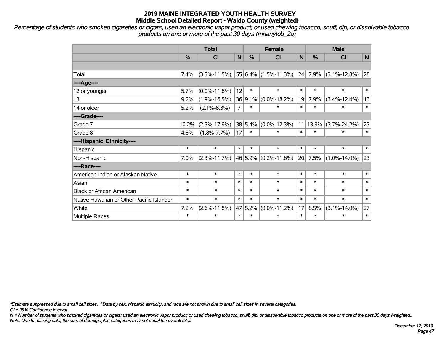*Percentage of students who smoked cigarettes or cigars; used an electronic vapor product; or used chewing tobacco, snuff, dip, or dissolvable tobacco products on one or more of the past 30 days (mnanytob\_2a)*

|                                           | <b>Total</b> |                    |                |         | <b>Female</b>                      |              | <b>Male</b> |                    |        |  |
|-------------------------------------------|--------------|--------------------|----------------|---------|------------------------------------|--------------|-------------|--------------------|--------|--|
|                                           | %            | CI                 | N              | $\%$    | <b>CI</b>                          | $\mathsf{N}$ | %           | <b>CI</b>          | N      |  |
|                                           |              |                    |                |         |                                    |              |             |                    |        |  |
| Total                                     | 7.4%         | $(3.3\% - 11.5\%)$ |                |         | $ 55 6.4\%  (1.5\%$ -11.3%) $ 24 $ |              | 7.9%        | $(3.1\% - 12.8\%)$ | 28     |  |
| ----Age----                               |              |                    |                |         |                                    |              |             |                    |        |  |
| 12 or younger                             | 5.7%         | $(0.0\% - 11.6\%)$ | 12             | $\ast$  | $\ast$                             | $\ast$       | $\ast$      | $\ast$             | $\ast$ |  |
| 13                                        | 9.2%         | $(1.9\% - 16.5\%)$ |                |         | 36 9.1% (0.0%-18.2%)               | 19           | 7.9%        | $(3.4\% - 12.4\%)$ | 13     |  |
| 14 or older                               | 5.2%         | $(2.1\% - 8.3\%)$  | $\overline{7}$ | $\ast$  | $\ast$                             | $\ast$       | $\ast$      | $\ast$             | $\ast$ |  |
| ----Grade----                             |              |                    |                |         |                                    |              |             |                    |        |  |
| Grade 7                                   | 10.2%        | $(2.5\% - 17.9\%)$ |                | 38 5.4% | $(0.0\% - 12.3\%)$                 |              | 11 13.9%    | $(3.7\% - 24.2\%)$ | 23     |  |
| Grade 8                                   | 4.8%         | $(1.8\% - 7.7\%)$  | 17             | $\ast$  | $\ast$                             | $\ast$       | $\ast$      | $\ast$             | $\ast$ |  |
| ----Hispanic Ethnicity----                |              |                    |                |         |                                    |              |             |                    |        |  |
| Hispanic                                  | $\ast$       | $\ast$             | $\ast$         | $\ast$  | $\ast$                             | $\ast$       | $\ast$      | $\ast$             | $\ast$ |  |
| Non-Hispanic                              | 7.0%         | $(2.3\% - 11.7\%)$ |                |         | 46 5.9% (0.2%-11.6%)               | 20           | 7.5%        | $(1.0\% - 14.0\%)$ | 23     |  |
| ----Race----                              |              |                    |                |         |                                    |              |             |                    |        |  |
| American Indian or Alaskan Native         | $\ast$       | $\ast$             | $\ast$         | $\ast$  | $\ast$                             | $\ast$       | $\ast$      | $\ast$             | $\ast$ |  |
| Asian                                     | $\ast$       | $\ast$             | $\ast$         | $\ast$  | $\ast$                             | $\ast$       | $\ast$      | $\ast$             | $\ast$ |  |
| <b>Black or African American</b>          | $\ast$       | $\ast$             | *              | $\ast$  | $\ast$                             | $\ast$       | $\ast$      | $\ast$             | $\ast$ |  |
| Native Hawaiian or Other Pacific Islander | $\ast$       | $\ast$             | $\ast$         | $\ast$  | $\ast$                             | $\ast$       | $\ast$      | $\ast$             | $\ast$ |  |
| White                                     | 7.2%         | $(2.6\% - 11.8\%)$ |                | 47 5.2% | $(0.0\% - 11.2\%)$                 | 17           | 8.5%        | $(3.1\% - 14.0\%)$ | 27     |  |
| Multiple Races                            | $\ast$       | $\ast$             | $\ast$         | $\ast$  | $\ast$                             | $\ast$       | $\ast$      | $\ast$             | $\ast$ |  |

*\*Estimate suppressed due to small cell sizes. ^Data by sex, hispanic ethnicity, and race are not shown due to small cell sizes in several categories.*

*CI = 95% Confidence Interval*

*N = Number of students who smoked cigarettes or cigars; used an electronic vapor product; or used chewing tobacco, snuff, dip, or dissolvable tobacco products on one or more of the past 30 days (weighted). Note: Due to missing data, the sum of demographic categories may not equal the overall total.*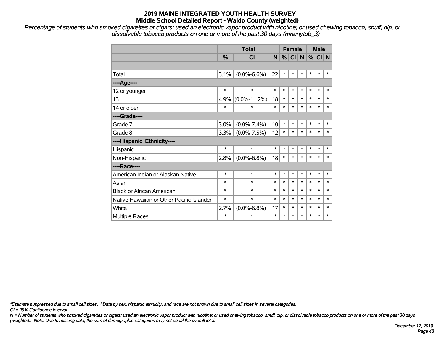*Percentage of students who smoked cigarettes or cigars; used an electronic vapor product with nicotine; or used chewing tobacco, snuff, dip, or dissolvable tobacco products on one or more of the past 30 days (mnanytob\_3)*

|                                           |               | <b>Total</b>       | <b>Female</b> |        |           |        |        | <b>Male</b> |        |
|-------------------------------------------|---------------|--------------------|---------------|--------|-----------|--------|--------|-------------|--------|
|                                           | $\frac{0}{0}$ | <b>CI</b>          | N             | ℅      | <b>CI</b> | N      | $\%$   | CI N        |        |
|                                           |               |                    |               |        |           |        |        |             |        |
| Total                                     | 3.1%          | $(0.0\% - 6.6\%)$  | 22            | $\ast$ | $\ast$    | *      | $\ast$ | $\ast$      | *      |
| ----Age----                               |               |                    |               |        |           |        |        |             |        |
| 12 or younger                             | $\ast$        | $\ast$             | $\ast$        | $\ast$ | $\ast$    | $\ast$ | $\ast$ | $\ast$      | $\ast$ |
| 13                                        | 4.9%          | $(0.0\% - 11.2\%)$ | 18            | $\ast$ | *         | $\ast$ | $\ast$ | $\ast$      | $\ast$ |
| 14 or older                               | $\ast$        | $\ast$             | $\ast$        | $\ast$ | *         | $\ast$ | $\ast$ | $\ast$      | $\ast$ |
| ----Grade----                             |               |                    |               |        |           |        |        |             |        |
| Grade 7                                   | 3.0%          | $(0.0\% - 7.4\%)$  | 10            | $\ast$ | $\ast$    | $\ast$ | $\ast$ | $\ast$      | $\ast$ |
| Grade 8                                   | 3.3%          | $(0.0\% - 7.5\%)$  | 12            | $\ast$ | $\ast$    | $\ast$ | $\ast$ | $\ast$      | $\ast$ |
| ----Hispanic Ethnicity----                |               |                    |               |        |           |        |        |             |        |
| Hispanic                                  | $\ast$        | $\ast$             | $\ast$        | $\ast$ | *         | $\ast$ | $\ast$ | $\ast$      | $\ast$ |
| Non-Hispanic                              | 2.8%          | $(0.0\% - 6.8\%)$  | 18            | $\ast$ | $\ast$    | $\ast$ | $\ast$ | $\ast$      | $\ast$ |
| ----Race----                              |               |                    |               |        |           |        |        |             |        |
| American Indian or Alaskan Native         | $\ast$        | $\ast$             | $\ast$        | $\ast$ | *         | $\ast$ | $\ast$ | $\ast$      | $\ast$ |
| Asian                                     | $\ast$        | $\ast$             | $\ast$        | $\ast$ | $\ast$    | $\ast$ | $\ast$ | $\ast$      | $\ast$ |
| <b>Black or African American</b>          | *             | $\ast$             | $\ast$        | $\ast$ | $\ast$    | $\ast$ | $\ast$ | $\ast$      | $\ast$ |
| Native Hawaiian or Other Pacific Islander | $\ast$        | $\ast$             | $\ast$        | $\ast$ | $\ast$    | $\ast$ | $\ast$ | $\ast$      | $\ast$ |
| White                                     | 2.7%          | $(0.0\% - 6.8\%)$  | 17            | $\ast$ | *         | $\ast$ | $\ast$ | $\ast$      | $\ast$ |
| <b>Multiple Races</b>                     | $\ast$        | *                  | $\ast$        | $\ast$ | $\ast$    | $\ast$ | $\ast$ | $\ast$      | $\ast$ |

*\*Estimate suppressed due to small cell sizes. ^Data by sex, hispanic ethnicity, and race are not shown due to small cell sizes in several categories.*

*CI = 95% Confidence Interval*

*N = Number of students who smoked cigarettes or cigars; used an electronic vapor product with nicotine; or used chewing tobacco, snuff, dip, or dissolvable tobacco products on one or more of the past 30 days (weighted). Note: Due to missing data, the sum of demographic categories may not equal the overall total.*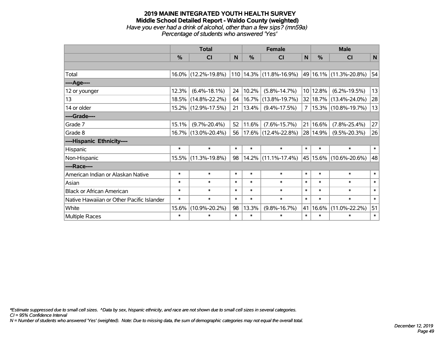#### **2019 MAINE INTEGRATED YOUTH HEALTH SURVEY Middle School Detailed Report - Waldo County (weighted)** *Have you ever had a drink of alcohol, other than a few sips? (mn59a) Percentage of students who answered 'Yes'*

|                                           | <b>Total</b>  |                     |        |               | <b>Female</b>               | <b>Male</b>     |               |                            |        |
|-------------------------------------------|---------------|---------------------|--------|---------------|-----------------------------|-----------------|---------------|----------------------------|--------|
|                                           | $\frac{0}{0}$ | CI                  | N      | $\frac{0}{0}$ | C <sub>1</sub>              | N               | $\frac{0}{0}$ | <b>CI</b>                  | N      |
|                                           |               |                     |        |               |                             |                 |               |                            |        |
| Total                                     |               | 16.0% (12.2%-19.8%) |        |               | $110 14.3\% $ (11.8%-16.9%) |                 |               | 49   16.1%   (11.3%-20.8%) | 54     |
| ----Age----                               |               |                     |        |               |                             |                 |               |                            |        |
| 12 or younger                             | 12.3%         | $(6.4\% - 18.1\%)$  | 24     | 10.2%         | $(5.8\% - 14.7\%)$          | 10 <sup>1</sup> | 12.8%         | $(6.2\% - 19.5\%)$         | 13     |
| 13                                        | 18.5%         | $(14.8\% - 22.2\%)$ | 64     | 16.7%         | $(13.8\% - 19.7\%)$         |                 |               | 32   18.7%   (13.4%-24.0%) | 28     |
| 14 or older                               |               | 15.2% (12.9%-17.5%) | 21     | 13.4%         | $(9.4\% - 17.5\%)$          | 7               |               | 15.3% (10.8%-19.7%)        | 13     |
| ----Grade----                             |               |                     |        |               |                             |                 |               |                            |        |
| Grade 7                                   | 15.1%         | $(9.7\% - 20.4\%)$  | 52     | 11.6%         | $(7.6\% - 15.7\%)$          | 21              | 16.6%         | $(7.8\% - 25.4\%)$         | 27     |
| Grade 8                                   |               | 16.7% (13.0%-20.4%) | 56     |               | 17.6% (12.4%-22.8%)         |                 | 28 14.9%      | $(9.5\% - 20.3\%)$         | 26     |
| ----Hispanic Ethnicity----                |               |                     |        |               |                             |                 |               |                            |        |
| Hispanic                                  | $\ast$        | $\ast$              | $\ast$ | $\ast$        | $\ast$                      | $\ast$          | $\ast$        | $\ast$                     | $\ast$ |
| Non-Hispanic                              |               | 15.5% (11.3%-19.8%) | 98     |               | $14.2\%$ (11.1%-17.4%)      |                 |               | 45 15.6% (10.6%-20.6%)     | 48     |
| ----Race----                              |               |                     |        |               |                             |                 |               |                            |        |
| American Indian or Alaskan Native         | $\ast$        | $\ast$              | $\ast$ | $\ast$        | $\ast$                      | $\ast$          | $\ast$        | $\ast$                     | $\ast$ |
| Asian                                     | $\ast$        | $\ast$              | $\ast$ | $\ast$        | $\ast$                      | $\ast$          | $\ast$        | $\ast$                     | $\ast$ |
| <b>Black or African American</b>          | $\ast$        | $\ast$              | $\ast$ | $\ast$        | $\ast$                      | $\ast$          | $\ast$        | $\ast$                     | $\ast$ |
| Native Hawaiian or Other Pacific Islander | $\ast$        | $\ast$              | $\ast$ | $\ast$        | $\ast$                      | $\ast$          | $\ast$        | $\ast$                     | $\ast$ |
| White                                     | 15.6%         | $(10.9\% - 20.2\%)$ | 98     | 13.3%         | $(9.8\% - 16.7\%)$          | 41              | 16.6%         | $(11.0\% - 22.2\%)$        | 51     |
| Multiple Races                            | $\ast$        | $\ast$              | $\ast$ | $\ast$        | $\ast$                      | $\ast$          | $\ast$        | $\ast$                     | $\ast$ |

*\*Estimate suppressed due to small cell sizes. ^Data by sex, hispanic ethnicity, and race are not shown due to small cell sizes in several categories.*

*CI = 95% Confidence Interval*

*N = Number of students who answered 'Yes' (weighted). Note: Due to missing data, the sum of demographic categories may not equal the overall total.*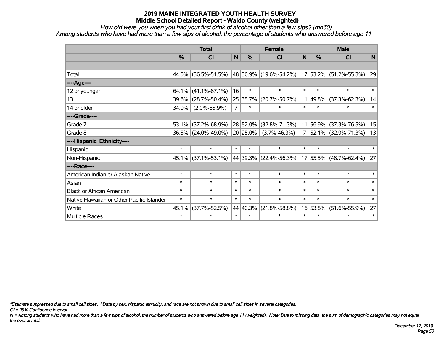*How old were you when you had your first drink of alcohol other than a few sips? (mn60)*

*Among students who have had more than a few sips of alcohol, the percentage of students who answered before age 11*

|                                           | <b>Total</b> |                     |                |               | <b>Female</b>               | <b>Male</b> |               |                        |        |
|-------------------------------------------|--------------|---------------------|----------------|---------------|-----------------------------|-------------|---------------|------------------------|--------|
|                                           | %            | <b>CI</b>           | N <sub>1</sub> | $\frac{0}{0}$ | <b>CI</b>                   | N           | $\frac{0}{0}$ | <b>CI</b>              | N      |
|                                           |              |                     |                |               |                             |             |               |                        |        |
| Total                                     | 44.0%        | $(36.5\% - 51.5\%)$ |                |               | $ 48 36.9\% $ (19.6%-54.2%) |             |               | 17 53.2% (51.2%-55.3%) | 29     |
| ----Age----                               |              |                     |                |               |                             |             |               |                        |        |
| 12 or younger                             | 64.1%        | $(41.1\% - 87.1\%)$ | 16             | $\ast$        | $\ast$                      | $\ast$      | $\ast$        | $\ast$                 | $\ast$ |
| 13                                        | 39.6%        | $(28.7\% - 50.4\%)$ |                | 25 35.7%      | $(20.7\% - 50.7\%)$         | 11          | 49.8%         | $(37.3\% - 62.3\%)$    | 14     |
| 14 or older                               | 34.0%        | $(2.0\% - 65.9\%)$  | $\overline{7}$ | $\ast$        | $\ast$                      | $\ast$      | $\ast$        | $\ast$                 | $\ast$ |
| ----Grade----                             |              |                     |                |               |                             |             |               |                        |        |
| Grade 7                                   | 53.1%        | $(37.2\% - 68.9\%)$ |                | 28 52.0%      | $(32.8\% - 71.3\%)$         | 11          |               | 56.9% (37.3%-76.5%)    | 15     |
| Grade 8                                   |              | 36.5% (24.0%-49.0%) |                | $ 20 25.0\% $ | $(3.7\% - 46.3\%)$          | 7           |               | 52.1% (32.9%-71.3%)    | 13     |
| ----Hispanic Ethnicity----                |              |                     |                |               |                             |             |               |                        |        |
| Hispanic                                  | $\ast$       | $\ast$              | $\ast$         | $\ast$        | $\ast$                      | $\ast$      | $\ast$        | $\ast$                 | $\ast$ |
| Non-Hispanic                              | 45.1%        | $(37.1\% - 53.1\%)$ |                |               | 44 39.3% (22.4%-56.3%)      |             |               | 17 55.5% (48.7%-62.4%) | 27     |
| ----Race----                              |              |                     |                |               |                             |             |               |                        |        |
| American Indian or Alaskan Native         | $\ast$       | $\ast$              | $\ast$         | $\ast$        | $\ast$                      | $\ast$      | $\ast$        | $\ast$                 | $\ast$ |
| Asian                                     | $\ast$       | $\ast$              | $\ast$         | $\ast$        | $\ast$                      | $\ast$      | $\ast$        | $\ast$                 | $\ast$ |
| <b>Black or African American</b>          | $\ast$       | $\ast$              | $\ast$         | $\ast$        | $\ast$                      | $\ast$      | $\ast$        | $\ast$                 | $\ast$ |
| Native Hawaiian or Other Pacific Islander | $\ast$       | $\ast$              | $\ast$         | $\ast$        | $\ast$                      | $\ast$      | $\ast$        | $\ast$                 | $\ast$ |
| White                                     | 45.1%        | $(37.7\% - 52.5\%)$ |                | 44 40.3%      | $(21.8\% - 58.8\%)$         | 16          | 53.8%         | $(51.6\% - 55.9\%)$    | 27     |
| Multiple Races                            | $\ast$       | $\ast$              | $\ast$         | $\ast$        | *                           | $\ast$      | $\ast$        | $\ast$                 | $\ast$ |

*\*Estimate suppressed due to small cell sizes. ^Data by sex, hispanic ethnicity, and race are not shown due to small cell sizes in several categories.*

*CI = 95% Confidence Interval*

*N = Among students who have had more than a few sips of alcohol, the number of students who answered before age 11 (weighted). Note: Due to missing data, the sum of demographic categories may not equal the overall total.*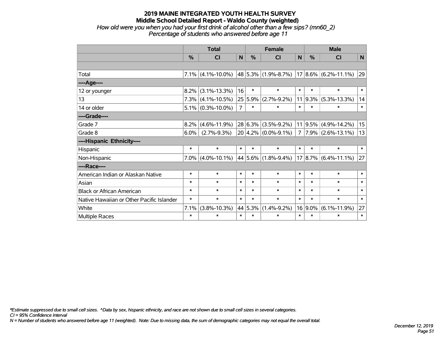#### **2019 MAINE INTEGRATED YOUTH HEALTH SURVEY Middle School Detailed Report - Waldo County (weighted)** *How old were you when you had your first drink of alcohol other than a few sips? (mn60\_2) Percentage of students who answered before age 11*

|                                           | <b>Total</b> |                      |                |         | <b>Female</b>             |        | <b>Male</b> |                            |        |  |
|-------------------------------------------|--------------|----------------------|----------------|---------|---------------------------|--------|-------------|----------------------------|--------|--|
|                                           | %            | CI                   | N              | %       | <b>CI</b>                 | N      | %           | <b>CI</b>                  | N      |  |
|                                           |              |                      |                |         |                           |        |             |                            |        |  |
| Total                                     |              | $7.1\%$ (4.1%-10.0%) |                |         | 48 5.3% (1.9%-8.7%)       |        |             | $17 8.6\% $ (6.2%-11.1%)   | 29     |  |
| ----Age----                               |              |                      |                |         |                           |        |             |                            |        |  |
| 12 or younger                             | 8.2%         | $(3.1\% - 13.3\%)$   | 16             | $\ast$  | $\ast$                    | $\ast$ | $\ast$      | $\ast$                     | $\ast$ |  |
| 13                                        |              | $7.3\%$ (4.1%-10.5%) |                | 25 5.9% | $(2.7\% - 9.2\%)$         |        |             | $11$   9.3%   (5.3%-13.3%) | 14     |  |
| 14 or older                               |              | $5.1\%$ (0.3%-10.0%) | $\overline{7}$ | $\ast$  | $\ast$                    | $\ast$ | $\ast$      | $\ast$                     | $\ast$ |  |
| ----Grade----                             |              |                      |                |         |                           |        |             |                            |        |  |
| Grade 7                                   | 8.2%         | $(4.6\% - 11.9\%)$   |                |         | $28 6.3\% $ (3.5%-9.2%)   |        |             | $11 9.5\% $ (4.9%-14.2%)   | 15     |  |
| Grade 8                                   | 6.0%         | $(2.7\% - 9.3\%)$    |                |         | $20 4.2\% $ (0.0%-9.1%)   |        |             | $7$   7.9%   (2.6%-13.1%)  | 13     |  |
| ----Hispanic Ethnicity----                |              |                      |                |         |                           |        |             |                            |        |  |
| Hispanic                                  | $\ast$       | $\ast$               | $\ast$         | $\ast$  | $\ast$                    | $\ast$ | $\ast$      | $\ast$                     | $\ast$ |  |
| Non-Hispanic                              |              | $7.0\%$ (4.0%-10.1%) |                |         | 44 5.6% $(1.8\% - 9.4\%)$ |        |             | $17 8.7\% $ (6.4%-11.1%)   | 27     |  |
| ----Race----                              |              |                      |                |         |                           |        |             |                            |        |  |
| American Indian or Alaskan Native         | $\ast$       | $\ast$               | $\ast$         | $\ast$  | $\ast$                    | $\ast$ | $\ast$      | $\ast$                     | $\ast$ |  |
| Asian                                     | $\ast$       | $\ast$               | $\ast$         | $\ast$  | $\ast$                    | $\ast$ | $\ast$      | $\ast$                     | $\ast$ |  |
| <b>Black or African American</b>          | $\ast$       | $\ast$               | $\ast$         | $\ast$  | $\ast$                    | $\ast$ | $\ast$      | $\ast$                     | $\ast$ |  |
| Native Hawaiian or Other Pacific Islander | $\ast$       | $\ast$               | $\ast$         | $\ast$  | $\ast$                    | $\ast$ | $\ast$      | $\ast$                     | $\ast$ |  |
| White                                     | 7.1%         | $(3.8\% - 10.3\%)$   |                | 44 5.3% | $(1.4\% - 9.2\%)$         |        | 16 9.0%     | $(6.1\% - 11.9\%)$         | 27     |  |
| <b>Multiple Races</b>                     | $\ast$       | $\ast$               | $\ast$         | $\ast$  | $\ast$                    | $\ast$ | $\ast$      | $\ast$                     | $\ast$ |  |

*\*Estimate suppressed due to small cell sizes. ^Data by sex, hispanic ethnicity, and race are not shown due to small cell sizes in several categories.*

*CI = 95% Confidence Interval*

*N = Number of students who answered before age 11 (weighted). Note: Due to missing data, the sum of demographic categories may not equal the overall total.*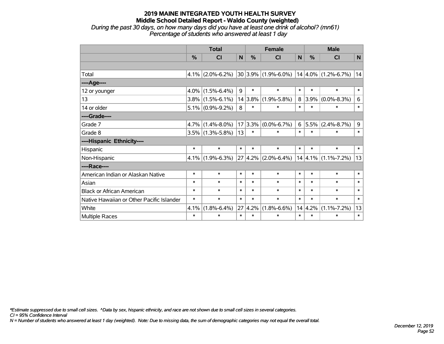*During the past 30 days, on how many days did you have at least one drink of alcohol? (mn61) Percentage of students who answered at least 1 day*

|                                           | <b>Total</b> |                         |        |         | <b>Female</b>           | <b>Male</b> |            |                         |              |
|-------------------------------------------|--------------|-------------------------|--------|---------|-------------------------|-------------|------------|-------------------------|--------------|
|                                           | %            | $\overline{\mathsf{C}}$ | N      | %       | <b>CI</b>               | N           | %          | CI                      | $\mathsf{N}$ |
|                                           |              |                         |        |         |                         |             |            |                         |              |
| Total                                     | 4.1%         | $(2.0\% - 6.2\%)$       |        |         | $30 3.9\% $ (1.9%-6.0%) |             |            | $14 4.0\% $ (1.2%-6.7%) | 14           |
| ----Age----                               |              |                         |        |         |                         |             |            |                         |              |
| 12 or younger                             | 4.0%         | $(1.5\% - 6.4\%)$       | 9      | $\ast$  | $\ast$                  | $\ast$      | $\ast$     | $\ast$                  | $\ast$       |
| 13                                        | 3.8%         | $(1.5\% - 6.1\%)$       |        | 14 3.8% | $(1.9\% - 5.8\%)$       | 8           | 3.9%       | $(0.0\% - 8.3\%)$       | 6            |
| 14 or older                               |              | 5.1% $(0.9\% - 9.2\%)$  | 8      | $\ast$  | $\ast$                  | $\ast$      | $\ast$     | $\ast$                  | $\ast$       |
| ----Grade----                             |              |                         |        |         |                         |             |            |                         |              |
| Grade 7                                   | 4.7%         | $(1.4\% - 8.0\%)$       | 17     | $3.3\%$ | $(0.0\% - 6.7\%)$       |             | $6$   5.5% | $(2.4\% - 8.7\%)$       | 9            |
| Grade 8                                   |              | $3.5\%$ (1.3%-5.8%)     | 13     | $\ast$  | $\ast$                  | $\ast$      | $\ast$     | $\ast$                  | $\ast$       |
| ----Hispanic Ethnicity----                |              |                         |        |         |                         |             |            |                         |              |
| Hispanic                                  | $\ast$       | $\ast$                  | $\ast$ | $\ast$  | $\ast$                  | $\ast$      | $\ast$     | $\ast$                  | $\ast$       |
| Non-Hispanic                              | 4.1%         | $(1.9\% - 6.3\%)$       |        |         | $27 4.2\% $ (2.0%-6.4%) |             |            | $14 4.1\% $ (1.1%-7.2%) | 13           |
| ----Race----                              |              |                         |        |         |                         |             |            |                         |              |
| American Indian or Alaskan Native         | $\ast$       | $\ast$                  | $\ast$ | $\ast$  | $\ast$                  | $\ast$      | $\ast$     | $\ast$                  | $\ast$       |
| Asian                                     | $\ast$       | $\ast$                  | $\ast$ | $\ast$  | $\ast$                  | $\ast$      | $\ast$     | $\ast$                  | $\ast$       |
| <b>Black or African American</b>          | $\ast$       | $\ast$                  | $\ast$ | $\ast$  | $\ast$                  | $\ast$      | $\ast$     | $\ast$                  | $\ast$       |
| Native Hawaiian or Other Pacific Islander | $\ast$       | $\ast$                  | $\ast$ | $\ast$  | $\ast$                  | $\ast$      | $\ast$     | $\ast$                  | $\ast$       |
| White                                     | 4.1%         | $(1.8\% - 6.4\%)$       | 27     | 4.2%    | $(1.8\% - 6.6\%)$       |             | 14 4.2%    | $(1.1\% - 7.2\%)$       | 13           |
| Multiple Races                            | $\ast$       | $\ast$                  | $\ast$ | $\ast$  | $\ast$                  | $\ast$      | $\ast$     | $\ast$                  | $\ast$       |

*\*Estimate suppressed due to small cell sizes. ^Data by sex, hispanic ethnicity, and race are not shown due to small cell sizes in several categories.*

*CI = 95% Confidence Interval*

*N = Number of students who answered at least 1 day (weighted). Note: Due to missing data, the sum of demographic categories may not equal the overall total.*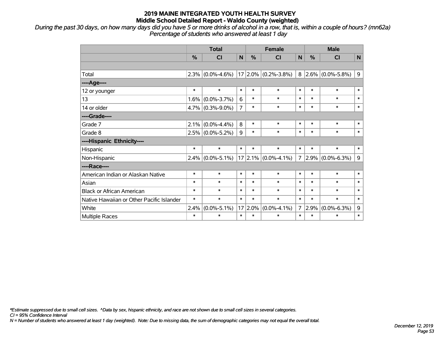*During the past 30 days, on how many days did you have 5 or more drinks of alcohol in a row, that is, within a couple of hours? (mn62a) Percentage of students who answered at least 1 day*

|                                           | <b>Total</b>  |                     |                |        | <b>Female</b>           |        | <b>Male</b> |                        |        |  |
|-------------------------------------------|---------------|---------------------|----------------|--------|-------------------------|--------|-------------|------------------------|--------|--|
|                                           | $\frac{0}{0}$ | CI                  | $\mathsf{N}$   | %      | <b>CI</b>               | N      | $\%$        | <b>CI</b>              | N      |  |
|                                           |               |                     |                |        |                         |        |             |                        |        |  |
| Total                                     |               | $2.3\%$ (0.0%-4.6%) |                |        | $17 2.0\% $ (0.2%-3.8%) |        |             | $8 2.6\% $ (0.0%-5.8%) | 9      |  |
| ----Age----                               |               |                     |                |        |                         |        |             |                        |        |  |
| 12 or younger                             | $\ast$        | $\ast$              | $\ast$         | $\ast$ | $\ast$                  | $\ast$ | $\ast$      | $\ast$                 | $\ast$ |  |
| 13                                        | 1.6%          | $(0.0\% - 3.7\%)$   | 6              | $\ast$ | $\ast$                  | $\ast$ | $\ast$      | $\ast$                 | $\ast$ |  |
| 14 or older                               |               | $4.7\%$ (0.3%-9.0%) | $\overline{7}$ | $\ast$ | $\ast$                  | $\ast$ | $\ast$      | $\ast$                 | $\ast$ |  |
| ----Grade----                             |               |                     |                |        |                         |        |             |                        |        |  |
| Grade 7                                   | 2.1%          | $(0.0\% - 4.4\%)$   | 8              | $\ast$ | $\ast$                  | $\ast$ | $\ast$      | $\ast$                 | $\ast$ |  |
| Grade 8                                   |               | $2.5\%$ (0.0%-5.2%) | 9              | $\ast$ | $\ast$                  | $\ast$ | $\ast$      | $\ast$                 | $\ast$ |  |
| ----Hispanic Ethnicity----                |               |                     |                |        |                         |        |             |                        |        |  |
| Hispanic                                  | $\ast$        | $\ast$              | $\ast$         | $\ast$ | $\ast$                  | $\ast$ | $\ast$      | $\ast$                 | $\ast$ |  |
| Non-Hispanic                              |               | $2.4\%$ (0.0%-5.1%) |                |        | $17 2.1\% $ (0.0%-4.1%) |        | 7 2.9%      | $(0.0\% - 6.3\%)$      | 9      |  |
| ----Race----                              |               |                     |                |        |                         |        |             |                        |        |  |
| American Indian or Alaskan Native         | $\ast$        | $\ast$              | $\ast$         | $\ast$ | $\ast$                  | $\ast$ | $\ast$      | $\ast$                 | $\ast$ |  |
| Asian                                     | $\ast$        | $\ast$              | $\ast$         | $\ast$ | $\ast$                  | $\ast$ | $\ast$      | $\ast$                 | $\ast$ |  |
| <b>Black or African American</b>          | $\ast$        | $\ast$              | $\ast$         | $\ast$ | $\ast$                  | $\ast$ | $\ast$      | $\ast$                 | $\ast$ |  |
| Native Hawaiian or Other Pacific Islander | $\ast$        | $\ast$              | $\ast$         | $\ast$ | $\ast$                  | $\ast$ | $\ast$      | $\ast$                 | $\ast$ |  |
| White                                     | 2.4%          | $(0.0\% - 5.1\%)$   | 17             | 2.0%   | $(0.0\% - 4.1\%)$       | 7      | 2.9%        | $(0.0\% - 6.3\%)$      | 9      |  |
| Multiple Races                            | $\ast$        | $\ast$              | $\ast$         | $\ast$ | $\ast$                  | $\ast$ | $\ast$      | $\ast$                 | $\ast$ |  |

*\*Estimate suppressed due to small cell sizes. ^Data by sex, hispanic ethnicity, and race are not shown due to small cell sizes in several categories.*

*CI = 95% Confidence Interval*

*N = Number of students who answered at least 1 day (weighted). Note: Due to missing data, the sum of demographic categories may not equal the overall total.*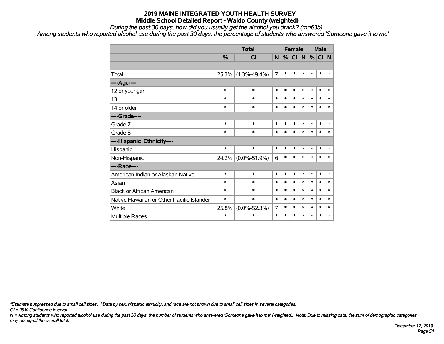*During the past 30 days, how did you usually get the alcohol you drank? (mn63b)*

*Among students who reported alcohol use during the past 30 days, the percentage of students who answered 'Someone gave it to me'*

|                                           |        | <b>Total</b>       |                | <b>Female</b> |        |           |        | <b>Male</b> |        |  |
|-------------------------------------------|--------|--------------------|----------------|---------------|--------|-----------|--------|-------------|--------|--|
|                                           | %      | CI                 | N.             | %             | CI     | ${\sf N}$ | %      | $CI$ N      |        |  |
|                                           |        |                    |                |               |        |           |        |             |        |  |
| Total                                     | 25.3%  | $(1.3\% - 49.4\%)$ | $\overline{7}$ | $\ast$        | *      | $\ast$    | $\ast$ | $\ast$      | $\ast$ |  |
| ----Age----                               |        |                    |                |               |        |           |        |             |        |  |
| 12 or younger                             | $\ast$ | $\ast$             | $\ast$         | $\ast$        | $\ast$ | $\ast$    | $\ast$ | $\ast$      | $\ast$ |  |
| 13                                        | $\ast$ | $\ast$             | $\ast$         | $\ast$        | $\ast$ | $\ast$    | $\ast$ | $\ast$      | $\ast$ |  |
| 14 or older                               | $\ast$ | $\ast$             | $\ast$         | $\ast$        | $\ast$ | $\ast$    | $\ast$ | $\ast$      | $\ast$ |  |
| ----Grade----                             |        |                    |                |               |        |           |        |             |        |  |
| Grade 7                                   | $\ast$ | $\ast$             | $\ast$         | $\ast$        | $\ast$ | $\ast$    | *      | $\ast$      | $\ast$ |  |
| Grade 8                                   | $\ast$ | $\ast$             | $\ast$         | *             | $\ast$ | $\ast$    | $\ast$ | $\ast$      | $\ast$ |  |
| ----Hispanic Ethnicity----                |        |                    |                |               |        |           |        |             |        |  |
| Hispanic                                  | $\ast$ | $\ast$             | $\ast$         | $\ast$        | $\ast$ | $\ast$    | $\ast$ | $\ast$      | $\ast$ |  |
| Non-Hispanic                              | 24.2%  | $(0.0\% - 51.9\%)$ | 6              | $\ast$        | *      | $\ast$    | *      | $\ast$      | $\ast$ |  |
| ----Race----                              |        |                    |                |               |        |           |        |             |        |  |
| American Indian or Alaskan Native         | $\ast$ | $\ast$             | $\ast$         | $\ast$        | $\ast$ | $\ast$    | *      | $\ast$      | $\ast$ |  |
| Asian                                     | $\ast$ | $\ast$             | $\ast$         | $\ast$        | $\ast$ | $\ast$    | $\ast$ | $\ast$      | $\ast$ |  |
| <b>Black or African American</b>          | $\ast$ | $\ast$             | $\ast$         | $\ast$        | $\ast$ | $\ast$    | $\ast$ | $\ast$      | $\ast$ |  |
| Native Hawaiian or Other Pacific Islander | $\ast$ | $\ast$             | $\ast$         | *             | $\ast$ | $\ast$    | $\ast$ | $\ast$      | $\ast$ |  |
| White                                     | 25.8%  | $(0.0\% - 52.3\%)$ | 7              | *             | $\ast$ | $\ast$    | $\ast$ | $\ast$      | $\ast$ |  |
| Multiple Races                            | $\ast$ | $\ast$             | $\ast$         | $\ast$        | *      | $\ast$    | $\ast$ | $\ast$      | $\ast$ |  |

*\*Estimate suppressed due to small cell sizes. ^Data by sex, hispanic ethnicity, and race are not shown due to small cell sizes in several categories.*

*CI = 95% Confidence Interval*

*N = Among students who reported alcohol use during the past 30 days, the number of students who answered 'Someone gave it to me' (weighted). Note: Due to missing data, the sum of demographic categories may not equal the overall total.*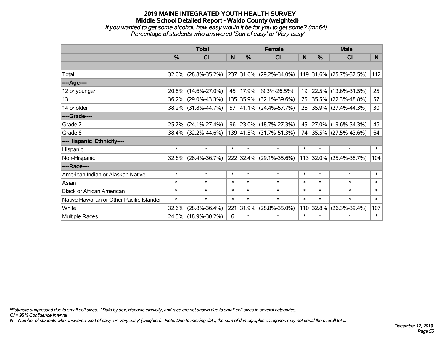#### **2019 MAINE INTEGRATED YOUTH HEALTH SURVEY Middle School Detailed Report - Waldo County (weighted)** *If you wanted to get some alcohol, how easy would it be for you to get some? (mn64) Percentage of students who answered 'Sort of easy' or 'Very easy'*

|                                           | <b>Total</b>  |                        |        | <b>Female</b> | <b>Male</b>             |        |        |                              |        |
|-------------------------------------------|---------------|------------------------|--------|---------------|-------------------------|--------|--------|------------------------------|--------|
|                                           | $\frac{0}{0}$ | <b>CI</b>              | N      | $\frac{0}{0}$ | <b>CI</b>               | N      | %      | <b>CI</b>                    | N      |
|                                           |               |                        |        |               |                         |        |        |                              |        |
| Total                                     |               | $32.0\%$ (28.8%-35.2%) |        |               | 237 31.6% (29.2%-34.0%) |        |        | $ 119 31.6\% $ (25.7%-37.5%) | 112    |
| ----Age----                               |               |                        |        |               |                         |        |        |                              |        |
| 12 or younger                             | 20.8%         | $(14.6\% - 27.0\%)$    | 45     | 17.9%         | $(9.3\% - 26.5\%)$      | 19     |        | 22.5% (13.6%-31.5%)          | 25     |
| 13                                        | 36.2%         | $(29.0\% - 43.3\%)$    |        |               | 135 35.9% (32.1%-39.6%) | 75     |        | $ 35.5\% $ (22.3%-48.8%)     | 57     |
| 14 or older                               |               | 38.2% (31.8%-44.7%)    |        |               | 57 41.1% (24.4%-57.7%)  | 26     |        | $ 35.9\% $ (27.4%-44.3%)     | 30     |
| ----Grade----                             |               |                        |        |               |                         |        |        |                              |        |
| Grade 7                                   | 25.7%         | $(24.1\% - 27.4\%)$    |        |               | 96 23.0% (18.7%-27.3%)  | 45     |        | 27.0% (19.6%-34.3%)          | 46     |
| Grade 8                                   |               | 38.4% (32.2%-44.6%)    |        |               | 139 41.5% (31.7%-51.3%) |        |        | 74 35.5% (27.5%-43.6%)       | 64     |
| ----Hispanic Ethnicity----                |               |                        |        |               |                         |        |        |                              |        |
| Hispanic                                  | $\ast$        | $\ast$                 | $\ast$ | $\ast$        | $\ast$                  | $\ast$ | $\ast$ | $\ast$                       | $\ast$ |
| Non-Hispanic                              |               | $32.6\%$ (28.4%-36.7%) |        |               | 222 32.4% (29.1%-35.6%) |        |        | 113 32.0% (25.4%-38.7%)      | 104    |
| ----Race----                              |               |                        |        |               |                         |        |        |                              |        |
| American Indian or Alaskan Native         | $\ast$        | $\ast$                 | $\ast$ | $\ast$        | $\ast$                  | $\ast$ | $\ast$ | $\ast$                       | $\ast$ |
| Asian                                     | $\ast$        | $\ast$                 | $\ast$ | $\ast$        | $\ast$                  | $\ast$ | $\ast$ | $\ast$                       | $\ast$ |
| <b>Black or African American</b>          | $\ast$        | $\ast$                 | $\ast$ | $\ast$        | $\ast$                  | $\ast$ | $\ast$ | $\ast$                       | $\ast$ |
| Native Hawaiian or Other Pacific Islander | $\ast$        | $\ast$                 | $\ast$ | $\ast$        | $\ast$                  | $\ast$ | $\ast$ | $\ast$                       | $\ast$ |
| White                                     | 32.6%         | $(28.8\% - 36.4\%)$    | 221    | 31.9%         | $(28.8\% - 35.0\%)$     | 110    | 32.8%  | $(26.3\% - 39.4\%)$          | 107    |
| Multiple Races                            |               | 24.5% (18.9%-30.2%)    | 6      | $\ast$        | $\ast$                  | $\ast$ | $\ast$ | $\ast$                       | $\ast$ |

*\*Estimate suppressed due to small cell sizes. ^Data by sex, hispanic ethnicity, and race are not shown due to small cell sizes in several categories.*

*CI = 95% Confidence Interval*

*N = Number of students who answered 'Sort of easy' or 'Very easy' (weighted). Note: Due to missing data, the sum of demographic categories may not equal the overall total.*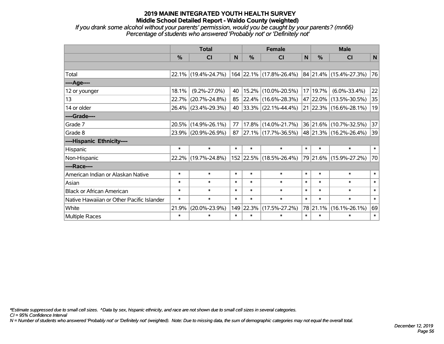*If you drank some alcohol without your parents' permission, would you be caught by your parents? (mn66) Percentage of students who answered 'Probably not' or 'Definitely not'*

|                                           | <b>Total</b>  |                     |        |           | <b>Female</b>            | <b>Male</b> |            |                                |        |
|-------------------------------------------|---------------|---------------------|--------|-----------|--------------------------|-------------|------------|--------------------------------|--------|
|                                           | $\frac{0}{0}$ | <b>CI</b>           | N      | $\%$      | <b>CI</b>                | N           | $\%$       | <b>CI</b>                      | N      |
|                                           |               |                     |        |           |                          |             |            |                                |        |
| Total                                     |               | 22.1% (19.4%-24.7%) |        |           | 164 22.1% (17.8%-26.4%)  |             |            | $ 84 21.4\% $ (15.4%-27.3%)    | 76     |
| ----Age----                               |               |                     |        |           |                          |             |            |                                |        |
| 12 or younger                             | 18.1%         | $(9.2\% - 27.0\%)$  | 40     |           | 15.2% (10.0%-20.5%)      |             | 17   19.7% | $(6.0\% - 33.4\%)$             | 22     |
| 13                                        |               | 22.7% (20.7%-24.8%) | 85     |           | $ 22.4\% $ (16.6%-28.3%) |             |            | 47 22.0% (13.5%-30.5%)         | 35     |
| 14 or older                               |               | 26.4% (23.4%-29.3%) | 40     |           | $ 33.3\% $ (22.1%-44.4%) |             |            | 21 22.3% (16.6%-28.1%)         | 19     |
| ----Grade----                             |               |                     |        |           |                          |             |            |                                |        |
| Grade 7                                   | 20.5%         | $(14.9\% - 26.1\%)$ | 77     |           | $17.8\%$ (14.0%-21.7%)   |             |            | 36 21.6% (10.7%-32.5%)         | 37     |
| Grade 8                                   |               | 23.9% (20.9%-26.9%) | 87     |           | $ 27.1\% $ (17.7%-36.5%) |             |            | $ 48 21.3\% (16.2\% - 26.4\%)$ | 39     |
| ----Hispanic Ethnicity----                |               |                     |        |           |                          |             |            |                                |        |
| Hispanic                                  | $\ast$        | $\ast$              | $\ast$ | $\ast$    | $\ast$                   | $\ast$      | $\ast$     | $\ast$                         | $\ast$ |
| Non-Hispanic                              |               | 22.2% (19.7%-24.8%) |        |           | 152 22.5% (18.5%-26.4%)  |             |            | 79 21.6% (15.9%-27.2%)         | 70     |
| ----Race----                              |               |                     |        |           |                          |             |            |                                |        |
| American Indian or Alaskan Native         | $\ast$        | $\ast$              | $\ast$ | $\ast$    | $\ast$                   | $\ast$      | $\ast$     | $\ast$                         | $\ast$ |
| Asian                                     | $\ast$        | $\ast$              | $\ast$ | $\ast$    | $\ast$                   | $\ast$      | $\ast$     | $\ast$                         | $\ast$ |
| <b>Black or African American</b>          | $\ast$        | $\ast$              | $\ast$ | $\ast$    | $\ast$                   | $\ast$      | $\ast$     | $\ast$                         | $\ast$ |
| Native Hawaiian or Other Pacific Islander | $\ast$        | $\ast$              | $\ast$ | $\ast$    | $\ast$                   | $\ast$      | $\ast$     | $\ast$                         | $\ast$ |
| White                                     | 21.9%         | $(20.0\% - 23.9\%)$ |        | 149 22.3% | $(17.5\% - 27.2\%)$      |             | 78 21.1%   | $(16.1\% - 26.1\%)$            | 69     |
| Multiple Races                            | $\ast$        | $\ast$              | $\ast$ | $\ast$    | $\ast$                   | $\ast$      | $\ast$     | $\ast$                         | $\ast$ |

*\*Estimate suppressed due to small cell sizes. ^Data by sex, hispanic ethnicity, and race are not shown due to small cell sizes in several categories.*

*CI = 95% Confidence Interval*

*N = Number of students who answered 'Probably not' or 'Definitely not' (weighted). Note: Due to missing data, the sum of demographic categories may not equal the overall total.*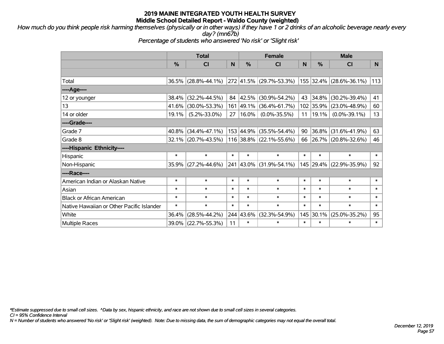*How much do you think people risk harming themselves (physically or in other ways) if they have 1 or 2 drinks of an alcoholic beverage nearly every day? (mn67b)*

*Percentage of students who answered 'No risk' or 'Slight risk'*

|                                           | <b>Total</b>  |                     |        |                       | <b>Female</b>           |        | <b>Male</b> |                         |        |  |
|-------------------------------------------|---------------|---------------------|--------|-----------------------|-------------------------|--------|-------------|-------------------------|--------|--|
|                                           | $\frac{0}{0}$ | <b>CI</b>           | N      | $\frac{9}{6}$         | <b>CI</b>               | N      | %           | <b>CI</b>               | N      |  |
|                                           |               |                     |        |                       |                         |        |             |                         |        |  |
| Total                                     |               | 36.5% (28.8%-44.1%) |        |                       | 272 41.5% (29.7%-53.3%) |        |             | 155 32.4% (28.6%-36.1%) | 113    |  |
| ----Age----                               |               |                     |        |                       |                         |        |             |                         |        |  |
| 12 or younger                             | $38.4\%$      | $(32.2\% - 44.5\%)$ |        | $84 \mid 42.5\% \mid$ | $(30.9\% - 54.2\%)$     | 43     | 34.8%       | $(30.2\% - 39.4\%)$     | 41     |  |
| 13                                        | 41.6%         | $(30.0\% - 53.3\%)$ |        |                       | 161 49.1% (36.4%-61.7%) |        | 102 35.9%   | $(23.0\% - 48.9\%)$     | 60     |  |
| 14 or older                               | 19.1%         | $(5.2\% - 33.0\%)$  | 27     | $ 16.0\% $            | $(0.0\% - 35.5\%)$      | 11     | 19.1%       | $(0.0\% - 39.1\%)$      | 13     |  |
| ----Grade----                             |               |                     |        |                       |                         |        |             |                         |        |  |
| Grade 7                                   | 40.8%         | $(34.4\% - 47.1\%)$ |        | 153 44.9%             | $(35.5\% - 54.4\%)$     | 90     | 36.8%       | $(31.6\% - 41.9\%)$     | 63     |  |
| Grade 8                                   |               | 32.1% (20.7%-43.5%) |        |                       | 116 38.8% (22.1%-55.6%) | 66     |             | 26.7% (20.8%-32.6%)     | 46     |  |
| ----Hispanic Ethnicity----                |               |                     |        |                       |                         |        |             |                         |        |  |
| Hispanic                                  | $\ast$        | $\ast$              | $\ast$ | $\ast$                | $\ast$                  | $\ast$ | $\ast$      | $\ast$                  | $\ast$ |  |
| Non-Hispanic                              | 35.9%         | $(27.2\% - 44.6\%)$ |        |                       | 241 43.0% (31.9%-54.1%) |        |             | 145 29.4% (22.9%-35.9%) | 92     |  |
| ----Race----                              |               |                     |        |                       |                         |        |             |                         |        |  |
| American Indian or Alaskan Native         | $\ast$        | $\ast$              | $\ast$ | $\ast$                | $\ast$                  | $\ast$ | $\ast$      | $\ast$                  | $\ast$ |  |
| Asian                                     | $\ast$        | $\ast$              | $\ast$ | $\ast$                | $\ast$                  | $\ast$ | $\ast$      | $\ast$                  | $\ast$ |  |
| <b>Black or African American</b>          | $\ast$        | $\ast$              | $\ast$ | $\ast$                | $\ast$                  | $\ast$ | $\ast$      | $\ast$                  | $\ast$ |  |
| Native Hawaiian or Other Pacific Islander | $\ast$        | $\ast$              | $\ast$ | $\ast$                | $\ast$                  | $\ast$ | $\ast$      | $\ast$                  | $\ast$ |  |
| White                                     | 36.4%         | $(28.5\% - 44.2\%)$ |        | 244 43.6%             | $(32.3\% - 54.9\%)$     | 145    | 30.1%       | $(25.0\% - 35.2\%)$     | 95     |  |
| <b>Multiple Races</b>                     | 39.0%         | $(22.7\% - 55.3\%)$ | 11     | $\ast$                | $\ast$                  | $\ast$ | $\ast$      | $\ast$                  | $\ast$ |  |

*\*Estimate suppressed due to small cell sizes. ^Data by sex, hispanic ethnicity, and race are not shown due to small cell sizes in several categories.*

*CI = 95% Confidence Interval*

*N = Number of students who answered 'No risk' or 'Slight risk' (weighted). Note: Due to missing data, the sum of demographic categories may not equal the overall total.*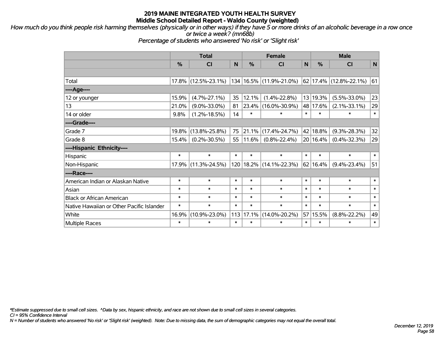*How much do you think people risk harming themselves (physically or in other ways) if they have 5 or more drinks of an alcoholic beverage in a row once or twice a week? (mn68b)*

*Percentage of students who answered 'No risk' or 'Slight risk'*

|                                           | <b>Total</b>  |                     |        | <b>Female</b> |                             | <b>Male</b> |          |                        |        |
|-------------------------------------------|---------------|---------------------|--------|---------------|-----------------------------|-------------|----------|------------------------|--------|
|                                           | $\frac{0}{0}$ | C <sub>l</sub>      | N      | $\frac{0}{0}$ | C <sub>1</sub>              | N           | %        | <b>CI</b>              | N      |
|                                           |               |                     |        |               |                             |             |          |                        |        |
| Total                                     |               | 17.8% (12.5%-23.1%) |        |               | 134   16.5%   (11.9%-21.0%) |             |          | 62 17.4% (12.8%-22.1%) | 61     |
| ----Age----                               |               |                     |        |               |                             |             |          |                        |        |
| 12 or younger                             | 15.9%         | $(4.7\% - 27.1\%)$  | 35     | 12.1%         | $(1.4\% - 22.8\%)$          |             | 13 19.3% | $(5.5\% - 33.0\%)$     | 23     |
| 13                                        | 21.0%         | $(9.0\% - 33.0\%)$  | 81     | 23.4%         | $(16.0\% - 30.9\%)$         |             | 48 17.6% | $(2.1\% - 33.1\%)$     | 29     |
| 14 or older                               | 9.8%          | $(1.2\% - 18.5\%)$  | 14     | $\ast$        | $\ast$                      | $\ast$      | $\ast$   | $\ast$                 | $\ast$ |
| ----Grade----                             |               |                     |        |               |                             |             |          |                        |        |
| Grade 7                                   | 19.8%         | $(13.8\% - 25.8\%)$ | 75     | 21.1%         | $(17.4\% - 24.7\%)$         |             | 42 18.8% | $(9.3\% - 28.3\%)$     | 32     |
| Grade 8                                   | 15.4%         | $(0.2\% - 30.5\%)$  | 55     | 11.6%         | $(0.8\% - 22.4\%)$          |             | 20 16.4% | $(0.4\% - 32.3\%)$     | 29     |
| ----Hispanic Ethnicity----                |               |                     |        |               |                             |             |          |                        |        |
| Hispanic                                  | $\ast$        | $\ast$              | $\ast$ | $\ast$        | $\ast$                      | $\ast$      | $\ast$   | $\ast$                 | $\ast$ |
| Non-Hispanic                              |               | 17.9% (11.3%-24.5%) |        |               | 120   18.2%   (14.1%-22.3%) |             | 62 16.4% | $(9.4\% - 23.4\%)$     | 51     |
| ----Race----                              |               |                     |        |               |                             |             |          |                        |        |
| American Indian or Alaskan Native         | $\ast$        | $\ast$              | $\ast$ | $\ast$        | $\ast$                      | $\ast$      | $\ast$   | $\ast$                 | $\ast$ |
| Asian                                     | $\ast$        | $\ast$              | $\ast$ | $\ast$        | $\ast$                      | $\ast$      | $\ast$   | $\ast$                 | $\ast$ |
| <b>Black or African American</b>          | $\ast$        | $\ast$              | $\ast$ | $\ast$        | $\ast$                      | $\ast$      | $\ast$   | $\ast$                 | $\ast$ |
| Native Hawaiian or Other Pacific Islander | $\ast$        | $\ast$              | $\ast$ | $\ast$        | $\ast$                      | $\ast$      | $\ast$   | $\ast$                 | $\ast$ |
| White                                     | 16.9%         | $(10.9\% - 23.0\%)$ | 113    | 17.1%         | $(14.0\% - 20.2\%)$         | 57          | 15.5%    | $(8.8\% - 22.2\%)$     | 49     |
| <b>Multiple Races</b>                     | $\ast$        | $\ast$              | $\ast$ | $\ast$        | $\ast$                      | $\ast$      | $\ast$   | $\ast$                 | $\ast$ |

*\*Estimate suppressed due to small cell sizes. ^Data by sex, hispanic ethnicity, and race are not shown due to small cell sizes in several categories.*

*CI = 95% Confidence Interval*

*N = Number of students who answered 'No risk' or 'Slight risk' (weighted). Note: Due to missing data, the sum of demographic categories may not equal the overall total.*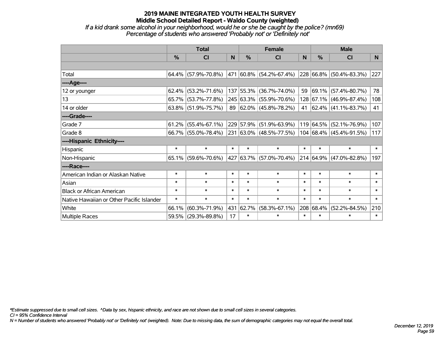*If a kid drank some alcohol in your neighborhood, would he or she be caught by the police? (mn69) Percentage of students who answered 'Probably not' or 'Definitely not'*

|                                           | <b>Total</b>  |                                                |        | <b>Female</b> | <b>Male</b>                 |        |           |                                  |        |
|-------------------------------------------|---------------|------------------------------------------------|--------|---------------|-----------------------------|--------|-----------|----------------------------------|--------|
|                                           | $\frac{0}{0}$ | <b>CI</b>                                      | N      | %             | <b>CI</b>                   | N      | %         | <b>CI</b>                        | N.     |
|                                           |               |                                                |        |               |                             |        |           |                                  |        |
| Total                                     |               | $64.4\%$ (57.9%-70.8%) 471 60.8% (54.2%-67.4%) |        |               |                             |        |           | $ 228 66.8\%  (50.4\% - 83.3\%)$ | 227    |
| ----Age----                               |               |                                                |        |               |                             |        |           |                                  |        |
| 12 or younger                             | $62.4\%$      | $(53.2\% - 71.6\%)$                            |        |               | 137 55.3% (36.7%-74.0%)     | 59     |           | $ 69.1\% $ (57.4%-80.7%)         | 78     |
| 13                                        |               | 65.7% (53.7%-77.8%)                            |        |               | 245 63.3% (55.9%-70.6%)     |        |           | 128 67.1% (46.9%-87.4%)          | 108    |
| 14 or older                               |               | $63.8\%$ (51.9%-75.7%)                         |        |               | 89 62.0% (45.8%-78.2%)      |        |           | 41 $ 62.4\% $ (41.1%-83.7%)      | 41     |
| ----Grade----                             |               |                                                |        |               |                             |        |           |                                  |        |
| Grade 7                                   | 61.2%         | $(55.4\% - 67.1\%)$                            |        |               | 229 57.9% (51.9%-63.9%)     |        | 119 64.5% | $(52.1\% - 76.9\%)$              | 107    |
| Grade 8                                   |               | 66.7% (55.0%-78.4%)                            |        |               | 231 63.0% (48.5%-77.5%)     |        |           | 104 68.4% (45.4%-91.5%)          | 117    |
| ----Hispanic Ethnicity----                |               |                                                |        |               |                             |        |           |                                  |        |
| Hispanic                                  | $\ast$        | $\ast$                                         | $\ast$ | $\ast$        | $\ast$                      | $\ast$ | $\ast$    | $\ast$                           | $\ast$ |
| Non-Hispanic                              |               | $65.1\%$ (59.6%-70.6%)                         |        |               | 427   63.7%   (57.0%-70.4%) |        |           | $214 64.9\% (47.0\% - 82.8\%)$   | 197    |
| ----Race----                              |               |                                                |        |               |                             |        |           |                                  |        |
| American Indian or Alaskan Native         | $\ast$        | $\ast$                                         | $\ast$ | $\ast$        | $\ast$                      | $\ast$ | $\ast$    | $\ast$                           | $\ast$ |
| Asian                                     | $\ast$        | $\ast$                                         | $\ast$ | $\ast$        | $\ast$                      | $\ast$ | $\ast$    | $\ast$                           | $\ast$ |
| <b>Black or African American</b>          | $\ast$        | $\ast$                                         | $\ast$ | $\ast$        | $\ast$                      | $\ast$ | $\ast$    | $\ast$                           | $\ast$ |
| Native Hawaiian or Other Pacific Islander | $\ast$        | $\ast$                                         | $\ast$ | $\ast$        | $\ast$                      | $\ast$ | $\ast$    | $\ast$                           | $\ast$ |
| White                                     | 66.1%         | $(60.3\% - 71.9\%)$                            | 431    | 62.7%         | $(58.3\% - 67.1\%)$         | 208    | 68.4%     | $(52.2\% - 84.5\%)$              | 210    |
| <b>Multiple Races</b>                     |               | 59.5% (29.3%-89.8%)                            | 17     | $\ast$        | $\ast$                      | $\ast$ | $\ast$    | $\ast$                           | $\ast$ |

*\*Estimate suppressed due to small cell sizes. ^Data by sex, hispanic ethnicity, and race are not shown due to small cell sizes in several categories.*

*CI = 95% Confidence Interval*

*N = Number of students who answered 'Probably not' or 'Definitely not' (weighted). Note: Due to missing data, the sum of demographic categories may not equal the overall total.*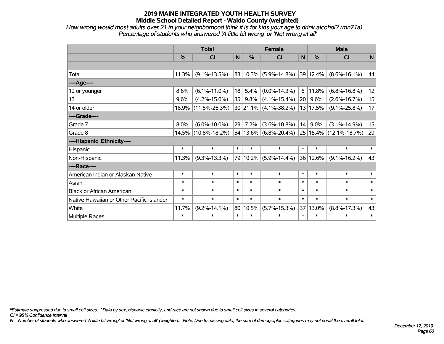*How wrong would most adults over 21 in your neighborhood think it is for kids your age to drink alcohol? (mn71a) Percentage of students who answered 'A little bit wrong' or 'Not wrong at all'*

|                                           | <b>Total</b>  |                     |        |          | <b>Female</b>                  |        | <b>Male</b> |                        |        |  |
|-------------------------------------------|---------------|---------------------|--------|----------|--------------------------------|--------|-------------|------------------------|--------|--|
|                                           | $\frac{0}{0}$ | <b>CI</b>           | N      | %        | <b>CI</b>                      | N      | %           | <b>CI</b>              | N      |  |
|                                           |               |                     |        |          |                                |        |             |                        |        |  |
| Total                                     | 11.3%         | $(9.1\% - 13.5\%)$  |        |          | $ 83 10.3\% $ (5.9%-14.8%)     |        | 39 12.4%    | $(8.6\% - 16.1\%)$     | 44     |  |
| ----Age----                               |               |                     |        |          |                                |        |             |                        |        |  |
| 12 or younger                             | 8.6%          | $(6.1\% - 11.0\%)$  | 18     | 5.4%     | $(0.0\% - 14.3\%)$             | 6      | 11.8%       | $(6.8\% - 16.8\%)$     | 12     |  |
| 13                                        | 9.6%          | $(4.2\% - 15.0\%)$  | 35     | $9.8\%$  | $(4.1\% - 15.4\%)$             | 20     | 9.6%        | $(2.6\% - 16.7\%)$     | 15     |  |
| 14 or older                               | 18.9%         | $(11.5\% - 26.3\%)$ |        |          | $30 21.1\% $ (4.1%-38.2%)      |        | 13 17.5%    | $(9.1\% - 25.8\%)$     | 17     |  |
| ----Grade----                             |               |                     |        |          |                                |        |             |                        |        |  |
| Grade 7                                   | 8.0%          | $(6.0\% - 10.0\%)$  | 29     | 7.2%     | $(3.6\% - 10.8\%)$             | 4      | $9.0\%$     | $(3.1\% - 14.9\%)$     | 15     |  |
| Grade 8                                   | 14.5%         | $(10.8\% - 18.2\%)$ |        |          | $ 54 13.6\%  (6.8\% - 20.4\%)$ |        |             | 25 15.4% (12.1%-18.7%) | 29     |  |
| ----Hispanic Ethnicity----                |               |                     |        |          |                                |        |             |                        |        |  |
| Hispanic                                  | $\ast$        | $\ast$              | $\ast$ | $\ast$   | $\ast$                         | $\ast$ | $\ast$      | $\ast$                 | $\ast$ |  |
| Non-Hispanic                              | 11.3%         | $(9.3\% - 13.3\%)$  |        |          | 79 10.2% (5.9%-14.4%)          |        | 36 12.6%    | $(9.1\% - 16.2\%)$     | 43     |  |
| ----Race----                              |               |                     |        |          |                                |        |             |                        |        |  |
| American Indian or Alaskan Native         | $\ast$        | $\ast$              | $\ast$ | $\ast$   | $\ast$                         | $\ast$ | $\ast$      | $\ast$                 | $\ast$ |  |
| Asian                                     | $\ast$        | $\ast$              | $\ast$ | $\ast$   | $\ast$                         | $\ast$ | $\ast$      | $\ast$                 | $\ast$ |  |
| <b>Black or African American</b>          | $\ast$        | $\ast$              | $\ast$ | $\ast$   | $\ast$                         | $\ast$ | $\ast$      | $\ast$                 | $\ast$ |  |
| Native Hawaiian or Other Pacific Islander | $\ast$        | $\ast$              | $\ast$ | $\ast$   | $\ast$                         | $\ast$ | $\ast$      | $\ast$                 | $\ast$ |  |
| White                                     | 11.7%         | $(9.2\% - 14.1\%)$  |        | 80 10.5% | $(5.7\% - 15.3\%)$             | 37     | 13.0%       | $(8.8\% - 17.3\%)$     | 43     |  |
| Multiple Races                            | $\ast$        | $\ast$              | $\ast$ | $\ast$   | $\ast$                         | $\ast$ | $\ast$      | $\ast$                 | $\ast$ |  |

*\*Estimate suppressed due to small cell sizes. ^Data by sex, hispanic ethnicity, and race are not shown due to small cell sizes in several categories.*

*CI = 95% Confidence Interval*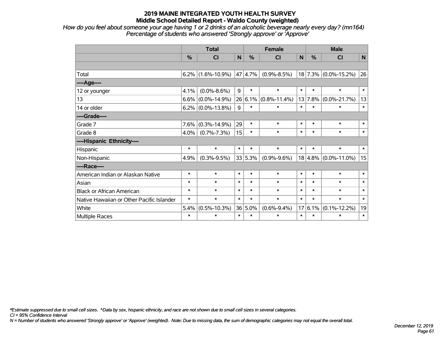*How do you feel about someone your age having 1 or 2 drinks of an alcoholic beverage nearly every day? (mn164) Percentage of students who answered 'Strongly approve' or 'Approve'*

|                                           | <b>Total</b> |                      |        | <b>Female</b>   |                              |             | <b>Male</b> |                          |        |  |
|-------------------------------------------|--------------|----------------------|--------|-----------------|------------------------------|-------------|-------------|--------------------------|--------|--|
|                                           | %            | CI                   | N      | $\frac{0}{0}$   | CI                           | $\mathbf N$ | %           | CI                       | N      |  |
|                                           |              |                      |        |                 |                              |             |             |                          |        |  |
| Total                                     |              | $6.2\%$ (1.6%-10.9%) |        | $47 \mid 4.7\%$ | $(0.9\% - 8.5\%)$            |             |             | $18$ 7.3% (0.0%-15.2%)   | 26     |  |
| ----Age----                               |              |                      |        |                 |                              |             |             |                          |        |  |
| 12 or younger                             | 4.1%         | $(0.0\% - 8.6\%)$    | 9      | $\ast$          | $\ast$                       | $\ast$      | $\ast$      | $\ast$                   | $\ast$ |  |
| 13                                        | 6.6%         | $(0.0\% - 14.9\%)$   |        |                 | $26 6.1\%  (0.8\% - 11.4\%)$ |             | 13 7.8%     | $(0.0\% - 21.7\%)$       | 13     |  |
| 14 or older                               |              | $6.2\%$ (0.0%-13.8%) | 9      | $\ast$          | $\ast$                       | $\ast$      | $\ast$      | $\ast$                   | $\ast$ |  |
| ----Grade----                             |              |                      |        |                 |                              |             |             |                          |        |  |
| Grade 7                                   | 7.6%         | $(0.3\% - 14.9\%)$   | 29     | $\ast$          | $\ast$                       | $\ast$      | $\ast$      | $\ast$                   | $\ast$ |  |
| Grade 8                                   | 4.0%         | $(0.7\% - 7.3\%)$    | 15     | $\ast$          | $\ast$                       | $\ast$      | $\ast$      | $\ast$                   | $\ast$ |  |
| ----Hispanic Ethnicity----                |              |                      |        |                 |                              |             |             |                          |        |  |
| Hispanic                                  | $\ast$       | $\ast$               | $\ast$ | $\ast$          | $\ast$                       | $\ast$      | $\ast$      | $\ast$                   | $\ast$ |  |
| Non-Hispanic                              | 4.9%         | $(0.3\% - 9.5\%)$    |        | 33 5.3%         | $(0.9\% - 9.6\%)$            |             |             | $18 4.8\% $ (0.0%-11.0%) | 15     |  |
| ----Race----                              |              |                      |        |                 |                              |             |             |                          |        |  |
| American Indian or Alaskan Native         | $\ast$       | $\ast$               | $\ast$ | $\ast$          | $\ast$                       | $\ast$      | $\ast$      | $\ast$                   | $\ast$ |  |
| Asian                                     | $\ast$       | $\ast$               | $\ast$ | $\ast$          | $\ast$                       | $\ast$      | $\ast$      | $\ast$                   | $\ast$ |  |
| <b>Black or African American</b>          | $\ast$       | $\ast$               | $\ast$ | $\ast$          | $\ast$                       | $\ast$      | $\ast$      | $\ast$                   | $\ast$ |  |
| Native Hawaiian or Other Pacific Islander | $\ast$       | $\ast$               | $\ast$ | $\ast$          | $\ast$                       | $\ast$      | $\ast$      | $\ast$                   | $\ast$ |  |
| White                                     | 5.4%         | $(0.5\% - 10.3\%)$   |        | 36 5.0%         | $(0.6\% - 9.4\%)$            | 17          | 6.1%        | $(0.1\% - 12.2\%)$       | 19     |  |
| <b>Multiple Races</b>                     | $\ast$       | $\ast$               | $\ast$ | $\ast$          | $\ast$                       | $\ast$      | $\ast$      | $\ast$                   | $\ast$ |  |

*\*Estimate suppressed due to small cell sizes. ^Data by sex, hispanic ethnicity, and race are not shown due to small cell sizes in several categories.*

*CI = 95% Confidence Interval*

*N = Number of students who answered 'Strongly approve' or 'Approve' (weighted). Note: Due to missing data, the sum of demographic categories may not equal the overall total.*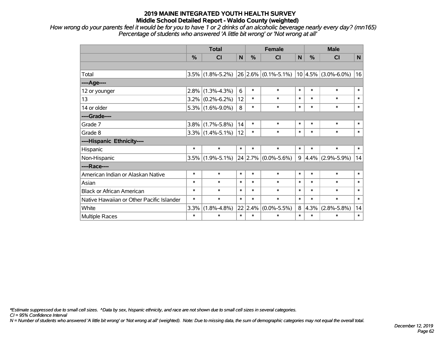*How wrong do your parents feel it would be for you to have 1 or 2 drinks of an alcoholic beverage nearly every day? (mn165) Percentage of students who answered 'A little bit wrong' or 'Not wrong at all'*

|                                           | <b>Total</b> |                     |                | <b>Female</b> |                         |                | <b>Male</b>   |                         |        |  |
|-------------------------------------------|--------------|---------------------|----------------|---------------|-------------------------|----------------|---------------|-------------------------|--------|--|
|                                           | %            | <b>CI</b>           | N              | %             | CI                      | N              | $\frac{0}{0}$ | CI                      | N      |  |
|                                           |              |                     |                |               |                         |                |               |                         |        |  |
| Total                                     |              | $3.5\%$ (1.8%-5.2%) |                |               | $26 2.6\% $ (0.1%-5.1%) |                |               | $10 4.5\% $ (3.0%-6.0%) | 16     |  |
| ----Age----                               |              |                     |                |               |                         |                |               |                         |        |  |
| 12 or younger                             | 2.8%         | $(1.3\% - 4.3\%)$   | $6\phantom{1}$ | $\ast$        | $\ast$                  | $\ast$         | $\ast$        | $\ast$                  | $\ast$ |  |
| 13                                        |              | $3.2\%$ (0.2%-6.2%) | 12             | $\ast$        | $\ast$                  | $\ast$         | $\ast$        | $\ast$                  | $\ast$ |  |
| 14 or older                               |              | $5.3\%$ (1.6%-9.0%) | 8              | $\ast$        | $\ast$                  | $\ast$         | $\ast$        | $\ast$                  | $\ast$ |  |
| ----Grade----                             |              |                     |                |               |                         |                |               |                         |        |  |
| Grade 7                                   | $3.8\%$      | $(1.7\% - 5.8\%)$   | 14             | $\ast$        | $\ast$                  | $\ast$         | $\ast$        | $\ast$                  | $\ast$ |  |
| Grade 8                                   |              | $3.3\%$ (1.4%-5.1%) | 12             | $\ast$        | $\ast$                  | $\ast$         | $\ast$        | $\ast$                  | $\ast$ |  |
| ----Hispanic Ethnicity----                |              |                     |                |               |                         |                |               |                         |        |  |
| Hispanic                                  | $\ast$       | $\ast$              | $\ast$         | $\ast$        | $\ast$                  | $\ast$         | $\ast$        | $\ast$                  | $\ast$ |  |
| Non-Hispanic                              | 3.5%         | $(1.9\% - 5.1\%)$   |                |               | $24 2.7\% $ (0.0%-5.6%) | 9 <sup>1</sup> |               | $4.4\%$ (2.9%-5.9%)     | 14     |  |
| ----Race----                              |              |                     |                |               |                         |                |               |                         |        |  |
| American Indian or Alaskan Native         | $\ast$       | $\ast$              | $\ast$         | $\ast$        | $\ast$                  | $\ast$         | $\ast$        | $\ast$                  | $\ast$ |  |
| Asian                                     | $\ast$       | $\ast$              | $\ast$         | $\ast$        | $\ast$                  | $\ast$         | $\ast$        | $\ast$                  | $\ast$ |  |
| <b>Black or African American</b>          | $\ast$       | $\ast$              | $\ast$         | $\ast$        | $\ast$                  | $\ast$         | $\ast$        | $\ast$                  | $\ast$ |  |
| Native Hawaiian or Other Pacific Islander | $\ast$       | $\ast$              | $\ast$         | $\ast$        | $\ast$                  | $\ast$         | $\ast$        | $\ast$                  | $\ast$ |  |
| White                                     | 3.3%         | $(1.8\% - 4.8\%)$   | 22             | 2.4%          | $(0.0\% - 5.5\%)$       | 8              | 4.3%          | $(2.8\% - 5.8\%)$       | 14     |  |
| Multiple Races                            | $\ast$       | $\ast$              | $\ast$         | $\ast$        | $\ast$                  | $\ast$         | $\ast$        | $\ast$                  | $\ast$ |  |

*\*Estimate suppressed due to small cell sizes. ^Data by sex, hispanic ethnicity, and race are not shown due to small cell sizes in several categories.*

*CI = 95% Confidence Interval*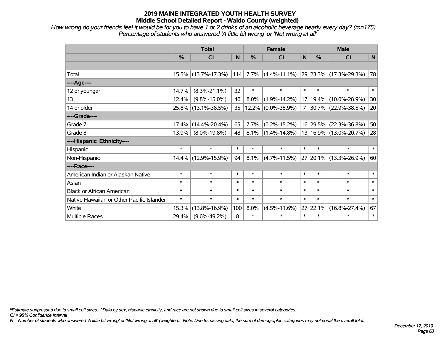*How wrong do your friends feel it would be for you to have 1 or 2 drinks of an alcoholic beverage nearly every day? (mn175) Percentage of students who answered 'A little bit wrong' or 'Not wrong at all'*

|                                           | <b>Total</b>  |                     |        |               | <b>Female</b>         |        | <b>Male</b>   |                             |        |  |
|-------------------------------------------|---------------|---------------------|--------|---------------|-----------------------|--------|---------------|-----------------------------|--------|--|
|                                           | $\frac{0}{0}$ | CI                  | N      | $\frac{0}{0}$ | CI                    | N      | $\frac{0}{0}$ | <b>CI</b>                   | N      |  |
|                                           |               |                     |        |               |                       |        |               |                             |        |  |
| Total                                     |               | 15.5% (13.7%-17.3%) |        | $ 114 7.7\%$  | $(4.4\% - 11.1\%)$    |        |               | $ 29 23.3\% $ (17.3%-29.3%) | 78     |  |
| ----Age----                               |               |                     |        |               |                       |        |               |                             |        |  |
| 12 or younger                             | 14.7%         | $(8.3\% - 21.1\%)$  | 32     | $\ast$        | $\ast$                | $\ast$ | $\ast$        | $\ast$                      | $\ast$ |  |
| 13                                        | 12.4%         | $(9.8\% - 15.0\%)$  | 46     | 8.0%          | $(1.9\% - 14.2\%)$    |        |               | 17   19.4%   (10.0%-28.9%)  | 30     |  |
| 14 or older                               | $25.8\%$      | $(13.1\% - 38.5\%)$ | 35     |               | $12.2\%$ (0.0%-35.9%) | 7      |               | $ 30.7\% $ (22.9%-38.5%)    | 20     |  |
| ----Grade----                             |               |                     |        |               |                       |        |               |                             |        |  |
| Grade 7                                   | 17.4%         | $(14.4\% - 20.4\%)$ | 65     | 7.7%          | $(0.2\% - 15.2\%)$    |        |               | 16 29.5% (22.3%-36.8%)      | 50     |  |
| Grade 8                                   | 13.9%         | $(8.0\% - 19.8\%)$  | 48     | 8.1%          | $(1.4\% - 14.8\%)$    |        |               | 13   16.9%   (13.0%-20.7%)  | 28     |  |
| ----Hispanic Ethnicity----                |               |                     |        |               |                       |        |               |                             |        |  |
| Hispanic                                  | $\ast$        | $\ast$              | $\ast$ | $\ast$        | $\ast$                | $\ast$ | $\ast$        | $\ast$                      | $\ast$ |  |
| Non-Hispanic                              | $14.4\%$      | $(12.9\% - 15.9\%)$ | 94     | 8.1%          | $(4.7\% - 11.5\%)$    |        |               | 27 20.1% (13.3%-26.9%)      | 60     |  |
| ----Race----                              |               |                     |        |               |                       |        |               |                             |        |  |
| American Indian or Alaskan Native         | $\ast$        | $\ast$              | $\ast$ | $\ast$        | $\ast$                | $\ast$ | $\ast$        | $\ast$                      | $\ast$ |  |
| Asian                                     | $\ast$        | $\ast$              | $\ast$ | $\ast$        | $\ast$                | $\ast$ | $\ast$        | $\ast$                      | $\ast$ |  |
| <b>Black or African American</b>          | $\ast$        | $\ast$              | $\ast$ | $\ast$        | $\ast$                | $\ast$ | $\ast$        | $\ast$                      | $\ast$ |  |
| Native Hawaiian or Other Pacific Islander | $\ast$        | $\ast$              | $\ast$ | $\ast$        | $\ast$                | $\ast$ | $\ast$        | $\ast$                      | $\ast$ |  |
| White                                     | 15.3%         | $(13.8\% - 16.9\%)$ | 100    | 8.0%          | $(4.5\% - 11.6\%)$    | 27     | 22.1%         | $(16.8\% - 27.4\%)$         | 67     |  |
| Multiple Races                            | 29.4%         | $(9.6\% - 49.2\%)$  | 8      | $\ast$        | $\ast$                | $\ast$ | $\ast$        | $\ast$                      | $\ast$ |  |

*\*Estimate suppressed due to small cell sizes. ^Data by sex, hispanic ethnicity, and race are not shown due to small cell sizes in several categories.*

*CI = 95% Confidence Interval*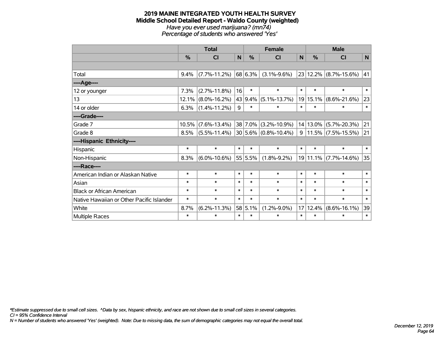#### **2019 MAINE INTEGRATED YOUTH HEALTH SURVEY Middle School Detailed Report - Waldo County (weighted)** *Have you ever used marijuana? (mn74) Percentage of students who answered 'Yes'*

|                                           | <b>Total</b>  |                    |        |               | <b>Female</b>             |        |          | <b>Male</b>              |          |  |  |
|-------------------------------------------|---------------|--------------------|--------|---------------|---------------------------|--------|----------|--------------------------|----------|--|--|
|                                           | $\frac{0}{0}$ | <b>CI</b>          | N      | $\frac{0}{0}$ | <b>CI</b>                 | N      | %        | <b>CI</b>                | <b>N</b> |  |  |
|                                           |               |                    |        |               |                           |        |          |                          |          |  |  |
| Total                                     | 9.4%          | $(7.7\% - 11.2\%)$ |        | 68 6.3%       | $(3.1\% - 9.6\%)$         |        |          | 23 12.2% (8.7%-15.6%)    | 41       |  |  |
| ---- Age----                              |               |                    |        |               |                           |        |          |                          |          |  |  |
| 12 or younger                             | 7.3%          | $(2.7\% - 11.8\%)$ | 16     | $\ast$        | $\ast$                    | $\ast$ | $\ast$   | $\ast$                   | $\ast$   |  |  |
| 13                                        | 12.1%         | $(8.0\% - 16.2\%)$ |        | 43 9.4%       | $(5.1\% - 13.7\%)$        | 19     | 15.1%    | $(8.6\% - 21.6\%)$       | 23       |  |  |
| 14 or older                               | 6.3%          | $(1.4\% - 11.2\%)$ | 9      | $\ast$        | $\ast$                    | $\ast$ | $\ast$   | $\ast$                   | $\ast$   |  |  |
| ----Grade----                             |               |                    |        |               |                           |        |          |                          |          |  |  |
| Grade 7                                   | 10.5%         | $(7.6\% - 13.4\%)$ |        |               | 38 7.0% (3.2%-10.9%)      |        | 14 13.0% | $(5.7\% - 20.3\%)$       | 21       |  |  |
| Grade 8                                   | 8.5%          | $(5.5\% - 11.4\%)$ |        |               | $ 30 5.6\% $ (0.8%-10.4%) |        |          | $9 11.5\% $ (7.5%-15.5%) | 21       |  |  |
| ----Hispanic Ethnicity----                |               |                    |        |               |                           |        |          |                          |          |  |  |
| Hispanic                                  | $\ast$        | $\ast$             | $\ast$ | $\ast$        | $\ast$                    | $\ast$ | $\ast$   | $\ast$                   | $\ast$   |  |  |
| Non-Hispanic                              | 8.3%          | $(6.0\% - 10.6\%)$ |        | 55 5.5%       | $(1.8\% - 9.2\%)$         |        | 19 11.1% | $(7.7\% - 14.6\%)$       | 35       |  |  |
| ----Race----                              |               |                    |        |               |                           |        |          |                          |          |  |  |
| American Indian or Alaskan Native         | $\ast$        | $\ast$             | $\ast$ | $\ast$        | $\ast$                    | $\ast$ | $\ast$   | $\ast$                   | $\ast$   |  |  |
| Asian                                     | $\ast$        | $\ast$             | $\ast$ | $\ast$        | $\ast$                    | $\ast$ | $\ast$   | $\ast$                   | $\ast$   |  |  |
| <b>Black or African American</b>          | $\ast$        | $\ast$             | $\ast$ | $\ast$        | $\ast$                    | $\ast$ | $\ast$   | $\ast$                   | $\ast$   |  |  |
| Native Hawaiian or Other Pacific Islander | $\ast$        | $\ast$             | $\ast$ | $\ast$        | $\ast$                    | $\ast$ | $\ast$   | $\ast$                   | $\ast$   |  |  |
| White                                     | 8.7%          | $(6.2\% - 11.3\%)$ |        | 58 5.1%       | $(1.2\% - 9.0\%)$         | 17     | 12.4%    | $(8.6\% - 16.1\%)$       | 39       |  |  |
| Multiple Races                            | $\ast$        | $\ast$             | $\ast$ | $\ast$        | $\ast$                    | $\ast$ | $\ast$   | $\ast$                   | $\ast$   |  |  |

*\*Estimate suppressed due to small cell sizes. ^Data by sex, hispanic ethnicity, and race are not shown due to small cell sizes in several categories.*

*CI = 95% Confidence Interval*

*N = Number of students who answered 'Yes' (weighted). Note: Due to missing data, the sum of demographic categories may not equal the overall total.*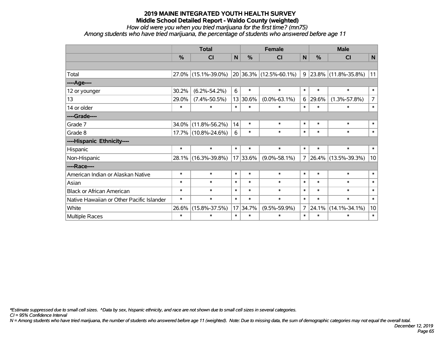*How old were you when you tried marijuana for the first time? (mn75)*

*Among students who have tried marijuana, the percentage of students who answered before age 11*

|                                           | <b>Total</b>  |                     |        |          | <b>Female</b>                 | <b>Male</b>  |        |                     |                |
|-------------------------------------------|---------------|---------------------|--------|----------|-------------------------------|--------------|--------|---------------------|----------------|
|                                           | $\frac{0}{0}$ | <b>CI</b>           | N      | %        | <b>CI</b>                     | $\mathsf{N}$ | %      | <b>CI</b>           | $\mathsf{N}$   |
|                                           |               |                     |        |          |                               |              |        |                     |                |
| Total                                     |               | 27.0% (15.1%-39.0%) |        |          | $20 36.3\% (12.5\% - 60.1\%)$ | 9            |        | 23.8% (11.8%-35.8%) | 11             |
| ----Age----                               |               |                     |        |          |                               |              |        |                     |                |
| 12 or younger                             | 30.2%         | $(6.2\% - 54.2\%)$  | 6      | $\ast$   | $\ast$                        | $\ast$       | $\ast$ | $\ast$              | $\ast$         |
| 13                                        | 29.0%         | $(7.4\% - 50.5\%)$  |        | 13 30.6% | $(0.0\% - 63.1\%)$            | 6            | 29.6%  | $(1.3\% - 57.8\%)$  | $\overline{7}$ |
| 14 or older                               | $\ast$        | $\ast$              | $\ast$ | $\ast$   | $\ast$                        | $\ast$       | $\ast$ | $\ast$              | $\ast$         |
| ----Grade----                             |               |                     |        |          |                               |              |        |                     |                |
| Grade 7                                   | 34.0%         | $(11.8\% - 56.2\%)$ | 14     | $\ast$   | $\ast$                        | $\ast$       | $\ast$ | $\ast$              | $\ast$         |
| Grade 8                                   |               | 17.7% (10.8%-24.6%) | 6      | $\ast$   | $\ast$                        | $\ast$       | $\ast$ | $\ast$              | $\ast$         |
| ----Hispanic Ethnicity----                |               |                     |        |          |                               |              |        |                     |                |
| Hispanic                                  | $\ast$        | $\ast$              | $\ast$ | $\ast$   | $\ast$                        | $\ast$       | $\ast$ | $\ast$              | $\ast$         |
| Non-Hispanic                              |               | 28.1% (16.3%-39.8%) |        | 17 33.6% | $(9.0\% - 58.1\%)$            | 7            |        | 26.4% (13.5%-39.3%) | 10             |
| ----Race----                              |               |                     |        |          |                               |              |        |                     |                |
| American Indian or Alaskan Native         | $\ast$        | $\ast$              | $\ast$ | $\ast$   | $\ast$                        | $\ast$       | $\ast$ | $\ast$              | $\ast$         |
| Asian                                     | $\ast$        | $\ast$              | $\ast$ | $\ast$   | $\ast$                        | $\ast$       | $\ast$ | $\ast$              | $\ast$         |
| <b>Black or African American</b>          | $\ast$        | $\ast$              | $\ast$ | $\ast$   | $\ast$                        | $\ast$       | $\ast$ | $\ast$              | $\ast$         |
| Native Hawaiian or Other Pacific Islander | $\ast$        | $\ast$              | $\ast$ | $\ast$   | $\ast$                        | $\ast$       | $\ast$ | $\ast$              | $\ast$         |
| White                                     | 26.6%         | $(15.8\% - 37.5\%)$ |        | 17 34.7% | $(9.5\% - 59.9\%)$            | 7            | 24.1%  | $(14.1\% - 34.1\%)$ | 10             |
| Multiple Races                            | $\ast$        | $\ast$              | $\ast$ | $\ast$   | $\ast$                        | $\ast$       | $\ast$ | $\ast$              | $\ast$         |

*\*Estimate suppressed due to small cell sizes. ^Data by sex, hispanic ethnicity, and race are not shown due to small cell sizes in several categories.*

*CI = 95% Confidence Interval*

*N = Among students who have tried marijuana, the number of students who answered before age 11 (weighted). Note: Due to missing data, the sum of demographic categories may not equal the overall total.*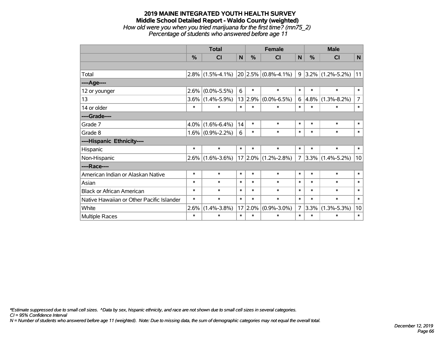#### **2019 MAINE INTEGRATED YOUTH HEALTH SURVEY Middle School Detailed Report - Waldo County (weighted)** *How old were you when you tried marijuana for the first time? (mn75\_2) Percentage of students who answered before age 11*

|                                           | <b>Total</b> |                     |             | <b>Female</b> |                              |                | <b>Male</b> |                           |                |  |
|-------------------------------------------|--------------|---------------------|-------------|---------------|------------------------------|----------------|-------------|---------------------------|----------------|--|
|                                           | %            | <b>CI</b>           | $\mathbf N$ | %             | <b>CI</b>                    | N              | %           | <b>CI</b>                 | $\mathsf{N}$   |  |
|                                           |              |                     |             |               |                              |                |             |                           |                |  |
| Total                                     |              | $2.8\%$ (1.5%-4.1%) |             |               | $ 20 2.5\%  (0.8\% - 4.1\%)$ |                |             | $9 3.2\% (1.2\% - 5.2\%)$ | 11             |  |
| ----Age----                               |              |                     |             |               |                              |                |             |                           |                |  |
| 12 or younger                             | 2.6%         | $(0.0\% - 5.5\%)$   | 6           | $\ast$        | $\ast$                       | $\ast$         | $\ast$      | $\ast$                    | $\ast$         |  |
| 13                                        | $3.6\%$      | $(1.4\% - 5.9\%)$   | 13          | 2.9%          | $(0.0\% - 6.5\%)$            | 6              | 4.8%        | $(1.3\% - 8.2\%)$         | $\overline{7}$ |  |
| 14 or older                               | $\ast$       | $\ast$              | $\ast$      | $\ast$        | $\ast$                       | $\ast$         | $\ast$      | $\ast$                    | $\ast$         |  |
| ----Grade----                             |              |                     |             |               |                              |                |             |                           |                |  |
| Grade 7                                   | 4.0%         | $(1.6\% - 6.4\%)$   | 14          | $\ast$        | $\ast$                       | $\ast$         | $\ast$      | $\ast$                    | $\ast$         |  |
| Grade 8                                   |              | $1.6\%$ (0.9%-2.2%) | 6           | $\ast$        | $\ast$                       | $\ast$         | $\ast$      | $\ast$                    | $\ast$         |  |
| ----Hispanic Ethnicity----                |              |                     |             |               |                              |                |             |                           |                |  |
| Hispanic                                  | $\ast$       | $\ast$              | $\ast$      | $\ast$        | $\ast$                       | $\ast$         | $\ast$      | $\ast$                    | $\ast$         |  |
| Non-Hispanic                              | $2.6\%$      | $(1.6\% - 3.6\%)$   |             |               | $17 2.0\% $ (1.2%-2.8%)      | 7              | $3.3\%$     | $(1.4\% - 5.2\%)$         | 10             |  |
| ----Race----                              |              |                     |             |               |                              |                |             |                           |                |  |
| American Indian or Alaskan Native         | $\ast$       | $\ast$              | $\ast$      | $\ast$        | $\ast$                       | $\ast$         | $\ast$      | $\ast$                    | $\ast$         |  |
| Asian                                     | $\ast$       | $\ast$              | $\ast$      | $\ast$        | $\ast$                       | $\ast$         | $\ast$      | $\ast$                    | $\ast$         |  |
| <b>Black or African American</b>          | $\ast$       | $\ast$              | $\ast$      | $\ast$        | $\ast$                       | $\ast$         | $\ast$      | $\ast$                    | $\ast$         |  |
| Native Hawaiian or Other Pacific Islander | $\ast$       | $\ast$              | $\ast$      | $\ast$        | $\ast$                       | $\ast$         | $\ast$      | $\ast$                    | $\ast$         |  |
| White                                     | 2.6%         | $(1.4\% - 3.8\%)$   | 17          | 2.0%          | $(0.9\% - 3.0\%)$            | 7 <sup>1</sup> | 3.3%        | $(1.3\% - 5.3\%)$         | 10             |  |
| <b>Multiple Races</b>                     | $\ast$       | $\ast$              | $\ast$      | $\ast$        | $\ast$                       | $\ast$         | $\ast$      | $\ast$                    | $\ast$         |  |

*\*Estimate suppressed due to small cell sizes. ^Data by sex, hispanic ethnicity, and race are not shown due to small cell sizes in several categories.*

*CI = 95% Confidence Interval*

*N = Number of students who answered before age 11 (weighted). Note: Due to missing data, the sum of demographic categories may not equal the overall total.*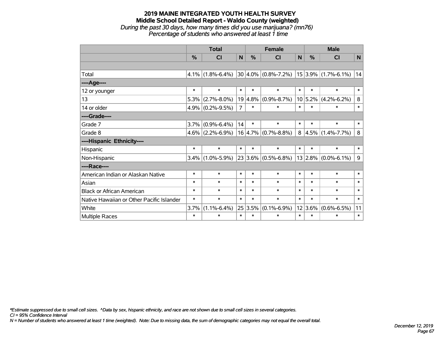#### **2019 MAINE INTEGRATED YOUTH HEALTH SURVEY Middle School Detailed Report - Waldo County (weighted)** *During the past 30 days, how many times did you use marijuana? (mn76) Percentage of students who answered at least 1 time*

|                                           | <b>Total</b> |                     |                |         | <b>Female</b>           | <b>Male</b>    |         |                       |         |
|-------------------------------------------|--------------|---------------------|----------------|---------|-------------------------|----------------|---------|-----------------------|---------|
|                                           | %            | <b>CI</b>           | $\mathsf{N}$   | %       | <b>CI</b>               | $\mathsf{N}$   | %       | <b>CI</b>             | N       |
|                                           |              |                     |                |         |                         |                |         |                       |         |
| Total                                     |              | $4.1\%$ (1.8%-6.4%) |                |         | $30 4.0\% $ (0.8%-7.2%) |                |         | $15$ 3.9% (1.7%-6.1%) | 14      |
| ----Age----                               |              |                     |                |         |                         |                |         |                       |         |
| 12 or younger                             | $\ast$       | $\ast$              | $\ast$         | $\ast$  | $\ast$                  | $\ast$         | $\ast$  | $\ast$                | $\ast$  |
| 13                                        | 5.3%         | $(2.7\% - 8.0\%)$   |                | 19 4.8% | $(0.9\% - 8.7\%)$       |                | 10 5.2% | $(4.2\% - 6.2\%)$     | $\bf 8$ |
| 14 or older                               |              | $4.9\%$ (0.2%-9.5%) | $\overline{7}$ | $\ast$  | $\ast$                  | $\ast$         | $\ast$  | $\ast$                | $\ast$  |
| ----Grade----                             |              |                     |                |         |                         |                |         |                       |         |
| Grade 7                                   | 3.7%         | $(0.9\% - 6.4\%)$   | 14             | $\ast$  | $\ast$                  | $\ast$         | $\ast$  | $\ast$                | $\ast$  |
| Grade 8                                   |              | $4.6\%$ (2.2%-6.9%) |                |         | $16 4.7\% $ (0.7%-8.8%) | 8 <sup>1</sup> |         | $4.5\%$ (1.4%-7.7%)   | 8       |
| ----Hispanic Ethnicity----                |              |                     |                |         |                         |                |         |                       |         |
| Hispanic                                  | $\ast$       | $\ast$              | $\ast$         | $\ast$  | $\ast$                  | $\ast$         | $\ast$  | $\ast$                | $\ast$  |
| Non-Hispanic                              | $3.4\%$      | $(1.0\% - 5.9\%)$   |                |         | $23 3.6\% $ (0.5%-6.8%) |                |         | $13$ 2.8% (0.0%-6.1%) | 9       |
| ----Race----                              |              |                     |                |         |                         |                |         |                       |         |
| American Indian or Alaskan Native         | $\ast$       | $\ast$              | $\ast$         | $\ast$  | $\ast$                  | $\ast$         | $\ast$  | $\ast$                | $\ast$  |
| Asian                                     | $\ast$       | $\ast$              | $\ast$         | $\ast$  | $\ast$                  | $\ast$         | $\ast$  | $\ast$                | $\ast$  |
| <b>Black or African American</b>          | $\ast$       | $\ast$              | $\ast$         | $\ast$  | $\ast$                  | $\ast$         | $\ast$  | $\ast$                | $\ast$  |
| Native Hawaiian or Other Pacific Islander | $\ast$       | $\ast$              | $\ast$         | $\ast$  | $\ast$                  | $\ast$         | $\ast$  | $\ast$                | $\ast$  |
| White                                     | 3.7%         | $(1.1\% - 6.4\%)$   | 25             | 3.5%    | $(0.1\% - 6.9\%)$       | 12             | 3.6%    | $(0.6\% - 6.5\%)$     | 11      |
| Multiple Races                            | $\ast$       | $\ast$              | $\ast$         | $\ast$  | $\ast$                  | $\ast$         | *       | $\ast$                | $\ast$  |

*\*Estimate suppressed due to small cell sizes. ^Data by sex, hispanic ethnicity, and race are not shown due to small cell sizes in several categories.*

*CI = 95% Confidence Interval*

*N = Number of students who answered at least 1 time (weighted). Note: Due to missing data, the sum of demographic categories may not equal the overall total.*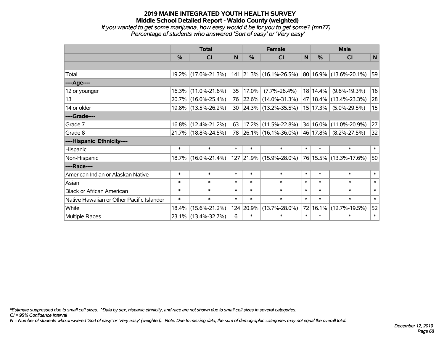*If you wanted to get some marijuana, how easy would it be for you to get some? (mn77) Percentage of students who answered 'Sort of easy' or 'Very easy'*

|                                           | <b>Total</b>  |                     |          | <b>Female</b> | <b>Male</b>               |              |               |                             |              |
|-------------------------------------------|---------------|---------------------|----------|---------------|---------------------------|--------------|---------------|-----------------------------|--------------|
|                                           | $\frac{0}{0}$ | <b>CI</b>           | <b>N</b> | $\frac{0}{0}$ | <b>CI</b>                 | $\mathsf{N}$ | $\frac{0}{0}$ | <b>CI</b>                   | $\mathsf{N}$ |
|                                           |               |                     |          |               |                           |              |               |                             |              |
| Total                                     |               | 19.2% (17.0%-21.3%) |          |               | $141$ 21.3% (16.1%-26.5%) |              |               | $ 80 16.9\% $ (13.6%-20.1%) | 59           |
| ----Age----                               |               |                     |          |               |                           |              |               |                             |              |
| 12 or younger                             |               | 16.3% (11.0%-21.6%) | 35       | 17.0%         | $(7.7\% - 26.4\%)$        |              | 18 14.4%      | $(9.6\% - 19.3\%)$          | 16           |
| 13                                        |               | 20.7% (16.0%-25.4%) | 76       |               | $ 22.6\% $ (14.0%-31.3%)  |              |               | 47   18.4%   (13.4%-23.3%)  | 28           |
| 14 or older                               |               | 19.8% (13.5%-26.2%) | 30       |               | $ 24.3\% $ (13.2%-35.5%)  |              | 15 17.3%      | $(5.0\% - 29.5\%)$          | 15           |
| ----Grade----                             |               |                     |          |               |                           |              |               |                             |              |
| Grade 7                                   |               | 16.8% (12.4%-21.2%) | 63       |               | $17.2\%$ (11.5%-22.8%)    |              |               | 34 16.0% (11.0%-20.9%)      | 27           |
| Grade 8                                   |               | 21.7% (18.8%-24.5%) | 78       |               | $ 26.1\% $ (16.1%-36.0%)  |              | 46 17.8%      | $(8.2\% - 27.5\%)$          | 32           |
| ----Hispanic Ethnicity----                |               |                     |          |               |                           |              |               |                             |              |
| Hispanic                                  | $\ast$        | $\ast$              | $\ast$   | $\ast$        | $\ast$                    | $\ast$       | $\ast$        | $\ast$                      | $\ast$       |
| Non-Hispanic                              |               | 18.7% (16.0%-21.4%) |          |               | 127 21.9% (15.9%-28.0%)   |              |               | 76 15.5% (13.3%-17.6%)      | 50           |
| ----Race----                              |               |                     |          |               |                           |              |               |                             |              |
| American Indian or Alaskan Native         | $\ast$        | $\ast$              | $\ast$   | $\ast$        | $\ast$                    | $\ast$       | $\ast$        | $\ast$                      | $\ast$       |
| Asian                                     | $\ast$        | $\ast$              | $\ast$   | $\ast$        | $\ast$                    | $\ast$       | $\ast$        | $\ast$                      | $\ast$       |
| <b>Black or African American</b>          | $\ast$        | $\ast$              | $\ast$   | $\ast$        | $\ast$                    | $\ast$       | $\ast$        | $\ast$                      | $\ast$       |
| Native Hawaiian or Other Pacific Islander | $\ast$        | $\ast$              | $\ast$   | $\ast$        | $\ast$                    | $\ast$       | $\ast$        | $\ast$                      | $\ast$       |
| White                                     |               | 18.4% (15.6%-21.2%) |          | 124 20.9%     | $(13.7\% - 28.0\%)$       |              | 72 16.1%      | $(12.7\% - 19.5\%)$         | 52           |
| Multiple Races                            |               | 23.1% (13.4%-32.7%) | 6        | $\ast$        | $\ast$                    | $\ast$       | $\ast$        | *                           | $\ast$       |

*\*Estimate suppressed due to small cell sizes. ^Data by sex, hispanic ethnicity, and race are not shown due to small cell sizes in several categories.*

*CI = 95% Confidence Interval*

*N = Number of students who answered 'Sort of easy' or 'Very easy' (weighted). Note: Due to missing data, the sum of demographic categories may not equal the overall total.*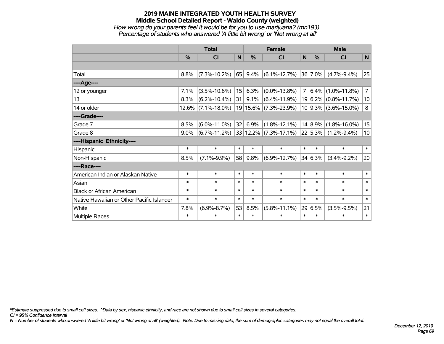# **2019 MAINE INTEGRATED YOUTH HEALTH SURVEY Middle School Detailed Report - Waldo County (weighted)** *How wrong do your parents feel it would be for you to use marijuana? (mn193)*

*Percentage of students who answered 'A little bit wrong' or 'Not wrong at all'*

|                                           | <b>Total</b> |                    |        |               | <b>Female</b>                         |                | <b>Male</b> |                          |                 |  |
|-------------------------------------------|--------------|--------------------|--------|---------------|---------------------------------------|----------------|-------------|--------------------------|-----------------|--|
|                                           | %            | <b>CI</b>          | N      | $\frac{0}{0}$ | <b>CI</b>                             | N              | $\%$        | <b>CI</b>                | N               |  |
|                                           |              |                    |        |               |                                       |                |             |                          |                 |  |
| Total                                     | 8.8%         | $(7.3\% - 10.2\%)$ | 65     | 9.4%          | $(6.1\% - 12.7\%)$                    |                | 36 7.0%     | $(4.7\% - 9.4\%)$        | 25              |  |
| ----Age----                               |              |                    |        |               |                                       |                |             |                          |                 |  |
| 12 or younger                             | 7.1%         | $(3.5\% - 10.6\%)$ | 15     | 6.3%          | $(0.0\% - 13.8\%)$                    | 7 <sup>1</sup> |             | $6.4\%$ (1.0%-11.8%)     | $\overline{7}$  |  |
| 13                                        | 8.3%         | $(6.2\% - 10.4\%)$ | 31     | 9.1%          | $(6.4\% - 11.9\%)$                    |                |             | $19 6.2\% $ (0.8%-11.7%) | 10              |  |
| 14 or older                               | $12.6\%$     | $(7.1\% - 18.0\%)$ |        |               | 19 15.6% (7.3%-23.9%)                 |                |             | $10 9.3\% $ (3.6%-15.0%) | 8               |  |
| ----Grade----                             |              |                    |        |               |                                       |                |             |                          |                 |  |
| Grade 7                                   | 8.5%         | $(6.0\% - 11.0\%)$ | 32     | 6.9%          | $(1.8\% - 12.1\%)$                    |                |             | $14 8.9\% $ (1.8%-16.0%) | 15              |  |
| Grade 8                                   | $9.0\%$      | $(6.7\% - 11.2\%)$ |        |               | 33   12.2%   (7.3%-17.1%)   22   5.3% |                |             | $(1.2\% - 9.4\%)$        | 10 <sup>1</sup> |  |
| ----Hispanic Ethnicity----                |              |                    |        |               |                                       |                |             |                          |                 |  |
| Hispanic                                  | $\ast$       | $\ast$             | $\ast$ | $\ast$        | $\ast$                                | $\ast$         | $\ast$      | $\ast$                   | $\ast$          |  |
| Non-Hispanic                              | 8.5%         | $(7.1\% - 9.9\%)$  | 58     | 9.8%          | $(6.9\% - 12.7\%)$                    |                | 34 6.3%     | $(3.4\% - 9.2\%)$        | 20              |  |
| ----Race----                              |              |                    |        |               |                                       |                |             |                          |                 |  |
| American Indian or Alaskan Native         | $\ast$       | $\ast$             | $\ast$ | $\ast$        | $\ast$                                | $\ast$         | $\ast$      | $\ast$                   | $\ast$          |  |
| Asian                                     | $\ast$       | $\ast$             | $\ast$ | $\ast$        | $\ast$                                | $\ast$         | $\ast$      | $\ast$                   | $\ast$          |  |
| <b>Black or African American</b>          | $\ast$       | $\ast$             | $\ast$ | $\ast$        | $\ast$                                | $\ast$         | $\ast$      | $\ast$                   | $\ast$          |  |
| Native Hawaiian or Other Pacific Islander | $\ast$       | $\ast$             | $\ast$ | $\ast$        | $\ast$                                | $\ast$         | $\ast$      | $\ast$                   | $\ast$          |  |
| White                                     | 7.8%         | $(6.9\% - 8.7\%)$  | 53     | 8.5%          | $(5.8\% - 11.1\%)$                    |                | 29 6.5%     | $(3.5\% - 9.5\%)$        | 21              |  |
| Multiple Races                            | $\ast$       | $\ast$             | $\ast$ | $\ast$        | $\ast$                                | $\ast$         | $\ast$      | $\ast$                   | $\ast$          |  |

*\*Estimate suppressed due to small cell sizes. ^Data by sex, hispanic ethnicity, and race are not shown due to small cell sizes in several categories.*

*CI = 95% Confidence Interval*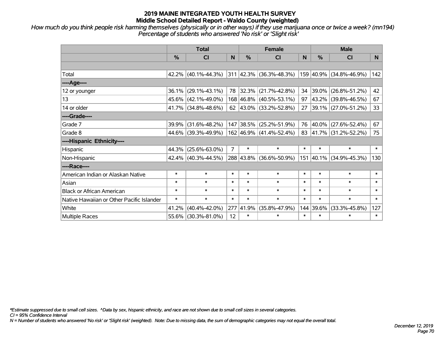*How much do you think people risk harming themselves (physically or in other ways) if they use marijuana once or twice a week? (mn194) Percentage of students who answered 'No risk' or 'Slight risk'*

|                                           | <b>Total</b>  |                        |                |               | <b>Female</b>                      |        | <b>Male</b> |                                         |              |  |
|-------------------------------------------|---------------|------------------------|----------------|---------------|------------------------------------|--------|-------------|-----------------------------------------|--------------|--|
|                                           | $\frac{0}{0}$ | CI                     | N              | $\frac{9}{6}$ | CI                                 | N      | %           | <b>CI</b>                               | <b>N</b>     |  |
|                                           |               |                        |                |               |                                    |        |             |                                         |              |  |
| Total                                     |               | 42.2% (40.1%-44.3%)    |                |               | $ 311 $ 42.3% $ (36.3\% - 48.3\%)$ |        |             | 159 40.9% (34.8%-46.9%)                 | 142          |  |
| ----Age----                               |               |                        |                |               |                                    |        |             |                                         |              |  |
| 12 or younger                             | 36.1%         | $(29.1\% - 43.1\%)$    |                |               | 78 32.3% (21.7%-42.8%)             | 34     | 39.0%       | $(26.8\% - 51.2\%)$                     | 42           |  |
| 13                                        |               | 45.6% (42.1%-49.0%)    |                |               | 168 46.8% (40.5%-53.1%)            |        |             | $97 \mid 43.2\% \mid (39.8\% - 46.5\%)$ | 67           |  |
| 14 or older                               |               | $41.7\%$ (34.8%-48.6%) |                |               | 62 $ 43.0\% $ (33.2%-52.8%)        | 27     |             | 39.1% (27.0%-51.2%)                     | 33           |  |
| ----Grade----                             |               |                        |                |               |                                    |        |             |                                         |              |  |
| Grade 7                                   | 39.9%         | $(31.6\% - 48.2\%)$    |                |               | 147 38.5% (25.2%-51.9%)            | 76     | 40.0%       | $(27.6\% - 52.4\%)$                     | 67           |  |
| Grade 8                                   |               | 44.6% (39.3%-49.9%)    |                |               | 162 46.9% (41.4%-52.4%)            |        |             | 83 41.7% (31.2%-52.2%)                  | 75           |  |
| ----Hispanic Ethnicity----                |               |                        |                |               |                                    |        |             |                                         |              |  |
| Hispanic                                  | 44.3%         | $(25.6\% - 63.0\%)$    | $\overline{7}$ | $\ast$        | $\ast$                             | $\ast$ | $\ast$      | $\ast$                                  | $\ast$       |  |
| Non-Hispanic                              |               | 42.4% (40.3%-44.5%)    |                |               | 288 43.8% (36.6%-50.9%)            |        |             | 151 40.1% (34.9%-45.3%)                 | 130          |  |
| ----Race----                              |               |                        |                |               |                                    |        |             |                                         |              |  |
| American Indian or Alaskan Native         | $\ast$        | $\ast$                 | $\ast$         | $\ast$        | $\ast$                             | $\ast$ | $\ast$      | $\ast$                                  | $\ast$       |  |
| Asian                                     | $\ast$        | $\ast$                 | $\ast$         | $\ast$        | $\ast$                             | $\ast$ | $\ast$      | $\ast$                                  | $\ast$       |  |
| <b>Black or African American</b>          | $\ast$        | $\ast$                 | $\ast$         | $\ast$        | $\ast$                             | $\ast$ | $\ast$      | $\ast$                                  | $\ast$       |  |
| Native Hawaiian or Other Pacific Islander | $\ast$        | $\ast$                 | $\ast$         | $\ast$        | $\ast$                             | $\ast$ | $\ast$      | $\ast$                                  | $\pmb{\ast}$ |  |
| White                                     | 41.2%         | $(40.4\% - 42.0\%)$    | 277            | 41.9%         | $(35.8\% - 47.9\%)$                | 144    | 39.6%       | $(33.3\% - 45.8\%)$                     | 127          |  |
| Multiple Races                            |               | 55.6% (30.3%-81.0%)    | 12             | $\ast$        | $\ast$                             | $\ast$ | $\ast$      | *                                       | $\ast$       |  |

*\*Estimate suppressed due to small cell sizes. ^Data by sex, hispanic ethnicity, and race are not shown due to small cell sizes in several categories.*

*CI = 95% Confidence Interval*

*N = Number of students who answered 'No risk' or 'Slight risk' (weighted). Note: Due to missing data, the sum of demographic categories may not equal the overall total.*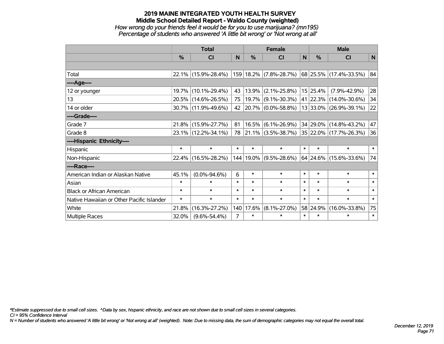## **2019 MAINE INTEGRATED YOUTH HEALTH SURVEY Middle School Detailed Report - Waldo County (weighted)** *How wrong do your friends feel it would be for you to use marijuana? (mn195) Percentage of students who answered 'A little bit wrong' or 'Not wrong at all'*

|                                           | <b>Total</b>  |                        |        |           | <b>Female</b>              |              | <b>Male</b> |                          |        |  |
|-------------------------------------------|---------------|------------------------|--------|-----------|----------------------------|--------------|-------------|--------------------------|--------|--|
|                                           | $\frac{0}{0}$ | <b>CI</b>              | N      | %         | <b>CI</b>                  | $\mathsf{N}$ | %           | <b>CI</b>                | N      |  |
|                                           |               |                        |        |           |                            |              |             |                          |        |  |
| Total                                     |               | $22.1\%$ (15.9%-28.4%) |        |           | $159$ 18.2% (7.8%-28.7%)   |              |             | 68 25.5% (17.4%-33.5%)   | 84     |  |
| ----Age----                               |               |                        |        |           |                            |              |             |                          |        |  |
| 12 or younger                             | $19.7\%$      | $(10.1\% - 29.4\%)$    | 43     | 13.9%     | $(2.1\% - 25.8\%)$         |              | 15 25.4%    | $(7.9\% - 42.9\%)$       | 28     |  |
| 13                                        |               | 20.5% (14.6%-26.5%)    | 75     |           | 19.7% (9.1%-30.3%)         |              |             | 41 22.3% (14.0%-30.6%)   | 34     |  |
| 14 or older                               |               | 30.7% (11.9%-49.6%)    | 42     |           | $ 20.7\% $ (0.0%-58.8%)    |              |             | 13 33.0% (26.9%-39.1%)   | 22     |  |
| ----Grade----                             |               |                        |        |           |                            |              |             |                          |        |  |
| Grade 7                                   | 21.8%         | $(15.9\% - 27.7\%)$    | 81     | 16.5%     | $(6.1\% - 26.9\%)$         |              |             | 34 29.0% (14.8%-43.2%)   | 47     |  |
| Grade 8                                   |               | 23.1% (12.2%-34.1%)    | 78     |           | $ 21.1\% $ (3.5%-38.7%)    |              |             | 35 22.0% (17.7%-26.3%)   | 36     |  |
| ----Hispanic Ethnicity----                |               |                        |        |           |                            |              |             |                          |        |  |
| Hispanic                                  | $\ast$        | $\ast$                 | *      | $\ast$    | $\ast$                     | $\ast$       | $\ast$      | $\ast$                   | $\ast$ |  |
| Non-Hispanic                              | $22.4\%$      | $(16.5\% - 28.2\%)$    |        |           | 144   19.0%   (9.5%-28.6%) |              |             | $64$ 24.6% (15.6%-33.6%) | 74     |  |
| ----Race----                              |               |                        |        |           |                            |              |             |                          |        |  |
| American Indian or Alaskan Native         | 45.1%         | $(0.0\% - 94.6\%)$     | 6      | $\ast$    | $\ast$                     | $\ast$       | $\ast$      | $\ast$                   | $\ast$ |  |
| Asian                                     | $\ast$        | $\ast$                 | $\ast$ | $\ast$    | $\ast$                     | $\ast$       | $\ast$      | $\ast$                   | $\ast$ |  |
| <b>Black or African American</b>          | $\ast$        | $\ast$                 | $\ast$ | $\ast$    | $\ast$                     | $\ast$       | $\ast$      | $\ast$                   | $\ast$ |  |
| Native Hawaiian or Other Pacific Islander | $\ast$        | $\ast$                 | $\ast$ | $\ast$    | $\ast$                     | $\ast$       | $\ast$      | $\ast$                   | $\ast$ |  |
| White                                     | 21.8%         | $(16.3\% - 27.2\%)$    |        | 140 17.6% | $(8.1\% - 27.0\%)$         |              | 58 24.9%    | $(16.0\% - 33.8\%)$      | 75     |  |
| Multiple Races                            | 32.0%         | $(9.6\% - 54.4\%)$     | 7      | $\ast$    | $\ast$                     | $\ast$       | $\ast$      | $\ast$                   | $\ast$ |  |

*\*Estimate suppressed due to small cell sizes. ^Data by sex, hispanic ethnicity, and race are not shown due to small cell sizes in several categories.*

*CI = 95% Confidence Interval*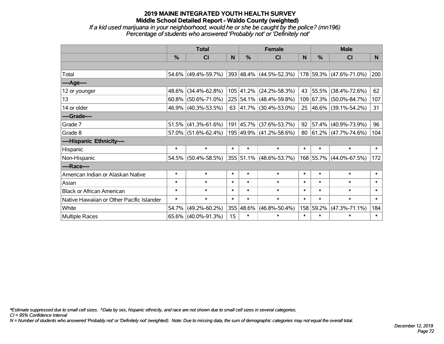# **2019 MAINE INTEGRATED YOUTH HEALTH SURVEY Middle School Detailed Report - Waldo County (weighted)** *If a kid used marijuana in your neighborhood, would he or she be caught by the police? (mn196)*

*Percentage of students who answered 'Probably not' or 'Definitely not'*

|                                           | <b>Total</b>  |                        |        |               | <b>Female</b>                |        | <b>Male</b> |                             |        |  |
|-------------------------------------------|---------------|------------------------|--------|---------------|------------------------------|--------|-------------|-----------------------------|--------|--|
|                                           | $\frac{0}{0}$ | <b>CI</b>              | N      | $\frac{9}{6}$ | <b>CI</b>                    | N      | %           | <b>CI</b>                   | N.     |  |
|                                           |               |                        |        |               |                              |        |             |                             |        |  |
| Total                                     |               | 54.6% (49.4%-59.7%)    |        |               | $ 393 48.4\% $ (44.5%-52.3%) |        |             | 178 59.3% (47.6%-71.0%)     | 200    |  |
| ----Age----                               |               |                        |        |               |                              |        |             |                             |        |  |
| 12 or younger                             | 48.6%         | $(34.4\% - 62.8\%)$    |        |               | 105 41.2% (24.2%-58.3%)      | 43     | 55.5%       | $(38.4\% - 72.6\%)$         | 62     |  |
| 13                                        |               | $60.8\%$ (50.6%-71.0%) |        |               | 225 54.1% (48.4%-59.8%)      |        |             | 109 67.3% (50.0%-84.7%)     | 107    |  |
| 14 or older                               |               | 46.9% (40.3%-53.5%)    |        |               | 63 $ 41.7\% $ (30.4%-53.0%)  |        |             | 25 46.6% (39.1%-54.2%)      | 31     |  |
| ----Grade----                             |               |                        |        |               |                              |        |             |                             |        |  |
| Grade 7                                   | 51.5%         | $(41.3\% - 61.6\%)$    |        |               | 191 45.7% (37.6%-53.7%)      | 92     | 57.4%       | $(40.9\% - 73.9\%)$         | 96     |  |
| Grade 8                                   |               | 57.0% (51.6%-62.4%)    |        |               | 195 49.9% (41.2%-58.6%)      |        |             | 80 $ 61.2\% $ (47.7%-74.6%) | 104    |  |
| ----Hispanic Ethnicity----                |               |                        |        |               |                              |        |             |                             |        |  |
| Hispanic                                  | $\ast$        | $\ast$                 | $\ast$ | $\ast$        | $\ast$                       | $\ast$ | $\ast$      | $\ast$                      | $\ast$ |  |
| Non-Hispanic                              | 54.5%         | $(50.4\% - 58.5\%)$    |        |               | 355  51.1%  (48.6%-53.7%)    |        |             | 168 55.7% (44.0%-67.5%)     | 172    |  |
| ----Race----                              |               |                        |        |               |                              |        |             |                             |        |  |
| American Indian or Alaskan Native         | $\ast$        | $\ast$                 | $\ast$ | $\ast$        | $\ast$                       | $\ast$ | $\ast$      | $\ast$                      | $\ast$ |  |
| Asian                                     | $\ast$        | $\ast$                 | $\ast$ | $\ast$        | $\ast$                       | $\ast$ | $\ast$      | $\ast$                      | $\ast$ |  |
| <b>Black or African American</b>          | $\ast$        | $\ast$                 | $\ast$ | $\ast$        | $\ast$                       | $\ast$ | $\ast$      | $\ast$                      | $\ast$ |  |
| Native Hawaiian or Other Pacific Islander | $\ast$        | $\ast$                 | $\ast$ | $\ast$        | $\ast$                       | $\ast$ | $\ast$      | $\ast$                      | $\ast$ |  |
| White                                     | 54.7%         | $(49.2\% - 60.2\%)$    |        | 355 48.6%     | $(46.8\% - 50.4\%)$          |        | 158 59.2%   | $(47.3\% - 71.1\%)$         | 184    |  |
| Multiple Races                            |               | $65.6\%$ (40.0%-91.3%) | 15     | $\ast$        | $\ast$                       | $\ast$ | $\ast$      | $\ast$                      | $\ast$ |  |

*\*Estimate suppressed due to small cell sizes. ^Data by sex, hispanic ethnicity, and race are not shown due to small cell sizes in several categories.*

*CI = 95% Confidence Interval*

*N = Number of students who answered 'Probably not' or 'Definitely not' (weighted). Note: Due to missing data, the sum of demographic categories may not equal the overall total.*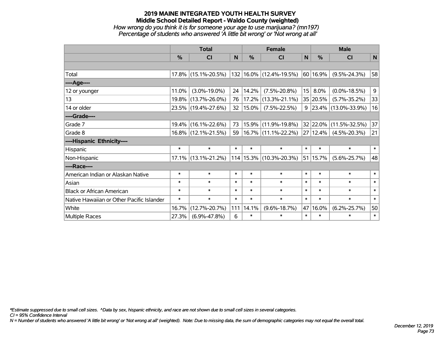## **2019 MAINE INTEGRATED YOUTH HEALTH SURVEY Middle School Detailed Report - Waldo County (weighted)** *How wrong do you think it is for someone your age to use marijuana? (mn197)*

*Percentage of students who answered 'A little bit wrong' or 'Not wrong at all'*

|                                           | <b>Total</b>  |                        |        | <b>Female</b> | <b>Male</b>                 |              |              |                            |             |
|-------------------------------------------|---------------|------------------------|--------|---------------|-----------------------------|--------------|--------------|----------------------------|-------------|
|                                           | $\frac{0}{0}$ | <b>CI</b>              | N      | $\frac{0}{0}$ | <b>CI</b>                   | $\mathsf{N}$ | %            | <b>CI</b>                  | $\mathbf N$ |
|                                           |               |                        |        |               |                             |              |              |                            |             |
| Total                                     |               | 17.8% (15.1%-20.5%)    |        |               | 132 16.0% (12.4%-19.5%)     |              | 60 16.9%     | $(9.5\% - 24.3\%)$         | 58          |
| ----Age----                               |               |                        |        |               |                             |              |              |                            |             |
| 12 or younger                             | 11.0%         | $(3.0\% - 19.0\%)$     | 24     | 14.2%         | $(7.5\% - 20.8\%)$          | 15           | 8.0%         | $(0.0\% - 18.5\%)$         | 9           |
| 13                                        |               | 19.8% (13.7%-26.0%)    | 76     | 17.2%         | $(13.3\% - 21.1\%)$         |              | 35 20.5%     | $(5.7\% - 35.2\%)$         | 33          |
| 14 or older                               |               | 23.5% (19.4%-27.6%)    | 32     | 15.0%         | $(7.5\% - 22.5\%)$          |              |              | $9$  23.4%   (13.0%-33.9%) | 16          |
| ----Grade----                             |               |                        |        |               |                             |              |              |                            |             |
| Grade 7                                   | 19.4%         | $(16.1\% - 22.6\%)$    | 73     |               | 15.9% (11.9%-19.8%)         |              | $32$ 22.0%   | $(11.5\% - 32.5\%)$        | 37          |
| Grade 8                                   |               | $16.8\%$ (12.1%-21.5%) | 59     |               | 16.7% (11.1%-22.2%)         |              | $27 12.4\% $ | $(4.5\% - 20.3\%)$         | 21          |
| ----Hispanic Ethnicity----                |               |                        |        |               |                             |              |              |                            |             |
| Hispanic                                  | $\ast$        | $\ast$                 | $\ast$ | $\ast$        | $\ast$                      | $\ast$       | $\ast$       | $\ast$                     | $\ast$      |
| Non-Hispanic                              |               | 17.1% (13.1%-21.2%)    |        |               | 114   15.3%   (10.3%-20.3%) |              | 51   15.7%   | $(5.6\% - 25.7\%)$         | 48          |
| ----Race----                              |               |                        |        |               |                             |              |              |                            |             |
| American Indian or Alaskan Native         | $\ast$        | $\ast$                 | $\ast$ | $\ast$        | $\ast$                      | $\ast$       | $\ast$       | $\ast$                     | $\ast$      |
| Asian                                     | $\ast$        | $\ast$                 | $\ast$ | $\ast$        | $\ast$                      | $\ast$       | $\ast$       | $\ast$                     | $\ast$      |
| <b>Black or African American</b>          | $\ast$        | $\ast$                 | $\ast$ | $\ast$        | $\ast$                      | $\ast$       | $\ast$       | $\ast$                     | $\ast$      |
| Native Hawaiian or Other Pacific Islander | $\ast$        | $\ast$                 | $\ast$ | $\ast$        | $\ast$                      | $\ast$       | $\ast$       | $\ast$                     | $\ast$      |
| White                                     | 16.7%         | $(12.7\% - 20.7\%)$    | 111    | 14.1%         | $(9.6\% - 18.7\%)$          | 47           | 16.0%        | $(6.2\% - 25.7\%)$         | 50          |
| Multiple Races                            | 27.3%         | $(6.9\% - 47.8\%)$     | 6      | $\ast$        | $\ast$                      | $\ast$       | $\ast$       | $\ast$                     | $\ast$      |

*\*Estimate suppressed due to small cell sizes. ^Data by sex, hispanic ethnicity, and race are not shown due to small cell sizes in several categories.*

*CI = 95% Confidence Interval*

*N = Number of students who answered 'A little bit wrong' or 'Not wrong at all' (weighted). Note: Due to missing data, the sum of demographic categories may not equal the overall total.*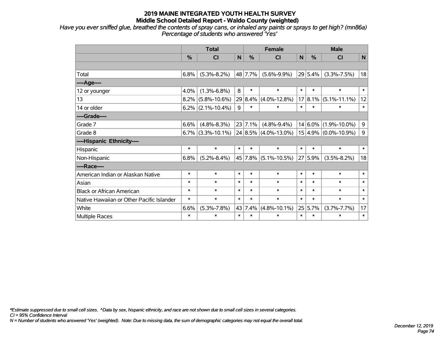*Have you ever sniffed glue, breathed the contents of spray cans, or inhaled any paints or sprays to get high? (mn86a) Percentage of students who answered 'Yes'*

|                                           | <b>Total</b> |                      |              |                 | <b>Female</b>             |             | <b>Male</b> |                          |             |  |
|-------------------------------------------|--------------|----------------------|--------------|-----------------|---------------------------|-------------|-------------|--------------------------|-------------|--|
|                                           | %            | <b>CI</b>            | $\mathsf{N}$ | $\frac{0}{0}$   | <b>CI</b>                 | $\mathbf N$ | %           | <b>CI</b>                | $\mathbf N$ |  |
|                                           |              |                      |              |                 |                           |             |             |                          |             |  |
| Total                                     | 6.8%         | $(5.3\% - 8.2\%)$    |              | 48 7.7%         | $(5.6\% - 9.9\%)$         |             | $29 5.4\% $ | $(3.3\% - 7.5\%)$        | 18          |  |
| ---- Age----                              |              |                      |              |                 |                           |             |             |                          |             |  |
| 12 or younger                             | 4.0%         | $(1.3\% - 6.8\%)$    | 8            | $\ast$          | $\ast$                    | $\ast$      | $\ast$      | $\ast$                   | $\ast$      |  |
| 13                                        | 8.2%         | $(5.8\% - 10.6\%)$   |              |                 | 29 8.4% (4.0%-12.8%)      |             | 17 8.1%     | $(5.1\% - 11.1\%)$       | 12          |  |
| 14 or older                               |              | $6.2\%$ (2.1%-10.4%) | 9            | $\ast$          | $\ast$                    | $\ast$      | $\ast$      | $\ast$                   | $\ast$      |  |
| ----Grade----                             |              |                      |              |                 |                           |             |             |                          |             |  |
| Grade 7                                   | 6.6%         | $(4.8\% - 8.3\%)$    |              | $23 \mid 7.1\%$ | $(4.8\% - 9.4\%)$         |             |             | $14 6.0\% $ (1.9%-10.0%) | 9           |  |
| Grade 8                                   |              | $6.7\%$ (3.3%-10.1%) |              |                 | $ 24 8.5\% $ (4.0%-13.0%) |             |             | $15 4.9\% $ (0.0%-10.9%) | $\mathsf 9$ |  |
| ----Hispanic Ethnicity----                |              |                      |              |                 |                           |             |             |                          |             |  |
| Hispanic                                  | $\ast$       | $\ast$               | $\ast$       | $\ast$          | $\ast$                    | $\ast$      | $\ast$      | $\ast$                   | $\ast$      |  |
| Non-Hispanic                              | 6.8%         | $(5.2\% - 8.4\%)$    |              |                 | 45 7.8% (5.1%-10.5%)      |             | 27 5.9%     | $(3.5\% - 8.2\%)$        | 18          |  |
| ----Race----                              |              |                      |              |                 |                           |             |             |                          |             |  |
| American Indian or Alaskan Native         | $\ast$       | $\ast$               | $\ast$       | $\ast$          | $\ast$                    | $\ast$      | $\ast$      | $\ast$                   | $\ast$      |  |
| Asian                                     | $\ast$       | $\ast$               | $\ast$       | $\ast$          | $\ast$                    | $\ast$      | $\ast$      | $\ast$                   | $\ast$      |  |
| <b>Black or African American</b>          | $\ast$       | $\ast$               | $\ast$       | $\ast$          | $\ast$                    | $\ast$      | $\ast$      | $\ast$                   | $\ast$      |  |
| Native Hawaiian or Other Pacific Islander | $\ast$       | $\ast$               | $\ast$       | $\ast$          | $\ast$                    | $\ast$      | $\ast$      | $\ast$                   | $\ast$      |  |
| White                                     | 6.6%         | $(5.3\% - 7.8\%)$    |              | 43 7.4%         | $(4.8\% - 10.1\%)$        | 25          | 5.7%        | $(3.7\% - 7.7\%)$        | 17          |  |
| <b>Multiple Races</b>                     | $\ast$       | $\ast$               | $\ast$       | $\ast$          | $\ast$                    | $\ast$      | $\ast$      | $\ast$                   | $\ast$      |  |

*\*Estimate suppressed due to small cell sizes. ^Data by sex, hispanic ethnicity, and race are not shown due to small cell sizes in several categories.*

*CI = 95% Confidence Interval*

*N = Number of students who answered 'Yes' (weighted). Note: Due to missing data, the sum of demographic categories may not equal the overall total.*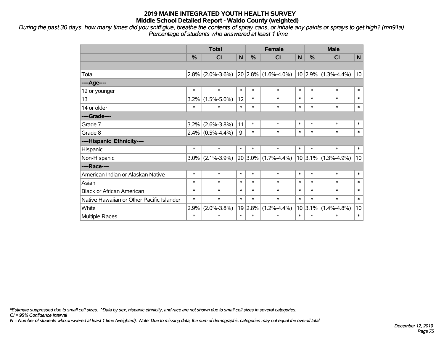*During the past 30 days, how many times did you sniff glue, breathe the contents of spray cans, or inhale any paints or sprays to get high? (mn91a) Percentage of students who answered at least 1 time*

|                                           | <b>Total</b> |                     |        |               | <b>Female</b>              | <b>Male</b> |        |                         |        |
|-------------------------------------------|--------------|---------------------|--------|---------------|----------------------------|-------------|--------|-------------------------|--------|
|                                           | $\%$         | C <sub>l</sub>      | N      | $\frac{0}{0}$ | <b>CI</b>                  | N           | $\%$   | <b>CI</b>               | N      |
|                                           |              |                     |        |               |                            |             |        |                         |        |
| Total                                     | $2.8\%$      | $(2.0\% - 3.6\%)$   |        |               | $20 2.8\% $ (1.6%-4.0%)    |             |        | $10$ 2.9% (1.3%-4.4%)   | 10     |
| ----Age----                               |              |                     |        |               |                            |             |        |                         |        |
| 12 or younger                             | $\ast$       | $\ast$              | $\ast$ | $\ast$        | $\ast$                     | $\ast$      | $\ast$ | $\ast$                  | $\ast$ |
| 13                                        | 3.2%         | $(1.5\% - 5.0\%)$   | 12     | $\ast$        | $\ast$                     | $\ast$      | $\ast$ | $\ast$                  | $\ast$ |
| 14 or older                               | $\ast$       | $\ast$              | $\ast$ | $\ast$        | $\ast$                     | $\ast$      | $\ast$ | $\ast$                  | $\ast$ |
| ----Grade----                             |              |                     |        |               |                            |             |        |                         |        |
| Grade 7                                   | 3.2%         | $(2.6\% - 3.8\%)$   | 11     | $\ast$        | $\ast$                     | $\ast$      | $\ast$ | $\ast$                  | $\ast$ |
| Grade 8                                   |              | $2.4\%$ (0.5%-4.4%) | 9      | $\ast$        | $\ast$                     | $\ast$      | $\ast$ | $\ast$                  | $\ast$ |
| ----Hispanic Ethnicity----                |              |                     |        |               |                            |             |        |                         |        |
| Hispanic                                  | $\ast$       | $\ast$              | $\ast$ | $\ast$        | $\ast$                     | $\ast$      | $\ast$ | $\ast$                  | $\ast$ |
| Non-Hispanic                              | $3.0\%$      | $(2.1\% - 3.9\%)$   |        |               | $20 3.0\% (1.7\% - 4.4\%)$ |             |        | $10 3.1\% $ (1.3%-4.9%) | 10     |
| ----Race----                              |              |                     |        |               |                            |             |        |                         |        |
| American Indian or Alaskan Native         | $\ast$       | $\ast$              | $\ast$ | $\ast$        | $\ast$                     | $\ast$      | $\ast$ | $\ast$                  | $\ast$ |
| Asian                                     | $\ast$       | $\ast$              | $\ast$ | $\ast$        | $\ast$                     | $\ast$      | $\ast$ | $\ast$                  | $\ast$ |
| <b>Black or African American</b>          | $\ast$       | $\ast$              | $\ast$ | $\ast$        | $\ast$                     | $\ast$      | $\ast$ | $\ast$                  | $\ast$ |
| Native Hawaiian or Other Pacific Islander | $\ast$       | $\ast$              | $\ast$ | $\ast$        | $\ast$                     | $\ast$      | $\ast$ | $\ast$                  | $\ast$ |
| White                                     | 2.9%         | $(2.0\% - 3.8\%)$   | 19     | 2.8%          | $(1.2\% - 4.4\%)$          |             |        | $10 3.1\% $ (1.4%-4.8%) | 10     |
| Multiple Races                            | $\ast$       | $\ast$              | $\ast$ | $\ast$        | $\ast$                     | $\ast$      | $\ast$ | $\ast$                  | $\ast$ |

*\*Estimate suppressed due to small cell sizes. ^Data by sex, hispanic ethnicity, and race are not shown due to small cell sizes in several categories.*

*CI = 95% Confidence Interval*

*N = Number of students who answered at least 1 time (weighted). Note: Due to missing data, the sum of demographic categories may not equal the overall total.*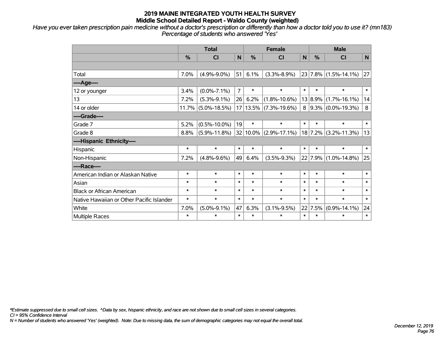*Have you ever taken prescription pain medicine without a doctor's prescription or differently than how a doctor told you to use it? (mn183) Percentage of students who answered 'Yes'*

|                                           | <b>Total</b> |                       |                |               | <b>Female</b>                                        | <b>Male</b> |        |                                                            |        |
|-------------------------------------------|--------------|-----------------------|----------------|---------------|------------------------------------------------------|-------------|--------|------------------------------------------------------------|--------|
|                                           | %            | CI                    | N              | $\frac{0}{0}$ | <b>CI</b>                                            | N           | %      | <b>CI</b>                                                  | N      |
|                                           |              |                       |                |               |                                                      |             |        |                                                            |        |
| Total                                     | 7.0%         | $(4.9\% - 9.0\%)$     | 51             | 6.1%          | $(3.3\% - 8.9\%)$                                    |             |        | $\left  23 \right $ 7.8% $\left  (1.5\% - 14.1\%) \right $ | 27     |
| ---- Age----                              |              |                       |                |               |                                                      |             |        |                                                            |        |
| 12 or younger                             | 3.4%         | $(0.0\% - 7.1\%)$     | $\overline{7}$ | $\ast$        | $\ast$                                               | $\ast$      | $\ast$ | $\ast$                                                     | $\ast$ |
| 13                                        | 7.2%         | $(5.3\% - 9.1\%)$     | 26             | 6.2%          | $(1.8\% - 10.6\%)$                                   |             |        | $13 8.9\% $ (1.7%-16.1%)                                   | 14     |
| 14 or older                               |              | $11.7\%$ (5.0%-18.5%) |                |               | $17 13.5\% $ (7.3%-19.6%)                            |             |        | $8$   9.3%   (0.0%-19.3%)                                  | 8      |
| ----Grade----                             |              |                       |                |               |                                                      |             |        |                                                            |        |
| Grade 7                                   | 5.2%         | $(0.5\% - 10.0\%)$    | 19             | $\ast$        | $\ast$                                               | $\ast$      | $\ast$ | $\ast$                                                     | $\ast$ |
| Grade 8                                   | 8.8%         | $(5.9\% - 11.8\%)$    |                |               | $ 32 10.0\% $ (2.9%-17.1%) $ 18 7.2\% $ (3.2%-11.3%) |             |        |                                                            | 13     |
| ----Hispanic Ethnicity----                |              |                       |                |               |                                                      |             |        |                                                            |        |
| Hispanic                                  | $\ast$       | $\ast$                | $\ast$         | $\ast$        | $\ast$                                               | $\ast$      | $\ast$ | $\ast$                                                     | $\ast$ |
| Non-Hispanic                              | 7.2%         | $(4.8\% - 9.6\%)$     | 49             | 6.4%          | $(3.5\% - 9.3\%)$                                    |             |        | $22 7.9\% $ (1.0%-14.8%)                                   | 25     |
| ----Race----                              |              |                       |                |               |                                                      |             |        |                                                            |        |
| American Indian or Alaskan Native         | $\ast$       | $\ast$                | $\ast$         | $\ast$        | $\ast$                                               | $\ast$      | $\ast$ | $\ast$                                                     | $\ast$ |
| Asian                                     | $\ast$       | $\ast$                | $\ast$         | $\ast$        | $\ast$                                               | $\ast$      | $\ast$ | $\ast$                                                     | $\ast$ |
| <b>Black or African American</b>          | $\ast$       | $\ast$                | $\ast$         | $\ast$        | $\ast$                                               | $\ast$      | $\ast$ | $\ast$                                                     | $\ast$ |
| Native Hawaiian or Other Pacific Islander | $\ast$       | $\ast$                | $\ast$         | $\ast$        | $\ast$                                               | $\ast$      | $\ast$ | $\ast$                                                     | $\ast$ |
| White                                     | 7.0%         | $(5.0\% - 9.1\%)$     | 47             | 6.3%          | $(3.1\% - 9.5\%)$                                    | 22          | 7.5%   | $(0.9\% - 14.1\%)$                                         | 24     |
| Multiple Races                            | $\ast$       | $\ast$                | $\ast$         | $\ast$        | $\ast$                                               | $\ast$      | $\ast$ | $\ast$                                                     | $\ast$ |

*\*Estimate suppressed due to small cell sizes. ^Data by sex, hispanic ethnicity, and race are not shown due to small cell sizes in several categories.*

*CI = 95% Confidence Interval*

*N = Number of students who answered 'Yes' (weighted). Note: Due to missing data, the sum of demographic categories may not equal the overall total.*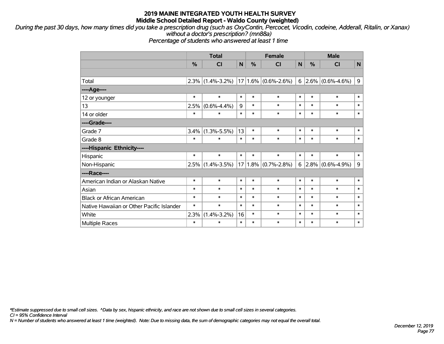*During the past 30 days, how many times did you take a prescription drug (such as OxyContin, Percocet, Vicodin, codeine, Adderall, Ritalin, or Xanax) without a doctor's prescription? (mn88a)*

*Percentage of students who answered at least 1 time*

|                                           | <b>Total</b> |                   |        | <b>Female</b> |                         |        | <b>Male</b> |                        |        |  |
|-------------------------------------------|--------------|-------------------|--------|---------------|-------------------------|--------|-------------|------------------------|--------|--|
|                                           | %            | <b>CI</b>         | N      | %             | C <sub>l</sub>          | N      | %           | C <sub>l</sub>         | N      |  |
|                                           |              |                   |        |               |                         |        |             |                        |        |  |
| Total                                     | 2.3%         | $(1.4\% - 3.2\%)$ |        |               | $17 1.6\% $ (0.6%-2.6%) |        |             | $6 2.6\% $ (0.6%-4.6%) | 9      |  |
| ---- Age----                              |              |                   |        |               |                         |        |             |                        |        |  |
| 12 or younger                             | $\ast$       | $\ast$            | $\ast$ | $\ast$        | $\ast$                  | $\ast$ | $\ast$      | $\ast$                 | $\ast$ |  |
| 13                                        | 2.5%         | $(0.6\% - 4.4\%)$ | 9      | $\ast$        | $\ast$                  | $\ast$ | $\ast$      | $\ast$                 | $\ast$ |  |
| 14 or older                               | $\ast$       | $\ast$            | $\ast$ | $\ast$        | $\ast$                  | $\ast$ | $\ast$      | $\ast$                 | $\ast$ |  |
| ----Grade----                             |              |                   |        |               |                         |        |             |                        |        |  |
| Grade 7                                   | 3.4%         | $(1.3\% - 5.5\%)$ | 13     | $\ast$        | $\ast$                  | $\ast$ | $\ast$      | $\ast$                 | $\ast$ |  |
| Grade 8                                   | $\ast$       | $\ast$            | $\ast$ | $\ast$        | $\ast$                  | $\ast$ | $\ast$      | $\ast$                 | $\ast$ |  |
| ----Hispanic Ethnicity----                |              |                   |        |               |                         |        |             |                        |        |  |
| Hispanic                                  | $\ast$       | $\ast$            | $\ast$ | $\ast$        | $\ast$                  | $\ast$ | $\ast$      | $\ast$                 | $\ast$ |  |
| Non-Hispanic                              | 2.5%         | $(1.4\% - 3.5\%)$ | 17     |               | $1.8\%$ (0.7%-2.8%)     |        | 6 2.8%      | $(0.6\% - 4.9\%)$      | 9      |  |
| ----Race----                              |              |                   |        |               |                         |        |             |                        |        |  |
| American Indian or Alaskan Native         | $\ast$       | $\ast$            | $\ast$ | $\ast$        | $\ast$                  | $\ast$ | $\ast$      | $\ast$                 | $\ast$ |  |
| Asian                                     | $\ast$       | $\ast$            | $\ast$ | $\ast$        | $\ast$                  | $\ast$ | $\ast$      | $\ast$                 | $\ast$ |  |
| <b>Black or African American</b>          | $\ast$       | $\ast$            | $\ast$ | $\ast$        | $\ast$                  | $\ast$ | $\ast$      | $\ast$                 | $\ast$ |  |
| Native Hawaiian or Other Pacific Islander | $\ast$       | $\ast$            | $\ast$ | $\ast$        | $\ast$                  | $\ast$ | $\ast$      | $\ast$                 | $\ast$ |  |
| White                                     | 2.3%         | $(1.4\% - 3.2\%)$ | 16     | $\ast$        | $\ast$                  | $\ast$ | $\ast$      | $\ast$                 | $\ast$ |  |
| <b>Multiple Races</b>                     | $\ast$       | $\ast$            | $\ast$ | $\ast$        | $\ast$                  | $\ast$ | $\ast$      | $\ast$                 | $\ast$ |  |

*\*Estimate suppressed due to small cell sizes. ^Data by sex, hispanic ethnicity, and race are not shown due to small cell sizes in several categories.*

*CI = 95% Confidence Interval*

*N = Number of students who answered at least 1 time (weighted). Note: Due to missing data, the sum of demographic categories may not equal the overall total.*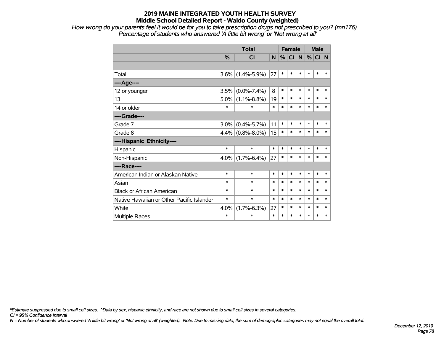*How wrong do your parents feel it would be for you to take prescription drugs not prescribed to you? (mn176) Percentage of students who answered 'A little bit wrong' or 'Not wrong at all'*

|                                           |         | <b>Total</b>        |        |        |           | <b>Female</b> |        | <b>Male</b> |        |
|-------------------------------------------|---------|---------------------|--------|--------|-----------|---------------|--------|-------------|--------|
|                                           | %       | <b>CI</b>           | N      | %      | <b>CI</b> | $\mathbf N$   | %      | CI N        |        |
|                                           |         |                     |        |        |           |               |        |             |        |
| Total                                     | $3.6\%$ | $(1.4\% - 5.9\%)$   | 27     | $\ast$ | $\ast$    | $\ast$        | *      | $\ast$      | $\ast$ |
| ----Age----                               |         |                     |        |        |           |               |        |             |        |
| 12 or younger                             | 3.5%    | $(0.0\% - 7.4\%)$   | 8      | $\ast$ | $\ast$    | $\ast$        | $\ast$ | $\ast$      | $\ast$ |
| 13                                        | 5.0%    | $(1.1\% - 8.8\%)$   | 19     | $\ast$ | $\ast$    | $\ast$        | $\ast$ | $\ast$      | $\ast$ |
| 14 or older                               | $\ast$  | $\ast$              | $\ast$ | $\ast$ | $\ast$    | $\ast$        | $\ast$ | $\ast$      | $\ast$ |
| ----Grade----                             |         |                     |        |        |           |               |        |             |        |
| Grade 7                                   | 3.0%    | $(0.4\% - 5.7\%)$   | 11     | $\ast$ | $\ast$    | $\ast$        | *      | $\ast$      | $\ast$ |
| Grade 8                                   |         | $4.4\%$ (0.8%-8.0%) | 15     | $\ast$ | $\ast$    | $\ast$        | *      | $\ast$      | $\ast$ |
| ----Hispanic Ethnicity----                |         |                     |        |        |           |               |        |             |        |
| Hispanic                                  | $\ast$  | $\ast$              | $\ast$ | $\ast$ | $\ast$    | $\ast$        | $\ast$ | $\ast$      | $\ast$ |
| Non-Hispanic                              | $4.0\%$ | $(1.7\% - 6.4\%)$   | 27     | $\ast$ | *         | *             | *      | $\ast$      | $\ast$ |
| ----Race----                              |         |                     |        |        |           |               |        |             |        |
| American Indian or Alaskan Native         | $\ast$  | $\ast$              | $\ast$ | $\ast$ | $\ast$    | $\ast$        | *      | $\ast$      | $\ast$ |
| Asian                                     | $\ast$  | $\ast$              | $\ast$ | $\ast$ | $\ast$    | $\ast$        | *      | $\ast$      | $\ast$ |
| <b>Black or African American</b>          | $\ast$  | $\ast$              | $\ast$ | $\ast$ | $\ast$    | $\ast$        | *      | $\ast$      | $\ast$ |
| Native Hawaiian or Other Pacific Islander | $\ast$  | $\ast$              | $\ast$ | $\ast$ | $\ast$    | $\ast$        | $\ast$ | $\ast$      | $\ast$ |
| White                                     | 4.0%    | $(1.7\% - 6.3\%)$   | 27     | $\ast$ | *         | *             | *      | *           | $\ast$ |
| <b>Multiple Races</b>                     | $\ast$  | $\ast$              | $\ast$ | *      | *         | $\ast$        | $\ast$ | $\ast$      | $\ast$ |

*\*Estimate suppressed due to small cell sizes. ^Data by sex, hispanic ethnicity, and race are not shown due to small cell sizes in several categories.*

*CI = 95% Confidence Interval*

*N = Number of students who answered 'A little bit wrong' or 'Not wrong at all' (weighted). Note: Due to missing data, the sum of demographic categories may not equal the overall total.*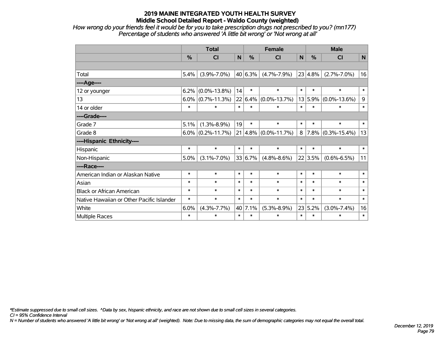*How wrong do your friends feel it would be for you to take prescription drugs not prescribed to you? (mn177) Percentage of students who answered 'A little bit wrong' or 'Not wrong at all'*

|                                           | <b>Total</b>  |                    |        |         | <b>Female</b>                   |        | <b>Male</b>  |                        |        |  |
|-------------------------------------------|---------------|--------------------|--------|---------|---------------------------------|--------|--------------|------------------------|--------|--|
|                                           | $\frac{0}{0}$ | <b>CI</b>          | N      | $\%$    | <b>CI</b>                       | N      | $\%$         | <b>CI</b>              | N      |  |
|                                           |               |                    |        |         |                                 |        |              |                        |        |  |
| Total                                     | 5.4%          | $(3.9\% - 7.0\%)$  |        | 40 6.3% | $(4.7\% - 7.9\%)$               |        | $ 23 4.8\% $ | $(2.7\% - 7.0\%)$      | 16     |  |
| ----Age----                               |               |                    |        |         |                                 |        |              |                        |        |  |
| 12 or younger                             | 6.2%          | $(0.0\% - 13.8\%)$ | 14     | $\ast$  | $\ast$                          | $\ast$ | $\ast$       | $\ast$                 | $\ast$ |  |
| 13                                        | 6.0%          | $(0.7\% - 11.3\%)$ |        |         | $22   6.4\%   (0.0\% - 13.7\%)$ |        | 13 5.9%      | $(0.0\% - 13.6\%)$     | 9      |  |
| 14 or older                               | $\ast$        | $\ast$             | $\ast$ | $\ast$  | $\ast$                          | $\ast$ | $\ast$       | $\ast$                 | $\ast$ |  |
| ----Grade----                             |               |                    |        |         |                                 |        |              |                        |        |  |
| Grade 7                                   | 5.1%          | $(1.3\% - 8.9\%)$  | 19     | $\ast$  | $\ast$                          | $\ast$ | $\ast$       | $\ast$                 | $\ast$ |  |
| Grade 8                                   | $6.0\%$       | $(0.2\% - 11.7\%)$ |        |         | $21  4.8\%  (0.0\% - 11.7\%)$   | 8      |              | $ 7.8\% $ (0.3%-15.4%) | 13     |  |
| ----Hispanic Ethnicity----                |               |                    |        |         |                                 |        |              |                        |        |  |
| Hispanic                                  | $\ast$        | $\ast$             | $\ast$ | $\ast$  | $\ast$                          | $\ast$ | $\ast$       | $\ast$                 | $\ast$ |  |
| Non-Hispanic                              | 5.0%          | $(3.1\% - 7.0\%)$  |        | 33 6.7% | $(4.8\% - 8.6\%)$               |        | 22 3.5%      | $(0.6\% - 6.5\%)$      | 11     |  |
| ----Race----                              |               |                    |        |         |                                 |        |              |                        |        |  |
| American Indian or Alaskan Native         | $\ast$        | $\ast$             | $\ast$ | $\ast$  | $\ast$                          | $\ast$ | $\ast$       | $\ast$                 | $\ast$ |  |
| Asian                                     | $\ast$        | $\ast$             | $\ast$ | $\ast$  | $\ast$                          | $\ast$ | $\ast$       | $\ast$                 | $\ast$ |  |
| <b>Black or African American</b>          | $\ast$        | $\ast$             | $\ast$ | $\ast$  | $\ast$                          | $\ast$ | $\ast$       | $\ast$                 | $\ast$ |  |
| Native Hawaiian or Other Pacific Islander | $\ast$        | $\ast$             | $\ast$ | $\ast$  | $\ast$                          | $\ast$ | $\ast$       | $\ast$                 | $\ast$ |  |
| White                                     | 6.0%          | $(4.3\% - 7.7\%)$  | 40     | 7.1%    | $(5.3\% - 8.9\%)$               | 23     | 5.2%         | $(3.0\% - 7.4\%)$      | 16     |  |
| <b>Multiple Races</b>                     | $\ast$        | $\ast$             | $\ast$ | $\ast$  | $\ast$                          | $\ast$ | $\ast$       | $\ast$                 | $\ast$ |  |

*\*Estimate suppressed due to small cell sizes. ^Data by sex, hispanic ethnicity, and race are not shown due to small cell sizes in several categories.*

*CI = 95% Confidence Interval*

*N = Number of students who answered 'A little bit wrong' or 'Not wrong at all' (weighted). Note: Due to missing data, the sum of demographic categories may not equal the overall total.*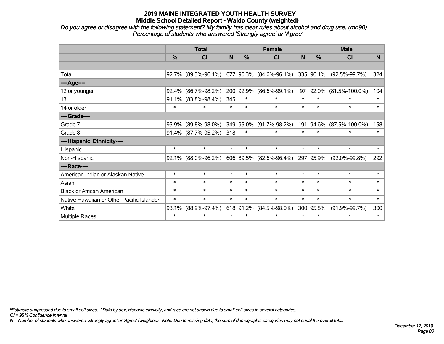*Do you agree or disagree with the following statement? My family has clear rules about alcohol and drug use. (mn90) Percentage of students who answered 'Strongly agree' or 'Agree'*

|                                           |               | <b>Total</b>           |        |               | <b>Female</b>           |        | <b>Male</b>   |                      |        |
|-------------------------------------------|---------------|------------------------|--------|---------------|-------------------------|--------|---------------|----------------------|--------|
|                                           | $\frac{0}{0}$ | <b>CI</b>              | N      | $\frac{0}{0}$ | <b>CI</b>               | N      | $\frac{0}{0}$ | <b>CI</b>            | N      |
|                                           |               |                        |        |               |                         |        |               |                      |        |
| Total                                     |               | $92.7\%$ (89.3%-96.1%) |        |               | 677 90.3% (84.6%-96.1%) |        | 335 96.1%     | $(92.5\% - 99.7\%)$  | 324    |
| ----Age----                               |               |                        |        |               |                         |        |               |                      |        |
| 12 or younger                             | 92.4%         | $(86.7\% - 98.2\%)$    |        | 200 92.9%     | $(86.6\% - 99.1\%)$     | 97     | $92.0\%$      | $(81.5\% - 100.0\%)$ | 104    |
| 13                                        | $91.1\%$      | $(83.8\% - 98.4\%)$    | 345    | $\ast$        | $\ast$                  | $\ast$ | $\ast$        |                      | $\ast$ |
| 14 or older                               | $\ast$        | $\ast$                 | $\ast$ | $\ast$        | $\ast$                  | $\ast$ | $\ast$        | $\ast$               | $\ast$ |
| ----Grade----                             |               |                        |        |               |                         |        |               |                      |        |
| Grade 7                                   | 93.9%         | $(89.8\% - 98.0\%)$    |        | 349 95.0%     | $(91.7\% - 98.2\%)$     | 191    | $ 94.6\% $    | $(87.5\% - 100.0\%)$ | 158    |
| Grade 8                                   |               | $91.4\%$ (87.7%-95.2%) | 318    | $\ast$        | $\ast$                  | $\ast$ | $\ast$        | $\ast$               | $\ast$ |
| ----Hispanic Ethnicity----                |               |                        |        |               |                         |        |               |                      |        |
| Hispanic                                  | $\ast$        | $\ast$                 | $\ast$ | $\ast$        | $\ast$                  | $\ast$ | $\ast$        | $\ast$               | $\ast$ |
| Non-Hispanic                              |               | $92.1\%$ (88.0%-96.2%) |        | 606 89.5%     | $(82.6\% - 96.4\%)$     |        | 297 95.9%     | $(92.0\% - 99.8\%)$  | 292    |
| ----Race----                              |               |                        |        |               |                         |        |               |                      |        |
| American Indian or Alaskan Native         | $\ast$        | $\ast$                 | $\ast$ | $\ast$        | $\ast$                  | $\ast$ | $\ast$        | $\ast$               | $\ast$ |
| Asian                                     | $\ast$        | $\ast$                 | $\ast$ | $\ast$        | $\ast$                  | $\ast$ | $\ast$        | $\ast$               | $\ast$ |
| <b>Black or African American</b>          | $\ast$        | $\ast$                 | $\ast$ | $\ast$        | $\ast$                  | $\ast$ | $\ast$        | $\ast$               | $\ast$ |
| Native Hawaiian or Other Pacific Islander | $\ast$        | $\ast$                 | $\ast$ | $\ast$        | $\ast$                  | $\ast$ | $\ast$        | $\ast$               | $\ast$ |
| White                                     | 93.1%         | $(88.9\% - 97.4\%)$    |        | 618 91.2%     | $(84.5\% - 98.0\%)$     |        | 300 95.8%     | $(91.9\% - 99.7\%)$  | 300    |
| <b>Multiple Races</b>                     | $\ast$        | $\ast$                 | $\ast$ | $\ast$        | $\ast$                  | $\ast$ | $\ast$        | $\ast$               | $\ast$ |

*\*Estimate suppressed due to small cell sizes. ^Data by sex, hispanic ethnicity, and race are not shown due to small cell sizes in several categories.*

*CI = 95% Confidence Interval*

*N = Number of students who answered 'Strongly agree' or 'Agree' (weighted). Note: Due to missing data, the sum of demographic categories may not equal the overall total.*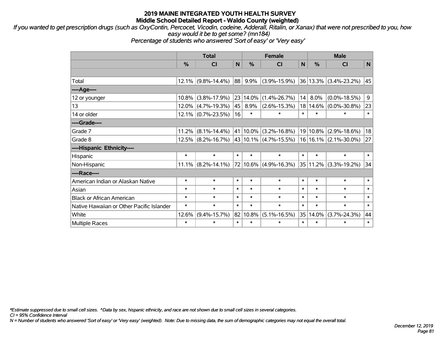*If you wanted to get prescription drugs (such as OxyContin, Percocet, Vicodin, codeine, Adderall, Ritalin, or Xanax) that were not prescribed to you, how easy would it be to get some? (mn184)*

*Percentage of students who answered 'Sort of easy' or 'Very easy'*

|                                           | <b>Total</b> |                       |        |            | <b>Female</b>         |        | <b>Male</b> |                           |        |  |
|-------------------------------------------|--------------|-----------------------|--------|------------|-----------------------|--------|-------------|---------------------------|--------|--|
|                                           | %            | C <sub>l</sub>        | N      | %          | <b>CI</b>             | N      | %           | <b>CI</b>                 | N      |  |
|                                           |              |                       |        |            |                       |        |             |                           |        |  |
| Total                                     |              | $12.1\%$ (9.8%-14.4%) | 88     | 9.9%       | $(3.9\% - 15.9\%)$    |        |             | $36 13.3\% $ (3.4%-23.2%) | 45     |  |
| ---- Age----                              |              |                       |        |            |                       |        |             |                           |        |  |
| 12 or younger                             | $10.8\%$     | $(3.8\% - 17.9\%)$    |        | 23 14.0%   | $(1.4\% - 26.7\%)$    | 4      | $8.0\%$     | $(0.0\% - 18.5\%)$        | 9      |  |
| 13                                        |              | 12.0% (4.7%-19.3%)    | 45     | 8.9%       | $(2.6\% - 15.3\%)$    |        | 18 14.6%    | $(0.0\% - 30.8\%)$        | 23     |  |
| 14 or older                               |              | 12.1% (0.7%-23.5%)    | 16     | $\ast$     | $\ast$                | $\ast$ | $\ast$      | $\ast$                    | $\ast$ |  |
| ----Grade----                             |              |                       |        |            |                       |        |             |                           |        |  |
| Grade 7                                   | 11.2%        | $(8.1\% - 14.4\%)$    |        | 41   10.0% | $(3.2\% - 16.8\%)$    |        | 19 10.8%    | $(2.9\% - 18.6\%)$        | 18     |  |
| Grade 8                                   |              | 12.5% (8.2%-16.7%)    |        |            | 43 10.1% (4.7%-15.5%) |        |             | $16 16.1\% $ (2.1%-30.0%) | 27     |  |
| ----Hispanic Ethnicity----                |              |                       |        |            |                       |        |             |                           |        |  |
| Hispanic                                  | $\ast$       | $\ast$                | $\ast$ | $\ast$     | $\ast$                | $\ast$ | $\ast$      | $\ast$                    | $\ast$ |  |
| Non-Hispanic                              |              | $11.1\%$ (8.2%-14.1%) |        |            | 72 10.6% (4.9%-16.3%) |        | 35 11.2%    | $(3.3\% - 19.2\%)$        | 34     |  |
| ----Race----                              |              |                       |        |            |                       |        |             |                           |        |  |
| American Indian or Alaskan Native         | $\ast$       | $\ast$                | $\ast$ | $\ast$     | $\ast$                | $\ast$ | $\ast$      | $\ast$                    | $\ast$ |  |
| Asian                                     | $\ast$       | $\ast$                | $\ast$ | $\ast$     | $\ast$                | $\ast$ | $\ast$      | $\ast$                    | $\ast$ |  |
| <b>Black or African American</b>          | $\ast$       | $\ast$                | $\ast$ | $\ast$     | $\ast$                | $\ast$ | $\ast$      | $\ast$                    | $\ast$ |  |
| Native Hawaiian or Other Pacific Islander | $\ast$       | $\ast$                | $\ast$ | $\ast$     | $\ast$                | $\ast$ | $\ast$      | $\ast$                    | $\ast$ |  |
| White                                     | 12.6%        | $(9.4\% - 15.7\%)$    | 82     | 10.8%      | $(5.1\% - 16.5\%)$    | 35     | 14.0%       | $(3.7\% - 24.3\%)$        | 44     |  |
| <b>Multiple Races</b>                     | $\ast$       | $\ast$                | $\ast$ | $\ast$     | $\ast$                | $\ast$ | $\ast$      | $\ast$                    | $\ast$ |  |

*\*Estimate suppressed due to small cell sizes. ^Data by sex, hispanic ethnicity, and race are not shown due to small cell sizes in several categories.*

*CI = 95% Confidence Interval*

*N = Number of students who answered 'Sort of easy' or 'Very easy' (weighted). Note: Due to missing data, the sum of demographic categories may not equal the overall total.*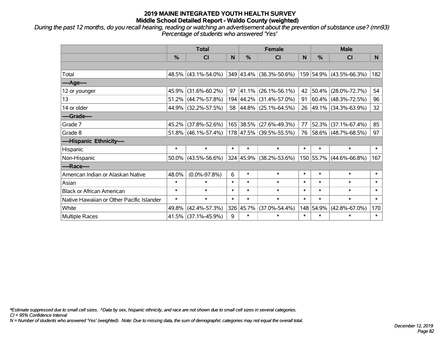*During the past 12 months, do you recall hearing, reading or watching an advertisement about the prevention of substance use? (mn93) Percentage of students who answered 'Yes'*

|                                           | <b>Total</b>  |                        |        |           | <b>Female</b>           |        | <b>Male</b> |                         |              |  |
|-------------------------------------------|---------------|------------------------|--------|-----------|-------------------------|--------|-------------|-------------------------|--------------|--|
|                                           | $\frac{0}{0}$ | CI                     | N      | $\%$      | CI                      | N      | %           | <b>CI</b>               | <b>N</b>     |  |
|                                           |               |                        |        |           |                         |        |             |                         |              |  |
| Total                                     |               | 48.5% (43.1%-54.0%)    |        |           | 349 43.4% (36.3%-50.6%) |        |             | 159 54.9% (43.5%-66.3%) | 182          |  |
| ----Age----                               |               |                        |        |           |                         |        |             |                         |              |  |
| 12 or younger                             | 45.9%         | $(31.6\% - 60.2\%)$    | 97     |           | 41.1% (26.1%-56.1%)     | 42     | 50.4%       | $(28.0\% - 72.7\%)$     | 54           |  |
| 13                                        |               | $51.2\%$ (44.7%-57.8%) |        |           | 194 44.2% (31.4%-57.0%) | 91     |             | $60.4\%$ (48.3%-72.5%)  | 96           |  |
| 14 or older                               |               | 44.9% (32.2%-57.5%)    |        |           | 58 44.8% (25.1%-64.5%)  |        |             | 26 49.1% (34.3%-63.9%)  | 32           |  |
| ----Grade----                             |               |                        |        |           |                         |        |             |                         |              |  |
| Grade 7                                   | 45.2%         | $(37.8\% - 52.6\%)$    |        |           | 165 38.5% (27.6%-49.3%) | 77     | 52.3%       | $(37.1\% - 67.4\%)$     | 85           |  |
| Grade 8                                   |               | $51.8\%$ (46.1%-57.4%) |        |           | 178 47.5% (39.5%-55.5%) |        |             | 76 58.6% (48.7%-68.5%)  | 97           |  |
| ----Hispanic Ethnicity----                |               |                        |        |           |                         |        |             |                         |              |  |
| Hispanic                                  | $\ast$        | $\ast$                 | $\ast$ | $\ast$    | $\ast$                  | $\ast$ | $\ast$      | $\ast$                  | $\ast$       |  |
| Non-Hispanic                              |               | $50.0\%$ (43.5%-56.6%) |        |           | 324 45.9% (38.2%-53.6%) |        |             | 150 55.7% (44.6%-66.8%) | 167          |  |
| ----Race----                              |               |                        |        |           |                         |        |             |                         |              |  |
| American Indian or Alaskan Native         | 48.0%         | $(0.0\% - 97.8\%)$     | 6      | $\ast$    | $\ast$                  | $\ast$ | $\ast$      | $\ast$                  | $\ast$       |  |
| Asian                                     | $\ast$        | $\ast$                 | $\ast$ | $\ast$    | $\ast$                  | $\ast$ | $\ast$      | $\ast$                  | $\ast$       |  |
| <b>Black or African American</b>          | $\ast$        | $\ast$                 | $\ast$ | $\ast$    | $\ast$                  | $\ast$ | $\ast$      | $\ast$                  | $\ast$       |  |
| Native Hawaiian or Other Pacific Islander | $\ast$        | $\ast$                 | $\ast$ | $\ast$    | $\ast$                  | $\ast$ | $\ast$      | $\ast$                  | $\pmb{\ast}$ |  |
| White                                     | 49.8%         | $(42.4\% - 57.3\%)$    |        | 326 45.7% | $(37.0\% - 54.4\%)$     | 148    | 54.9%       | $(42.8\% - 67.0\%)$     | 170          |  |
| Multiple Races                            |               | 41.5% (37.1%-45.9%)    | 9      | $\ast$    | $\ast$                  | $\ast$ | $\ast$      | *                       | $\ast$       |  |

*\*Estimate suppressed due to small cell sizes. ^Data by sex, hispanic ethnicity, and race are not shown due to small cell sizes in several categories.*

*CI = 95% Confidence Interval*

*N = Number of students who answered 'Yes' (weighted). Note: Due to missing data, the sum of demographic categories may not equal the overall total.*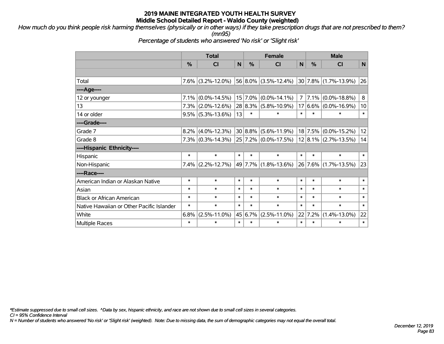*How much do you think people risk harming themselves (physically or in other ways) if they take prescription drugs that are not prescribed to them? (mn95)*

*Percentage of students who answered 'No risk' or 'Slight risk'*

|                                           | <b>Total</b> |                      |        |               | <b>Female</b>            |                | <b>Male</b> |                           |        |  |
|-------------------------------------------|--------------|----------------------|--------|---------------|--------------------------|----------------|-------------|---------------------------|--------|--|
|                                           | $\%$         | CI                   | N      | $\frac{0}{0}$ | CI                       | N              | %           | <b>CI</b>                 | N      |  |
|                                           |              |                      |        |               |                          |                |             |                           |        |  |
| Total                                     |              | $7.6\%$ (3.2%-12.0%) |        |               | 56 8.0% (3.5%-12.4%)     |                |             | 30 7.8% (1.7%-13.9%)      | 26     |  |
| ----Age----                               |              |                      |        |               |                          |                |             |                           |        |  |
| 12 or younger                             | $7.1\%$      | $(0.0\% - 14.5\%)$   |        |               | $15 7.0\% $ (0.0%-14.1%) | $\overline{7}$ |             | $7.1\%$ (0.0%-18.8%)      | 8      |  |
| 13                                        | 7.3%         | $(2.0\% - 12.6\%)$   |        |               | $28 8.3\% $ (5.8%-10.9%) | 17             |             | $(6.6\%)(0.0\% - 16.9\%)$ | 10     |  |
| 14 or older                               |              | $9.5\%$ (5.3%-13.6%) | 13     | $\ast$        | $\ast$                   | $\ast$         | $\ast$      | $\ast$                    | $\ast$ |  |
| ----Grade----                             |              |                      |        |               |                          |                |             |                           |        |  |
| Grade 7                                   | $8.2\%$      | $(4.0\% - 12.3\%)$   |        |               | $30 8.8\% $ (5.6%-11.9%) |                |             | $18$ 7.5% (0.0%-15.2%)    | 12     |  |
| Grade 8                                   |              | $7.3\%$ (0.3%-14.3%) |        |               | 25 7.2% (0.0%-17.5%)     |                |             | $12 8.1\% $ (2.7%-13.5%)  | 14     |  |
| ----Hispanic Ethnicity----                |              |                      |        |               |                          |                |             |                           |        |  |
| Hispanic                                  | $\ast$       | $\ast$               | $\ast$ | $\ast$        | $\ast$                   | $\ast$         | $\ast$      | $\ast$                    | $\ast$ |  |
| Non-Hispanic                              |              | $7.4\%$ (2.2%-12.7%) |        |               | 49   7.7%   (1.8%-13.6%) |                |             | 26 7.6% (1.7%-13.5%)      | 23     |  |
| ----Race----                              |              |                      |        |               |                          |                |             |                           |        |  |
| American Indian or Alaskan Native         | $\ast$       | $\ast$               | $\ast$ | $\ast$        | $\ast$                   | $\ast$         | $\ast$      | $\ast$                    | $\ast$ |  |
| Asian                                     | $\ast$       | $\ast$               | $\ast$ | $\ast$        | $\ast$                   | $\ast$         | $\ast$      | $\ast$                    | $\ast$ |  |
| <b>Black or African American</b>          | $\ast$       | $\ast$               | $\ast$ | $\ast$        | $\ast$                   | $\ast$         | $\ast$      | $\ast$                    | $\ast$ |  |
| Native Hawaiian or Other Pacific Islander | $\ast$       | $\ast$               | $\ast$ | $\ast$        | $\ast$                   | $\ast$         | $\ast$      | $\ast$                    | $\ast$ |  |
| White                                     | 6.8%         | $(2.5\% - 11.0\%)$   |        | 45 6.7%       | $(2.5\% - 11.0\%)$       | 22             | 7.2%        | $(1.4\% - 13.0\%)$        | 22     |  |
| <b>Multiple Races</b>                     | $\ast$       | $\ast$               | $\ast$ | $\ast$        | $\ast$                   | $\ast$         | $\ast$      | $\ast$                    | $\ast$ |  |

*\*Estimate suppressed due to small cell sizes. ^Data by sex, hispanic ethnicity, and race are not shown due to small cell sizes in several categories.*

*CI = 95% Confidence Interval*

*N = Number of students who answered 'No risk' or 'Slight risk' (weighted). Note: Due to missing data, the sum of demographic categories may not equal the overall total.*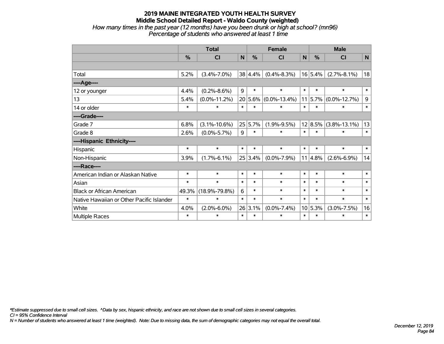### **2019 MAINE INTEGRATED YOUTH HEALTH SURVEY Middle School Detailed Report - Waldo County (weighted)** *How many times in the past year (12 months) have you been drunk or high at school? (mn96)*

*Percentage of students who answered at least 1 time*

|                                           | <b>Total</b>  |                     |        |         | <b>Female</b>      | <b>Male</b> |         |                    |        |
|-------------------------------------------|---------------|---------------------|--------|---------|--------------------|-------------|---------|--------------------|--------|
|                                           | $\frac{0}{0}$ | CI                  | N      | %       | CI                 | N           | %       | <b>CI</b>          | N      |
|                                           |               |                     |        |         |                    |             |         |                    |        |
| Total                                     | 5.2%          | $(3.4\% - 7.0\%)$   |        | 38 4.4% | $(0.4\% - 8.3\%)$  |             | 16 5.4% | $(2.7\% - 8.1\%)$  | 18     |
| ----Age----                               |               |                     |        |         |                    |             |         |                    |        |
| 12 or younger                             | 4.4%          | $(0.2\% - 8.6\%)$   | 9      | $\ast$  | $\ast$             | $\ast$      | $\ast$  | $\ast$             | $\ast$ |
| 13                                        | 5.4%          | $(0.0\% - 11.2\%)$  |        | 20 5.6% | $(0.0\% - 13.4\%)$ |             | 11 5.7% | $(0.0\% - 12.7\%)$ | 9      |
| 14 or older                               | $\ast$        | $\ast$              | $\ast$ | $\ast$  | $\ast$             | $\ast$      | $\ast$  | $\ast$             | $\ast$ |
| ----Grade----                             |               |                     |        |         |                    |             |         |                    |        |
| Grade 7                                   | 6.8%          | $(3.1\% - 10.6\%)$  |        | 25 5.7% | $(1.9\% - 9.5\%)$  |             | 12 8.5% | $(3.8\% - 13.1\%)$ | 13     |
| Grade 8                                   | 2.6%          | $(0.0\% - 5.7\%)$   | 9      | $\ast$  | $\ast$             | $\ast$      | $\ast$  | $\ast$             | $\ast$ |
| ----Hispanic Ethnicity----                |               |                     |        |         |                    |             |         |                    |        |
| Hispanic                                  | $\ast$        | $\ast$              | $\ast$ | $\ast$  | $\ast$             | $\ast$      | $\ast$  | $\ast$             | $\ast$ |
| Non-Hispanic                              | 3.9%          | $(1.7\% - 6.1\%)$   |        | 25 3.4% | $(0.0\% - 7.9\%)$  | 11          | 4.8%    | $(2.6\% - 6.9\%)$  | 14     |
| ----Race----                              |               |                     |        |         |                    |             |         |                    |        |
| American Indian or Alaskan Native         | $\ast$        | $\ast$              | $\ast$ | $\ast$  | $\ast$             | $\ast$      | $\ast$  | $\ast$             | $\ast$ |
| Asian                                     | $\ast$        | $\ast$              | $\ast$ | $\ast$  | $\ast$             | $\ast$      | $\ast$  | $\ast$             | $\ast$ |
| <b>Black or African American</b>          | 49.3%         | $(18.9\% - 79.8\%)$ | 6      | $\ast$  | $\ast$             | $\ast$      | $\ast$  | $\ast$             | $\ast$ |
| Native Hawaiian or Other Pacific Islander | $\ast$        | $\ast$              | $\ast$ | $\ast$  | $\ast$             | $\ast$      | $\ast$  | $\ast$             | $\ast$ |
| White                                     | 4.0%          | $(2.0\% - 6.0\%)$   |        | 26 3.1% | $(0.0\% - 7.4\%)$  |             | 10 5.3% | $(3.0\% - 7.5\%)$  | 16     |
| Multiple Races                            | $\ast$        | $\ast$              | $\ast$ | $\ast$  | $\ast$             | $\ast$      | $\ast$  | $\ast$             | $\ast$ |

*\*Estimate suppressed due to small cell sizes. ^Data by sex, hispanic ethnicity, and race are not shown due to small cell sizes in several categories.*

*CI = 95% Confidence Interval*

*N = Number of students who answered at least 1 time (weighted). Note: Due to missing data, the sum of demographic categories may not equal the overall total.*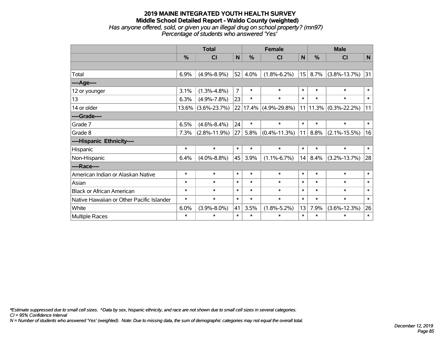## **2019 MAINE INTEGRATED YOUTH HEALTH SURVEY Middle School Detailed Report - Waldo County (weighted)** *Has anyone offered, sold, or given you an illegal drug on school property? (mn97) Percentage of students who answered 'Yes'*

|                                           | <b>Total</b>  |                    |                |               | <b>Female</b>         | <b>Male</b> |        |                       |        |
|-------------------------------------------|---------------|--------------------|----------------|---------------|-----------------------|-------------|--------|-----------------------|--------|
|                                           | $\frac{0}{0}$ | CI                 | N              | $\frac{0}{0}$ | <b>CI</b>             | N           | %      | <b>CI</b>             | N      |
|                                           |               |                    |                |               |                       |             |        |                       |        |
| Total                                     | 6.9%          | $(4.9\% - 8.9\%)$  | 52             | 4.0%          | $(1.8\% - 6.2\%)$     | 15          | 8.7%   | $(3.8\% - 13.7\%)$    | 31     |
| ----Age----                               |               |                    |                |               |                       |             |        |                       |        |
| 12 or younger                             | 3.1%          | $(1.3\% - 4.8\%)$  | $\overline{7}$ | $\ast$        | $\ast$                | $\ast$      | $\ast$ | $\ast$                | $\ast$ |
| 13                                        | 6.3%          | $(4.9\% - 7.8\%)$  | 23             | $\ast$        | $\ast$                | $\ast$      | $\ast$ | $\ast$                | $\ast$ |
| 14 or older                               | 13.6%         | $(3.6\% - 23.7\%)$ |                |               | 22 17.4% (4.9%-29.8%) | 11          |        | $11.3\%$ (0.3%-22.2%) | 11     |
| ----Grade----                             |               |                    |                |               |                       |             |        |                       |        |
| Grade 7                                   | 6.5%          | $(4.6\% - 8.4\%)$  | 24             | $\ast$        | $\ast$                | $\ast$      | $\ast$ | $\ast$                | $\ast$ |
| Grade 8                                   | 7.3%          | $(2.8\% - 11.9\%)$ | 27             | 5.8%          | $(0.4\% - 11.3\%)$    | 11          | 8.8%   | $(2.1\% - 15.5\%)$    | 16     |
| ----Hispanic Ethnicity----                |               |                    |                |               |                       |             |        |                       |        |
| Hispanic                                  | $\ast$        | $\ast$             | $\ast$         | $\ast$        | $\ast$                | $\ast$      | $\ast$ | $\ast$                | $\ast$ |
| Non-Hispanic                              | 6.4%          | $(4.0\% - 8.8\%)$  | 45             | 3.9%          | $(1.1\% - 6.7\%)$     | 14          | 8.4%   | $(3.2\% - 13.7\%)$    | 28     |
| ----Race----                              |               |                    |                |               |                       |             |        |                       |        |
| American Indian or Alaskan Native         | $\ast$        | $\ast$             | $\ast$         | $\ast$        | $\ast$                | $\ast$      | $\ast$ | $\ast$                | $\ast$ |
| Asian                                     | $\ast$        | $\ast$             | $\ast$         | $\ast$        | $\ast$                | $\ast$      | $\ast$ | $\ast$                | $\ast$ |
| <b>Black or African American</b>          | $\ast$        | $\ast$             | $\ast$         | $\ast$        | $\ast$                | $\ast$      | $\ast$ | $\ast$                | $\ast$ |
| Native Hawaiian or Other Pacific Islander | $\ast$        | $\ast$             | $\ast$         | $\ast$        | $\ast$                | $\ast$      | $\ast$ | $\ast$                | $\ast$ |
| White                                     | 6.0%          | $(3.9\% - 8.0\%)$  | 41             | 3.5%          | $(1.8\% - 5.2\%)$     | 13          | 7.9%   | $(3.6\% - 12.3\%)$    | 26     |
| <b>Multiple Races</b>                     | $\ast$        | $\ast$             | $\ast$         | $\ast$        | $\ast$                | $\ast$      | $\ast$ | $\ast$                | $\ast$ |

*\*Estimate suppressed due to small cell sizes. ^Data by sex, hispanic ethnicity, and race are not shown due to small cell sizes in several categories.*

*CI = 95% Confidence Interval*

*N = Number of students who answered 'Yes' (weighted). Note: Due to missing data, the sum of demographic categories may not equal the overall total.*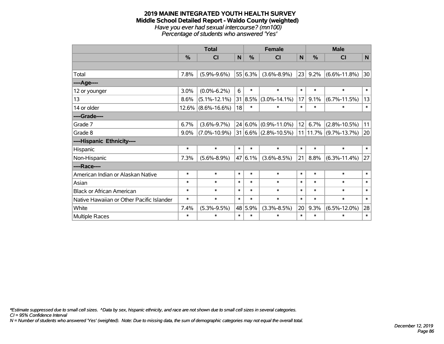#### **2019 MAINE INTEGRATED YOUTH HEALTH SURVEY Middle School Detailed Report - Waldo County (weighted)** *Have you ever had sexual intercourse? (mn100) Percentage of students who answered 'Yes'*

|                                           | <b>Total</b>  |                       |        |               | <b>Female</b>                 |        | <b>Male</b> |                          |              |  |
|-------------------------------------------|---------------|-----------------------|--------|---------------|-------------------------------|--------|-------------|--------------------------|--------------|--|
|                                           | $\frac{0}{0}$ | CI                    | N      | $\frac{0}{0}$ | <b>CI</b>                     | N      | %           | <b>CI</b>                | $\mathsf{N}$ |  |
|                                           |               |                       |        |               |                               |        |             |                          |              |  |
| Total                                     | 7.8%          | $(5.9\% - 9.6\%)$     |        | 55 6.3%       | $(3.6\% - 8.9\%)$             | 23     | 9.2%        | $(6.6\% - 11.8\%)$       | 30           |  |
| ---- Age----                              |               |                       |        |               |                               |        |             |                          |              |  |
| 12 or younger                             | 3.0%          | $(0.0\% - 6.2\%)$     | 6      | $\ast$        | $\ast$                        | $\ast$ | $\ast$      | $\ast$                   | $\ast$       |  |
| 13                                        | 8.6%          | $(5.1\% - 12.1\%)$    |        | 31 8.5%       | $(3.0\% - 14.1\%)$            | 17     | 9.1%        | $(6.7\% - 11.5\%)$       | 13           |  |
| 14 or older                               |               | $12.6\%$ (8.6%-16.6%) | 18     | $\ast$        | $\ast$                        | $\ast$ | $\ast$      | $\ast$                   | $\ast$       |  |
| ----Grade----                             |               |                       |        |               |                               |        |             |                          |              |  |
| Grade 7                                   | 6.7%          | $(3.6\% - 9.7\%)$     |        |               | $24 6.0\% $ (0.9%-11.0%)      | 12     | 6.7%        | $(2.8\% - 10.5\%)$       | 11           |  |
| Grade 8                                   | 9.0%          | $(7.0\% - 10.9\%)$    |        |               | $ 31 6.6\%  (2.8\% - 10.5\%)$ |        |             | $11$  11.7% (9.7%-13.7%) | 20           |  |
| ----Hispanic Ethnicity----                |               |                       |        |               |                               |        |             |                          |              |  |
| Hispanic                                  | $\ast$        | $\ast$                | $\ast$ | $\ast$        | $\ast$                        | $\ast$ | $\ast$      | $\ast$                   | $\ast$       |  |
| Non-Hispanic                              | 7.3%          | $(5.6\% - 8.9\%)$     |        | 47 6.1%       | $(3.6\% - 8.5\%)$             | 21     | 8.8%        | $(6.3\% - 11.4\%)$       | 27           |  |
| ----Race----                              |               |                       |        |               |                               |        |             |                          |              |  |
| American Indian or Alaskan Native         | $\ast$        | $\ast$                | $\ast$ | $\ast$        | $\ast$                        | $\ast$ | $\ast$      | $\ast$                   | $\ast$       |  |
| Asian                                     | $\ast$        | $\ast$                | $\ast$ | $\ast$        | $\ast$                        | $\ast$ | $\ast$      | $\ast$                   | $\ast$       |  |
| <b>Black or African American</b>          | $\ast$        | $\ast$                | $\ast$ | $\ast$        | $\ast$                        | $\ast$ | $\ast$      | $\ast$                   | $\ast$       |  |
| Native Hawaiian or Other Pacific Islander | $\ast$        | $\ast$                | $\ast$ | $\ast$        | $\ast$                        | $\ast$ | $\ast$      | $\ast$                   | $\ast$       |  |
| White                                     | 7.4%          | $(5.3\% - 9.5\%)$     |        | 48 5.9%       | $(3.3\% - 8.5\%)$             | 20     | 9.3%        | $(6.5\% - 12.0\%)$       | 28           |  |
| Multiple Races                            | $\ast$        | $\ast$                | $\ast$ | $\ast$        | $\ast$                        | $\ast$ | $\ast$      | $\ast$                   | $\ast$       |  |

*\*Estimate suppressed due to small cell sizes. ^Data by sex, hispanic ethnicity, and race are not shown due to small cell sizes in several categories.*

*CI = 95% Confidence Interval*

*N = Number of students who answered 'Yes' (weighted). Note: Due to missing data, the sum of demographic categories may not equal the overall total.*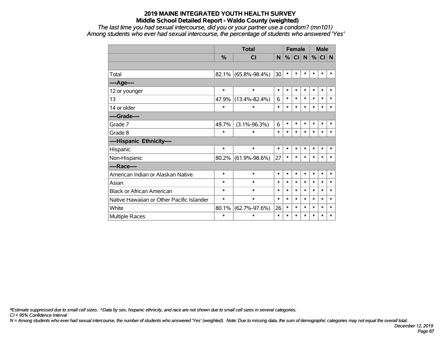*The last time you had sexual intercourse, did you or your partner use a condom? (mn101) Among students who ever had sexual intercourse, the percentage of students who answered 'Yes'*

|                                           |               | <b>Total</b>        |        | <b>Female</b> |        |        | <b>Male</b> |        |        |
|-------------------------------------------|---------------|---------------------|--------|---------------|--------|--------|-------------|--------|--------|
|                                           | $\frac{0}{0}$ | <b>CI</b>           | N      | %             | CI     | N.     | %           | CI N   |        |
|                                           |               |                     |        |               |        |        |             |        |        |
| Total                                     | 82.1%         | $(65.8\% - 98.4\%)$ | 30     | $\ast$        | $\ast$ | $\ast$ | $\ast$      | $\ast$ | $\ast$ |
| ----Age----                               |               |                     |        |               |        |        |             |        |        |
| 12 or younger                             | $\ast$        | $\ast$              | $\ast$ | $\ast$        | $\ast$ | $\ast$ | $\ast$      | $\ast$ | $\ast$ |
| 13                                        | 47.9%         | $(13.4\% - 82.4\%)$ | 6      | $\ast$        | $\ast$ | $\ast$ | $\ast$      | $\ast$ | $\ast$ |
| 14 or older                               | $\ast$        | $\ast$              | $\ast$ | $\ast$        | $\ast$ | $\ast$ | $\ast$      | $\ast$ | $\ast$ |
| ----Grade----                             |               |                     |        |               |        |        |             |        |        |
| Grade 7                                   | 49.7%         | $(3.1\% - 96.3\%)$  | 6      | $\ast$        | $\ast$ | $\ast$ | $\ast$      | $\ast$ | $\ast$ |
| Grade 8                                   | $\ast$        | $\ast$              | $\ast$ | $\ast$        | $\ast$ | $\ast$ | $\ast$      | $\ast$ | $\ast$ |
| ----Hispanic Ethnicity----                |               |                     |        |               |        |        |             |        |        |
| Hispanic                                  | $\ast$        | $\ast$              | $\ast$ | $\ast$        | $\ast$ | $\ast$ | $\ast$      | $\ast$ | $\ast$ |
| Non-Hispanic                              | $80.2\%$      | $(61.9\% - 98.6\%)$ | 27     | $\ast$        | $\ast$ | $\ast$ | $\ast$      | $\ast$ | $\ast$ |
| ----Race----                              |               |                     |        |               |        |        |             |        |        |
| American Indian or Alaskan Native         | $\ast$        | $\ast$              | $\ast$ | $\ast$        | $\ast$ | $\ast$ | $\ast$      | $\ast$ | $\ast$ |
| Asian                                     | $\ast$        | $\ast$              | $\ast$ | $\ast$        | $\ast$ | $\ast$ | $\ast$      | $\ast$ | $\ast$ |
| <b>Black or African American</b>          | $\ast$        | $\ast$              | $\ast$ | $\ast$        | $\ast$ | $\ast$ | $\ast$      | $\ast$ | $\ast$ |
| Native Hawaiian or Other Pacific Islander | $\ast$        | $\ast$              | $\ast$ | $\ast$        | $\ast$ | $\ast$ | $\ast$      | $\ast$ | $\ast$ |
| White                                     | 80.1%         | $(62.7\% - 97.6\%)$ | 26     | $\ast$        | $\ast$ | $\ast$ | $\ast$      | $\ast$ | $\ast$ |
| <b>Multiple Races</b>                     | $\ast$        | $\ast$              | $\ast$ | $\ast$        | $\ast$ | $\ast$ | $\ast$      | $\ast$ | $\ast$ |

*\*Estimate suppressed due to small cell sizes. ^Data by sex, hispanic ethnicity, and race are not shown due to small cell sizes in several categories.*

*CI = 95% Confidence Interval*

*N = Among students who ever had sexual intercourse, the number of students who answered 'Yes' (weighted). Note: Due to missing data, the sum of demographic categories may not equal the overall total.*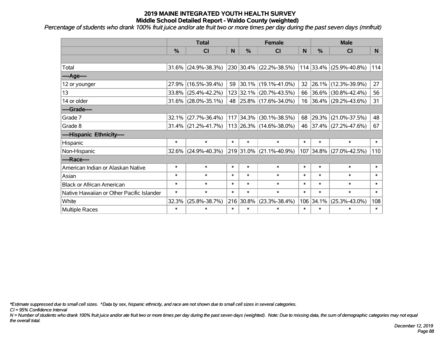*Percentage of students who drank 100% fruit juice and/or ate fruit two or more times per day during the past seven days (mnfruit)*

|                                           | <b>Total</b>  |                        |                |           | <b>Female</b>           | <b>Male</b> |           |                         |                |
|-------------------------------------------|---------------|------------------------|----------------|-----------|-------------------------|-------------|-----------|-------------------------|----------------|
|                                           | $\frac{0}{0}$ | CI                     | N <sub>1</sub> | $\%$      | <b>CI</b>               | N           | %         | <b>CI</b>               | N <sub>1</sub> |
|                                           |               |                        |                |           |                         |             |           |                         |                |
| Total                                     |               | $31.6\%$ (24.9%-38.3%) |                |           | 230 30.4% (22.2%-38.5%) |             |           | 114 33.4% (25.9%-40.8%) | 114            |
| ----Age----                               |               |                        |                |           |                         |             |           |                         |                |
| 12 or younger                             | 27.9%         | $(16.5\% - 39.4\%)$    | 59             |           | 30.1% (19.1%-41.0%)     | 32          | 26.1%     | $(12.3\% - 39.9\%)$     | 27             |
| 13                                        | 33.8%         | $(25.4\% - 42.2\%)$    |                |           | 123 32.1% (20.7%-43.5%) |             |           | 66 36.6% (30.8%-42.4%)  | 56             |
| 14 or older                               |               | $31.6\%$ (28.0%-35.1%) |                |           | 48 25.8% (17.6%-34.0%)  |             |           | 16 36.4% (29.2%-43.6%)  | 31             |
| ----Grade----                             |               |                        |                |           |                         |             |           |                         |                |
| Grade 7                                   | 32.1%         | $(27.7\% - 36.4\%)$    |                |           | 117 34.3% (30.1%-38.5%) |             | 68 29.3%  | $(21.0\% - 37.5\%)$     | 48             |
| Grade 8                                   |               | $31.4\%$ (21.2%-41.7%) |                |           | 113 26.3% (14.6%-38.0%) |             |           | 46 37.4% (27.2%-47.6%)  | 67             |
| ----Hispanic Ethnicity----                |               |                        |                |           |                         |             |           |                         |                |
| Hispanic                                  | $\ast$        | $\ast$                 | $\ast$         | $\ast$    | $\ast$                  | $\ast$      | $\ast$    | $\ast$                  | $\ast$         |
| Non-Hispanic                              |               | $32.6\%$ (24.9%-40.3%) |                |           | 219 31.0% (21.1%-40.9%) |             | 107 34.8% | $(27.0\% - 42.5\%)$     | 110            |
| ----Race----                              |               |                        |                |           |                         |             |           |                         |                |
| American Indian or Alaskan Native         | $\ast$        | $\ast$                 | $\ast$         | $\ast$    | $\ast$                  | $\ast$      | $\ast$    | $\ast$                  | $\ast$         |
| Asian                                     | $\ast$        | $\ast$                 | $\ast$         | $\ast$    | $\ast$                  | $\ast$      | $\ast$    | $\ast$                  | $\ast$         |
| <b>Black or African American</b>          | $\ast$        | $\ast$                 | $\ast$         | $\ast$    | $\ast$                  | $\ast$      | $\ast$    | $\ast$                  | $\ast$         |
| Native Hawaiian or Other Pacific Islander | $\ast$        | $\ast$                 | $\ast$         | $\ast$    | $\ast$                  | $\ast$      | $\ast$    | $\ast$                  | $\ast$         |
| White                                     | 32.3%         | $(25.8\% - 38.7\%)$    |                | 216 30.8% | $(23.3\% - 38.4\%)$     | 106         | 34.1%     | $(25.3\% - 43.0\%)$     | 108            |
| Multiple Races                            | $\ast$        | $\ast$                 | $\ast$         | $\ast$    | $\ast$                  | $\ast$      | $\ast$    | *                       | $\ast$         |

*\*Estimate suppressed due to small cell sizes. ^Data by sex, hispanic ethnicity, and race are not shown due to small cell sizes in several categories.*

*CI = 95% Confidence Interval*

*N = Number of students who drank 100% fruit juice and/or ate fruit two or more times per day during the past seven days (weighted). Note: Due to missing data, the sum of demographic categories may not equal the overall total.*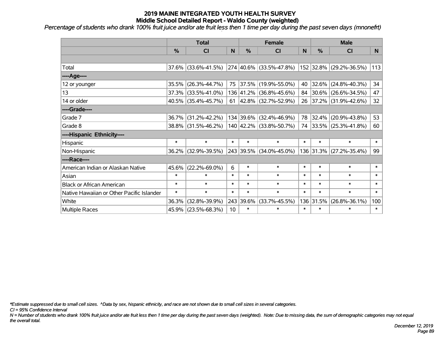*Percentage of students who drank 100% fruit juice and/or ate fruit less then 1 time per day during the past seven days (mnonefrt)*

|                                           | <b>Total</b>  |                        |        | <b>Female</b> | <b>Male</b>                 |        |           |                         |          |
|-------------------------------------------|---------------|------------------------|--------|---------------|-----------------------------|--------|-----------|-------------------------|----------|
|                                           | $\frac{0}{0}$ | CI                     | N      | $\%$          | C <sub>l</sub>              | N      | %         | <b>CI</b>               | <b>N</b> |
|                                           |               |                        |        |               |                             |        |           |                         |          |
| Total                                     |               | 37.6% (33.6%-41.5%)    |        |               | 274 40.6% (33.5%-47.8%)     |        |           | 152 32.8% (29.2%-36.5%) | 113      |
| ----Age----                               |               |                        |        |               |                             |        |           |                         |          |
| 12 or younger                             | 35.5%         | $(26.3\% - 44.7\%)$    | 75     |               | 37.5% (19.9%-55.0%)         | 40     | 32.6%     | $(24.8\% - 40.3\%)$     | 34       |
| 13                                        |               | $37.3\%$ (33.5%-41.0%) |        |               | 136 41.2% (36.8%-45.6%)     |        | 84 30.6%  | $(26.6\% - 34.5\%)$     | 47       |
| 14 or older                               |               | $40.5\%$ (35.4%-45.7%) |        |               | 61 $ 42.8\% $ (32.7%-52.9%) |        |           | 26 37.2% (31.9%-42.6%)  | 32       |
| ----Grade----                             |               |                        |        |               |                             |        |           |                         |          |
| Grade 7                                   | 36.7%         | $(31.2\% - 42.2\%)$    |        |               | 134 39.6% (32.4%-46.9%)     |        | 78 32.4%  | $(20.9\% - 43.8\%)$     | 53       |
| Grade 8                                   |               | 38.8% (31.5%-46.2%)    |        |               | 140 42.2% (33.8%-50.7%)     |        |           | 74 33.5% (25.3%-41.8%)  | 60       |
| ----Hispanic Ethnicity----                |               |                        |        |               |                             |        |           |                         |          |
| Hispanic                                  | $\ast$        | $\ast$                 | $\ast$ | $\ast$        | $\ast$                      | $\ast$ | $\ast$    | $\ast$                  | $\ast$   |
| Non-Hispanic                              |               | 36.2% (32.9%-39.5%)    |        |               | 243 39.5% (34.0%-45.0%)     |        | 136 31.3% | $(27.2\% - 35.4\%)$     | 99       |
| ----Race----                              |               |                        |        |               |                             |        |           |                         |          |
| American Indian or Alaskan Native         | 45.6%         | $(22.2\% - 69.0\%)$    | 6      | $\ast$        | $\ast$                      | $\ast$ | $\ast$    | $\ast$                  | $\ast$   |
| Asian                                     | $\ast$        | $\ast$                 | $\ast$ | $\ast$        | $\ast$                      | $\ast$ | $\ast$    | $\ast$                  | $\ast$   |
| <b>Black or African American</b>          | $\ast$        | $\ast$                 | $\ast$ | $\ast$        | $\ast$                      | $\ast$ | $\ast$    | $\ast$                  | $\ast$   |
| Native Hawaiian or Other Pacific Islander | $\ast$        | $\ast$                 | $\ast$ | $\ast$        | $\ast$                      | $\ast$ | $\ast$    | $\ast$                  | $\ast$   |
| White                                     | 36.3%         | $(32.8\% - 39.9\%)$    |        | 243 39.6%     | $(33.7\% - 45.5\%)$         |        | 136 31.5% | $(26.8\% - 36.1\%)$     | 100      |
| Multiple Races                            |               | 45.9% (23.5%-68.3%)    | 10     | $\ast$        | $\ast$                      | $\ast$ | $\ast$    | $\ast$                  | $\ast$   |

*\*Estimate suppressed due to small cell sizes. ^Data by sex, hispanic ethnicity, and race are not shown due to small cell sizes in several categories.*

*CI = 95% Confidence Interval*

*N = Number of students who drank 100% fruit juice and/or ate fruit less then 1 time per day during the past seven days (weighted). Note: Due to missing data, the sum of demographic categories may not equal the overall total.*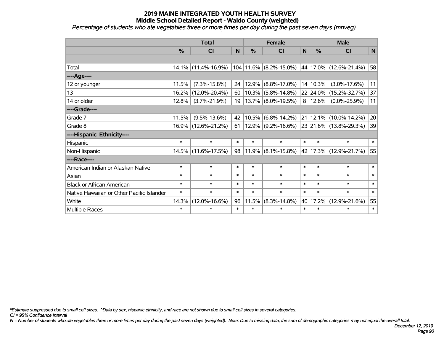*Percentage of students who ate vegetables three or more times per day during the past seven days (mnveg)*

|                                           | <b>Total</b>  |                        |        |               | <b>Female</b>                    |        | <b>Male</b> |                        |        |  |
|-------------------------------------------|---------------|------------------------|--------|---------------|----------------------------------|--------|-------------|------------------------|--------|--|
|                                           | $\frac{0}{0}$ | <b>CI</b>              | N      | $\frac{0}{0}$ | <b>CI</b>                        | N      | %           | <b>CI</b>              | N      |  |
|                                           |               |                        |        |               |                                  |        |             |                        |        |  |
| Total                                     |               | $14.1\%$ (11.4%-16.9%) |        |               | $104$   11.6% $(8.2\% - 15.0\%)$ |        |             | 44 17.0% (12.6%-21.4%) | 58     |  |
| ---- Age----                              |               |                        |        |               |                                  |        |             |                        |        |  |
| 12 or younger                             | 11.5%         | $(7.3\% - 15.8\%)$     | 24     | 12.9%         | $(8.8\% - 17.0\%)$               |        | 14 10.3%    | $(3.0\% - 17.6\%)$     | 11     |  |
| 13                                        | 16.2%         | $(12.0\% - 20.4\%)$    | 60     |               | $10.3\%$ (5.8%-14.8%)            |        |             | 22 24.0% (15.2%-32.7%) | 37     |  |
| 14 or older                               | 12.8%         | $(3.7\% - 21.9\%)$     | 19     |               | $13.7\%$ (8.0%-19.5%)            | 8      | $ 12.6\% $  | $(0.0\% - 25.9\%)$     | 11     |  |
| ----Grade----                             |               |                        |        |               |                                  |        |             |                        |        |  |
| Grade 7                                   | 11.5%         | $(9.5\% - 13.6\%)$     | 42     | $ 10.5\% $    | $(6.8\% - 14.2\%)$               |        |             | 21 12.1% (10.0%-14.2%) | 20     |  |
| Grade 8                                   |               | 16.9% (12.6%-21.2%)    | 61     |               | 12.9%  (9.2%-16.6%)              |        |             | 23 21.6% (13.8%-29.3%) | 39     |  |
| ----Hispanic Ethnicity----                |               |                        |        |               |                                  |        |             |                        |        |  |
| Hispanic                                  | $\ast$        | $\ast$                 | $\ast$ | $\ast$        | $\ast$                           | $\ast$ | $\ast$      | $\ast$                 | $\ast$ |  |
| Non-Hispanic                              |               | 14.5% (11.6%-17.5%)    | 98     | $ 11.9\% $    | $(8.1\% - 15.8\%)$               |        |             | 42 17.3% (12.9%-21.7%) | 55     |  |
| ----Race----                              |               |                        |        |               |                                  |        |             |                        |        |  |
| American Indian or Alaskan Native         | $\ast$        | $\ast$                 | $\ast$ | $\ast$        | $\ast$                           | $\ast$ | $\ast$      | $\ast$                 | $\ast$ |  |
| Asian                                     | $\ast$        | $\ast$                 | $\ast$ | $\ast$        | $\ast$                           | $\ast$ | $\ast$      | $\ast$                 | $\ast$ |  |
| <b>Black or African American</b>          | $\ast$        | $\ast$                 | $\ast$ | $\ast$        | $\ast$                           | $\ast$ | $\ast$      | $\ast$                 | $\ast$ |  |
| Native Hawaiian or Other Pacific Islander | $\ast$        | $\ast$                 | $\ast$ | $\ast$        | $\ast$                           | $\ast$ | $\ast$      | $\ast$                 | $\ast$ |  |
| White                                     | 14.3%         | $(12.0\% - 16.6\%)$    | 96     | 11.5%         | $(8.3\% - 14.8\%)$               | 40     | 17.2%       | $(12.9\% - 21.6\%)$    | 55     |  |
| Multiple Races                            | $\ast$        | $\ast$                 | $\ast$ | $\ast$        | $\ast$                           | $\ast$ | $\ast$      | $\ast$                 | $\ast$ |  |

*\*Estimate suppressed due to small cell sizes. ^Data by sex, hispanic ethnicity, and race are not shown due to small cell sizes in several categories.*

*CI = 95% Confidence Interval*

*N = Number of students who ate vegetables three or more times per day during the past seven days (weighted). Note: Due to missing data, the sum of demographic categories may not equal the overall total.*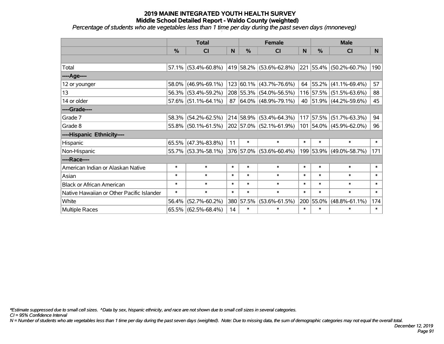*Percentage of students who ate vegetables less than 1 time per day during the past seven days (mnoneveg)*

|                                           | <b>Total</b>  |                        |        |               | <b>Female</b>                | <b>Male</b> |           |                         |                |
|-------------------------------------------|---------------|------------------------|--------|---------------|------------------------------|-------------|-----------|-------------------------|----------------|
|                                           | $\frac{0}{0}$ | <b>CI</b>              | N      | $\frac{0}{0}$ | <b>CI</b>                    | <b>N</b>    | %         | <b>CI</b>               | N <sub>1</sub> |
|                                           |               |                        |        |               |                              |             |           |                         |                |
| Total                                     |               | $57.1\%$ (53.4%-60.8%) |        |               | 419 58.2% (53.6%-62.8%)      |             |           | 221 55.4% (50.2%-60.7%) | 190            |
| ----Age----                               |               |                        |        |               |                              |             |           |                         |                |
| 12 or younger                             | 58.0%         | $(46.9\% - 69.1\%)$    |        |               | 123 60.1% (43.7%-76.6%)      |             | 64 55.2%  | $(41.1\% - 69.4\%)$     | 57             |
| 13                                        |               | 56.3% (53.4%-59.2%)    |        |               | 208 55.3% (54.0%-56.5%)      |             |           | 116 57.5% (51.5%-63.6%) | 88             |
| 14 or older                               |               | $57.6\%$ (51.1%-64.1%) | 87     |               | $ 64.0\% $ (48.9%-79.1%)     |             |           | 40 51.9% (44.2%-59.6%)  | 45             |
| ----Grade----                             |               |                        |        |               |                              |             |           |                         |                |
| Grade 7                                   | 58.3%         | $(54.2\% - 62.5\%)$    |        |               | 214 58.9% (53.4%-64.3%)      |             | 117 57.5% | $(51.7\% - 63.3\%)$     | 94             |
| Grade 8                                   |               | 55.8% (50.1%-61.5%)    |        |               | $ 202 57.0\% $ (52.1%-61.9%) |             |           | 101 54.0% (45.9%-62.0%) | 96             |
| ----Hispanic Ethnicity----                |               |                        |        |               |                              |             |           |                         |                |
| Hispanic                                  | 65.5%         | $(47.3\% - 83.8\%)$    | 11     | $\ast$        | $\ast$                       | $\ast$      | $\ast$    | $\ast$                  | $\ast$         |
| Non-Hispanic                              |               | 55.7% (53.3%-58.1%)    |        |               | 376 57.0% (53.6%-60.4%)      |             | 199 53.9% | $(49.0\% - 58.7\%)$     | 171            |
| ----Race----                              |               |                        |        |               |                              |             |           |                         |                |
| American Indian or Alaskan Native         | $\ast$        | $\ast$                 | $\ast$ | $\ast$        | $\ast$                       | $\ast$      | $\ast$    | $\ast$                  | $\ast$         |
| Asian                                     | $\ast$        | $\ast$                 | $\ast$ | $\ast$        | $\ast$                       | $\ast$      | $\ast$    | $\ast$                  | $\ast$         |
| <b>Black or African American</b>          | $\ast$        | $\ast$                 | $\ast$ | $\ast$        | $\ast$                       | $\ast$      | $\ast$    | $\ast$                  | $\ast$         |
| Native Hawaiian or Other Pacific Islander | $\ast$        | $\ast$                 | $\ast$ | $\ast$        | $\ast$                       | $\ast$      | $\ast$    | $\ast$                  | $\ast$         |
| White                                     | 56.4%         | $(52.7\% - 60.2\%)$    |        | 380 57.5%     | $(53.6\% - 61.5\%)$          | 200         | 55.0%     | $(48.8\% - 61.1\%)$     | 174            |
| <b>Multiple Races</b>                     |               | $65.5\%$ (62.5%-68.4%) | 14     | $\ast$        | $\ast$                       | $\ast$      | $\ast$    | $\ast$                  | $\ast$         |

*\*Estimate suppressed due to small cell sizes. ^Data by sex, hispanic ethnicity, and race are not shown due to small cell sizes in several categories.*

*CI = 95% Confidence Interval*

*N = Number of students who ate vegetables less than 1 time per day during the past seven days (weighted). Note: Due to missing data, the sum of demographic categories may not equal the overall total.*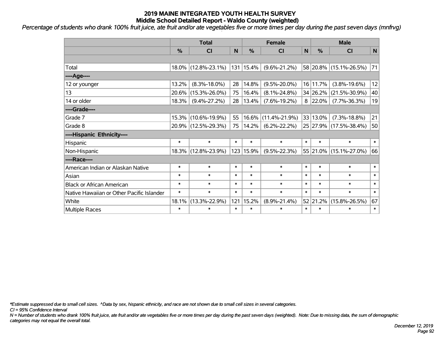*Percentage of students who drank 100% fruit juice, ate fruit and/or ate vegetables five or more times per day during the past seven days (mnfrvg)*

|                                           | <b>Total</b>  |                     |        |               | <b>Female</b>       | <b>Male</b> |             |                        |              |
|-------------------------------------------|---------------|---------------------|--------|---------------|---------------------|-------------|-------------|------------------------|--------------|
|                                           | $\frac{0}{0}$ | CI                  | N      | $\frac{9}{6}$ | CI                  | $\mathbf N$ | %           | <b>CI</b>              | $\mathsf{N}$ |
|                                           |               |                     |        |               |                     |             |             |                        |              |
| Total                                     |               | 18.0% (12.8%-23.1%) | 131    | 15.4%         | $(9.6\% - 21.2\%)$  |             |             | 58 20.8% (15.1%-26.5%) | 71           |
| ----Age----                               |               |                     |        |               |                     |             |             |                        |              |
| 12 or younger                             | 13.2%         | $(8.3\% - 18.0\%)$  | 28     | 14.8%         | $(9.5\% - 20.0\%)$  |             | 16 11.7%    | $(3.8\% - 19.6\%)$     | 12           |
| 13                                        | 20.6%         | $(15.3\% - 26.0\%)$ | 75     | 16.4%         | $(8.1\% - 24.8\%)$  |             | 34 26.2%    | $(21.5\% - 30.9\%)$    | 40           |
| 14 or older                               | 18.3%         | $(9.4\% - 27.2\%)$  | 28     | 13.4%         | $(7.6\% - 19.2\%)$  |             | $8 22.0\% $ | $(7.7\% - 36.3\%)$     | 19           |
| ----Grade----                             |               |                     |        |               |                     |             |             |                        |              |
| Grade 7                                   | 15.3%         | $(10.6\% - 19.9\%)$ | 55     | 16.6%         | $(11.4\% - 21.9\%)$ |             | 33 13.0%    | $(7.3\% - 18.8\%)$     | 21           |
| Grade 8                                   |               | 20.9% (12.5%-29.3%) | 75     | 14.2%         | $(6.2\% - 22.2\%)$  |             |             | 25 27.9% (17.5%-38.4%) | 50           |
| ----Hispanic Ethnicity----                |               |                     |        |               |                     |             |             |                        |              |
| Hispanic                                  | $\ast$        | $\ast$              | $\ast$ | $\ast$        | $\ast$              | $\ast$      | $\ast$      | $\ast$                 | $\ast$       |
| Non-Hispanic                              |               | 18.3% (12.8%-23.9%) | 123    | 15.9%         | $(9.5\% - 22.3\%)$  |             |             | 55 21.0% (15.1%-27.0%) | 66           |
| ----Race----                              |               |                     |        |               |                     |             |             |                        |              |
| American Indian or Alaskan Native         | $\ast$        | $\ast$              | $\ast$ | $\ast$        | $\ast$              | $\ast$      | $\ast$      | $\ast$                 | $\ast$       |
| Asian                                     | $\ast$        | $\ast$              | $\ast$ | $\ast$        | $\ast$              | $\ast$      | $\ast$      | $\ast$                 | $\ast$       |
| <b>Black or African American</b>          | $\ast$        | $\ast$              | $\ast$ | $\ast$        | $\ast$              | $\ast$      | $\ast$      | $\ast$                 | $\ast$       |
| Native Hawaiian or Other Pacific Islander | $\ast$        | $\ast$              | $\ast$ | $\ast$        | $\ast$              | $\ast$      | $\ast$      | $\ast$                 | $\ast$       |
| White                                     | 18.1%         | $(13.3\% - 22.9\%)$ | 121    | 15.2%         | $(8.9\% - 21.4\%)$  |             | 52 21.2%    | $(15.8\% - 26.5\%)$    | 67           |
| Multiple Races                            | $\ast$        | $\ast$              | $\ast$ | $\ast$        | $\ast$              | $\ast$      | $\ast$      | $\ast$                 | $\ast$       |

*\*Estimate suppressed due to small cell sizes. ^Data by sex, hispanic ethnicity, and race are not shown due to small cell sizes in several categories.*

*CI = 95% Confidence Interval*

*N = Number of students who drank 100% fruit juice, ate fruit and/or ate vegetables five or more times per day during the past seven days (weighted). Note: Due to missing data, the sum of demographic categories may not equal the overall total.*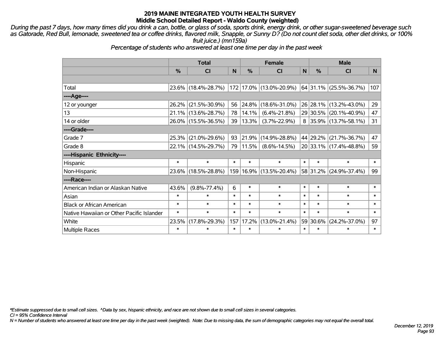*During the past 7 days, how many times did you drink a can, bottle, or glass of soda, sports drink, energy drink, or other sugar-sweetened beverage such as Gatorade, Red Bull, lemonade, sweetened tea or coffee drinks, flavored milk, Snapple, or Sunny D? (Do not count diet soda, other diet drinks, or 100% fruit juice.) (mn159a)*

*Percentage of students who answered at least one time per day in the past week*

|                                           | <b>Total</b>  |                     |        |            | <b>Female</b>           | <b>Male</b> |          |                             |        |
|-------------------------------------------|---------------|---------------------|--------|------------|-------------------------|-------------|----------|-----------------------------|--------|
|                                           | $\frac{0}{0}$ | <b>CI</b>           | N      | %          | <b>CI</b>               | N           | %        | <b>CI</b>                   | N      |
|                                           |               |                     |        |            |                         |             |          |                             |        |
| Total                                     |               | 23.6% (18.4%-28.7%) |        |            | 172 17.0% (13.0%-20.9%) |             |          | $ 64 31.1\% $ (25.5%-36.7%) | 107    |
| ----Age----                               |               |                     |        |            |                         |             |          |                             |        |
| 12 or younger                             | 26.2%         | $(21.5\% - 30.9\%)$ | 56     | 24.8%      | $(18.6\% - 31.0\%)$     |             | 26 28.1% | $(13.2\% - 43.0\%)$         | 29     |
| 13                                        | 21.1%         | $(13.6\% - 28.7\%)$ | 78     | 14.1%      | $(6.4\% - 21.8\%)$      |             | 29 30.5% | $(20.1\% - 40.9\%)$         | 47     |
| 14 or older                               |               | 26.0% (15.5%-36.5%) | 39     | 13.3%      | $(3.7\% - 22.9\%)$      |             |          | $8$ 35.9% (13.7%-58.1%)     | 31     |
| ----Grade----                             |               |                     |        |            |                         |             |          |                             |        |
| Grade 7                                   | 25.3%         | $(21.0\% - 29.6\%)$ | 93     | 21.9%      | $(14.9\% - 28.8\%)$     |             | 44 29.2% | $(21.7\% - 36.7\%)$         | 47     |
| Grade 8                                   |               | 22.1% (14.5%-29.7%) | 79     | $ 11.5\% $ | $(8.6\% - 14.5\%)$      |             |          | 20 33.1% (17.4%-48.8%)      | 59     |
| ----Hispanic Ethnicity----                |               |                     |        |            |                         |             |          |                             |        |
| Hispanic                                  | $\ast$        | $\ast$              | $\ast$ | $\ast$     | $\ast$                  | $\ast$      | $\ast$   | $\ast$                      | $\ast$ |
| Non-Hispanic                              | 23.6%         | $(18.5\% - 28.8\%)$ |        |            | 159 16.9% (13.5%-20.4%) |             | 58 31.2% | $(24.9\% - 37.4\%)$         | 99     |
| ----Race----                              |               |                     |        |            |                         |             |          |                             |        |
| American Indian or Alaskan Native         | 43.6%         | $(9.8\% - 77.4\%)$  | 6      | $\ast$     | $\ast$                  | $\ast$      | $\ast$   | $\ast$                      | $\ast$ |
| Asian                                     | $\ast$        | $\ast$              | $\ast$ | $\ast$     | $\ast$                  | $\ast$      | $\ast$   | $\ast$                      | $\ast$ |
| <b>Black or African American</b>          | $\ast$        | $\ast$              | $\ast$ | $\ast$     | $\ast$                  | $\ast$      | $\ast$   | $\ast$                      | $\ast$ |
| Native Hawaiian or Other Pacific Islander | $\ast$        | $\ast$              | $\ast$ | $\ast$     | $\ast$                  | $\ast$      | $\ast$   | $\ast$                      | $\ast$ |
| White                                     | 23.5%         | $(17.8\% - 29.3\%)$ | 157    | 17.2%      | $(13.0\% - 21.4\%)$     |             | 59 30.6% | $(24.2\% - 37.0\%)$         | 97     |
| Multiple Races                            | $\ast$        | $\ast$              | $\ast$ | $\ast$     | $\ast$                  | $\ast$      | $\ast$   | $\ast$                      | $\ast$ |

*\*Estimate suppressed due to small cell sizes. ^Data by sex, hispanic ethnicity, and race are not shown due to small cell sizes in several categories.*

*CI = 95% Confidence Interval*

*N = Number of students who answered at least one time per day in the past week (weighted). Note: Due to missing data, the sum of demographic categories may not equal the overall total.*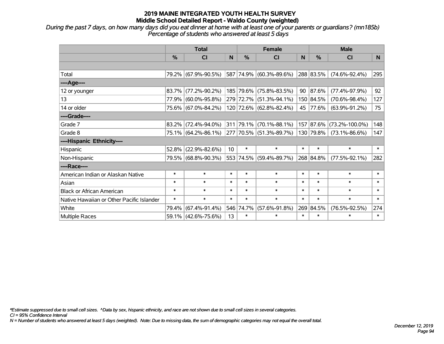*During the past 7 days, on how many days did you eat dinner at home with at least one of your parents or guardians? (mn185b) Percentage of students who answered at least 5 days*

|                                           |          | <b>Total</b>        |                 |           | <b>Female</b>                |        | <b>Male</b>   |                      |        |  |
|-------------------------------------------|----------|---------------------|-----------------|-----------|------------------------------|--------|---------------|----------------------|--------|--|
|                                           | %        | <b>CI</b>           | <sub>N</sub>    | $\%$      | <b>CI</b>                    | N      | $\frac{0}{0}$ | <b>CI</b>            | N.     |  |
|                                           |          |                     |                 |           |                              |        |               |                      |        |  |
| Total                                     |          | 79.2% (67.9%-90.5%) |                 |           | 587 74.9% (60.3%-89.6%)      |        | 288 83.5%     | $(74.6\% - 92.4\%)$  | 295    |  |
| ----Age----                               |          |                     |                 |           |                              |        |               |                      |        |  |
| 12 or younger                             | 83.7%    | $(77.2\% - 90.2\%)$ |                 | 185 79.6% | $(75.8\% - 83.5\%)$          | 90     | $ 87.6\% $    | $(77.4\% - 97.9\%)$  | 92     |  |
| 13                                        |          | 77.9% (60.0%-95.8%) |                 | 279 72.7% | $(51.3\% - 94.1\%)$          |        | 150 84.5%     | $(70.6\% - 98.4\%)$  | 127    |  |
| 14 or older                               |          | 75.6% (67.0%-84.2%) |                 |           | 120 72.6% (62.8%-82.4%)      |        | 45 77.6%      | $(63.9\% - 91.2\%)$  | 75     |  |
| ----Grade----                             |          |                     |                 |           |                              |        |               |                      |        |  |
| Grade 7                                   | $83.2\%$ | (72.4%-94.0%)       |                 | 311 79.1% | $(70.1\% - 88.1\%)$          |        | 157 87.6%     | $(73.2\% - 100.0\%)$ | 148    |  |
| Grade 8                                   |          | 75.1% (64.2%-86.1%) |                 |           | $ 277 70.5\% $ (51.3%-89.7%) |        | 130 79.8%     | $(73.1\% - 86.6\%)$  | 147    |  |
| ----Hispanic Ethnicity----                |          |                     |                 |           |                              |        |               |                      |        |  |
| Hispanic                                  | 52.8%    | $(22.9\% - 82.6\%)$ | 10 <sup>°</sup> | $\ast$    | $\ast$                       | $\ast$ | $\ast$        | $\ast$               | $\ast$ |  |
| Non-Hispanic                              |          | 79.5% (68.8%-90.3%) |                 | 553 74.5% | $(59.4\% - 89.7\%)$          |        | 268 84.8%     | $(77.5\% - 92.1\%)$  | 282    |  |
| ----Race----                              |          |                     |                 |           |                              |        |               |                      |        |  |
| American Indian or Alaskan Native         | $\ast$   | $\ast$              | $\ast$          | $\ast$    | $\ast$                       | $\ast$ | $\ast$        | $\ast$               | $\ast$ |  |
| Asian                                     | $\ast$   | $\ast$              | $\ast$          | $\ast$    | $\ast$                       | $\ast$ | $\ast$        | $\ast$               | $\ast$ |  |
| <b>Black or African American</b>          | $\ast$   | $\ast$              | $\ast$          | $\ast$    | $\ast$                       | $\ast$ | $\ast$        | $\ast$               | $\ast$ |  |
| Native Hawaiian or Other Pacific Islander | $\ast$   | $\ast$              | $\ast$          | $\ast$    | $\ast$                       | $\ast$ | $\ast$        | $\ast$               | $\ast$ |  |
| White                                     | 79.4%    | $(67.4\% - 91.4\%)$ | 546             | 74.7%     | $(57.6\% - 91.8\%)$          |        | 269 84.5%     | $(76.5\% - 92.5\%)$  | 274    |  |
| Multiple Races                            |          | 59.1% (42.6%-75.6%) | 13              | $\ast$    | $\ast$                       | $\ast$ | $\ast$        | $\ast$               | $\ast$ |  |

*\*Estimate suppressed due to small cell sizes. ^Data by sex, hispanic ethnicity, and race are not shown due to small cell sizes in several categories.*

*CI = 95% Confidence Interval*

*N = Number of students who answered at least 5 days (weighted). Note: Due to missing data, the sum of demographic categories may not equal the overall total.*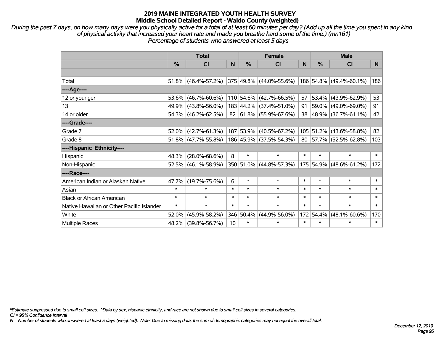*During the past 7 days, on how many days were you physically active for a total of at least 60 minutes per day? (Add up all the time you spent in any kind of physical activity that increased your heart rate and made you breathe hard some of the time.) (mn161) Percentage of students who answered at least 5 days*

|                                           | <b>Total</b>  |                        |                 | <b>Female</b> | <b>Male</b>                       |        |               |                         |          |
|-------------------------------------------|---------------|------------------------|-----------------|---------------|-----------------------------------|--------|---------------|-------------------------|----------|
|                                           | $\frac{0}{0}$ | C <sub>l</sub>         | N               | $\frac{0}{0}$ | CI                                | N      | $\frac{0}{0}$ | <b>CI</b>               | <b>N</b> |
|                                           |               |                        |                 |               |                                   |        |               |                         |          |
| Total                                     |               | $51.8\%$ (46.4%-57.2%) |                 |               | 375 49.8% (44.0%-55.6%)           |        |               | 186 54.8% (49.4%-60.1%) | 186      |
| ----Age----                               |               |                        |                 |               |                                   |        |               |                         |          |
| 12 or younger                             | 53.6%         | $(46.7\% - 60.6\%)$    |                 |               | 110 54.6% (42.7%-66.5%)           | 57     | 53.4%         | $(43.9\% - 62.9\%)$     | 53       |
| 13                                        |               | 49.9% (43.8%-56.0%)    |                 |               | 183 44.2% (37.4%-51.0%)           | 91     | 59.0%         | $(49.0\% - 69.0\%)$     | 91       |
| 14 or older                               |               | $54.3\%$ (46.2%-62.5%) |                 |               | $82   61.8\%   (55.9\% - 67.6\%)$ |        | 38 48.9%      | $(36.7\% - 61.1\%)$     | 42       |
| ----Grade----                             |               |                        |                 |               |                                   |        |               |                         |          |
| Grade 7                                   | $52.0\%$      | $(42.7\% - 61.3\%)$    |                 |               | 187 53.9% (40.5%-67.2%)           |        | 105 51.2%     | $(43.6\% - 58.8\%)$     | 82       |
| Grade 8                                   |               | 51.8% (47.7%-55.8%)    |                 |               | 186 45.9% (37.5%-54.3%)           |        |               | 80 57.7% (52.5%-62.8%)  | 103      |
| ----Hispanic Ethnicity----                |               |                        |                 |               |                                   |        |               |                         |          |
| Hispanic                                  | 48.3%         | $(28.0\% - 68.6\%)$    | 8               | $\ast$        | $\ast$                            | $\ast$ | $\ast$        | $\ast$                  | $\ast$   |
| Non-Hispanic                              |               | $52.5\%$ (46.1%-58.9%) |                 |               | 350 51.0% (44.8%-57.3%)           |        | 175 54.9%     | $(48.6\% - 61.2\%)$     | 172      |
| ----Race----                              |               |                        |                 |               |                                   |        |               |                         |          |
| American Indian or Alaskan Native         |               | 47.7% (19.7%-75.6%)    | 6               | $\ast$        | $\ast$                            | $\ast$ | $\ast$        | $\ast$                  | $\ast$   |
| Asian                                     | $\ast$        | $\ast$                 | $\ast$          | $\ast$        | $\ast$                            | $\ast$ | $\ast$        | $\ast$                  | $\ast$   |
| <b>Black or African American</b>          | $\ast$        | $\ast$                 | $\ast$          | $\ast$        | $\ast$                            | $\ast$ | $\ast$        | $\ast$                  | $\ast$   |
| Native Hawaiian or Other Pacific Islander | $\ast$        | $\ast$                 | $\ast$          | $\ast$        | $\ast$                            | $\ast$ | $\ast$        | $\ast$                  | $\ast$   |
| White                                     | 52.0%         | $(45.9\% - 58.2\%)$    |                 | 346 50.4%     | $(44.9\% - 56.0\%)$               | 172    | 54.4%         | $(48.1\% - 60.6\%)$     | 170      |
| <b>Multiple Races</b>                     |               | 48.2% (39.8%-56.7%)    | 10 <sub>1</sub> | $\ast$        | $\ast$                            | $\ast$ | $\ast$        | *                       | $\ast$   |

*\*Estimate suppressed due to small cell sizes. ^Data by sex, hispanic ethnicity, and race are not shown due to small cell sizes in several categories.*

*CI = 95% Confidence Interval*

*N = Number of students who answered at least 5 days (weighted). Note: Due to missing data, the sum of demographic categories may not equal the overall total.*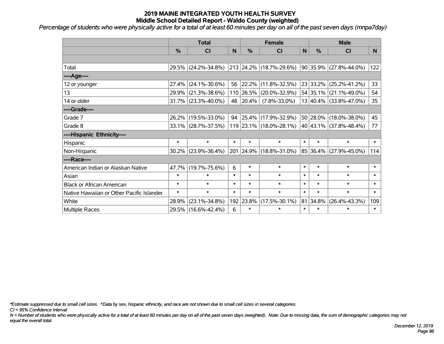*Percentage of students who were physically active for a total of at least 60 minutes per day on all of the past seven days (mnpa7day)*

|                                           | <b>Total</b>  |                        |             |           | <b>Female</b>           | <b>Male</b>  |          |                        |        |
|-------------------------------------------|---------------|------------------------|-------------|-----------|-------------------------|--------------|----------|------------------------|--------|
|                                           | $\frac{0}{0}$ | C <sub>l</sub>         | $\mathbf N$ | %         | <b>CI</b>               | $\mathsf{N}$ | %        | <b>CI</b>              | N.     |
|                                           |               |                        |             |           |                         |              |          |                        |        |
| Total                                     |               | 29.5% (24.2%-34.8%)    |             |           | 213 24.2% (18.7%-29.6%) |              |          | 90 35.9% (27.8%-44.0%) | 122    |
| ---- Age----                              |               |                        |             |           |                         |              |          |                        |        |
| 12 or younger                             | 27.4%         | $(24.1\% - 30.6\%)$    | 56          | 22.2%     | $(11.8\% - 32.5\%)$     |              | 23 33.2% | $(25.2\% - 41.2\%)$    | 33     |
| 13                                        | 29.9%         | $(21.3\% - 38.6\%)$    |             | 110 26.5% | $(20.0\% - 32.9\%)$     |              |          | 54 35.1% (21.1%-49.0%) | 54     |
| 14 or older                               |               | $31.7\%$ (23.3%-40.0%) |             | 48 20.4%  | $(7.8\% - 33.0\%)$      |              |          | 13 40.4% (33.8%-47.0%) | 35     |
| ----Grade----                             |               |                        |             |           |                         |              |          |                        |        |
| Grade 7                                   | 26.2%         | $(19.5\% - 33.0\%)$    | 94          | 25.4%     | $(17.9\% - 32.9\%)$     |              | 50 28.0% | $(18.0\% - 38.0\%)$    | 45     |
| Grade 8                                   |               | 33.1% (28.7%-37.5%)    |             |           | 119 23.1% (18.0%-28.1%) |              |          | 40 43.1% (37.8%-48.4%) | 77     |
| ----Hispanic Ethnicity----                |               |                        |             |           |                         |              |          |                        |        |
| Hispanic                                  | $\ast$        | $\ast$                 | $\ast$      | $\ast$    | $\ast$                  | $\ast$       | $\ast$   | $\ast$                 | $\ast$ |
| Non-Hispanic                              | 30.2%         | $(23.9\% - 36.4\%)$    |             | 201 24.9% | $(18.8\% - 31.0\%)$     |              | 85 36.4% | $(27.9\% - 45.0\%)$    | 114    |
| ----Race----                              |               |                        |             |           |                         |              |          |                        |        |
| American Indian or Alaskan Native         | 47.7%         | $(19.7\% - 75.6\%)$    | 6           | $\ast$    | $\ast$                  | $\ast$       | $\ast$   | $\ast$                 | $\ast$ |
| Asian                                     | $\ast$        | $\ast$                 | $\ast$      | $\ast$    | $\ast$                  | $\ast$       | $\ast$   | $\ast$                 | $\ast$ |
| <b>Black or African American</b>          | $\ast$        | $\ast$                 | $\ast$      | $\ast$    | $\ast$                  | $\ast$       | $\ast$   | $\ast$                 | $\ast$ |
| Native Hawaiian or Other Pacific Islander | $\ast$        | $\ast$                 | $\ast$      | $\ast$    | $\ast$                  | $\ast$       | $\ast$   | $\ast$                 | $\ast$ |
| White                                     | 28.9%         | $(23.1\% - 34.8\%)$    |             | 192 23.8% | $(17.5\% - 30.1\%)$     |              | 81 34.8% | $(26.4\% - 43.3\%)$    | 109    |
| <b>Multiple Races</b>                     |               | 29.5% (16.6%-42.4%)    | 6           | $\ast$    | $\ast$                  | $\ast$       | $\ast$   | *                      | $\ast$ |

*\*Estimate suppressed due to small cell sizes. ^Data by sex, hispanic ethnicity, and race are not shown due to small cell sizes in several categories.*

*CI = 95% Confidence Interval*

*N = Number of students who were physically active for a total of at least 60 minutes per day on all of the past seven days (weighted). Note: Due to missing data, the sum of demographic categories may not equal the overall total.*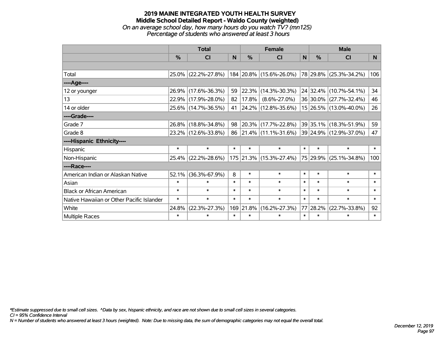# **2019 MAINE INTEGRATED YOUTH HEALTH SURVEY Middle School Detailed Report - Waldo County (weighted)** *On an average school day, how many hours do you watch TV? (mn125) Percentage of students who answered at least 3 hours*

|                                           | <b>Total</b> |                     |        |            | <b>Female</b>            | <b>Male</b> |               |                             |        |
|-------------------------------------------|--------------|---------------------|--------|------------|--------------------------|-------------|---------------|-----------------------------|--------|
|                                           | %            | CI                  | N      | %          | <b>CI</b>                | N           | $\frac{0}{0}$ | CI                          | N.     |
|                                           |              |                     |        |            |                          |             |               |                             |        |
| Total                                     |              | 25.0% (22.2%-27.8%) |        |            | 184 20.8% (15.6%-26.0%)  |             |               | $ 78 29.8\% $ (25.3%-34.2%) | 106    |
| ----Age----                               |              |                     |        |            |                          |             |               |                             |        |
| 12 or younger                             | 26.9%        | $(17.6\% - 36.3\%)$ | 59     | 22.3%      | $(14.3\% - 30.3\%)$      |             |               | 24 32.4% (10.7%-54.1%)      | 34     |
| 13                                        | 22.9%        | $(17.9\% - 28.0\%)$ | 82     | 17.8%      | $(8.6\% - 27.0\%)$       |             |               | 36 30.0% (27.7%-32.4%)      | 46     |
| 14 or older                               |              | 25.6% (14.7%-36.5%) | 41     |            | $ 24.2\% $ (12.8%-35.6%) |             |               | 15 26.5% (13.0%-40.0%)      | 26     |
| ----Grade----                             |              |                     |        |            |                          |             |               |                             |        |
| Grade 7                                   | 26.8%        | $(18.8\% - 34.8\%)$ | 98     | $ 20.3\% $ | $(17.7\% - 22.8\%)$      |             | 39 35.1%      | $(18.3\% - 51.9\%)$         | 59     |
| Grade 8                                   |              | 23.2% (12.6%-33.8%) | 86     |            | $ 21.4\% $ (11.1%-31.6%) |             |               | 39 24.9% (12.9%-37.0%)      | 47     |
| ----Hispanic Ethnicity----                |              |                     |        |            |                          |             |               |                             |        |
| Hispanic                                  | $\ast$       | $\ast$              | $\ast$ | $\ast$     | $\ast$                   | $\ast$      | $\ast$        | $\ast$                      | $\ast$ |
| Non-Hispanic                              |              | 25.4% (22.2%-28.6%) |        |            | 175 21.3% (15.3%-27.4%)  |             | 75 29.9%      | $(25.1\% - 34.8\%)$         | 100    |
| ----Race----                              |              |                     |        |            |                          |             |               |                             |        |
| American Indian or Alaskan Native         | 52.1%        | $(36.3\% - 67.9\%)$ | 8      | $\ast$     | $\ast$                   | $\ast$      | $\ast$        | $\ast$                      | $\ast$ |
| Asian                                     | $\ast$       | $\ast$              | $\ast$ | $\ast$     | $\ast$                   | $\ast$      | $\ast$        | $\ast$                      | $\ast$ |
| <b>Black or African American</b>          | $\ast$       | $\ast$              | $\ast$ | $\ast$     | $\ast$                   | $\ast$      | $\ast$        | $\ast$                      | $\ast$ |
| Native Hawaiian or Other Pacific Islander | $\ast$       | $\ast$              | $\ast$ | $\ast$     | $\ast$                   | $\ast$      | $\ast$        | $\ast$                      | $\ast$ |
| White                                     | 24.8%        | $(22.3\% - 27.3\%)$ |        | 169 21.8%  | $(16.2\% - 27.3\%)$      |             | 77 28.2%      | $(22.7\% - 33.8\%)$         | 92     |
| <b>Multiple Races</b>                     | $\ast$       | $\ast$              | $\ast$ | $\ast$     | $\ast$                   | $\ast$      | $\ast$        | $\ast$                      | $\ast$ |

*\*Estimate suppressed due to small cell sizes. ^Data by sex, hispanic ethnicity, and race are not shown due to small cell sizes in several categories.*

*CI = 95% Confidence Interval*

*N = Number of students who answered at least 3 hours (weighted). Note: Due to missing data, the sum of demographic categories may not equal the overall total.*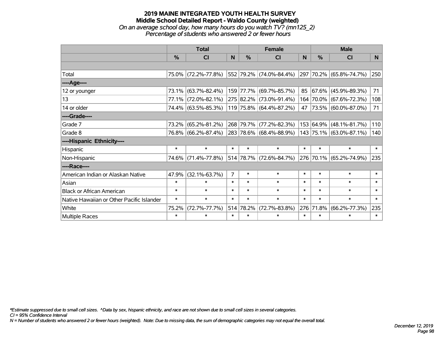# **2019 MAINE INTEGRATED YOUTH HEALTH SURVEY Middle School Detailed Report - Waldo County (weighted)** *On an average school day, how many hours do you watch TV? (mn125\_2) Percentage of students who answered 2 or fewer hours*

|                                           | <b>Total</b>  |                     |                | <b>Female</b> | <b>Male</b>             |          |           |                         |                |
|-------------------------------------------|---------------|---------------------|----------------|---------------|-------------------------|----------|-----------|-------------------------|----------------|
|                                           | $\frac{0}{0}$ | CI                  | N <sub>1</sub> | $\frac{0}{0}$ | <b>CI</b>               | <b>N</b> | %         | <b>CI</b>               | N <sub>1</sub> |
|                                           |               |                     |                |               |                         |          |           |                         |                |
| Total                                     |               | 75.0% (72.2%-77.8%) |                |               | 552 79.2% (74.0%-84.4%) |          |           | 297 70.2% (65.8%-74.7%) | 250            |
| ----Age----                               |               |                     |                |               |                         |          |           |                         |                |
| 12 or younger                             | 73.1%         | $(63.7\% - 82.4\%)$ |                |               | 159 77.7% (69.7%-85.7%) | 85       |           | 67.6% (45.9%-89.3%)     | 71             |
| 13                                        |               | 77.1% (72.0%-82.1%) |                |               | 275 82.2% (73.0%-91.4%) |          |           | 164 70.0% (67.6%-72.3%) | 108            |
| 14 or older                               |               | 74.4% (63.5%-85.3%) |                |               | 119 75.8% (64.4%-87.2%) | 47       |           | 73.5% (60.0%-87.0%)     | 71             |
| ----Grade----                             |               |                     |                |               |                         |          |           |                         |                |
| Grade 7                                   | 73.2%         | $(65.2\% - 81.2\%)$ |                |               | 268 79.7% (77.2%-82.3%) |          | 153 64.9% | $(48.1\% - 81.7\%)$     | 110            |
| Grade 8                                   |               | 76.8% (66.2%-87.4%) |                |               | 283 78.6% (68.4%-88.9%) |          |           | 143 75.1% (63.0%-87.1%) | 140            |
| ----Hispanic Ethnicity----                |               |                     |                |               |                         |          |           |                         |                |
| Hispanic                                  | $\ast$        | $\ast$              | $\ast$         | $\ast$        | $\ast$                  | $\ast$   | $\ast$    | $\ast$                  | $\ast$         |
| Non-Hispanic                              |               | 74.6% (71.4%-77.8%) |                |               | 514 78.7% (72.6%-84.7%) |          |           | 276 70.1% (65.2%-74.9%) | 235            |
| ----Race----                              |               |                     |                |               |                         |          |           |                         |                |
| American Indian or Alaskan Native         | 47.9%         | $(32.1\% - 63.7\%)$ | $\overline{7}$ | $\ast$        | $\ast$                  | $\ast$   | $\ast$    | $\ast$                  | $\ast$         |
| Asian                                     | $\ast$        | $\ast$              | $\ast$         | $\ast$        | $\ast$                  | $\ast$   | $\ast$    | $\ast$                  | $\ast$         |
| <b>Black or African American</b>          | $\ast$        | $\ast$              | $\ast$         | $\ast$        | $\ast$                  | $\ast$   | $\ast$    | $\ast$                  | $\ast$         |
| Native Hawaiian or Other Pacific Islander | $\ast$        | $\ast$              | $\ast$         | $\ast$        | $\ast$                  | $\ast$   | $\ast$    | $\ast$                  | $\ast$         |
| White                                     | 75.2%         | $(72.7\% - 77.7\%)$ |                | 514 78.2%     | $(72.7\% - 83.8\%)$     | 276      | 71.8%     | $(66.2\% - 77.3\%)$     | 235            |
| <b>Multiple Races</b>                     | $\ast$        | $\ast$              | $\ast$         | $\ast$        | $\ast$                  | $\ast$   | $\ast$    | $\ast$                  | $\ast$         |

*\*Estimate suppressed due to small cell sizes. ^Data by sex, hispanic ethnicity, and race are not shown due to small cell sizes in several categories.*

*CI = 95% Confidence Interval*

*N = Number of students who answered 2 or fewer hours (weighted). Note: Due to missing data, the sum of demographic categories may not equal the overall total.*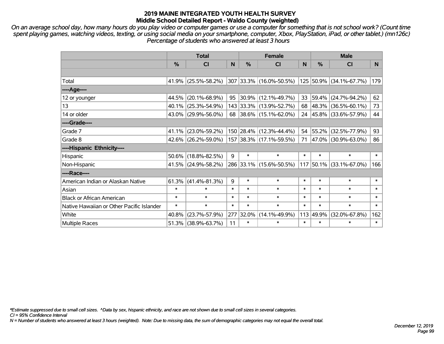*On an average school day, how many hours do you play video or computer games or use a computer for something that is not school work? (Count time spent playing games, watching videos, texting, or using social media on your smartphone, computer, Xbox, PlayStation, iPad, or other tablet.) (mn126c) Percentage of students who answered at least 3 hours*

|                                           | <b>Total</b>  |                        | <b>Female</b> |               |                          | <b>Male</b> |               |                          |        |
|-------------------------------------------|---------------|------------------------|---------------|---------------|--------------------------|-------------|---------------|--------------------------|--------|
|                                           | $\frac{0}{0}$ | <b>CI</b>              | N             | $\frac{0}{0}$ | <b>CI</b>                | N           | $\frac{0}{0}$ | <b>CI</b>                | N.     |
|                                           |               |                        |               |               |                          |             |               |                          |        |
| Total                                     |               | $41.9\%$ (25.5%-58.2%) |               |               | 307 33.3% (16.0%-50.5%)  |             | $125 50.9\% $ | $(34.1\% - 67.7\%)$      | 179    |
| ----Age----                               |               |                        |               |               |                          |             |               |                          |        |
| 12 or younger                             | 44.5%         | $(20.1\% - 68.9\%)$    | 95            |               | $ 30.9\% $ (12.1%-49.7%) | 33          | 59.4%         | $(24.7\% - 94.2\%)$      | 62     |
| 13                                        |               | 40.1% (25.3%-54.9%)    |               |               | 143 33.3% (13.9%-52.7%)  |             | 68 48.3%      | $(36.5\% - 60.1\%)$      | 73     |
| 14 or older                               |               | $43.0\%$ (29.9%-56.0%) |               |               | 68 38.6% (15.1%-62.0%)   |             |               | 24 45.8% (33.6%-57.9%)   | 44     |
| ----Grade----                             |               |                        |               |               |                          |             |               |                          |        |
| Grade 7                                   | 41.1%         | $(23.0\% - 59.2\%)$    |               |               | 150 28.4% (12.3%-44.4%)  | 54          | 55.2%         | $(32.5\% - 77.9\%)$      | 93     |
| Grade 8                                   |               | 42.6% (26.2%-59.0%)    |               |               | 157 38.3% (17.1%-59.5%)  | 71          |               | $ 47.0\% $ (30.9%-63.0%) | 86     |
| ----Hispanic Ethnicity----                |               |                        |               |               |                          |             |               |                          |        |
| Hispanic                                  |               | $50.6\%$ (18.8%-82.5%) | 9             | $\ast$        | $\ast$                   | $\ast$      | $\ast$        | $\ast$                   | $\ast$ |
| Non-Hispanic                              |               | 41.5% (24.9%-58.2%)    |               |               | 286 33.1% (15.6%-50.5%)  |             | 117 50.1%     | $(33.1\% - 67.0\%)$      | 166    |
| ----Race----                              |               |                        |               |               |                          |             |               |                          |        |
| American Indian or Alaskan Native         | 61.3%         | $(41.4\% - 81.3\%)$    | 9             | $\ast$        | $\ast$                   | $\ast$      | $\ast$        | $\ast$                   | $\ast$ |
| Asian                                     | $\ast$        | $\ast$                 | $\ast$        | $\ast$        | $\ast$                   | $\ast$      | $\ast$        | $\ast$                   | $\ast$ |
| <b>Black or African American</b>          | $\ast$        | $\ast$                 | $\ast$        | $\ast$        | $\ast$                   | $\ast$      | $\ast$        | $\ast$                   | $\ast$ |
| Native Hawaiian or Other Pacific Islander | $\ast$        | $\ast$                 | $\ast$        | $\ast$        | $\ast$                   | $\ast$      | $\ast$        | $\ast$                   | $\ast$ |
| White                                     | 40.8%         | $(23.7\% - 57.9\%)$    |               | 277 32.0%     | $(14.1\% - 49.9\%)$      |             | 113 49.9%     | $(32.0\% - 67.8\%)$      | 162    |
| <b>Multiple Races</b>                     |               | 51.3% (38.9%-63.7%)    | 11            | $\ast$        | $\ast$                   | $\ast$      | $\ast$        | *                        | $\ast$ |

*\*Estimate suppressed due to small cell sizes. ^Data by sex, hispanic ethnicity, and race are not shown due to small cell sizes in several categories.*

*CI = 95% Confidence Interval*

*N = Number of students who answered at least 3 hours (weighted). Note: Due to missing data, the sum of demographic categories may not equal the overall total.*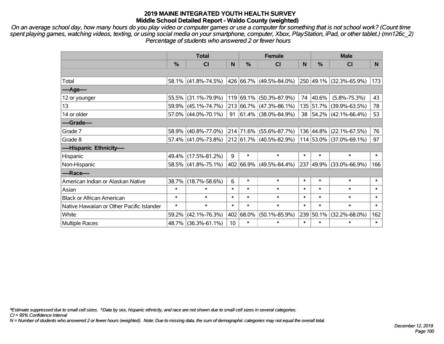*On an average school day, how many hours do you play video or computer games or use a computer for something that is not school work? (Count time spent playing games, watching videos, texting, or using social media on your smartphone, computer, Xbox, PlayStation, iPad, or other tablet.) (mn126c\_2) Percentage of students who answered 2 or fewer hours*

|                                           | <b>Total</b> |                        |                 | <b>Female</b> |                          |        | <b>Male</b>   |                         |        |
|-------------------------------------------|--------------|------------------------|-----------------|---------------|--------------------------|--------|---------------|-------------------------|--------|
|                                           | %            | <b>CI</b>              | N               | $\frac{0}{0}$ | <b>CI</b>                | N      | $\frac{0}{0}$ | <b>CI</b>               | N.     |
|                                           |              |                        |                 |               |                          |        |               |                         |        |
| Total                                     |              | 58.1% (41.8%-74.5%)    |                 |               | 426 66.7% (49.5%-84.0%)  |        |               | 250 49.1% (32.3%-65.9%) | 173    |
| ----Age----                               |              |                        |                 |               |                          |        |               |                         |        |
| 12 or younger                             |              | 55.5% (31.1%-79.9%)    |                 |               | 119 69.1% (50.3%-87.9%)  |        | 74 40.6%      | $(5.8\% - 75.3\%)$      | 43     |
| 13                                        |              | 59.9% (45.1%-74.7%)    |                 |               | 213 66.7% (47.3%-86.1%)  |        | 135 51.7%     | $(39.9\% - 63.5\%)$     | 78     |
| 14 or older                               |              | 57.0% (44.0%-70.1%)    | 91              |               | $ 61.4\% $ (38.0%-84.9%) |        |               | 38 54.2% (42.1%-66.4%)  | 53     |
| ----Grade----                             |              |                        |                 |               |                          |        |               |                         |        |
| Grade 7                                   |              | 58.9% (40.8%-77.0%)    |                 |               | 214 71.6% (55.6%-87.7%)  |        | 136 44.8%     | $(22.1\% - 67.5\%)$     | 76     |
| Grade 8                                   |              | $57.4\%$ (41.0%-73.8%) |                 |               | 212 61.7% (40.5%-82.9%)  |        |               | 114 53.0% (37.0%-69.1%) | 97     |
| ----Hispanic Ethnicity----                |              |                        |                 |               |                          |        |               |                         |        |
| Hispanic                                  |              | 49.4% (17.5%-81.2%)    | 9               | $\ast$        | $\ast$                   | $\ast$ | $\ast$        | $\ast$                  | $\ast$ |
| Non-Hispanic                              |              | 58.5% (41.8%-75.1%)    |                 |               | 402 66.9% (49.5%-84.4%)  |        | 237 49.9%     | $(33.0\% - 66.9\%)$     | 166    |
| ----Race----                              |              |                        |                 |               |                          |        |               |                         |        |
| American Indian or Alaskan Native         |              | 38.7% (18.7%-58.6%)    | 6               | $\ast$        | $\ast$                   | $\ast$ | $\ast$        | $\ast$                  | $\ast$ |
| Asian                                     | $\ast$       | $\ast$                 | $\ast$          | $\ast$        | $\ast$                   | $\ast$ | $\ast$        | $\ast$                  | $\ast$ |
| <b>Black or African American</b>          | $\ast$       | $\ast$                 | $\ast$          | $\ast$        | $\ast$                   | $\ast$ | $\ast$        | $\ast$                  | $\ast$ |
| Native Hawaiian or Other Pacific Islander | $\ast$       | $\ast$                 | $\ast$          | $\ast$        | $\ast$                   | $\ast$ | $\ast$        | $\ast$                  | $\ast$ |
| White                                     | 59.2%        | $(42.1\% - 76.3\%)$    | 402             | 68.0%         | $(50.1\% - 85.9\%)$      | 239    | 50.1%         | $(32.2\% - 68.0\%)$     | 162    |
| Multiple Races                            |              | 48.7% (36.3%-61.1%)    | 10 <sup>1</sup> | $\ast$        | $\ast$                   | $\ast$ | $\ast$        | $\ast$                  | $\ast$ |

*\*Estimate suppressed due to small cell sizes. ^Data by sex, hispanic ethnicity, and race are not shown due to small cell sizes in several categories.*

*CI = 95% Confidence Interval*

*N = Number of students who answered 2 or fewer hours (weighted). Note: Due to missing data, the sum of demographic categories may not equal the overall total.*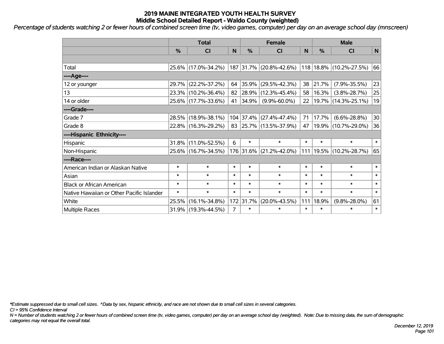*Percentage of students watching 2 or fewer hours of combined screen time (tv, video games, computer) per day on an average school day (mnscreen)*

|                                           | <b>Total</b>  |                     |        |               | <b>Female</b>           | <b>Male</b>     |               |                             |              |
|-------------------------------------------|---------------|---------------------|--------|---------------|-------------------------|-----------------|---------------|-----------------------------|--------------|
|                                           | $\frac{0}{0}$ | CI                  | N      | $\frac{0}{0}$ | <b>CI</b>               | N               | $\frac{0}{0}$ | <b>CI</b>                   | $\mathsf{N}$ |
|                                           |               |                     |        |               |                         |                 |               |                             |              |
| Total                                     |               | 25.6% (17.0%-34.2%) |        |               | 187 31.7% (20.8%-42.6%) |                 |               | 118 18.8% (10.2%-27.5%)     | 66           |
| ----Age----                               |               |                     |        |               |                         |                 |               |                             |              |
| 12 or younger                             | 29.7%         | $(22.2\% - 37.2\%)$ | 64     | 35.9%         | $(29.5\% - 42.3\%)$     | 38              | 21.7%         | $(7.9\% - 35.5\%)$          | 23           |
| 13                                        | 23.3%         | $(10.2\% - 36.4\%)$ | 82     | 28.9%         | $(12.3\% - 45.4\%)$     | 58              | 16.3%         | $(3.8\% - 28.7\%)$          | 25           |
| 14 or older                               |               | 25.6% (17.7%-33.6%) | 41     | 34.9%         | $(9.9\% - 60.0\%)$      | 22 <sub>2</sub> |               | $19.7\%$ (14.3%-25.1%)      | 19           |
| ----Grade----                             |               |                     |        |               |                         |                 |               |                             |              |
| Grade 7                                   | 28.5%         | $(18.9\% - 38.1\%)$ |        |               | 104 37.4% (27.4%-47.4%) | 71              | 17.7%         | $(6.6\% - 28.8\%)$          | 30           |
| Grade 8                                   |               | 22.8% (16.3%-29.2%) | 83     |               | 25.7% (13.5%-37.9%)     | 47              |               | 19.9% (10.7%-29.0%)         | 36           |
| ----Hispanic Ethnicity----                |               |                     |        |               |                         |                 |               |                             |              |
| Hispanic                                  | 31.8%         | $(11.0\% - 52.5\%)$ | 6      | $\ast$        | $\ast$                  | $\ast$          | $\ast$        | $\ast$                      | $\ast$       |
| Non-Hispanic                              |               | 25.6% (16.7%-34.5%) |        | 176 31.6%     | $(21.2\% - 42.0\%)$     |                 |               | 111   19.5%   (10.2%-28.7%) | 65           |
| ----Race----                              |               |                     |        |               |                         |                 |               |                             |              |
| American Indian or Alaskan Native         | $\ast$        | $\ast$              | $\ast$ | $\ast$        | $\ast$                  | $\ast$          | $\ast$        | $\ast$                      | $\ast$       |
| Asian                                     | $\ast$        | $\ast$              | $\ast$ | $\ast$        | $\ast$                  | $\ast$          | $\ast$        | $\ast$                      | $\ast$       |
| <b>Black or African American</b>          | $\ast$        | $\ast$              | $\ast$ | $\ast$        | $\ast$                  | $\ast$          | $\ast$        | $\ast$                      | $\ast$       |
| Native Hawaiian or Other Pacific Islander | $\ast$        | $\ast$              | $\ast$ | $\ast$        | $\ast$                  | $\ast$          | $\ast$        | $\ast$                      | $\ast$       |
| White                                     | 25.5%         | $(16.1\% - 34.8\%)$ | 172    | 31.7%         | $(20.0\% - 43.5\%)$     | 111             | 18.9%         | $(9.8\% - 28.0\%)$          | 61           |
| <b>Multiple Races</b>                     |               | 31.9% (19.3%-44.5%) | 7      | $\ast$        | $\ast$                  | $\ast$          | $\ast$        | $\ast$                      | $\ast$       |

*\*Estimate suppressed due to small cell sizes. ^Data by sex, hispanic ethnicity, and race are not shown due to small cell sizes in several categories.*

*CI = 95% Confidence Interval*

*N = Number of students watching 2 or fewer hours of combined screen time (tv, video games, computer) per day on an average school day (weighted). Note: Due to missing data, the sum of demographic categories may not equal the overall total.*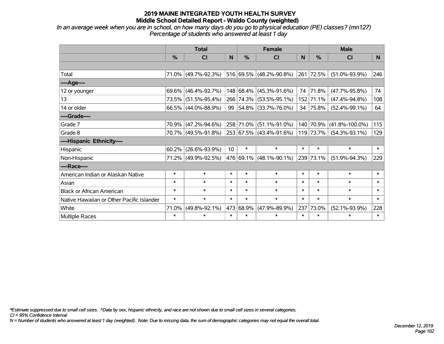*In an average week when you are in school, on how many days do you go to physical education (PE) classes? (mn127) Percentage of students who answered at least 1 day*

|                                           | <b>Total</b> |                                             |                 | <b>Female</b> |                         | <b>Male</b> |               |                      |        |
|-------------------------------------------|--------------|---------------------------------------------|-----------------|---------------|-------------------------|-------------|---------------|----------------------|--------|
|                                           | %            | <b>CI</b>                                   | N.              | %             | <b>CI</b>               | N           | $\frac{0}{0}$ | <b>CI</b>            | N.     |
|                                           |              |                                             |                 |               |                         |             |               |                      |        |
| Total                                     |              | 71.0% (49.7%-92.3%)                         |                 |               | 516 69.5% (48.2%-90.8%) |             | 261 72.5%     | $(51.0\% - 93.9\%)$  | 246    |
| ----Age----                               |              |                                             |                 |               |                         |             |               |                      |        |
| 12 or younger                             | 69.6%        | $(46.4\% - 92.7\%)$                         |                 | 148 68.4%     | $(45.3\% - 91.6\%)$     |             | 74 71.8%      | $(47.7\% - 95.8\%)$  | 74     |
| 13                                        | 73.5%        | $(51.5\% - 95.4\%)$                         |                 |               | 266 74.3% (53.5%-95.1%) |             | 152 71.1%     | $(47.4\% - 94.8\%)$  | 108    |
| 14 or older                               |              | 66.5% (44.0%-88.9%)                         |                 |               | 99 54.8% (33.7%-76.0%)  |             | 34 75.8%      | $(52.4\% - 99.1\%)$  | 64     |
| ----Grade----                             |              |                                             |                 |               |                         |             |               |                      |        |
| Grade 7                                   | 70.9%        | (47.2%-94.6%)                               |                 | 258 71.0%     | $(51.1\% - 91.0\%)$     |             | 140 70.9%     | $(41.8\% - 100.0\%)$ | 115    |
| Grade 8                                   |              | 70.7% (49.5%-91.8%) 253 67.5% (43.4%-91.6%) |                 |               |                         |             | 119 73.7%     | $(54.3\% - 93.1\%)$  | 129    |
| ----Hispanic Ethnicity----                |              |                                             |                 |               |                         |             |               |                      |        |
| Hispanic                                  | 60.2%        | $(26.6\% - 93.9\%)$                         | 10 <sup>°</sup> | $\ast$        | $\ast$                  | $\ast$      | $\ast$        | $\ast$               | $\ast$ |
| Non-Hispanic                              |              | 71.2% (49.9%-92.5%)                         |                 |               | 476 69.1% (48.1%-90.1%) |             | 239 73.1%     | $(51.9\% - 94.3\%)$  | 229    |
| ----Race----                              |              |                                             |                 |               |                         |             |               |                      |        |
| American Indian or Alaskan Native         | $\ast$       | $\ast$                                      | $\ast$          | $\ast$        | $\ast$                  | $\ast$      | $\ast$        | $\ast$               | $\ast$ |
| Asian                                     | $\ast$       | $\ast$                                      | $\ast$          | $\ast$        | $\ast$                  | $\ast$      | $\ast$        | $\ast$               | $\ast$ |
| <b>Black or African American</b>          | $\ast$       | $\ast$                                      | $\ast$          | $\ast$        | $\ast$                  | $\ast$      | $\ast$        | $\ast$               | $\ast$ |
| Native Hawaiian or Other Pacific Islander | $\ast$       | $\ast$                                      | $\ast$          | $\ast$        | $\ast$                  | $\ast$      | $\ast$        | $\ast$               | $\ast$ |
| White                                     | 71.0%        | $(49.8\% - 92.1\%)$                         |                 | 473 68.9%     | $(47.9\% - 89.9\%)$     | 237         | 73.0%         | $(52.1\% - 93.9\%)$  | 228    |
| Multiple Races                            | $\ast$       | $\ast$                                      | $\ast$          | $\ast$        | $\ast$                  | $\ast$      | $\ast$        | $\ast$               | $\ast$ |

*\*Estimate suppressed due to small cell sizes. ^Data by sex, hispanic ethnicity, and race are not shown due to small cell sizes in several categories.*

*CI = 95% Confidence Interval*

*N = Number of students who answered at least 1 day (weighted). Note: Due to missing data, the sum of demographic categories may not equal the overall total.*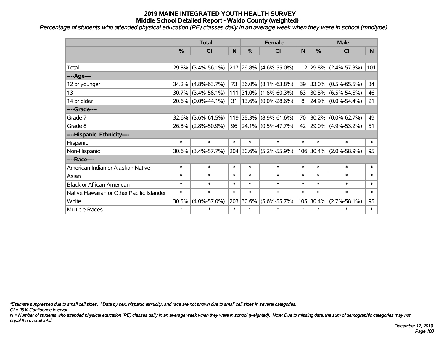*Percentage of students who attended physical education (PE) classes daily in an average week when they were in school (mndlype)*

|                                           | <b>Total</b>  |                       |        | <b>Female</b> |                                                 |        | <b>Male</b>   |                          |        |
|-------------------------------------------|---------------|-----------------------|--------|---------------|-------------------------------------------------|--------|---------------|--------------------------|--------|
|                                           | $\frac{0}{0}$ | CI                    | N      | $\frac{0}{0}$ | <b>CI</b>                                       | N      | $\frac{0}{0}$ | <b>CI</b>                | N      |
|                                           |               |                       |        |               |                                                 |        |               |                          |        |
| Total                                     | $29.8\%$      |                       |        |               | $(3.4\% - 56.1\%)$ 217 29.8% $(4.6\% - 55.0\%)$ |        |               | $112$ 29.8% (2.4%-57.3%) | 101    |
| ---- Age----                              |               |                       |        |               |                                                 |        |               |                          |        |
| 12 or younger                             | 34.2%         | $(4.8\% - 63.7\%)$    | 73     | 36.0%         | $(8.1\% - 63.8\%)$                              | 39     | 33.0%         | $(0.5\% - 65.5\%)$       | 34     |
| 13                                        |               | $30.7\%$ (3.4%-58.1%) |        | 111 31.0%     | $(1.8\% - 60.3\%)$                              | 63     |               | 30.5% (6.5%-54.5%)       | 46     |
| 14 or older                               |               | $20.6\%$ (0.0%-44.1%) | 31     |               | $13.6\%$ (0.0%-28.6%)                           | 8      |               | $24.9\%$ (0.0%-54.4%)    | 21     |
| ----Grade----                             |               |                       |        |               |                                                 |        |               |                          |        |
| Grade 7                                   | $32.6\%$      | $(3.6\% - 61.5\%)$    |        | 119 35.3%     | $(8.9\% - 61.6\%)$                              | 70     |               | 30.2% (0.0%-62.7%)       | 49     |
| Grade 8                                   |               | 26.8% (2.8%-50.9%)    |        |               | 96 24.1% $(0.5\% - 47.7\%)$                     | 42     |               | $ 29.0\% $ (4.9%-53.2%)  | 51     |
| ----Hispanic Ethnicity----                |               |                       |        |               |                                                 |        |               |                          |        |
| Hispanic                                  | $\ast$        | $\ast$                | $\ast$ | $\ast$        | $\ast$                                          | $\ast$ | $\ast$        | $\ast$                   | $\ast$ |
| Non-Hispanic                              | $30.6\%$      | $(3.4\% - 57.7\%)$    |        | 204 30.6%     | $(5.2\% - 55.9\%)$                              |        | 106 30.4%     | $(2.0\% - 58.9\%)$       | 95     |
| ----Race----                              |               |                       |        |               |                                                 |        |               |                          |        |
| American Indian or Alaskan Native         | $\ast$        | $\ast$                | $\ast$ | $\ast$        | $\ast$                                          | $\ast$ | $\ast$        | $\ast$                   | $\ast$ |
| Asian                                     | $\ast$        | $\ast$                | $\ast$ | $\ast$        | $\ast$                                          | $\ast$ | $\ast$        | $\ast$                   | $\ast$ |
| <b>Black or African American</b>          | $\ast$        | $\ast$                | $\ast$ | $\ast$        | $\ast$                                          | $\ast$ | $\ast$        | $\ast$                   | $\ast$ |
| Native Hawaiian or Other Pacific Islander | $\ast$        | $\ast$                | $\ast$ | $\ast$        | $\ast$                                          | $\ast$ | $\ast$        | $\ast$                   | $\ast$ |
| White                                     | 30.5%         | $(4.0\% - 57.0\%)$    | 203    | 30.6%         | $(5.6\% - 55.7\%)$                              | 105    | 30.4%         | $(2.7\% - 58.1\%)$       | 95     |
| Multiple Races                            | $\ast$        | $\ast$                | $\ast$ | $\ast$        | $\ast$                                          | $\ast$ | $\ast$        | $\ast$                   | $\ast$ |

*\*Estimate suppressed due to small cell sizes. ^Data by sex, hispanic ethnicity, and race are not shown due to small cell sizes in several categories.*

*CI = 95% Confidence Interval*

*N = Number of students who attended physical education (PE) classes daily in an average week when they were in school (weighted). Note: Due to missing data, the sum of demographic categories may not equal the overall total.*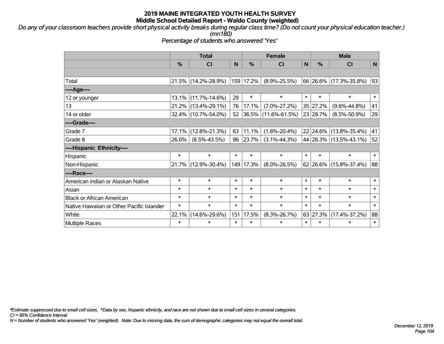*Do any of your classroom teachers provide short physical activity breaks during regular class time? (Do not count your physical education teacher.) (mn180)*

*Percentage of students who answered 'Yes'*

|                                           | <b>Total</b>  |                     |        | <b>Female</b> |                     |              | <b>Male</b> |                        |        |
|-------------------------------------------|---------------|---------------------|--------|---------------|---------------------|--------------|-------------|------------------------|--------|
|                                           | $\frac{0}{0}$ | <b>CI</b>           | N      | %             | <b>CI</b>           | $\mathsf{N}$ | %           | <b>CI</b>              | N      |
|                                           |               |                     |        |               |                     |              |             |                        |        |
| Total                                     |               | 21.5% (14.2%-28.9%) |        | 159 17.2%     | $(8.9\% - 25.5\%)$  |              |             | 66 26.6% (17.3%-35.8%) | 93     |
| ----Age----                               |               |                     |        |               |                     |              |             |                        |        |
| 12 or younger                             | 13.1%         | $(11.7\% - 14.6\%)$ | 29     | $\ast$        | $\ast$              | $\ast$       | $\ast$      | $\ast$                 | $\ast$ |
| 13                                        |               | 21.2% (13.4%-29.1%) | 76     | 17.1%         | $(7.0\% - 27.2\%)$  |              | 35 27.2%    | $(9.6\% - 44.8\%)$     | 41     |
| 14 or older                               |               | 32.4% (10.7%-54.0%) | 52     |               | 36.5% (11.6%-61.5%) |              | 23 29.7%    | $(8.5\% - 50.9\%)$     | 29     |
| ----Grade----                             |               |                     |        |               |                     |              |             |                        |        |
| Grade 7                                   | 17.1%         | $(12.8\% - 21.3\%)$ | 63     | 11.1%         | $(1.8\% - 20.4\%)$  |              |             | 22 24.6% (13.8%-35.4%) | 41     |
| Grade 8                                   | 26.0%         | $(8.5\% - 43.5\%)$  | 96     | 23.7%         | $(3.1\% - 44.3\%)$  |              |             | 44 28.3% (13.5%-43.1%) | 52     |
| ----Hispanic Ethnicity----                |               |                     |        |               |                     |              |             |                        |        |
| Hispanic                                  | $\ast$        | $\ast$              | $\ast$ | $\ast$        | $\ast$              | $\ast$       | $\ast$      | $\ast$                 | $\ast$ |
| Non-Hispanic                              |               | 21.7% (12.9%-30.4%) |        | 149 17.3%     | $(8.0\% - 26.5\%)$  |              |             | 62 26.6% (15.8%-37.4%) | 88     |
| ----Race----                              |               |                     |        |               |                     |              |             |                        |        |
| American Indian or Alaskan Native         | $\ast$        | $\ast$              | $\ast$ | $\ast$        | $\ast$              | $\ast$       | $\ast$      | $\ast$                 | $\ast$ |
| Asian                                     | $\ast$        | $\ast$              | $\ast$ | $\ast$        | $\ast$              | $\ast$       | $\ast$      | $\ast$                 | $\ast$ |
| <b>Black or African American</b>          | $\ast$        | $\ast$              | $\ast$ | $\ast$        | $\ast$              | $\ast$       | $\ast$      | $\ast$                 | $\ast$ |
| Native Hawaiian or Other Pacific Islander | $\ast$        | $\ast$              | $\ast$ | $\ast$        | $\ast$              | $\ast$       | $\ast$      | $\ast$                 | $\ast$ |
| White                                     | 22.1%         | $(14.6\% - 29.6\%)$ | 151    | 17.5%         | $(8.3\% - 26.7\%)$  |              | 63 27.3%    | $(17.4\% - 37.2\%)$    | 88     |
| <b>Multiple Races</b>                     | $\ast$        | $\ast$              | $\ast$ | $\ast$        | $\ast$              | $\ast$       | $\ast$      | $\ast$                 | $\ast$ |

*\*Estimate suppressed due to small cell sizes. ^Data by sex, hispanic ethnicity, and race are not shown due to small cell sizes in several categories.*

*CI = 95% Confidence Interval*

*N = Number of students who answered 'Yes' (weighted). Note: Due to missing data, the sum of demographic categories may not equal the overall total.*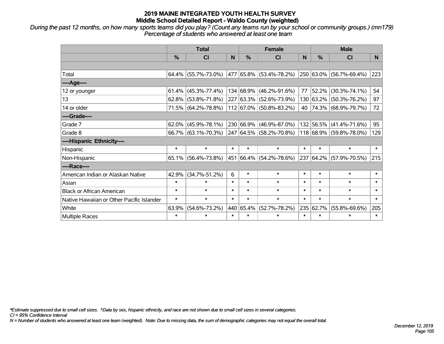*During the past 12 months, on how many sports teams did you play? (Count any teams run by your school or community groups.) (mn179) Percentage of students who answered at least one team*

|                                           | <b>Total</b>  |                                                |        |           | <b>Female</b>               |        | <b>Male</b>   |                                 |        |  |
|-------------------------------------------|---------------|------------------------------------------------|--------|-----------|-----------------------------|--------|---------------|---------------------------------|--------|--|
|                                           | $\frac{0}{0}$ | <b>CI</b>                                      | N      | %         | <b>CI</b>                   | N      | $\frac{0}{0}$ | <b>CI</b>                       | N.     |  |
|                                           |               |                                                |        |           |                             |        |               |                                 |        |  |
| Total                                     |               | $64.4\%$ (55.7%-73.0%)                         |        |           | 477   65.8%   (53.4%-78.2%) |        |               | 250 63.0% (56.7%-69.4%)         | 223    |  |
| ----Age----                               |               |                                                |        |           |                             |        |               |                                 |        |  |
| 12 or younger                             | 61.4%         | $(45.3\% - 77.4\%)$                            |        |           | 134 68.9% (46.2%-91.6%)     | 77     | 52.2%         | $(30.3\% - 74.1\%)$             | 54     |  |
| 13                                        |               | $62.8\%$ (53.8%-71.8%)                         |        |           | 227 63.3% (52.6%-73.9%)     |        | 130 63.2%     | $(50.3\% - 76.2\%)$             | 97     |  |
| 14 or older                               |               | 71.5% (64.2%-78.8%)                            |        |           | 112 67.0% (50.8%-83.2%)     |        |               | 40 74.3% (68.9%-79.7%)          | 72     |  |
| ----Grade----                             |               |                                                |        |           |                             |        |               |                                 |        |  |
| Grade 7                                   |               | $62.0\%$ (45.9%-78.1%)                         |        |           | 230 66.9% (46.9%-87.0%)     |        | 132 56.5%     | $(41.4\% - 71.6\%)$             | 95     |  |
| Grade 8                                   |               | $66.7\%$ (63.1%-70.3%) 247 64.5% (58.2%-70.8%) |        |           |                             |        |               | $118 68.9\%  (59.8\% - 78.0\%)$ | 129    |  |
| ----Hispanic Ethnicity----                |               |                                                |        |           |                             |        |               |                                 |        |  |
| Hispanic                                  | $\ast$        | $\ast$                                         | $\ast$ | $\ast$    | $\ast$                      | $\ast$ | $\ast$        | $\ast$                          | $\ast$ |  |
| Non-Hispanic                              |               | $65.1\%$ (56.4%-73.8%)                         |        |           | 451 66.4% (54.2%-78.6%)     | 237    | 64.2%         | $(57.9\% - 70.5\%)$             | 215    |  |
| ----Race----                              |               |                                                |        |           |                             |        |               |                                 |        |  |
| American Indian or Alaskan Native         | 42.9%         | $(34.7\% - 51.2\%)$                            | 6      | $\ast$    | $\ast$                      | $\ast$ | $\ast$        | $\ast$                          | $\ast$ |  |
| Asian                                     | $\ast$        | $\ast$                                         | $\ast$ | $\ast$    | $\ast$                      | $\ast$ | $\ast$        | $\ast$                          | $\ast$ |  |
| <b>Black or African American</b>          | $\ast$        | $\ast$                                         | $\ast$ | $\ast$    | $\ast$                      | $\ast$ | $\ast$        | $\ast$                          | $\ast$ |  |
| Native Hawaiian or Other Pacific Islander | $\ast$        | $\ast$                                         | $\ast$ | $\ast$    | $\ast$                      | $\ast$ | $\ast$        | $\ast$                          | $\ast$ |  |
| White                                     | 63.9%         | $(54.6\% - 73.2\%)$                            |        | 440 65.4% | $(52.7\% - 78.2\%)$         | 235    | 62.7%         | $(55.8\% - 69.6\%)$             | 205    |  |
| Multiple Races                            | $\ast$        | $\ast$                                         | $\ast$ | $\ast$    | $\ast$                      | $\ast$ | $\ast$        | $\ast$                          | $\ast$ |  |

*\*Estimate suppressed due to small cell sizes. ^Data by sex, hispanic ethnicity, and race are not shown due to small cell sizes in several categories.*

*CI = 95% Confidence Interval*

*N = Number of students who answered at least one team (weighted). Note: Due to missing data, the sum of demographic categories may not equal the overall total.*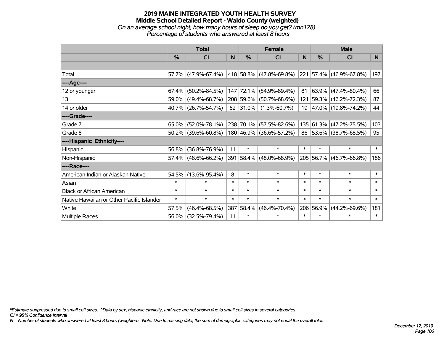# **2019 MAINE INTEGRATED YOUTH HEALTH SURVEY Middle School Detailed Report - Waldo County (weighted)** *On an average school night, how many hours of sleep do you get? (mn178) Percentage of students who answered at least 8 hours*

|                                           | <b>Total</b> |                        |        | <b>Female</b> |                             |          | <b>Male</b> |                              |              |
|-------------------------------------------|--------------|------------------------|--------|---------------|-----------------------------|----------|-------------|------------------------------|--------------|
|                                           | %            | <b>CI</b>              | N      | %             | <b>CI</b>                   | <b>N</b> | %           | <b>CI</b>                    | <sub>N</sub> |
|                                           |              |                        |        |               |                             |          |             |                              |              |
| Total                                     |              | 57.7% (47.9%-67.4%)    |        |               | 418   58.8%   (47.8%-69.8%) |          |             | $ 221 57.4\% $ (46.9%-67.8%) | 197          |
| ----Age----                               |              |                        |        |               |                             |          |             |                              |              |
| 12 or younger                             | 67.4%        | $(50.2\% - 84.5\%)$    |        | 147 72.1%     | $(54.9\% - 89.4\%)$         | 81       |             | $63.9\%$ (47.4%-80.4%)       | 66           |
| 13                                        | 59.0%        | $(49.4\% - 68.7\%)$    |        | 208 59.6%     | $(50.7\% - 68.6\%)$         |          |             | 121 59.3% (46.2%-72.3%)      | 87           |
| 14 or older                               |              | 40.7% (26.7%-54.7%)    |        | 62 31.0%      | $(1.3\% - 60.7\%)$          | 19       |             | 47.0% (19.8%-74.2%)          | 44           |
| ----Grade----                             |              |                        |        |               |                             |          |             |                              |              |
| Grade 7                                   | 65.0%        | $(52.0\% - 78.1\%)$    |        |               | 238 70.1% (57.5%-82.6%)     | 135      |             | $ 61.3\% $ (47.2%-75.5%)     | 103          |
| Grade 8                                   |              | $50.2\%$ (39.6%-60.8%) |        |               | 180 46.9% (36.6%-57.2%)     | 86       |             | $ 53.6\% $ (38.7%-68.5%)     | 95           |
| ----Hispanic Ethnicity----                |              |                        |        |               |                             |          |             |                              |              |
| Hispanic                                  | 56.8%        | $(36.8\% - 76.9\%)$    | 11     | $\ast$        | $\ast$                      | $\ast$   | $\ast$      | $\ast$                       | $\ast$       |
| Non-Hispanic                              | 57.4%        | $(48.6\% - 66.2\%)$    |        | 391 58.4%     | $(48.0\% - 68.9\%)$         |          |             | 205 56.7% (46.7%-66.8%)      | 186          |
| ----Race----                              |              |                        |        |               |                             |          |             |                              |              |
| American Indian or Alaskan Native         | 54.5%        | $(13.6\% - 95.4\%)$    | 8      | $\ast$        | $\ast$                      | $\ast$   | $\ast$      | $\ast$                       | $\ast$       |
| Asian                                     | $\ast$       | $\ast$                 | $\ast$ | $\ast$        | $\ast$                      | $\ast$   | $\ast$      | $\ast$                       | $\ast$       |
| <b>Black or African American</b>          | $\ast$       | $\ast$                 | $\ast$ | $\ast$        | $\ast$                      | $\ast$   | $\ast$      | $\ast$                       | $\ast$       |
| Native Hawaiian or Other Pacific Islander | $\ast$       | $\ast$                 | $\ast$ | $\ast$        | $\ast$                      | $\ast$   | $\ast$      | $\ast$                       | $\ast$       |
| White                                     | 57.5%        | $(46.4\% - 68.5\%)$    | 387    | 58.4%         | $(46.4\% - 70.4\%)$         | 206      | 56.9%       | $(44.2\% - 69.6\%)$          | 181          |
| <b>Multiple Races</b>                     |              | 56.0% (32.5%-79.4%)    | 11     | $\ast$        | $\ast$                      | $\ast$   | $\ast$      | $\ast$                       | $\ast$       |

*\*Estimate suppressed due to small cell sizes. ^Data by sex, hispanic ethnicity, and race are not shown due to small cell sizes in several categories.*

*CI = 95% Confidence Interval*

*N = Number of students who answered at least 8 hours (weighted). Note: Due to missing data, the sum of demographic categories may not equal the overall total.*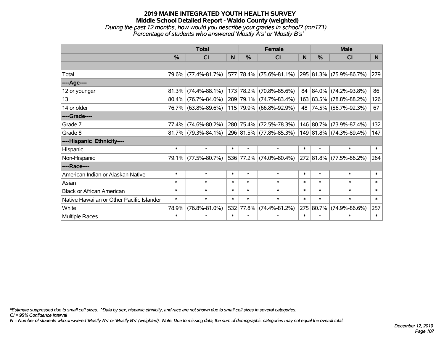# **2019 MAINE INTEGRATED YOUTH HEALTH SURVEY Middle School Detailed Report - Waldo County (weighted)** *During the past 12 months, how would you describe your grades in school? (mn171) Percentage of students who answered 'Mostly A's' or 'Mostly B's'*

|                                           | <b>Total</b>  |                        |        |               | <b>Female</b>           | <b>Male</b> |           |                         |        |
|-------------------------------------------|---------------|------------------------|--------|---------------|-------------------------|-------------|-----------|-------------------------|--------|
|                                           | $\frac{0}{0}$ | <b>CI</b>              | N      | $\frac{9}{6}$ | <b>CI</b>               | N           | %         | <b>CI</b>               | N.     |
|                                           |               |                        |        |               |                         |             |           |                         |        |
| Total                                     |               | 79.6% (77.4%-81.7%)    |        |               | 577 78.4% (75.6%-81.1%) |             |           | 295 81.3% (75.9%-86.7%) | 279    |
| ----Age----                               |               |                        |        |               |                         |             |           |                         |        |
| 12 or younger                             | 81.3%         | $(74.4\% - 88.1\%)$    |        |               | 173 78.2% (70.8%-85.6%) |             | 84 84.0%  | $(74.2\% - 93.8\%)$     | 86     |
| 13                                        |               | 80.4% (76.7%-84.0%)    |        |               | 289 79.1% (74.7%-83.4%) |             |           | 163 83.5% (78.8%-88.2%) | 126    |
| 14 or older                               |               | 76.7% (63.8%-89.6%)    |        |               | 115 79.9% (66.8%-92.9%) |             |           | 48 74.5% (56.7%-92.3%)  | 67     |
| ----Grade----                             |               |                        |        |               |                         |             |           |                         |        |
| Grade 7                                   | 77.4%         | $(74.6\% - 80.2\%)$    |        |               | 280 75.4% (72.5%-78.3%) |             | 146 80.7% | $(73.9\% - 87.4\%)$     | 132    |
| Grade 8                                   |               | $81.7\%$ (79.3%-84.1%) |        |               | 296 81.5% (77.8%-85.3%) |             |           | 149 81.8% (74.3%-89.4%) | 147    |
| ----Hispanic Ethnicity----                |               |                        |        |               |                         |             |           |                         |        |
| Hispanic                                  | $\ast$        | $\ast$                 | $\ast$ | $\ast$        | $\ast$                  | $\ast$      | $\ast$    | $\ast$                  | $\ast$ |
| Non-Hispanic                              |               | 79.1% (77.5%-80.7%)    |        |               | 536 77.2% (74.0%-80.4%) |             |           | 272 81.8% (77.5%-86.2%) | 264    |
| ----Race----                              |               |                        |        |               |                         |             |           |                         |        |
| American Indian or Alaskan Native         | $\ast$        | $\ast$                 | $\ast$ | $\ast$        | $\ast$                  | $\ast$      | $\ast$    | $\ast$                  | $\ast$ |
| Asian                                     | $\ast$        | $\ast$                 | $\ast$ | $\ast$        | $\ast$                  | $\ast$      | $\ast$    | $\ast$                  | $\ast$ |
| <b>Black or African American</b>          | $\ast$        | $\ast$                 | $\ast$ | $\ast$        | $\ast$                  | $\ast$      | $\ast$    | $\ast$                  | $\ast$ |
| Native Hawaiian or Other Pacific Islander | $\ast$        | $\ast$                 | $\ast$ | $\ast$        | $\ast$                  | $\ast$      | $\ast$    | $\ast$                  | $\ast$ |
| White                                     | 78.9%         | $(76.8\% - 81.0\%)$    |        | 532 77.8%     | $(74.4\% - 81.2\%)$     |             | 275 80.7% | $(74.9\% - 86.6\%)$     | 257    |
| Multiple Races                            | $\ast$        | $\ast$                 | $\ast$ | $\ast$        | $\ast$                  | $\ast$      | $\ast$    | $\ast$                  | $\ast$ |

*\*Estimate suppressed due to small cell sizes. ^Data by sex, hispanic ethnicity, and race are not shown due to small cell sizes in several categories.*

*CI = 95% Confidence Interval*

*N = Number of students who answered 'Mostly A's' or 'Mostly B's' (weighted). Note: Due to missing data, the sum of demographic categories may not equal the overall total.*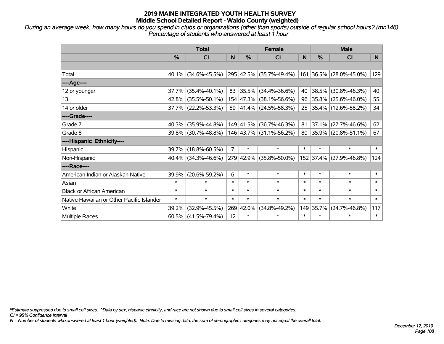*During an average week, how many hours do you spend in clubs or organizations (other than sports) outside of regular school hours? (mn146) Percentage of students who answered at least 1 hour*

|                                           | <b>Total</b>  |                        |                | <b>Female</b> |                          |        | <b>Male</b> |                         |                |  |
|-------------------------------------------|---------------|------------------------|----------------|---------------|--------------------------|--------|-------------|-------------------------|----------------|--|
|                                           | $\frac{0}{0}$ | <b>CI</b>              | N              | $\frac{9}{6}$ | <b>CI</b>                | N      | %           | <b>CI</b>               | N <sub>1</sub> |  |
|                                           |               |                        |                |               |                          |        |             |                         |                |  |
| Total                                     |               | $40.1\%$ (34.6%-45.5%) |                |               | 295 42.5% (35.7%-49.4%)  |        |             | 161 36.5% (28.0%-45.0%) | 129            |  |
| ----Age----                               |               |                        |                |               |                          |        |             |                         |                |  |
| 12 or younger                             | 37.7%         | $(35.4\% - 40.1\%)$    | 83             |               | $ 35.5\% $ (34.4%-36.6%) | 40     | 38.5%       | $(30.8\% - 46.3\%)$     | 40             |  |
| 13                                        |               | 42.8% (35.5%-50.1%)    |                |               | 154 47.3% (38.1%-56.6%)  |        |             | 96 35.8% (25.6%-46.0%)  | 55             |  |
| 14 or older                               |               | 37.7% (22.2%-53.3%)    |                |               | 59 41.4% (24.5%-58.3%)   |        |             | 25 35.4% (12.6%-58.2%)  | 34             |  |
| ----Grade----                             |               |                        |                |               |                          |        |             |                         |                |  |
| Grade 7                                   |               | $40.3\%$ (35.9%-44.8%) |                | 149 41.5%     | $(36.7\% - 46.3\%)$      | 81     | 37.1%       | $(27.7\% - 46.6\%)$     | 62             |  |
| Grade 8                                   |               | 39.8% (30.7%-48.8%)    |                |               | 146 43.7% (31.1%-56.2%)  |        |             | 80 35.9% (20.8%-51.1%)  | 67             |  |
| ----Hispanic Ethnicity----                |               |                        |                |               |                          |        |             |                         |                |  |
| Hispanic                                  | 39.7%         | $(18.8\% - 60.5\%)$    | $\overline{7}$ | $\ast$        | $\ast$                   | $\ast$ | $\ast$      | $\ast$                  | $\ast$         |  |
| Non-Hispanic                              |               | 40.4% (34.3%-46.6%)    |                |               | 279 42.9% (35.8%-50.0%)  |        | 152 37.4%   | $(27.9% - 46.8%)$       | 124            |  |
| ----Race----                              |               |                        |                |               |                          |        |             |                         |                |  |
| American Indian or Alaskan Native         | 39.9%         | $(20.6\% - 59.2\%)$    | 6              | $\ast$        | $\ast$                   | $\ast$ | $\ast$      | $\ast$                  | $\ast$         |  |
| Asian                                     | $\ast$        | $\ast$                 | $\ast$         | $\ast$        | $\ast$                   | $\ast$ | $\ast$      | $\ast$                  | $\ast$         |  |
| <b>Black or African American</b>          | $\ast$        | $\ast$                 | $\ast$         | $\ast$        | $\ast$                   | $\ast$ | $\ast$      | $\ast$                  | $\ast$         |  |
| Native Hawaiian or Other Pacific Islander | $\ast$        | $\ast$                 | $\ast$         | $\ast$        | $\ast$                   | $\ast$ | $\ast$      | $\ast$                  | $\ast$         |  |
| White                                     | 39.2%         | $(32.9\% - 45.5\%)$    |                | 269 42.0%     | $(34.8\% - 49.2\%)$      | 149    | 35.7%       | $(24.7\% - 46.8\%)$     | 117            |  |
| <b>Multiple Races</b>                     |               | $60.5\%$ (41.5%-79.4%) | 12             | $\ast$        | $\ast$                   | $\ast$ | $\ast$      | $\ast$                  | $\ast$         |  |

*\*Estimate suppressed due to small cell sizes. ^Data by sex, hispanic ethnicity, and race are not shown due to small cell sizes in several categories.*

*CI = 95% Confidence Interval*

*N = Number of students who answered at least 1 hour (weighted). Note: Due to missing data, the sum of demographic categories may not equal the overall total.*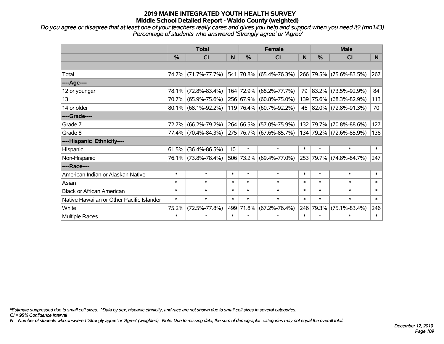*Do you agree or disagree that at least one of your teachers really cares and gives you help and support when you need it? (mn143) Percentage of students who answered 'Strongly agree' or 'Agree'*

|                                           | <b>Total</b> |                        |        | <b>Female</b> |                         |        | <b>Male</b>   |                         |                |
|-------------------------------------------|--------------|------------------------|--------|---------------|-------------------------|--------|---------------|-------------------------|----------------|
|                                           | %            | CI                     | N.     | %             | <b>CI</b>               | N      | $\frac{0}{0}$ | <b>CI</b>               | N <sub>1</sub> |
|                                           |              |                        |        |               |                         |        |               |                         |                |
| Total                                     |              | 74.7% (71.7%-77.7%)    |        |               | 541 70.8% (65.4%-76.3%) |        |               | 266 79.5% (75.6%-83.5%) | 267            |
| ----Age----                               |              |                        |        |               |                         |        |               |                         |                |
| 12 or younger                             | 78.1%        | $(72.8\% - 83.4\%)$    |        | 164 72.9%     | $(68.2\% - 77.7\%)$     | 79     | 83.2%         | $(73.5\% - 92.9\%)$     | 84             |
| 13                                        |              | 70.7% (65.9%-75.6%)    |        |               | 256 67.9% (60.8%-75.0%) |        | 139 75.6%     | $(68.3\% - 82.9\%)$     | 113            |
| 14 or older                               |              | $80.1\%$ (68.1%-92.2%) |        |               | 119 76.4% (60.7%-92.2%) |        |               | 46 82.0% (72.8%-91.3%)  | 70             |
| ----Grade----                             |              |                        |        |               |                         |        |               |                         |                |
| Grade 7                                   | 72.7%        | $(66.2\% - 79.2\%)$    |        |               | 264 66.5% (57.0%-75.9%) | 132    | 79.7%         | $(70.8\% - 88.6\%)$     | 127            |
| Grade 8                                   |              | 77.4% (70.4%-84.3%)    |        |               | 275 76.7% (67.6%-85.7%) |        |               | 134 79.2% (72.6%-85.9%) | 138            |
| ----Hispanic Ethnicity----                |              |                        |        |               |                         |        |               |                         |                |
| Hispanic                                  | 61.5%        | $(36.4\% - 86.5\%)$    | 10     | $\ast$        | $\ast$                  | $\ast$ | $\ast$        | $\ast$                  | $\ast$         |
| Non-Hispanic                              |              | 76.1% (73.8%-78.4%)    |        |               | 506 73.2% (69.4%-77.0%) |        | 253 79.7%     | $(74.8\% - 84.7\%)$     | 247            |
| ----Race----                              |              |                        |        |               |                         |        |               |                         |                |
| American Indian or Alaskan Native         | $\ast$       | $\ast$                 | $\ast$ | $\ast$        | $\ast$                  | $\ast$ | $\ast$        | $\ast$                  | $\ast$         |
| Asian                                     | $\ast$       | $\ast$                 | $\ast$ | $\ast$        | $\ast$                  | $\ast$ | $\ast$        | $\ast$                  | $\ast$         |
| <b>Black or African American</b>          | $\ast$       | $\ast$                 | $\ast$ | $\ast$        | $\ast$                  | $\ast$ | $\ast$        | $\ast$                  | $\ast$         |
| Native Hawaiian or Other Pacific Islander | $\ast$       | $\ast$                 | $\ast$ | $\ast$        | $\ast$                  | $\ast$ | $\ast$        | $\ast$                  | $\ast$         |
| White                                     | 75.2%        | $(72.5\% - 77.8\%)$    |        | 499 71.8%     | $(67.2\% - 76.4\%)$     | 246    | 79.3%         | $(75.1\% - 83.4\%)$     | 246            |
| Multiple Races                            | $\ast$       | $\ast$                 | $\ast$ | $\ast$        | $\ast$                  | $\ast$ | $\ast$        | *                       | $\ast$         |

*\*Estimate suppressed due to small cell sizes. ^Data by sex, hispanic ethnicity, and race are not shown due to small cell sizes in several categories.*

*CI = 95% Confidence Interval*

*N = Number of students who answered 'Strongly agree' or 'Agree' (weighted). Note: Due to missing data, the sum of demographic categories may not equal the overall total.*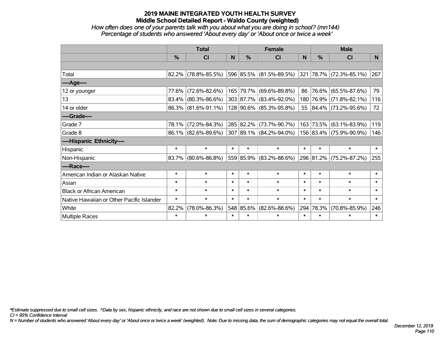## *How often does one of your parents talk with you about what you are doing in school? (mn144) Percentage of students who answered 'About every day' or 'About once or twice a week'*

|                                           | <b>Total</b>  |                        |        | <b>Female</b> |                             |                 | <b>Male</b>   |                              |        |
|-------------------------------------------|---------------|------------------------|--------|---------------|-----------------------------|-----------------|---------------|------------------------------|--------|
|                                           | $\frac{0}{0}$ | <b>CI</b>              | N      | $\frac{0}{0}$ | CI                          | N               | $\frac{0}{0}$ | <b>CI</b>                    | N.     |
|                                           |               |                        |        |               |                             |                 |               |                              |        |
| Total                                     |               | $82.2\%$ (78.8%-85.5%) |        |               | 596   85.5%   (81.5%-89.5%) |                 |               | $ 321 78.7\% $ (72.3%-85.1%) | 267    |
| ----Age----                               |               |                        |        |               |                             |                 |               |                              |        |
| 12 or younger                             | 77.6%         | $(72.6\% - 82.6\%)$    |        |               | 165 79.7% (69.6%-89.8%)     | 86 <sup>1</sup> |               | 76.6% (65.5%-87.6%)          | 79     |
| 13                                        | $83.4\%$      | $(80.3\% - 86.6\%)$    |        |               | 303 87.7% (83.4%-92.0%)     | 180             |               | 76.9% (71.8%-82.1%)          | 116    |
| 14 or older                               |               | 86.3% (81.6%-91.1%)    |        |               | 128 90.6% (85.3%-95.8%)     |                 |               | 55 84.4% (73.2%-95.6%)       | 72     |
| ----Grade----                             |               |                        |        |               |                             |                 |               |                              |        |
| Grade 7                                   | 78.1%         | $(72.0\% - 84.3\%)$    |        | 285 82.2%     | $(73.7\% - 90.7\%)$         | 163             | 73.5%         | $(63.1\% - 83.9\%)$          | 119    |
| Grade 8                                   |               | $86.1\%$ (82.6%-89.6%) |        |               | 307 89.1% (84.2%-94.0%)     |                 |               | 156 83.4% (75.9%-90.9%)      | 146    |
| ----Hispanic Ethnicity----                |               |                        |        |               |                             |                 |               |                              |        |
| Hispanic                                  | $\ast$        | $\ast$                 | $\ast$ | $\ast$        | $\ast$                      | $\ast$          | $\ast$        | $\ast$                       | $\ast$ |
| Non-Hispanic                              | 83.7%         | $(80.6\% - 86.8\%)$    |        |               | 559 85.9% (83.2%-88.6%)     |                 |               | 296 81.2% (75.2%-87.2%)      | 255    |
| ----Race----                              |               |                        |        |               |                             |                 |               |                              |        |
| American Indian or Alaskan Native         | $\ast$        | $\ast$                 | $\ast$ | $\ast$        | $\ast$                      | $\ast$          | $\ast$        | $\ast$                       | $\ast$ |
| Asian                                     | $\ast$        | $\ast$                 | $\ast$ | $\ast$        | $\ast$                      | $\ast$          | $\ast$        | $\ast$                       | $\ast$ |
| <b>Black or African American</b>          | $\ast$        | $\ast$                 | $\ast$ | $\ast$        | $\ast$                      | $\ast$          | $\ast$        | $\ast$                       | $\ast$ |
| Native Hawaiian or Other Pacific Islander | $\ast$        | $\ast$                 | $\ast$ | $\ast$        | $\ast$                      | $\ast$          | $\ast$        | $\ast$                       | $\ast$ |
| White                                     | 82.2%         | $(78.0\% - 86.3\%)$    |        | 548 85.6%     | $(82.6\% - 88.6\%)$         | 294             | 78.3%         | $(70.8\% - 85.9\%)$          | 246    |
| Multiple Races                            | $\ast$        | $\ast$                 | $\ast$ | $\ast$        | $\ast$                      | $\ast$          | $\ast$        | $\ast$                       | $\ast$ |

*\*Estimate suppressed due to small cell sizes. ^Data by sex, hispanic ethnicity, and race are not shown due to small cell sizes in several categories.*

*CI = 95% Confidence Interval*

*N = Number of students who answered 'About every day' or 'About once or twice a week' (weighted). Note: Due to missing data, the sum of demographic categories may not equal the overall total.*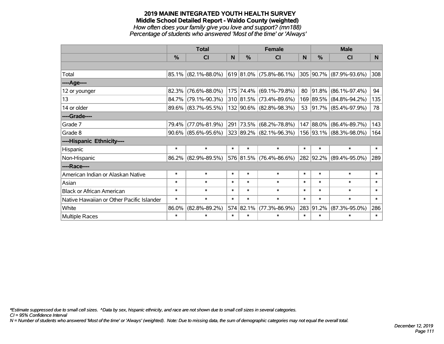#### **2019 MAINE INTEGRATED YOUTH HEALTH SURVEY Middle School Detailed Report - Waldo County (weighted)** *How often does your family give you love and support? (mn188) Percentage of students who answered 'Most of the time' or 'Always'*

|                                           | <b>Total</b>  |                        |        |           | <b>Female</b>               |        | <b>Male</b> |                          |              |  |
|-------------------------------------------|---------------|------------------------|--------|-----------|-----------------------------|--------|-------------|--------------------------|--------------|--|
|                                           | $\frac{0}{0}$ | C <sub>l</sub>         | N      | %         | CI                          | N      | %           | <b>CI</b>                | N            |  |
|                                           |               |                        |        |           |                             |        |             |                          |              |  |
| Total                                     |               | 85.1% (82.1%-88.0%)    |        |           | 619   81.0%   (75.8%-86.1%) |        |             | 305 90.7% (87.9%-93.6%)  | 308          |  |
| ----Age----                               |               |                        |        |           |                             |        |             |                          |              |  |
| 12 or younger                             | 82.3%         | $(76.6\% - 88.0\%)$    |        |           | 175 74.4% (69.1%-79.8%)     | 80     |             | 91.8% (86.1%-97.4%)      | 94           |  |
| 13                                        | 84.7%         | $(79.1\% - 90.3\%)$    |        |           | 310 81.5% (73.4%-89.6%)     |        |             | 169 89.5% (84.8%-94.2%)  | 135          |  |
| 14 or older                               |               | 89.6% (83.7%-95.5%)    |        |           | 132 90.6% (82.8%-98.3%)     | 53     |             | $ 91.7\% $ (85.4%-97.9%) | 78           |  |
| ----Grade----                             |               |                        |        |           |                             |        |             |                          |              |  |
| Grade 7                                   | 79.4%         | $(77.0\% - 81.9\%)$    |        | 291 73.5% | $(68.2\% - 78.8\%)$         | 147    |             | 88.0% (86.4%-89.7%)      | 143          |  |
| Grade 8                                   |               | $90.6\%$ (85.6%-95.6%) |        |           | 323 89.2% (82.1%-96.3%)     |        |             | 156 93.1% (88.3%-98.0%)  | 164          |  |
| ----Hispanic Ethnicity----                |               |                        |        |           |                             |        |             |                          |              |  |
| Hispanic                                  | $\ast$        | $\ast$                 | $\ast$ | $\ast$    | $\ast$                      | $\ast$ | $\ast$      | $\ast$                   | $\ast$       |  |
| Non-Hispanic                              | 86.2%         | $(82.9\% - 89.5\%)$    |        | 576 81.5% | $(76.4\% - 86.6\%)$         |        |             | 282 92.2% (89.4%-95.0%)  | 289          |  |
| ----Race----                              |               |                        |        |           |                             |        |             |                          |              |  |
| American Indian or Alaskan Native         | $\ast$        | $\ast$                 | $\ast$ | $\ast$    | $\ast$                      | $\ast$ | $\ast$      | $\ast$                   | $\ast$       |  |
| Asian                                     | $\ast$        | $\ast$                 | $\ast$ | $\ast$    | $\ast$                      | $\ast$ | $\ast$      | $\ast$                   | $\ast$       |  |
| <b>Black or African American</b>          | $\ast$        | $\ast$                 | $\ast$ | $\ast$    | $\ast$                      | $\ast$ | $\ast$      | $\ast$                   | $\ast$       |  |
| Native Hawaiian or Other Pacific Islander | $\ast$        | $\ast$                 | $\ast$ | $\ast$    | $\ast$                      | $\ast$ | $\ast$      | $\ast$                   | $\pmb{\ast}$ |  |
| White                                     | 86.0%         | $(82.8\% - 89.2\%)$    |        | 574 82.1% | $(77.3\% - 86.9\%)$         | 283    | 91.2%       | $(87.3\% - 95.0\%)$      | 286          |  |
| <b>Multiple Races</b>                     | $\ast$        | $\ast$                 | $\ast$ | $\ast$    | $\ast$                      | $\ast$ | $\ast$      | $\ast$                   | $\ast$       |  |

*\*Estimate suppressed due to small cell sizes. ^Data by sex, hispanic ethnicity, and race are not shown due to small cell sizes in several categories.*

*CI = 95% Confidence Interval*

*N = Number of students who answered 'Most of the time' or 'Always' (weighted). Note: Due to missing data, the sum of demographic categories may not equal the overall total.*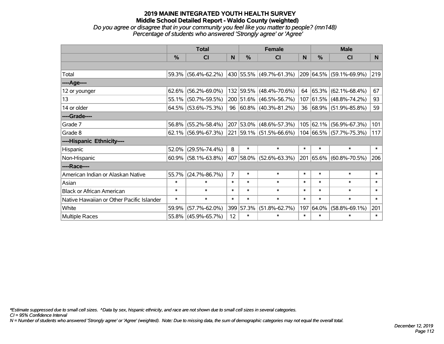*Do you agree or disagree that in your community you feel like you matter to people? (mn148) Percentage of students who answered 'Strongly agree' or 'Agree'*

|                                           | <b>Total</b>  |                        |                | <b>Female</b> |                              |        | <b>Male</b>   |                         |        |
|-------------------------------------------|---------------|------------------------|----------------|---------------|------------------------------|--------|---------------|-------------------------|--------|
|                                           | $\frac{0}{2}$ | <b>CI</b>              | N              | $\%$          | <b>CI</b>                    | N      | $\frac{0}{0}$ | <b>CI</b>               | N.     |
|                                           |               |                        |                |               |                              |        |               |                         |        |
| Total                                     |               | 59.3% (56.4%-62.2%)    |                |               | $ 430 55.5\% $ (49.7%-61.3%) |        |               | 209 64.5% (59.1%-69.9%) | 219    |
| ----Age----                               |               |                        |                |               |                              |        |               |                         |        |
| 12 or younger                             | $62.6\%$      | $(56.2\% - 69.0\%)$    |                |               | 132 59.5% (48.4%-70.6%)      | 64     | 65.3%         | $(62.1\% - 68.4\%)$     | 67     |
| 13                                        | 55.1%         | $(50.7\% - 59.5\%)$    |                |               | 200 51.6% (46.5%-56.7%)      |        | 107 61.5%     | $(48.8\% - 74.2\%)$     | 93     |
| 14 or older                               |               | 64.5% (53.6%-75.3%)    |                |               | 96   60.8%   (40.3%-81.2%)   |        |               | 36 68.9% (51.9%-85.8%)  | 59     |
| ----Grade----                             |               |                        |                |               |                              |        |               |                         |        |
| Grade 7                                   | 56.8%         | $(55.2\% - 58.4\%)$    |                |               | 207 53.0% (48.6%-57.3%)      |        | 105 62.1%     | $(56.9\% - 67.3\%)$     | 101    |
| Grade 8                                   |               | $62.1\%$ (56.9%-67.3%) |                |               | 221 59.1% (51.5%-66.6%)      |        |               | 104 66.5% (57.7%-75.3%) | 117    |
| ----Hispanic Ethnicity----                |               |                        |                |               |                              |        |               |                         |        |
| Hispanic                                  | 52.0%         | $(29.5\% - 74.4\%)$    | 8              | $\ast$        | $\ast$                       | $\ast$ | $\ast$        | $\ast$                  | $\ast$ |
| Non-Hispanic                              |               | $60.9\%$ (58.1%-63.8%) |                |               | 407 58.0% (52.6%-63.3%)      |        |               | 201 65.6% (60.8%-70.5%) | 206    |
| ----Race----                              |               |                        |                |               |                              |        |               |                         |        |
| American Indian or Alaskan Native         | 55.7%         | $(24.7\% - 86.7\%)$    | $\overline{7}$ | $\ast$        | $\ast$                       | $\ast$ | $\ast$        | $\ast$                  | $\ast$ |
| Asian                                     | $\ast$        | $\ast$                 | $\ast$         | $\ast$        | $\ast$                       | $\ast$ | $\ast$        | $\ast$                  | $\ast$ |
| <b>Black or African American</b>          | $\ast$        | $\ast$                 | $\ast$         | $\ast$        | $\ast$                       | $\ast$ | $\ast$        | $\ast$                  | $\ast$ |
| Native Hawaiian or Other Pacific Islander | $\ast$        | $\ast$                 | $\ast$         | $\ast$        | $\ast$                       | $\ast$ | $\ast$        | $\ast$                  | $\ast$ |
| White                                     | 59.9%         | $(57.7\% - 62.0\%)$    |                | 399 57.3%     | $(51.8\% - 62.7\%)$          | 197    | 64.0%         | $(58.8\% - 69.1\%)$     | 201    |
| <b>Multiple Races</b>                     |               | 55.8% (45.9%-65.7%)    | 12             | $\ast$        | $\ast$                       | $\ast$ | $\ast$        | $\ast$                  | $\ast$ |

*\*Estimate suppressed due to small cell sizes. ^Data by sex, hispanic ethnicity, and race are not shown due to small cell sizes in several categories.*

*CI = 95% Confidence Interval*

*N = Number of students who answered 'Strongly agree' or 'Agree' (weighted). Note: Due to missing data, the sum of demographic categories may not equal the overall total.*